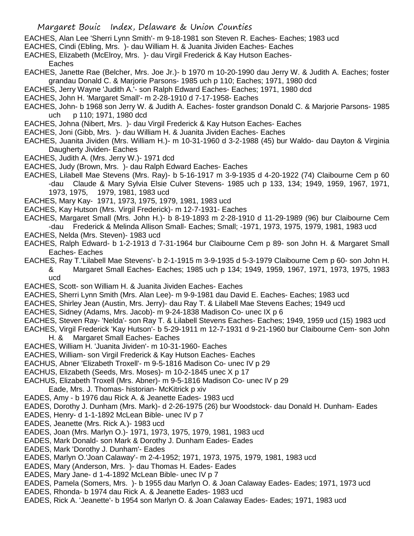- EACHES, Alan Lee 'Sherri Lynn Smith'- m 9-18-1981 son Steven R. Eaches- Eaches; 1983 ucd
- EACHES, Cindi (Ebling, Mrs. )- dau William H. & Juanita Jividen Eaches- Eaches
- EACHES, Elizabeth (McElroy, Mrs. )- dau Virgil Frederick & Kay Hutson Eaches-
	- Eaches
- EACHES, Janette Rae (Belcher, Mrs. Joe Jr.)- b 1970 m 10-20-1990 dau Jerry W. & Judith A. Eaches; foster grandau Donald C. & Marjorie Parsons- 1985 uch p 110; Eaches; 1971, 1980 dcd
- EACHES, Jerry Wayne 'Judith A.'- son Ralph Edward Eaches- Eaches; 1971, 1980 dcd
- EACHES, John H. 'Margaret Small'- m 2-28-1910 d 7-17-1958- Eaches
- EACHES, John- b 1968 son Jerry W. & Judith A. Eaches- foster grandson Donald C. & Marjorie Parsons- 1985 uch p 110; 1971, 1980 dcd
- EACHES, Johna (Nibert, Mrs. )- dau Virgil Frederick & Kay Hutson Eaches- Eaches
- EACHES, Joni (Gibb, Mrs. )- dau William H. & Juanita Jividen Eaches- Eaches
- EACHES, Juanita Jividen (Mrs. William H.)- m 10-31-1960 d 3-2-1988 (45) bur Waldo- dau Dayton & Virginia Daugherty Jividen- Eaches
- EACHES, Judith A. (Mrs. Jerry W.)- 1971 dcd
- EACHES, Judy (Brown, Mrs. )- dau Ralph Edward Eaches- Eaches
- EACHES, Lilabell Mae Stevens (Mrs. Ray)- b 5-16-1917 m 3-9-1935 d 4-20-1922 (74) Claibourne Cem p 60 -dau Claude & Mary Sylvia Elsie Culver Stevens- 1985 uch p 133, 134; 1949, 1959, 1967, 1971, 1973, 1975, 1979, 1981, 1983 ucd
- EACHES, Mary Kay- 1971, 1973, 1975, 1979, 1981, 1983 ucd
- EACHES, Kay Hutson (Mrs. Virgil Frederick)- m 12-7-1931- Eaches
- EACHES, Margaret Small (Mrs. John H.)- b 8-19-1893 m 2-28-1910 d 11-29-1989 (96) bur Claibourne Cem
- -dau Frederick & Melinda Allison Small- Eaches; Small; -1971, 1973, 1975, 1979, 1981, 1983 ucd
- EACHES, Nelda (Mrs. Steven)- 1983 ucd
- EACHES, Ralph Edward- b 1-2-1913 d 7-31-1964 bur Claibourne Cem p 89- son John H. & Margaret Small Eaches- Eaches
- EACHES, Ray T.'Lilabell Mae Stevens'- b 2-1-1915 m 3-9-1935 d 5-3-1979 Claibourne Cem p 60- son John H. & Margaret Small Eaches- Eaches; 1985 uch p 134; 1949, 1959, 1967, 1971, 1973, 1975, 1983 ucd
- EACHES, Scott- son William H. & Juanita Jividen Eaches- Eaches
- EACHES, Sherri Lynn Smith (Mrs. Alan Lee)- m 9-9-1981 dau David E. Eaches- Eaches; 1983 ucd
- EACHES, Shirley Jean (Austin, Mrs. Jerry)- dau Ray T. & Lilabell Mae Stevens Eaches; 1949 ucd
- EACHES, Sidney (Adams, Mrs. Jacob)- m 9-24-1838 Madison Co- unec IX p 6
- EACHES, Steven Ray- 'Nelda'- son Ray T. & Lilabell Stevens Eaches- Eaches; 1949, 1959 ucd (15) 1983 ucd
- EACHES, Virgil Frederick 'Kay Hutson'- b 5-29-1911 m 12-7-1931 d 9-21-1960 bur Claibourne Cem- son John H. & Margaret Small Eaches- Eaches
- EACHES, William H. 'Juanita Jividen'- m 10-31-1960- Eaches
- EACHES, William- son Virgil Frederick & Kay Hutson Eaches- Eaches
- EACHUS, Abner 'Elizabeth Troxell'- m 9-5-1816 Madison Co- unec IV p 29
- EACHUS, Elizabeth (Seeds, Mrs. Moses)- m 10-2-1845 unec X p 17
- EACHUS, Elizabeth Troxell (Mrs. Abner)- m 9-5-1816 Madison Co- unec IV p 29
	- Eade, Mrs. J. Thomas- historian- McKitrick p xiv
- EADES, Amy b 1976 dau Rick A. & Jeanette Eades- 1983 ucd
- EADES, Dorothy J. Dunham (Mrs. Mark)- d 2-26-1975 (26) bur Woodstock- dau Donald H. Dunham- Eades
- EADES, Henry- d 1-1-1892 McLean Bible- unec IV p 7
- EADES, Jeanette (Mrs. Rick A.)- 1983 ucd
- EADES, Joan (Mrs. Marlyn O.)- 1971, 1973, 1975, 1979, 1981, 1983 ucd
- EADES, Mark Donald- son Mark & Dorothy J. Dunham Eades- Eades
- EADES, Mark 'Dorothy J. Dunham'- Eades
- EADES, Marlyn O.'Joan Calaway'- m 2-4-1952; 1971, 1973, 1975, 1979, 1981, 1983 ucd
- EADES, Mary (Anderson, Mrs. )- dau Thomas H. Eades- Eades
- EADES, Mary Jane- d 1-4-1892 McLean Bible- unec IV p 7
- EADES, Pamela (Somers, Mrs. )- b 1955 dau Marlyn O. & Joan Calaway Eades- Eades; 1971, 1973 ucd
- EADES, Rhonda- b 1974 dau Rick A. & Jeanette Eades- 1983 ucd
- EADES, Rick A. 'Jeanette'- b 1954 son Marlyn O. & Joan Calaway Eades- Eades; 1971, 1983 ucd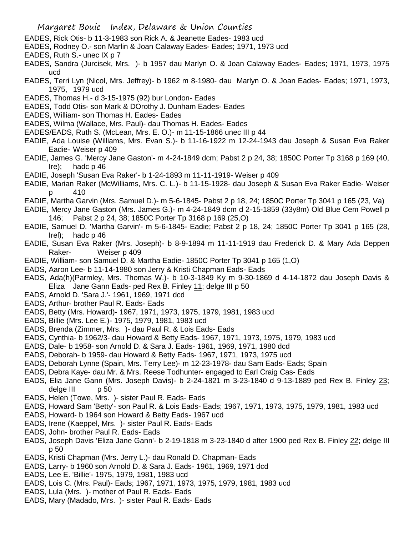- EADES, Rick Otis- b 11-3-1983 son Rick A. & Jeanette Eades- 1983 ucd
- EADES, Rodney O.- son Marlin & Joan Calaway Eades- Eades; 1971, 1973 ucd
- EADES, Ruth S.- unec IX p 7
- EADES, Sandra (Jurcisek, Mrs. )- b 1957 dau Marlyn O. & Joan Calaway Eades- Eades; 1971, 1973, 1975 ucd
- EADES, Terri Lyn (Nicol, Mrs. Jeffrey)- b 1962 m 8-1980- dau Marlyn O. & Joan Eades- Eades; 1971, 1973, 1975, 1979 ucd
- EADES, Thomas H.- d 3-15-1975 (92) bur London- Eades
- EADES, Todd Otis- son Mark & DOrothy J. Dunham Eades- Eades
- EADES, William- son Thomas H. Eades- Eades
- EADES, Wilma (Wallace, Mrs. Paul)- dau Thomas H. Eades- Eades
- EADES/EADS, Ruth S. (McLean, Mrs. E. O.)- m 11-15-1866 unec III p 44
- EADIE, Ada Louise (Williams, Mrs. Evan S.)- b 11-16-1922 m 12-24-1943 dau Joseph & Susan Eva Raker Eadie- Weiser p 409
- EADIE, James G. 'Mercy Jane Gaston'- m 4-24-1849 dcm; Pabst 2 p 24, 38; 1850C Porter Tp 3168 p 169 (40, Ire); hadc p 46
- EADIE, Joseph 'Susan Eva Raker'- b 1-24-1893 m 11-11-1919- Weiser p 409
- EADIE, Marian Raker (McWilliams, Mrs. C. L.)- b 11-15-1928- dau Joseph & Susan Eva Raker Eadie- Weiser p 410
- EADIE, Martha Garvin (Mrs. Samuel D.)- m 5-6-1845- Pabst 2 p 18, 24; 1850C Porter Tp 3041 p 165 (23, Va)
- EADIE, Mercy Jane Gaston (Mrs. James G.)- m 4-24-1849 dcm d 2-15-1859 (33y8m) Old Blue Cem Powell p 146; Pabst 2 p 24, 38; 1850C Porter Tp 3168 p 169 (25,O)
- EADIE, Samuel D. 'Martha Garvin'- m 5-6-1845- Eadie; Pabst 2 p 18, 24; 1850C Porter Tp 3041 p 165 (28, Irel); hadc p 46
- EADIE, Susan Eva Raker (Mrs. Joseph)- b 8-9-1894 m 11-11-1919 dau Frederick D. & Mary Ada Deppen Raker- Weiser p 409
- EADIE, William- son Samuel D. & Martha Eadie- 1850C Porter Tp 3041 p 165 (1,O)
- EADS, Aaron Lee- b 11-14-1980 son Jerry & Kristi Chapman Eads- Eads
- EADS, Ada(h)(Parmley, Mrs. Thomas W.)- b 10-3-1849 Ky m 9-30-1869 d 4-14-1872 dau Joseph Davis & Eliza Jane Gann Eads- ped Rex B. Finley 11; delge III p 50
- EADS, Arnold D. 'Sara J.'- 1961, 1969, 1971 dcd
- EADS, Arthur- brother Paul R. Eads- Eads
- EADS, Betty (Mrs. Howard)- 1967, 1971, 1973, 1975, 1979, 1981, 1983 ucd
- EADS, Billie (Mrs. Lee E.)- 1975, 1979, 1981, 1983 ucd
- EADS, Brenda (Zimmer, Mrs. )- dau Paul R. & Lois Eads- Eads
- EADS, Cynthia- b 1962/3- dau Howard & Betty Eads- 1967, 1971, 1973, 1975, 1979, 1983 ucd
- EADS, Dale- b 1958- son Arnold D. & Sara J. Eads- 1961, 1969, 1971, 1980 dcd
- EADS, Deborah- b 1959- dau Howard & Betty Eads- 1967, 1971, 1973, 1975 ucd
- EADS, Deborah Lynne (Spain, Mrs. Terry Lee)- m 12-23-1978- dau Sam Eads- Eads; Spain
- EADS, Debra Kaye- dau Mr. & Mrs. Reese Todhunter- engaged to Earl Craig Cas- Eads
- EADS, Elia Jane Gann (Mrs. Joseph Davis)- b 2-24-1821 m 3-23-1840 d 9-13-1889 ped Rex B. Finley 23; delge III p 50
- EADS, Helen (Towe, Mrs. )- sister Paul R. Eads- Eads
- EADS, Howard Sam 'Betty'- son Paul R. & Lois Eads- Eads; 1967, 1971, 1973, 1975, 1979, 1981, 1983 ucd
- EADS, Howard- b 1964 son Howard & Betty Eads- 1967 ucd
- EADS, Irene (Kaeppel, Mrs. )- sister Paul R. Eads- Eads
- EADS, John- brother Paul R. Eads- Eads
- EADS, Joseph Davis 'Eliza Jane Gann'- b 2-19-1818 m 3-23-1840 d after 1900 ped Rex B. Finley 22; delge III p 50
- EADS, Kristi Chapman (Mrs. Jerry L.)- dau Ronald D. Chapman- Eads
- EADS, Larry- b 1960 son Arnold D. & Sara J. Eads- 1961, 1969, 1971 dcd
- EADS, Lee E. 'Billie'- 1975, 1979, 1981, 1983 ucd
- EADS, Lois C. (Mrs. Paul)- Eads; 1967, 1971, 1973, 1975, 1979, 1981, 1983 ucd
- EADS, Lula (Mrs. )- mother of Paul R. Eads- Eads
- EADS, Mary (Madado, Mrs. )- sister Paul R. Eads- Eads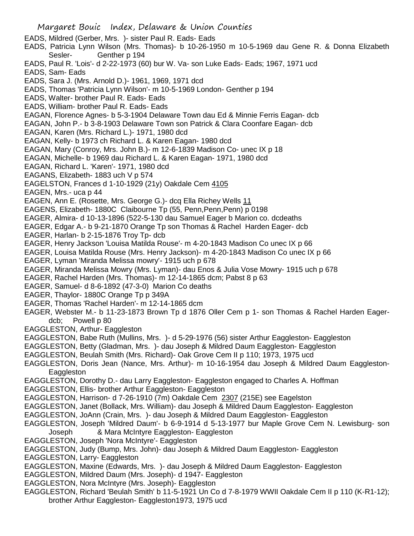- Margaret Bouic Index, Delaware & Union Counties EADS, Mildred (Gerber, Mrs. )- sister Paul R. Eads- Eads EADS, Patricia Lynn Wilson (Mrs. Thomas)- b 10-26-1950 m 10-5-1969 dau Gene R. & Donna Elizabeth Sesler- Genther p 194 EADS, Paul R. 'Lois'- d 2-22-1973 (60) bur W. Va- son Luke Eads- Eads; 1967, 1971 ucd EADS, Sam- Eads EADS, Sara J. (Mrs. Arnold D.)- 1961, 1969, 1971 dcd EADS, Thomas 'Patricia Lynn Wilson'- m 10-5-1969 London- Genther p 194 EADS, Walter- brother Paul R. Eads- Eads EADS, William- brother Paul R. Eads- Eads EAGAN, Florence Agnes- b 5-3-1904 Delaware Town dau Ed & Minnie Ferris Eagan- dcb EAGAN, John P.- b 3-8-1903 Delaware Town son Patrick & Clara Coonfare Eagan- dcb EAGAN, Karen (Mrs. Richard L.)- 1971, 1980 dcd EAGAN, Kelly- b 1973 ch Richard L. & Karen Eagan- 1980 dcd EAGAN, Mary (Conroy, Mrs. John B.)- m 12-6-1839 Madison Co- unec IX p 18 EAGAN, Michelle- b 1969 dau Richard L. & Karen Eagan- 1971, 1980 dcd EAGAN, Richard L. 'Karen'- 1971, 1980 dcd EAGANS, Elizabeth- 1883 uch V p 574 EAGELSTON, Frances d 1-10-1929 (21y) Oakdale Cem 4105 EAGEN, Mrs.- uca p 44 EAGEN, Ann E. (Rosette, Mrs. George G.)- dcq Ella Richey Wells 11 EAGENS, Elizabeth- 1880C Claibourne Tp (55, Penn,Penn,Penn) p 0198 EAGER, Almira- d 10-13-1896 (522-5-130 dau Samuel Eager b Marion co. dcdeaths EAGER, Edgar A.- b 9-21-1870 Orange Tp son Thomas & Rachel Harden Eager- dcb EAGER, Harlan- b 2-15-1876 Troy Tp- dcb EAGER, Henry Jackson 'Louisa Matilda Rouse'- m 4-20-1843 Madison Co unec IX p 66 EAGER, Louisa Matilda Rouse (Mrs. Henry Jackson)- m 4-20-1843 Madison Co unec IX p 66 EAGER, Lyman 'Miranda Melissa mowry'- 1915 uch p 678 EAGER, Miranda Melissa Mowry (Mrs. Lyman)- dau Enos & Julia Vose Mowry- 1915 uch p 678 EAGER, Rachel Harden (Mrs. Thomas)- m 12-14-1865 dcm; Pabst 8 p 63 EAGER, Samuel- d 8-6-1892 (47-3-0) Marion Co deaths EAGER, Thaylor- 1880C Orange Tp p 349A EAGER, Thomas 'Rachel Harden'- m 12-14-1865 dcm EAGER, Webster M.- b 11-23-1873 Brown Tp d 1876 Oller Cem p 1- son Thomas & Rachel Harden Eagerdcb; Powell p 80 EAGGLESTON, Arthur- Eaggleston EAGGLESTON, Babe Ruth (Mullins, Mrs. )- d 5-29-1976 (56) sister Arthur Eaggleston- Eaggleston EAGGLESTON, Betty (Gladman, Mrs. )- dau Joseph & Mildred Daum Eaggleston- Eaggleston EAGGLESTON, Beulah Smith (Mrs. Richard)- Oak Grove Cem II p 110; 1973, 1975 ucd EAGGLESTON, Doris Jean (Nance, Mrs. Arthur)- m 10-16-1954 dau Joseph & Mildred Daum Eaggleston-Eaggleston EAGGLESTON, Dorothy D.- dau Larry Eaggleston- Eaggleston engaged to Charles A. Hoffman EAGGLESTON, Ellis- brother Arthur Eaggleston- Eaggleston EAGGLESTON, Harrison- d 7-26-1910 (7m) Oakdale Cem 2307 (215E) see Eagelston EAGGLESTON, Janet (Bollack, Mrs. William)- dau Joseph & Mildred Daum Eaggleston- Eaggleston EAGGLESTON, JoAnn (Crain, Mrs. )- dau Joseph & Mildred Daum Eaggleston- Eaggleston EAGGLESTON, Joseph 'Mildred Daum'- b 6-9-1914 d 5-13-1977 bur Maple Grove Cem N. Lewisburg- son Joseph & Mara McIntyre Eaggleston- Eaggleston EAGGLESTON, Joseph 'Nora McIntyre'- Eaggleston EAGGLESTON, Judy (Bump, Mrs. John)- dau Joseph & Mildred Daum Eaggleston- Eaggleston EAGGLESTON, Larry- Eaggleston EAGGLESTON, Maxine (Edwards, Mrs. )- dau Joseph & Mildred Daum Eaggleston- Eaggleston EAGGLESTON, Mildred Daum (Mrs. Joseph)- d 1947- Eaggleston EAGGLESTON, Nora McIntyre (Mrs. Joseph)- Eaggleston
- EAGGLESTON, Richard 'Beulah Smith' b 11-5-1921 Un Co d 7-8-1979 WWII Oakdale Cem II p 110 (K-R1-12); brother Arthur Eaggleston- Eaggleston1973, 1975 ucd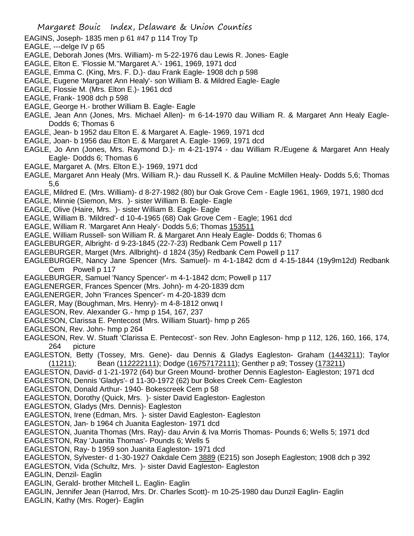- EAGINS, Joseph- 1835 men p 61 #47 p 114 Troy Tp
- EAGLE, ---delge IV p 65
- EAGLE, Deborah Jones (Mrs. William)- m 5-22-1976 dau Lewis R. Jones- Eagle
- EAGLE, Elton E. 'Flossie M.''Margaret A.'- 1961, 1969, 1971 dcd
- EAGLE, Emma C. (King, Mrs. F. D.)- dau Frank Eagle- 1908 dch p 598
- EAGLE, Eugene 'Margaret Ann Healy'- son William B. & Mildred Eagle- Eagle
- EAGLE, Flossie M. (Mrs. Elton E.)- 1961 dcd
- EAGLE, Frank- 1908 dch p 598
- EAGLE, George H.- brother William B. Eagle- Eagle
- EAGLE, Jean Ann (Jones, Mrs. Michael Allen)- m 6-14-1970 dau William R. & Margaret Ann Healy Eagle-Dodds 6; Thomas 6
- EAGLE, Jean- b 1952 dau Elton E. & Margaret A. Eagle- 1969, 1971 dcd
- EAGLE, Joan- b 1956 dau Elton E. & Margaret A. Eagle- 1969, 1971 dcd
- EAGLE, Jo Ann (Jones, Mrs. Raymond D.)- m 4-21-1974 dau William R./Eugene & Margaret Ann Healy Eagle- Dodds 6; Thomas 6
- EAGLE, Margaret A. (Mrs. Elton E.)- 1969, 1971 dcd
- EAGLE, Margaret Ann Healy (Mrs. William R.)- dau Russell K. & Pauline McMillen Healy- Dodds 5,6; Thomas 5,6
- EAGLE, Mildred E. (Mrs. William)- d 8-27-1982 (80) bur Oak Grove Cem Eagle 1961, 1969, 1971, 1980 dcd
- EAGLE, Minnie (Siemon, Mrs. )- sister William B. Eagle- Eagle
- EAGLE, Olive (Haire, Mrs. )- sister William B. Eagle- Eagle
- EAGLE, William B. 'Mildred'- d 10-4-1965 (68) Oak Grove Cem Eagle; 1961 dcd
- EAGLE, William R. 'Margaret Ann Healy'- Dodds 5,6; Thomas 153511
- EAGLE, William Russell- son William R. & Margaret Ann Healy Eagle- Dodds 6; Thomas 6
- EAGLEBURGER, Albright- d 9-23-1845 (22-7-23) Redbank Cem Powell p 117
- EAGLEBURGER, Marget (Mrs. Allbright)- d 1824 (35y) Redbank Cem Powell p 117
- EAGLEBURGER, Nancy Jane Spencer (Mrs. Samuel)- m 4-1-1842 dcm d 4-15-1844 (19y9m12d) Redbank Cem Powell p 117
- EAGLEBURGER, Samuel 'Nancy Spencer'- m 4-1-1842 dcm; Powell p 117
- EAGLENERGER, Frances Spencer (Mrs. John)- m 4-20-1839 dcm
- EAGLENERGER, John 'Frances Spencer'- m 4-20-1839 dcm
- EAGLER, May (Boughman, Mrs. Henry)- m 4-8-1812 onwq I
- EAGLESON, Rev. Alexander G.- hmp p 154, 167, 237
- EAGLESON, Clarissa E. Pentecost (Mrs. William Stuart)- hmp p 265
- EAGLESON, Rev. John- hmp p 264
- EAGLESON, Rev. W. Stuaft 'Clarissa E. Pentecost'- son Rev. John Eagleson- hmp p 112, 126, 160, 166, 174, 264 picture
- EAGLESTON, Betty (Tossey, Mrs. Gene)- dau Dennis & Gladys Eagleston- Graham (1443211); Taylor (11211); Bean (112222111); Dodge (16757172111); Genther p a9; Tossey (173211)
- EAGLESTON, David- d 1-21-1972 (64) bur Green Mound- brother Dennis Eagleston- Eagleston; 1971 dcd
- EAGLESTON, Dennis 'Gladys'- d 11-30-1972 (62) bur Bokes Creek Cem- Eagleston
- EAGLESTON, Donald Arthur- 1940- Bokescreek Cem p 58
- EAGLESTON, Dorothy (Quick, Mrs. )- sister David Eagleston- Eagleston
- EAGLESTON, Gladys (Mrs. Dennis)- Eagleston
- EAGLESTON, Irene (Edman, Mrs. )- sister David Eagleston- Eagleston
- EAGLESTON, Jan- b 1964 ch Juanita Eagleston- 1971 dcd
- EAGLESTON, Juanita Thomas (Mrs. Ray)- dau Arvin & Iva Morris Thomas- Pounds 6; Wells 5; 1971 dcd
- EAGLESTON, Ray 'Juanita Thomas'- Pounds 6; Wells 5
- EAGLESTON, Ray- b 1959 son Juanita Eagleston- 1971 dcd
- EAGLESTON, Sylvester- d 1-30-1927 Oakdale Cem 3889 (E215) son Joseph Eagleston; 1908 dch p 392
- EAGLESTON, Vida (Schultz, Mrs. )- sister David Eagleston- Eagleston
- EAGLIN, Denzil- Eaglin
- EAGLIN, Gerald- brother Mitchell L. Eaglin- Eaglin
- EAGLIN, Jennifer Jean (Harrod, Mrs. Dr. Charles Scott)- m 10-25-1980 dau Dunzil Eaglin- Eaglin
- EAGLIN, Kathy (Mrs. Roger)- Eaglin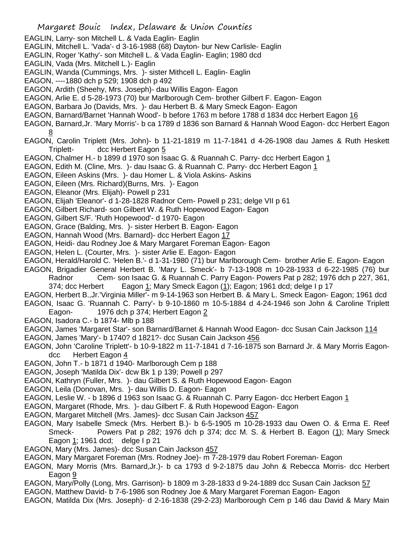- Margaret Bouic Index, Delaware & Union Counties EAGLIN, Larry- son Mitchell L. & Vada Eaglin- Eaglin EAGLIN, Mitchell L. 'Vada'- d 3-16-1988 (68) Dayton- bur New Carlisle- Eaglin EAGLIN, Roger 'Kathy'- son Mitchell L. & Vada Eaglin- Eaglin; 1980 dcd EAGLIN, Vada (Mrs. Mitchell L.)- Eaglin EAGLIN, Wanda (Cummings, Mrs. )- sister Mithcell L. Eaglin- Eaglin EAGON, ----1880 dch p 529; 1908 dch p 492 EAGON, Ardith (Sheehy, Mrs. Joseph)- dau Willis Eagon- Eagon EAGON, Arlie E. d 5-28-1973 (70) bur Marlborough Cem- brother Gilbert F. Eagon- Eagon EAGON, Barbara Jo (Davids, Mrs. )- dau Herbert B. & Mary Smeck Eagon- Eagon EAGON, Barnard/Barnet 'Hannah Wood'- b before 1763 m before 1788 d 1834 dcc Herbert Eagon 16 EAGON, Barnard,Jr. 'Mary Morris'- b ca 1789 d 1836 son Barnard & Hannah Wood Eagon- dcc Herbert Eagon 8 EAGON, Carolin Triplett (Mrs. John)- b 11-21-1819 m 11-7-1841 d 4-26-1908 dau James & Ruth Heskett Triplett- dcc Herbert Eagon 5 EAGON, Chalmer H.- b 1899 d 1970 son Isaac G. & Ruannah C. Parry- dcc Herbert Eagon 1 EAGON, Edith M. (Cline, Mrs.)- dau Isaac G. & Ruannah C. Parry- dcc Herbert Eagon 1 EAGON, Eileen Askins (Mrs. )- dau Homer L. & Viola Askins- Askins EAGON, Eileen (Mrs. Richard)(Burns, Mrs. )- Eagon EAGON, Eleanor (Mrs. Elijah)- Powell p 231 EAGON, Elijah 'Eleanor'- d 1-28-1828 Radnor Cem- Powell p 231; delge VII p 61 EAGON, Gilbert Richard- son Gilbert W. & Ruth Hopewood Eagon- Eagon EAGON, Gilbert S/F. 'Ruth Hopewood'- d 1970- Eagon EAGON, Grace (Balding, Mrs. )- sister Herbert B. Eagon- Eagon EAGON, Hannah Wood (Mrs. Barnard)- dcc Herbert Eagon 17 EAGON, Heidi- dau Rodney Joe & Mary Margaret Foreman Eagon- Eagon EAGON, Helen L. (Courter, Mrs. )- sister Arlie E. Eagon- Eagon EAGON, Herald/Harold C. 'Helen B.'- d 1-31-1980 (71) bur Marlborough Cem- brother Arlie E. Eagon- Eagon EAGON, Brigadier General Herbert B. 'Mary L. Smeck'- b 7-13-1908 m 10-28-1933 d 6-22-1985 (76) bur Radnor Cem- son Isaac G. & Ruannah C. Parry Eagon- Powers Pat p 282; 1976 dch p 227, 361, 374; dcc Herbert Eagon 1; Mary Smeck Eagon (1); Eagon; 1961 dcd; delge I p 17 EAGON, Herbert B.,Jr.'Virginia Miller'- m 9-14-1963 son Herbert B. & Mary L. Smeck Eagon- Eagon; 1961 dcd EAGON, Isaac G. 'Ruannah C. Parry'- b 9-10-1860 m 10-5-1884 d 4-24-1946 son John & Caroline Triplett Eagon- 1976 dch p 374; Herbert Eagon 2 EAGON, Isadora C.- b 1874- Mlb p 188 EAGON, James 'Margaret Star'- son Barnard/Barnet & Hannah Wood Eagon- dcc Susan Cain Jackson 114 EAGON, James 'Mary'- b 1740? d 1821?- dcc Susan Cain Jackson 456
- EAGON, John 'Caroline Triplett'- b 10-9-1822 m 11-7-1841 d 7-16-1875 son Barnard Jr. & Mary Morris Eagondcc Herbert Eagon 4
- EAGON, John T.- b 1871 d 1940- Marlborough Cem p 188
- EAGON, Joseph 'Matilda Dix'- dcw Bk 1 p 139; Powell p 297
- EAGON, Kathryn (Fuller, Mrs. )- dau Gilbert S. & Ruth Hopewood Eagon- Eagon
- EAGON, Leila (Donovan, Mrs. )- dau Willis D. Eagon- Eagon
- EAGON, Leslie W. b 1896 d 1963 son Isaac G. & Ruannah C. Parry Eagon- dcc Herbert Eagon 1
- EAGON, Margaret (Rhode, Mrs. )- dau Gilbert F. & Ruth Hopewood Eagon- Eagon
- EAGON, Margaret Mitchell (Mrs. James)- dcc Susan Cain Jackson 457
- EAGON, Mary Isabelle Smeck (Mrs. Herbert B.)- b 6-5-1905 m 10-28-1933 dau Owen O. & Erma E. Reef Smeck- Powers Pat p 282; 1976 dch p 374; dcc M. S. & Herbert B. Eagon (1); Mary Smeck Eagon 1; 1961 dcd; delge I p 21
- EAGON, Mary (Mrs. James)- dcc Susan Cain Jackson 457
- EAGON, Mary Margaret Foreman (Mrs. Rodney Joe)- m 7-28-1979 dau Robert Foreman- Eagon
- EAGON, Mary Morris (Mrs. Barnard,Jr.)- b ca 1793 d 9-2-1875 dau John & Rebecca Morris- dcc Herbert Eagon 9
- EAGON, Mary/Polly (Long, Mrs. Garrison)- b 1809 m 3-28-1833 d 9-24-1889 dcc Susan Cain Jackson 57
- EAGON, Matthew David- b 7-6-1986 son Rodney Joe & Mary Margaret Foreman Eagon- Eagon
- EAGON, Matilda Dix (Mrs. Joseph)- d 2-16-1838 (29-2-23) Marlborough Cem p 146 dau David & Mary Main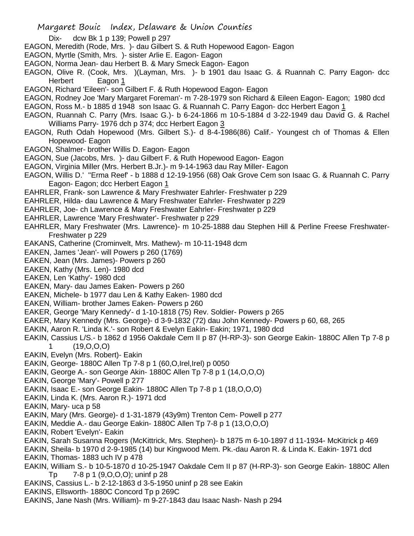- Dix- dcw Bk 1 p 139; Powell p 297
- EAGON, Meredith (Rode, Mrs. )- dau Gilbert S. & Ruth Hopewood Eagon- Eagon
- EAGON, Myrtle (Smith, Mrs. )- sister Arlie E. Eagon- Eagon
- EAGON, Norma Jean- dau Herbert B. & Mary Smeck Eagon- Eagon
- EAGON, Olive R. (Cook, Mrs. )(Layman, Mrs. )- b 1901 dau Isaac G. & Ruannah C. Parry Eagon- dcc Herbert Eagon 1
- EAGON, Richard 'Eileen'- son Gilbert F. & Ruth Hopewood Eagon- Eagon
- EAGON, Rodney Joe 'Mary Margaret Foreman'- m 7-28-1979 son Richard & Eileen Eagon- Eagon; 1980 dcd
- EAGON, Ross M.- b 1885 d 1948 son Isaac G. & Ruannah C. Parry Eagon- dcc Herbert Eagon 1
- EAGON, Ruannah C. Parry (Mrs. Isaac G.)- b 6-24-1866 m 10-5-1884 d 3-22-1949 dau David G. & Rachel Williams Parry- 1976 dch p 374; dcc Herbert Eagon 3
- EAGON, Ruth Odah Hopewood (Mrs. Gilbert S.)- d 8-4-1986(86) Calif.- Youngest ch of Thomas & Ellen Hopewood- Eagon
- EAGON, Shalmer- brother Willis D. Eagon- Eagon
- EAGON, Sue (Jacobs, Mrs. )- dau Gilbert F. & Ruth Hopewood Eagon- Eagon
- EAGON, Virginia Miller (Mrs. Herbert B.Jr.)- m 9-14-1963 dau Ray Miller- Eagon
- EAGON, Willis D.' ''Erma Reef' b 1888 d 12-19-1956 (68) Oak Grove Cem son Isaac G. & Ruannah C. Parry Eagon- Eagon; dcc Herbert Eagon 1
- EAHRLER, Frank- son Lawrence & Mary Freshwater Eahrler- Freshwater p 229
- EAHRLER, Hilda- dau Lawrence & Mary Freshwater Eahrler- Freshwater p 229
- EAHRLER, Joe- ch Lawrence & Mary Freshwater Eahrler- Freshwater p 229
- EAHRLER, Lawrence 'Mary Freshwater'- Freshwater p 229
- EAHRLER, Mary Freshwater (Mrs. Lawrence)- m 10-25-1888 dau Stephen Hill & Perline Freese Freshwater-Freshwater p 229
- EAKANS, Catherine (Crominvelt, Mrs. Mathew)- m 10-11-1948 dcm
- EAKEN, James 'Jean'- will Powers p 260 (1769)
- EAKEN, Jean (Mrs. James)- Powers p 260
- EAKEN, Kathy (Mrs. Len)- 1980 dcd
- EAKEN, Len 'Kathy'- 1980 dcd
- EAKEN, Mary- dau James Eaken- Powers p 260
- EAKEN, Michele- b 1977 dau Len & Kathy Eaken- 1980 dcd
- EAKEN, William- brother James Eaken- Powers p 260
- EAKER, George 'Mary Kennedy'- d 1-10-1818 (75) Rev. Soldier- Powers p 265
- EAKER, Mary Kennedy (Mrs. George)- d 3-9-1832 (72) dau John Kennedy- Powers p 60, 68, 265
- EAKIN, Aaron R. 'Linda K.'- son Robert & Evelyn Eakin- Eakin; 1971, 1980 dcd
- EAKIN, Cassius L/S.- b 1862 d 1956 Oakdale Cem II p 87 (H-RP-3)- son George Eakin- 1880C Allen Tp 7-8 p 1 (19,O,O,O)
- EAKIN, Evelyn (Mrs. Robert)- Eakin
- EAKIN, George- 1880C Allen Tp 7-8 p 1 (60,O,Irel,Irel) p 0050
- EAKIN, George A.- son George Akin- 1880C Allen Tp 7-8 p 1 (14,O,O,O)
- EAKIN, George 'Mary'- Powell p 277
- EAKIN, Isaac E.- son George Eakin- 1880C Allen Tp 7-8 p 1 (18,O,O,O)
- EAKIN, Linda K. (Mrs. Aaron R.)- 1971 dcd
- EAKIN, Mary- uca p 58
- EAKIN, Mary (Mrs. George)- d 1-31-1879 (43y9m) Trenton Cem- Powell p 277
- EAKIN, Meddie A.- dau George Eakin- 1880C Allen Tp 7-8 p 1 (13,O,O,O)
- EAKIN, Robert 'Evelyn'- Eakin
- EAKIN, Sarah Susanna Rogers (McKittrick, Mrs. Stephen)- b 1875 m 6-10-1897 d 11-1934- McKitrick p 469
- EAKIN, Sheila- b 1970 d 2-9-1985 (14) bur Kingwood Mem. Pk.-dau Aaron R. & Linda K. Eakin- 1971 dcd
- EAKIN, Thomas- 1883 uch IV p 478
- EAKIN, William S.- b 10-5-1870 d 10-25-1947 Oakdale Cem II p 87 (H-RP-3)- son George Eakin- 1880C Allen Tp 7-8 p 1 (9,O,O,O); uninf p 28
- EAKINS, Cassius L.- b 2-12-1863 d 3-5-1950 uninf p 28 see Eakin
- EAKINS, Ellsworth- 1880C Concord Tp p 269C
- EAKINS, Jane Nash (Mrs. William)- m 9-27-1843 dau Isaac Nash- Nash p 294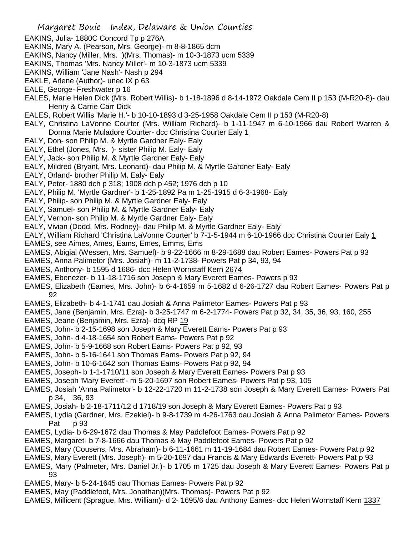- Margaret Bouic Index, Delaware & Union Counties
- EAKINS, Julia- 1880C Concord Tp p 276A
- EAKINS, Mary A. (Pearson, Mrs. George)- m 8-8-1865 dcm
- EAKINS, Nancy (Miller, Mrs. )(Mrs. Thomas)- m 10-3-1873 ucm 5339
- EAKINS, Thomas 'Mrs. Nancy Miller'- m 10-3-1873 ucm 5339
- EAKINS, William 'Jane Nash'- Nash p 294
- EAKLE, Arlene (Author)- unec IX p 63
- EALE, George- Freshwater p 16
- EALES, Marie Helen Dick (Mrs. Robert Willis)- b 1-18-1896 d 8-14-1972 Oakdale Cem II p 153 (M-R20-8)- dau Henry & Carrie Carr Dick
- EALES, Robert Willis 'Marie H.'- b 10-10-1893 d 3-25-1958 Oakdale Cem II p 153 (M-R20-8)
- EALY, Christina LaVonne Courter (Mrs. William Richard)- b 1-11-1947 m 6-10-1966 dau Robert Warren & Donna Marie Muladore Courter- dcc Christina Courter Ealy 1
- EALY, Don- son Philip M. & Myrtle Gardner Ealy- Ealy
- EALY, Ethel (Jones, Mrs. )- sister Philip M. Ealy- Ealy
- EALY, Jack- son Philip M. & Myrtle Gardner Ealy- Ealy
- EALY, Mildred (Bryant, Mrs. Leonard)- dau Philip M. & Myrtle Gardner Ealy- Ealy
- EALY, Orland- brother Philip M. Ealy- Ealy
- EALY, Peter- 1880 dch p 318; 1908 dch p 452; 1976 dch p 10
- EALY, Philip M. 'Myrtle Gardner'- b 1-25-1892 Pa m 1-25-1915 d 6-3-1968- Ealy
- EALY, Philip- son Philip M. & Myrtle Gardner Ealy- Ealy
- EALY, Samuel- son Philip M. & Myrtle Gardner Ealy- Ealy
- EALY, Vernon- son Philip M. & Myrtle Gardner Ealy- Ealy
- EALY, Vivian (Dodd, Mrs. Rodney)- dau Philip M. & Myrtle Gardner Ealy- Ealy
- EALY, William Richard 'Christina LaVonne Courter' b 7-1-5-1944 m 6-10-1966 dcc Christina Courter Ealy 1
- EAMES, see Aimes, Ames, Eams, Emes, Emms, Ems
- EAMES, Abigial (Wessen, Mrs. Samuel)- b 9-22-1666 m 8-29-1688 dau Robert Eames- Powers Pat p 93
- EAMES, Anna Palimetor (Mrs. Josiah)- m 11-2-1738- Powers Pat p 34, 93, 94
- EAMES, Anthony- b 1595 d 1686- dcc Helen Wornstaff Kern 2674
- EAMES, Ebenezer- b 11-18-1716 son Joseph & Mary Everett Eames- Powers p 93
- EAMES, Elizabeth (Eames, Mrs. John)- b 6-4-1659 m 5-1682 d 6-26-1727 dau Robert Eames- Powers Pat p 92
- EAMES, Elizabeth- b 4-1-1741 dau Josiah & Anna Palimetor Eames- Powers Pat p 93
- EAMES, Jane (Benjamin, Mrs. Ezra)- b 3-25-1747 m 6-2-1774- Powers Pat p 32, 34, 35, 36, 93, 160, 255
- EAMES, Jeane (Benjamin, Mrs. Ezra)- dcq RP 19
- EAMES, John- b 2-15-1698 son Joseph & Mary Everett Eams- Powers Pat p 93
- EAMES, John- d 4-18-1654 son Robert Eams- Powers Pat p 92
- EAMES, John- b 5-9-1668 son Robert Eams- Powers Pat p 92, 93
- EAMES, John- b 5-16-1641 son Thomas Eams- Powers Pat p 92, 94
- EAMES, John- b 10-6-1642 son Thomas Eams- Powers Pat p 92, 94
- EAMES, Joseph- b 1-1-1710/11 son Joseph & Mary Everett Eames- Powers Pat p 93
- EAMES, Joseph 'Mary Everett'- m 5-20-1697 son Robert Eames- Powers Pat p 93, 105
- EAMES, Josiah 'Anna Palimetor'- b 12-22-1720 m 11-2-1738 son Joseph & Mary Everett Eames- Powers Pat p 34, 36, 93
- EAMES, Josiah- b 2-18-1711/12 d 1718/19 son Joseph & Mary Everett Eames- Powers Pat p 93
- EAMES, Lydia (Gardner, Mrs. Ezekiel)- b 9-8-1739 m 4-26-1763 dau Josiah & Anna Palimetor Eames- Powers Pat p 93
- EAMES, Lydia- b 6-29-1672 dau Thomas & May Paddlefoot Eames- Powers Pat p 92
- EAMES, Margaret- b 7-8-1666 dau Thomas & May Paddlefoot Eames- Powers Pat p 92
- EAMES, Mary (Cousens, Mrs. Abraham)- b 6-11-1661 m 11-19-1684 dau Robert Eames- Powers Pat p 92
- EAMES, Mary Everett (Mrs. Joseph)- m 5-20-1697 dau Francis & Mary Edwards Everett- Powers Pat p 93
- EAMES, Mary (Palmeter, Mrs. Daniel Jr.)- b 1705 m 1725 dau Joseph & Mary Everett Eames- Powers Pat p 93
- EAMES, Mary- b 5-24-1645 dau Thomas Eames- Powers Pat p 92
- EAMES, May (Paddlefoot, Mrs. Jonathan)(Mrs. Thomas)- Powers Pat p 92
- EAMES, Millicent (Sprague, Mrs. William)- d 2- 1695/6 dau Anthony Eames- dcc Helen Wornstaff Kern 1337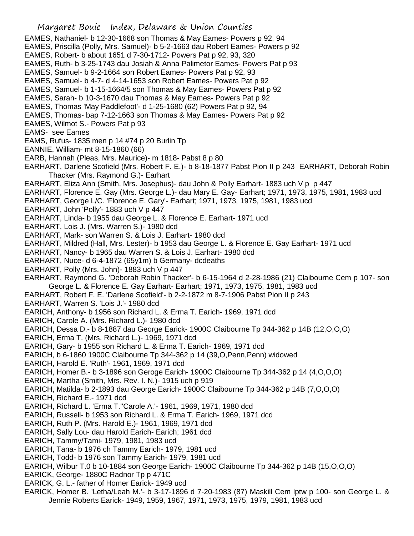- EAMES, Nathaniel- b 12-30-1668 son Thomas & May Eames- Powers p 92, 94
- EAMES, Priscilla (Polly, Mrs. Samuel)- b 5-2-1663 dau Robert Eames- Powers p 92
- EAMES, Robert- b about 1651 d 7-30-1712- Powers Pat p 92, 93, 320
- EAMES, Ruth- b 3-25-1743 dau Josiah & Anna Palimetor Eames- Powers Pat p 93
- EAMES, Samuel- b 9-2-1664 son Robert Eames- Powers Pat p 92, 93
- EAMES, Samuel- b 4-7- d 4-14-1653 son Robert Eames- Powers Pat p 92
- EAMES, Samuel- b 1-15-1664/5 son Thomas & May Eames- Powers Pat p 92
- EAMES, Sarah- b 10-3-1670 dau Thomas & May Eames- Powers Pat p 92
- EAMES, Thomas 'May Paddlefoot'- d 1-25-1680 (62) Powers Pat p 92, 94
- EAMES, Thomas- bap 7-12-1663 son Thomas & May Eames- Powers Pat p 92
- EAMES, Wilmot S.- Powers Pat p 93
- EAMS- see Eames
- EAMS, Rufus- 1835 men p 14 #74 p 20 Burlin Tp
- EANNIE, William- mt 8-15-1860 (66)
- EARB, Hannah (Pleas, Mrs. Maurice)- m 1818- Pabst 8 p 80
- EARHART, Darlene Scofield (Mrs. Robert F. E.)- b 8-18-1877 Pabst Pion II p 243 EARHART, Deborah Robin Thacker (Mrs. Raymond G.)- Earhart
- EARHART, Eliza Ann (Smith, Mrs. Josephus)- dau John & Polly Earhart- 1883 uch V p p 447
- EARHART, Florence E. Gay (Mrs. George L.)- dau Mary E. Gay- Earhart; 1971, 1973, 1975, 1981, 1983 ucd
- EARHART, George L/C. 'Florence E. Gary'- Earhart; 1971, 1973, 1975, 1981, 1983 ucd
- EARHART, John 'Polly'- 1883 uch V p 447
- EARHART, Linda- b 1955 dau George L. & Florence E. Earhart- 1971 ucd
- EARHART, Lois J. (Mrs. Warren S.)- 1980 dcd
- EARHART, Mark- son Warren S. & Lois J. Earhart- 1980 dcd
- EARHART, Mildred (Hall, Mrs. Lester)- b 1953 dau George L. & Florence E. Gay Earhart- 1971 ucd
- EARHART, Nancy- b 1965 dau Warren S. & Lois J. Earhart- 1980 dcd
- EARHART, Nuce- d 6-4-1872 (65y1m) b Germany- dcdeaths
- EARHART, Polly (Mrs. John)- 1883 uch V p 447
- EARHART, Raymond G. 'Deborah Robin Thacker'- b 6-15-1964 d 2-28-1986 (21) Claibourne Cem p 107- son George L. & Florence E. Gay Earhart- Earhart; 1971, 1973, 1975, 1981, 1983 ucd
- EARHART, Robert F. E. 'Darlene Scofield'- b 2-2-1872 m 8-7-1906 Pabst Pion II p 243
- EARHART, Warren S. 'Lois J.'- 1980 dcd
- EARICH, Anthony- b 1956 son Richard L. & Erma T. Earich- 1969, 1971 dcd
- EARICH, Carole A. (Mrs. Richard L.)- 1980 dcd
- EARICH, Dessa D.- b 8-1887 dau George Earick- 1900C Claibourne Tp 344-362 p 14B (12,O,O,O)
- EARICH, Erma T. (Mrs. Richard L.)- 1969, 1971 dcd
- EARICH, Gary- b 1955 son Richard L. & Erma T. Earich- 1969, 1971 dcd
- EARICH, b 6-1860 1900C Claibourne Tp 344-362 p 14 (39,O,Penn,Penn) widowed
- EARICH, Harold E. 'Ruth'- 1961, 1969, 1971 dcd
- EARICH, Homer B.- b 3-1896 son Geroge Earich- 1900C Claibourne Tp 344-362 p 14 (4,O,O,O)
- EARICH, Martha (Smith, Mrs. Rev. I. N.)- 1915 uch p 919
- EARICH, Matilda- b 2-1893 dau George Earich- 1900C Claibourne Tp 344-362 p 14B (7,O,O,O)
- EARICH, Richard E.- 1971 dcd
- EARICH, Richard L. 'Erma T.''Carole A.'- 1961, 1969, 1971, 1980 dcd
- EARICH, Russell- b 1953 son Richard L. & Erma T. Earich- 1969, 1971 dcd
- EARICH, Ruth P. (Mrs. Harold E.)- 1961, 1969, 1971 dcd
- EARICH, Sally Lou- dau Harold Earich- Earich; 1961 dcd
- EARICH, Tammy/Tami- 1979, 1981, 1983 ucd
- EARICH, Tana- b 1976 ch Tammy Earich- 1979, 1981 ucd
- EARICH, Todd- b 1976 son Tammy Earich- 1979, 1981 ucd
- EARICH, Wilbur T.0 b 10-1884 son George Earich- 1900C Claibourne Tp 344-362 p 14B (15,O,O,O)
- EARICK, George- 1880C Radnor Tp p 471C
- EARICK, G. L.- father of Homer Earick- 1949 ucd
- EARICK, Homer B. 'Letha/Leah M.'- b 3-17-1896 d 7-20-1983 (87) Maskill Cem lptw p 100- son George L. & Jennie Roberts Earick- 1949, 1959, 1967, 1971, 1973, 1975, 1979, 1981, 1983 ucd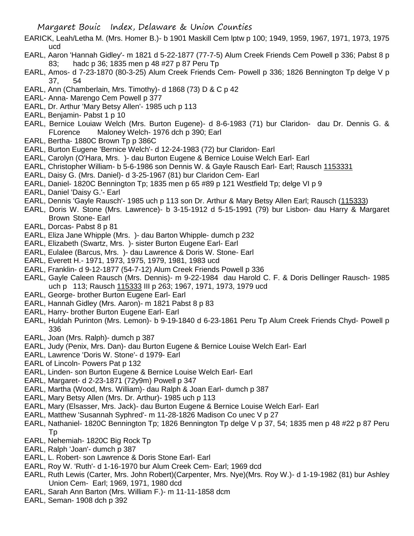- EARICK, Leah/Letha M. (Mrs. Homer B.)- b 1901 Maskill Cem lptw p 100; 1949, 1959, 1967, 1971, 1973, 1975 ucd
- EARL, Aaron 'Hannah Gidley'- m 1821 d 5-22-1877 (77-7-5) Alum Creek Friends Cem Powell p 336; Pabst 8 p 83; hadc p 36; 1835 men p 48 #27 p 87 Peru Tp
- EARL, Amos- d 7-23-1870 (80-3-25) Alum Creek Friends Cem- Powell p 336; 1826 Bennington Tp delge V p 37, 54
- EARL, Ann (Chamberlain, Mrs. Timothy)- d 1868 (73) D & C p 42
- EARL- Anna- Marengo Cem Powell p 377
- EARL, Dr. Arthur 'Mary Betsy Allen'- 1985 uch p 113
- EARL, Benjamin- Pabst 1 p 10
- EARL, Bernice Louiaw Welch (Mrs. Burton Eugene)- d 8-6-1983 (71) bur Claridon- dau Dr. Dennis G. & FLorence Maloney Welch- 1976 dch p 390; Earl
- EARL, Bertha- 1880C Brown Tp p 386C
- EARL, Burton Eugene 'Bernice Welch'- d 12-24-1983 (72) bur Claridon- Earl
- EARL, Carolyn (O'Hara, Mrs. )- dau Burton Eugene & Bernice Louise Welch Earl- Earl
- EARL, Christopher William- b 5-6-1986 son Dennis W. & Gayle Rausch Earl- Earl; Rausch 1153331
- EARL, Daisy G. (Mrs. Daniel)- d 3-25-1967 (81) bur Claridon Cem- Earl
- EARL, Daniel- 1820C Bennington Tp; 1835 men p 65 #89 p 121 Westfield Tp; delge VI p 9
- EARL, Daniel 'Daisy G.'- Earl
- EARL, Dennis 'Gayle Rausch'- 1985 uch p 113 son Dr. Arthur & Mary Betsy Allen Earl; Rausch (115333)
- EARL, Doris W. Stone (Mrs. Lawrence)- b 3-15-1912 d 5-15-1991 (79) bur Lisbon- dau Harry & Margaret Brown Stone- Earl
- EARL, Dorcas- Pabst 8 p 81
- EARL, Eliza Jane Whipple (Mrs. )- dau Barton Whipple- dumch p 232
- EARL, Elizabeth (Swartz, Mrs. )- sister Burton Eugene Earl- Earl
- EARL, Eulalee (Barcus, Mrs. )- dau Lawrence & Doris W. Stone- Earl
- EARL, Everett H.- 1971, 1973, 1975, 1979, 1981, 1983 ucd
- EARL, Franklin- d 9-12-1877 (54-7-12) Alum Creek Friends Powell p 336
- EARL, Gayle Caleen Rausch (Mrs. Dennis)- m 9-22-1984 dau Harold C. F. & Doris Dellinger Rausch- 1985 uch p 113; Rausch 115333 III p 263; 1967, 1971, 1973, 1979 ucd
- EARL, George- brother Burton Eugene Earl- Earl
- EARL, Hannah Gidley (Mrs. Aaron)- m 1821 Pabst 8 p 83
- EARL, Harry- brother Burton Eugene Earl- Earl
- EARL, Huldah Purinton (Mrs. Lemon)- b 9-19-1840 d 6-23-1861 Peru Tp Alum Creek Friends Chyd- Powell p 336
- EARL, Joan (Mrs. Ralph)- dumch p 387
- EARL, Judy (Penix, Mrs. Dan)- dau Burton Eugene & Bernice Louise Welch Earl- Earl
- EARL, Lawrence 'Doris W. Stone'- d 1979- Earl
- EARL of Lincoln- Powers Pat p 132
- EARL, Linden- son Burton Eugene & Bernice Louise Welch Earl- Earl
- EARL, Margaret- d 2-23-1871 (72y9m) Powell p 347
- EARL, Martha (Wood, Mrs. William)- dau Ralph & Joan Earl- dumch p 387
- EARL, Mary Betsy Allen (Mrs. Dr. Arthur)- 1985 uch p 113
- EARL, Mary (Elsasser, Mrs. Jack)- dau Burton Eugene & Bernice Louise Welch Earl- Earl
- EARL, Matthew 'Susannah Syphred'- m 11-28-1826 Madison Co unec V p 27
- EARL, Nathaniel- 1820C Bennington Tp; 1826 Bennington Tp delge V p 37, 54; 1835 men p 48 #22 p 87 Peru Tp
- EARL, Nehemiah- 1820C Big Rock Tp
- EARL, Ralph 'Joan'- dumch p 387
- EARL, L. Robert- son Lawrence & Doris Stone Earl- Earl
- EARL, Roy W. 'Ruth'- d 1-16-1970 bur Alum Creek Cem- Earl; 1969 dcd
- EARL, Ruth Lewis (Carter, Mrs. John Robert)(Carpenter, Mrs. Nye)(Mrs. Roy W.)- d 1-19-1982 (81) bur Ashley Union Cem- Earl; 1969, 1971, 1980 dcd
- EARL, Sarah Ann Barton (Mrs. William F.)- m 11-11-1858 dcm
- EARL, Seman- 1908 dch p 392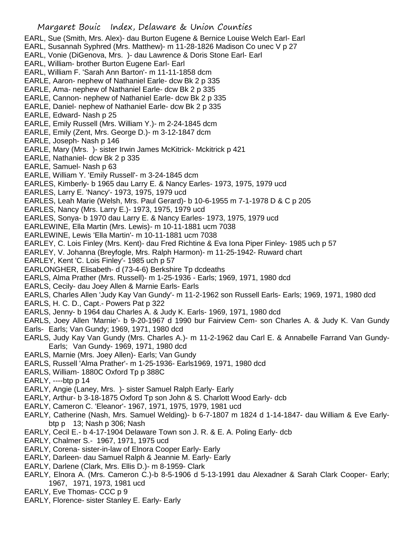EARL, Sue (Smith, Mrs. Alex)- dau Burton Eugene & Bernice Louise Welch Earl- Earl EARL, Susannah Syphred (Mrs. Matthew)- m 11-28-1826 Madison Co unec V p 27 EARL, Vonie (DiGenova, Mrs. )- dau Lawrence & Doris Stone Earl- Earl EARL, William- brother Burton Eugene Earl- Earl EARL, William F. 'Sarah Ann Barton'- m 11-11-1858 dcm EARLE, Aaron- nephew of Nathaniel Earle- dcw Bk 2 p 335 EARLE, Ama- nephew of Nathaniel Earle- dcw Bk 2 p 335 EARLE, Cannon- nephew of Nathaniel Earle- dcw Bk 2 p 335 EARLE, Daniel- nephew of Nathaniel Earle- dcw Bk 2 p 335 EARLE, Edward- Nash p 25 EARLE, Emily Russell (Mrs. William Y.)- m 2-24-1845 dcm EARLE, Emily (Zent, Mrs. George D.)- m 3-12-1847 dcm EARLE, Joseph- Nash p 146 EARLE, Mary (Mrs. )- sister Irwin James McKitrick- Mckitrick p 421 EARLE, Nathaniel- dcw Bk 2 p 335 EARLE, Samuel- Nash p 63 EARLE, William Y. 'Emily Russell'- m 3-24-1845 dcm EARLES, Kimberly- b 1965 dau Larry E. & Nancy Earles- 1973, 1975, 1979 ucd EARLES, Larry E. 'Nancy'- 1973, 1975, 1979 ucd EARLES, Leah Marie (Welsh, Mrs. Paul Gerard)- b 10-6-1955 m 7-1-1978 D & C p 205 EARLES, Nancy (Mrs. Larry E.)- 1973, 1975, 1979 ucd EARLES, Sonya- b 1970 dau Larry E. & Nancy Earles- 1973, 1975, 1979 ucd EARLEWINE, Ella Martin (Mrs. Lewis)- m 10-11-1881 ucm 7038 EARLEWINE, Lewis 'Ella Martin'- m 10-11-1881 ucm 7038 EARLEY, C. Lois Finley (Mrs. Kent)- dau Fred Richtine & Eva Iona Piper Finley- 1985 uch p 57 EARLEY, V. Johanna (Breyfogle, Mrs. Ralph Harmon)- m 11-25-1942- Ruward chart EARLEY, Kent 'C. Lois Finley'- 1985 uch p 57 EARLONGHER, Elisabeth- d (73-4-6) Berkshire Tp dcdeaths EARLS, Alma Prather (Mrs. Russell)- m 1-25-1936 - Earls; 1969, 1971, 1980 dcd EARLS, Cecily- dau Joey Allen & Marnie Earls- Earls EARLS, Charles Allen 'Judy Kay Van Gundy'- m 11-2-1962 son Russell Earls- Earls; 1969, 1971, 1980 dcd EARLS, H. C. D., Capt.- Powers Pat p 322 EARLS, Jenny- b 1964 dau Charles A. & Judy K. Earls- 1969, 1971, 1980 dcd EARLS, Joey Allen 'Marnie'- b 9-20-1967 d 1990 bur Fairview Cem- son Charles A. & Judy K. Van Gundy Earls- Earls; Van Gundy; 1969, 1971, 1980 dcd EARLS, Judy Kay Van Gundy (Mrs. Charles A.)- m 11-2-1962 dau Carl E. & Annabelle Farrand Van Gundy-Earls; Van Gundy- 1969, 1971, 1980 dcd EARLS, Marnie (Mrs. Joey Allen)- Earls; Van Gundy EARLS, Russell 'Alma Prather'- m 1-25-1936- Earls1969, 1971, 1980 dcd EARLS, William- 1880C Oxford Tp p 388C EARLY,  $---btp$  p 14 EARLY, Angie (Laney, Mrs. )- sister Samuel Ralph Early- Early EARLY, Arthur- b 3-18-1875 Oxford Tp son John & S. Charlott Wood Early- dcb EARLY, Cameron C. 'Eleanor'- 1967, 1971, 1975, 1979, 1981 ucd EARLY, Catherine (Nash, Mrs. Samuel Welding)- b 6-7-1807 m 1824 d 1-14-1847- dau William & Eve Earlybtp p 13; Nash p 306; Nash EARLY, Cecil E.- b 4-17-1904 Delaware Town son J. R. & E. A. Poling Early- dcb EARLY, Chalmer S.- 1967, 1971, 1975 ucd EARLY, Corena- sister-in-law of Elnora Cooper Early- Early

- EARLY, Darleen- dau Samuel Ralph & Jeannie M. Early- Early
- EARLY, Darlene (Clark, Mrs. Ellis D.)- m 8-1959- Clark
- EARLY, Elnora A. (Mrs. Cameron C.)-b 8-5-1906 d 5-13-1991 dau Alexadner & Sarah Clark Cooper- Early; 1967, 1971, 1973, 1981 ucd
- EARLY, Eve Thomas- CCC p 9
- EARLY, Florence- sister Stanley E. Early- Early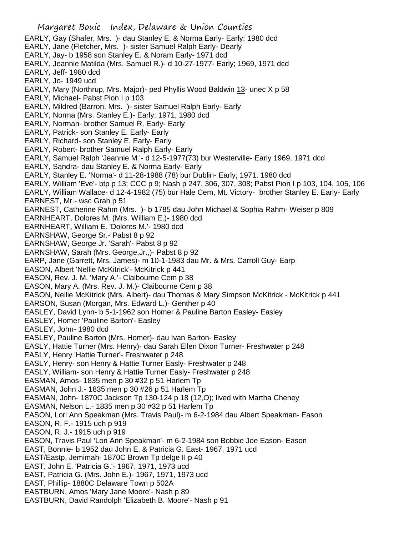- EARLY, Gay (Shafer, Mrs. )- dau Stanley E. & Norma Early- Early; 1980 dcd
- EARLY, Jane (Fletcher, Mrs. )- sister Samuel Ralph Early- Dearly
- EARLY, Jay- b 1958 son Stanley E. & Noram Early- 1971 dcd
- EARLY, Jeannie Matilda (Mrs. Samuel R.)- d 10-27-1977- Early; 1969, 1971 dcd
- EARLY, Jeff- 1980 dcd
- EARLY, Jo- 1949 ucd
- EARLY, Mary (Northrup, Mrs. Major)- ped Phyllis Wood Baldwin 13- unec X p 58
- EARLY, Michael- Pabst Pion I p 103
- EARLY, Mildred (Barron, Mrs. )- sister Samuel Ralph Early- Early
- EARLY, Norma (Mrs. Stanley E.)- Early; 1971, 1980 dcd
- EARLY, Norman- brother Samuel R. Early- Early
- EARLY, Patrick- son Stanley E. Early- Early
- EARLY, Richard- son Stanley E. Early- Early
- EARLY, Robert- brother Samuel Ralph Early- Early
- EARLY, Samuel Ralph 'Jeannie M.'- d 12-5-1977(73) bur Westerville- Early 1969, 1971 dcd
- EARLY, Sandra- dau Stanley E. & Norma Early- Early
- EARLY, Stanley E. 'Norma'- d 11-28-1988 (78) bur Dublin- Early; 1971, 1980 dcd
- EARLY, William 'Eve'- btp p 13; CCC p 9; Nash p 247, 306, 307, 308; Pabst Pion I p 103, 104, 105, 106
- EARLY, William Wallace- d 12-4-1982 (75) bur Hale Cem, Mt. Victory- brother Stanley E. Early- Early EARNEST, Mr.- wsc Grah p 51
- EARNEST, Catherine Rahm (Mrs. )- b 1785 dau John Michael & Sophia Rahm- Weiser p 809
- EARNHEART, Dolores M. (Mrs. William E.)- 1980 dcd
- EARNHEART, William E. 'Dolores M.'- 1980 dcd
- EARNSHAW, George Sr.- Pabst 8 p 92
- EARNSHAW, George Jr. 'Sarah'- Pabst 8 p 92
- EARNSHAW, Sarah (Mrs. George,Jr.,)- Pabst 8 p 92
- EARP, Jane (Garrett, Mrs. James)- m 10-1-1983 dau Mr. & Mrs. Carroll Guy- Earp
- EASON, Albert 'Nellie McKitrick'- McKitrick p 441
- EASON, Rev. J. M. 'Mary A.'- Claibourne Cem p 38
- EASON, Mary A. (Mrs. Rev. J. M.)- Claibourne Cem p 38
- EASON, Nellie McKitrick (Mrs. Albert)- dau Thomas & Mary Simpson McKitrick McKitrick p 441
- EARSON, Susan (Morgan, Mrs. Edward L.)- Genther p 40
- EASLEY, David Lynn- b 5-1-1962 son Homer & Pauline Barton Easley- Easley
- EASLEY, Homer 'Pauline Barton'- Easley
- EASLEY, John- 1980 dcd
- EASLEY, Pauline Barton (Mrs. Homer)- dau Ivan Barton- Easley
- EASLY, Hattie Turner (Mrs. Henry)- dau Sarah Ellen Dixon Turner- Freshwater p 248
- EASLY, Henry 'Hattie Turner'- Freshwater p 248
- EASLY, Henry- son Henry & Hattie Turner Easly- Freshwater p 248
- EASLY, William- son Henry & Hattie Turner Easly- Freshwater p 248
- EASMAN, Amos- 1835 men p 30 #32 p 51 Harlem Tp
- EASMAN, John J.- 1835 men p 30 #26 p 51 Harlem Tp
- EASMAN, John- 1870C Jackson Tp 130-124 p 18 (12,O); lived with Martha Cheney
- EASMAN, Nelson L.- 1835 men p 30 #32 p 51 Harlem Tp
- EASON, Lori Ann Speakman (Mrs. Travis Paul)- m 6-2-1984 dau Albert Speakman- Eason
- EASON, R. F.- 1915 uch p 919
- EASON, R. J.- 1915 uch p 919
- EASON, Travis Paul 'Lori Ann Speakman'- m 6-2-1984 son Bobbie Joe Eason- Eason
- EAST, Bonnie- b 1952 dau John E. & Patricia G. East- 1967, 1971 ucd
- EAST/Eastp, Jemimah- 1870C Brown Tp delge II p 40
- EAST, John E. 'Patricia G.'- 1967, 1971, 1973 ucd
- EAST, Patricia G. (Mrs. John E.)- 1967, 1971, 1973 ucd
- EAST, Phillip- 1880C Delaware Town p 502A
- EASTBURN, Amos 'Mary Jane Moore'- Nash p 89
- EASTBURN, David Randolph 'Elizabeth B. Moore'- Nash p 91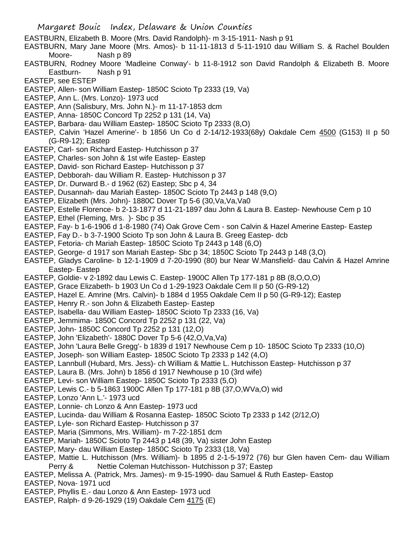- EASTBURN, Elizabeth B. Moore (Mrs. David Randolph)- m 3-15-1911- Nash p 91
- EASTBURN, Mary Jane Moore (Mrs. Amos)- b 11-11-1813 d 5-11-1910 dau William S. & Rachel Boulden Moore- Nash p 89
- EASTBURN, Rodney Moore 'Madleine Conway'- b 11-8-1912 son David Randolph & Elizabeth B. Moore Eastburn- Nash p 91
- EASTEP, see ESTEP
- EASTEP, Allen- son William Eastep- 1850C Scioto Tp 2333 (19, Va)
- EASTEP, Ann L. (Mrs. Lonzo)- 1973 ucd
- EASTEP, Ann (Salisbury, Mrs. John N.)- m 11-17-1853 dcm
- EASTEP, Anna- 1850C Concord Tp 2252 p 131 (14, Va)
- EASTEP, Barbara- dau William Eastep- 1850C Scioto Tp 2333 (8,O)
- EASTEP, Calvin 'Hazel Amerine'- b 1856 Un Co d 2-14/12-1933(68y) Oakdale Cem 4500 (G153) II p 50 (G-R9-12); Eastep
- EASTEP, Carl- son Richard Eastep- Hutchisson p 37
- EASTEP, Charles- son John & 1st wife Eastep- Eastep
- EASTEP, David- son Richard Eastep- Hutchisson p 37
- EASTEP, Debborah- dau William R. Eastep- Hutchisson p 37
- EASTEP, Dr. Durward B.- d 1962 (62) Eastep; Sbc p 4, 34
- EASTEP, Dusannah- dau Mariah Eastep- 1850C Scioto Tp 2443 p 148 (9,O)
- EASTEP, Elizabeth (Mrs. John)- 1880C Dover Tp 5-6 (30,Va,Va,Va0
- EASTEP, Estelle Florence- b 2-13-1877 d 11-21-1897 dau John & Laura B. Eastep- Newhouse Cem p 10
- EASTEP, Ethel (Fleming, Mrs. )- Sbc p 35
- EASTEP, Fay- b 1-6-1906 d 1-8-1980 (74) Oak Grove Cem son Calvin & Hazel Amerine Eastep- Eastep
- EASTEP, Fay D.- b 3-7-1900 Scioto Tp son John & Laura B. Greeg Eastep- dcb
- EASTEP, Fetoria- ch Mariah Eastep- 1850C Scioto Tp 2443 p 148 (6,O)
- EASTEP, George- d 1917 son Mariah Eastep- Sbc p 34; 1850C Scioto Tp 2443 p 148 (3,O)
- EASTEP, Gladys Caroline- b 12-1-1909 d 7-20-1990 (80) bur Near W.Mansfield- dau Calvin & Hazel Amrine Eastep- Eastep
- EASTEP, Goldie- v 2-1892 dau Lewis C. Eastep- 1900C Allen Tp 177-181 p 8B (8,O,O,O)
- EASTEP, Grace Elizabeth- b 1903 Un Co d 1-29-1923 Oakdale Cem II p 50 (G-R9-12)
- EASTEP, Hazel E. Amrine (Mrs. Calvin)- b 1884 d 1955 Oakdale Cem II p 50 (G-R9-12); Eastep
- EASTEP, Henry R.- son John & Elizabeth Eastep- Eastep
- EASTEP, Isabella- dau William Eastep- 1850C Scioto Tp 2333 (16, Va)
- EASTEP, Jemmima- 1850C Concord Tp 2252 p 131 (22, Va)
- EASTEP, John- 1850C Concord Tp 2252 p 131 (12,O)
- EASTEP, John 'Elizabeth'- 1880C Dover Tp 5-6 (42,O,Va,Va)
- EASTEP, John 'Laura Belle Gregg'- b 1839 d 1917 Newhouse Cem p 10- 1850C Scioto Tp 2333 (10,O)
- EASTEP, Joseph- son William Eastep- 1850C Scioto Tp 2333 p 142 (4,O)
- EASTEP, Lannbull (Hubard, Mrs. Jess)- ch William & Mattie L. Hutchisson Eastep- Hutchisson p 37
- EASTEP, Laura B. (Mrs. John) b 1856 d 1917 Newhouse p 10 (3rd wife)
- EASTEP, Levi- son William Eastep- 1850C Scioto Tp 2333 (5,O)
- EASTEP, Lewis C.- b 5-1863 1900C Allen Tp 177-181 p 8B (37,O,WVa,O) wid
- EASTEP, Lonzo 'Ann L.'- 1973 ucd
- EASTEP, Lonnie- ch Lonzo & Ann Eastep- 1973 ucd
- EASTEP, Lucinda- dau William & Rosanna Eastep- 1850C Scioto Tp 2333 p 142 (2/12,O)
- EASTEP, Lyle- son Richard Eastep- Hutchisson p 37
- EASTEP, Maria (Simmons, Mrs. William)- m 7-22-1851 dcm
- EASTEP, Mariah- 1850C Scioto Tp 2443 p 148 (39, Va) sister John Eastep
- EASTEP, Mary- dau William Eastep- 1850C Scioto Tp 2333 (18, Va)
- EASTEP, Mattie L. Hutchisson (Mrs. William)- b 1895 d 2-1-5-1972 (76) bur Glen haven Cem- dau William Perry & Nettie Coleman Hutchisson- Hutchisson p 37; Eastep
- EASTEP, Melissa A. (Patrick, Mrs. James)- m 9-15-1990- dau Samuel & Ruth Eastep- Eastop
- EASTEP, Nova- 1971 ucd
- EASTEP, Phyllis E.- dau Lonzo & Ann Eastep- 1973 ucd
- EASTEP, Ralph- d 9-26-1929 (19) Oakdale Cem 4175 (E)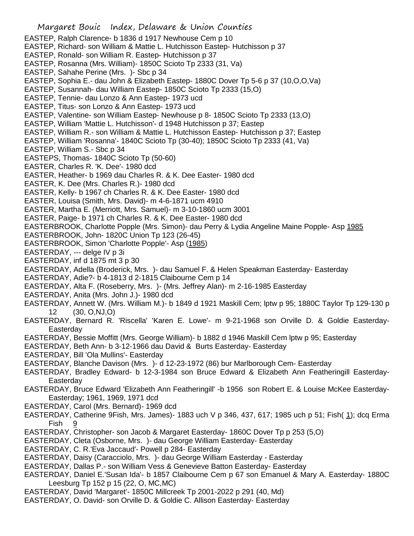- Margaret Bouic Index, Delaware & Union Counties EASTEP, Ralph Clarence- b 1836 d 1917 Newhouse Cem p 10 EASTEP, Richard- son William & Mattie L. Hutchisson Eastep- Hutchisson p 37 EASTEP, Ronald- son William R. Eastep- Hutchisson p 37 EASTEP, Rosanna (Mrs. William)- 1850C Scioto Tp 2333 (31, Va) EASTEP, Sahahe Perine (Mrs. )- Sbc p 34 EASTEP, Sophia E.- dau John & Elizabeth Eastep- 1880C Dover Tp 5-6 p 37 (10,O,O,Va) EASTEP, Susannah- dau William Eastep- 1850C Scioto Tp 2333 (15,O) EASTEP, Tennie- dau Lonzo & Ann Eastep- 1973 ucd EASTEP, Titus- son Lonzo & Ann Eastep- 1973 ucd EASTEP, Valentine- son William Eastep- Newhouse p 8- 1850C Scioto Tp 2333 (13,O) EASTEP, William 'Mattie L. Hutchisson'- d 1948 Hutchisson p 37; Eastep EASTEP, William R.- son William & Mattie L. Hutchisson Eastep- Hutchisson p 37; Eastep EASTEP, William 'Rosanna'- 1840C Scioto Tp (30-40); 1850C Scioto Tp 2333 (41, Va) EASTEP, William S.- Sbc p 34 EASTEPS, Thomas- 1840C Scioto Tp (50-60) EASTER, Charles R. 'K. Dee'- 1980 dcd EASTER, Heather- b 1969 dau Charles R. & K. Dee Easter- 1980 dcd EASTER, K. Dee (Mrs. Charles R.)- 1980 dcd EASTER, Kelly- b 1967 ch Charles R. & K. Dee Easter- 1980 dcd EASTER, Louisa (Smith, Mrs. David)- m 4-6-1871 ucm 4910 EASTER, Martha E. (Merriott, Mrs. Samuel)- m 3-10-1860 ucm 3001 EASTER, Paige- b 1971 ch Charles R. & K. Dee Easter- 1980 dcd EASTERBROOK, Charlotte Popple (Mrs. Simon)- dau Perry & Lydia Angeline Maine Popple- Asp 1985 EASTERBROOK, John- 1820C Union Tp 123 (26-45) EASTERBROOK, Simon 'Charlotte Popple'- Asp (1985) EASTERDAY, --- delge IV p 3i EASTERDAY, inf d 1875 mt 3 p 30 EASTERDAY, Adella (Broderick, Mrs. )- dau Samuel F. & Helen Speakman Easterday- Easterday EASTERDAY, Adie?- b 4-1813 d 2-1815 Claibourne Cem p 14 EASTERDAY, Alta F. (Roseberry, Mrs. )- (Mrs. Jeffrey Alan)- m 2-16-1985 Easterday EASTERDAY, Anita (Mrs. John J.)- 1980 dcd EASTERDAY, Annett W. (Mrs. William M.)- b 1849 d 1921 Maskill Cem; lptw p 95; 1880C Taylor Tp 129-130 p 12 (30, O,NJ,O) EASTERDAY, Bernard R. 'Riscella' 'Karen E. Lowe'- m 9-21-1968 son Orville D. & Goldie Easterday-Easterday EASTERDAY, Bessie Moffitt (Mrs. George William)- b 1882 d 1946 Maskill Cem lptw p 95; Easterday EASTERDAY, Beth Ann- b 3-12-1966 dau David & Burts Easterday- Easterday EASTERDAY, Bill 'Ola Mullins'- Easterday EASTERDAY, Blanche Davison (Mrs. )- d 12-23-1972 (86) bur Marlborough Cem- Easterday EASTERDAY, Bradley Edward- b 12-3-1984 son Bruce Edward & Elizabeth Ann Featheringill Easterday-**Easterday** EASTERDAY, Bruce Edward 'Elizabeth Ann Featheringill' -b 1956 son Robert E. & Louise McKee Easterday-Easterday; 1961, 1969, 1971 dcd EASTERDAY, Carol (Mrs. Bernard)- 1969 dcd EASTERDAY, Catherine 9Fish, Mrs. James)- 1883 uch V p 346, 437, 617; 1985 uch p 51; Fish( 1); dcq Erma Fish 9 EASTERDAY, Christopher- son Jacob & Margaret Easterday- 1860C Dover Tp p 253 (5,O) EASTERDAY, Cleta (Osborne, Mrs. )- dau George William Easterday- Easterday EASTERDAY, C. R.'Eva Jaccaud'- Powell p 284- Easterday EASTERDAY, Daisy (Caracciolo, Mrs. )- dau George William Easterday - Easterday EASTERDAY, Dallas P.- son William Vess & Genevieve Batton Easterday- Easterday EASTERDAY, Daniel E.'Susan Ida'- b 1857 Claibourne Cem p 67 son Emanuel & Mary A. Easterday- 1880C Leesburg Tp 152 p 15 (22, O, MC,MC)
- EASTERDAY, David 'Margaret'- 1850C Millcreek Tp 2001-2022 p 291 (40, Md)
- EASTERDAY, O. David- son Orville D. & Goldie C. Allison Easterday- Easterday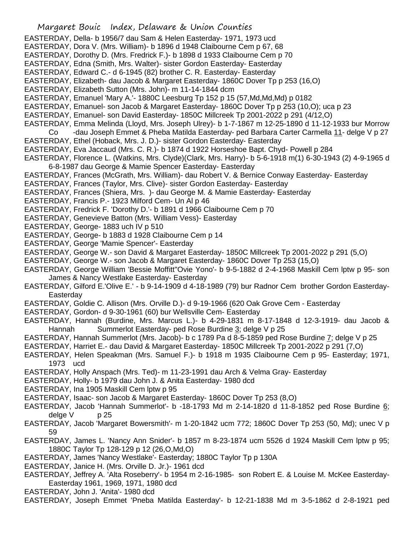- Margaret Bouic Index, Delaware & Union Counties EASTERDAY, Della- b 1956/7 dau Sam & Helen Easterday- 1971, 1973 ucd EASTERDAY, Dora V. (Mrs. William)- b 1896 d 1948 Claibourne Cem p 67, 68 EASTERDAY, Dorothy D. (Mrs. Fredrick F.)- b 1898 d 1933 Claibourne Cem p 70 EASTERDAY, Edna (Smith, Mrs. Walter)- sister Gordon Easterday- Easterday EASTERDAY, Edward C.- d 6-1945 (82) brother C. R. Easterday- Easterday EASTERDAY, Elizabeth- dau Jacob & Margaret Easterday- 1860C Dover Tp p 253 (16,O) EASTERDAY, Elizabeth Sutton (Mrs. John)- m 11-14-1844 dcm EASTERDAY, Emanuel 'Mary A.'- 1880C Leesburg Tp 152 p 15 (57,Md,Md,Md) p 0182 EASTERDAY, Emanuel- son Jacob & Margaret Easterday- 1860C Dover Tp p 253 (10,O); uca p 23 EASTERDAY, Emanuel- son David Easterday- 1850C Millcreek Tp 2001-2022 p 291 (4/12,O) EASTERDAY, Emma Melinda (Lloyd, Mrs. Joseph Ulrey)- b 1-7-1867 m 12-25-1890 d 11-12-1933 bur Morrow Co -dau Joseph Emmet & Pheba Matilda Easterday- ped Barbara Carter Carmella 11- delge V p 27 EASTERDAY, Ethel (Hoback, Mrs. J. D.)- sister Gordon Easterday- Easterday EASTERDAY, Eva Jaccaud (Mrs. C. R.)- b 1874 d 1922 Horseshoe Bapt. Chyd- Powell p 284 EASTERDAY, Florence L. (Watkins, Mrs. Clyde)(Clark, Mrs. Harry)- b 5-6-1918 m(1) 6-30-1943 (2) 4-9-1965 d 6-8-1987 dau George & Mamie Spencer Easterday- Easterday EASTERDAY, Frances (McGrath, Mrs. William)- dau Robert V. & Bernice Conway Easterday- Easterday EASTERDAY, Frances (Taylor, Mrs. Clive)- sister Gordon Easterday- Easterday EASTERDAY, Frances (Shiera, Mrs. )- dau George M. & Mamie Easterday- Easterday EASTERDAY, Francis P.- 1923 Milford Cem- Un Al p 46 EASTERDAY, Fredrick F. 'Dorothy D.'- b 1891 d 1966 Claibourne Cem p 70 EASTERDAY, Genevieve Batton (Mrs. William Vess)- Easterday EASTERDAY, George- 1883 uch IV p 510 EASTERDAY, George- b 1883 d 1928 Claibourne Cem p 14 EASTERDAY, George 'Mamie Spencer'- Easterday EASTERDAY, George W.- son David & Margaret Easterday- 1850C Millcreek Tp 2001-2022 p 291 (5,O) EASTERDAY, George W.- son Jacob & Margaret Easterday- 1860C Dover Tp 253 (15,O) EASTERDAY, George William 'Bessie Moffitt''Ovie Yono'- b 9-5-1882 d 2-4-1968 Maskill Cem lptw p 95- son James & Nancy Westlake Easterday- Easterday EASTERDAY, Gilford E.'Olive E.' - b 9-14-1909 d 4-18-1989 (79) bur Radnor Cem brother Gordon Easterday-**Easterday** EASTERDAY, Goldie C. Allison (Mrs. Orville D.)- d 9-19-1966 (620 Oak Grove Cem - Easterday EASTERDAY, Gordon- d 9-30-1961 (60) bur Wellsville Cem- Easterday EASTERDAY, Hannah (Burdine, Mrs. Marcus L.)- b 4-29-1831 m 8-17-1848 d 12-3-1919- dau Jacob & Hannah Summerlot Easterday- ped Rose Burdine 3; delge V p 25 EASTERDAY, Hannah Summerlot (Mrs. Jacob)- b c 1789 Pa d 8-5-1859 ped Rose Burdine 7; delge V p 25 EASTERDAY, Harriet E.- dau David & Margaret Easterday- 1850C Millcreek Tp 2001-2022 p 291 (7,O) EASTERDAY, Helen Speakman (Mrs. Samuel F.)- b 1918 m 1935 Claibourne Cem p 95- Easterday; 1971, 1973 ucd EASTERDAY, Holly Anspach (Mrs. Ted)- m 11-23-1991 dau Arch & Velma Gray- Easterday EASTERDAY, Holly- b 1979 dau John J. & Anita Easterday- 1980 dcd EASTERDAY, Ina 1905 Maskill Cem lptw p 95 EASTERDAY, Isaac- son Jacob & Margaret Easterday- 1860C Dover Tp 253 (8,O) EASTERDAY, Jacob 'Hannah Summerlot'- b -18-1793 Md m 2-14-1820 d 11-8-1852 ped Rose Burdine 6; delge V p 25 EASTERDAY, Jacob 'Margaret Bowersmith'- m 1-20-1842 ucm 772; 1860C Dover Tp 253 (50, Md); unec V p 59 EASTERDAY, James L. 'Nancy Ann Snider'- b 1857 m 8-23-1874 ucm 5526 d 1924 Maskill Cem lptw p 95; 1880C Taylor Tp 128-129 p 12 (26,O,Md,O) EASTERDAY, James 'Nancy Westlake'- Easterday; 1880C Taylor Tp p 130A EASTERDAY, Janice H. (Mrs. Orville D. Jr.)- 1961 dcd
- EASTERDAY, Jeffrey A. 'Alta Roseberry'- b 1954 m 2-16-1985- son Robert E. & Louise M. McKee Easterday-Easterday 1961, 1969, 1971, 1980 dcd
- EASTERDAY, John J. 'Anita'- 1980 dcd

EASTERDAY, Joseph Emmet 'Pneba Matilda Easterday'- b 12-21-1838 Md m 3-5-1862 d 2-8-1921 ped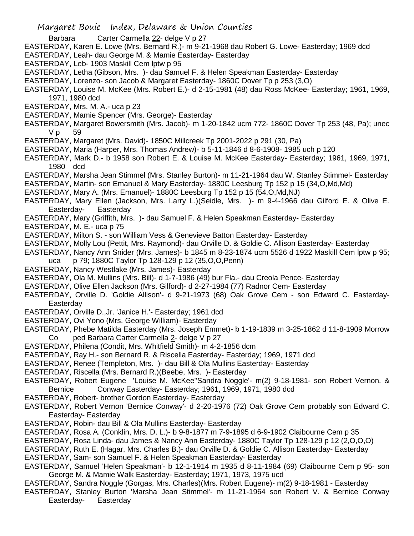- Margaret Bouic Index, Delaware & Union Counties
- Barbara Carter Carmella 22- delge V p 27
- EASTERDAY, Karen E. Lowe (Mrs. Bernard R.)- m 9-21-1968 dau Robert G. Lowe- Easterday; 1969 dcd
- EASTERDAY, Leah- dau George M. & Mamie Easterday- Easterday
- EASTERDAY, Leb- 1903 Maskill Cem lptw p 95
- EASTERDAY, Letha (Gibson, Mrs. )- dau Samuel F. & Helen Speakman Easterday- Easterday
- EASTERDAY, Lorenzo- son Jacob & Margaret Easterday- 1860C Dover Tp p 253 (3,O)
- EASTERDAY, Louise M. McKee (Mrs. Robert E.)- d 2-15-1981 (48) dau Ross McKee- Easterday; 1961, 1969, 1971, 1980 dcd
- EASTERDAY, Mrs. M. A.- uca p 23
- EASTERDAY, Mamie Spencer (Mrs. George)- Easterday
- EASTERDAY, Margaret Bowersmith (Mrs. Jacob)- m 1-20-1842 ucm 772- 1860C Dover Tp 253 (48, Pa); unec V p 59
- EASTERDAY, Margaret (Mrs. David)- 1850C Millcreek Tp 2001-2022 p 291 (30, Pa)
- EASTERDAY, Maria (Harper, Mrs. Thomas Andrew)- b 5-11-1846 d 8-6-1908- 1985 uch p 120
- EASTERDAY, Mark D.- b 1958 son Robert E. & Louise M. McKee Easterday- Easterday; 1961, 1969, 1971, 1980 dcd
- EASTERDAY, Marsha Jean Stimmel (Mrs. Stanley Burton)- m 11-21-1964 dau W. Stanley Stimmel- Easterday
- EASTERDAY, Martin- son Emanuel & Mary Easterday- 1880C Leesburg Tp 152 p 15 (34,O,Md,Md)
- EASTERDAY, Mary A. (Mrs. Emanuel)- 1880C Leesburg Tp 152 p 15 (54,O,Md,NJ)
- EASTERDAY, Mary Ellen (Jackson, Mrs. Larry L.)(Seidle, Mrs. )- m 9-4-1966 dau Gilford E. & Olive E. Easterday- Easterday
- EASTERDAY, Mary (Griffith, Mrs. )- dau Samuel F. & Helen Speakman Easterday- Easterday
- EASTERDAY, M. E.- uca p 75
- EASTERDAY, Milton S. son William Vess & Genevieve Batton Easterday- Easterday
- EASTERDAY, Molly Lou (Pettit, Mrs. Raymond)- dau Orville D. & Goldie C. Allison Easterday- Easterday
- EASTERDAY, Nancy Ann Snider (Mrs. James)- b 1845 m 8-23-1874 ucm 5526 d 1922 Maskill Cem lptw p 95; uca p 79; 1880C Taylor Tp 128-129 p 12 (35,O,O,Penn)
- EASTERDAY, Nancy Westlake (Mrs. James)- Easterday
- EASTERDAY, Ola M. Mullins (Mrs. Bill)- d 1-7-1986 (49) bur Fla.- dau Creola Pence- Easterday
- EASTERDAY, Olive Ellen Jackson (Mrs. Gilford)- d 2-27-1984 (77) Radnor Cem- Easterday
- EASTERDAY, Orville D. 'Goldie Allison'- d 9-21-1973 (68) Oak Grove Cem son Edward C. Easterday-**Easterday**
- EASTERDAY, Orville D.,Jr. 'Janice H.'- Easterday; 1961 dcd
- EASTERDAY, Ovi Yono (Mrs. George William)- Easterday
- EASTERDAY, Phebe Matilda Easterday (Mrs. Joseph Emmet)- b 1-19-1839 m 3-25-1862 d 11-8-1909 Morrow Co ped Barbara Carter Carmella 2- delge V p 27
- EASTERDAY, Philena (Condit, Mrs. Whitfield Smith)- m 4-2-1856 dcm
- EASTERDAY, Ray H.- son Bernard R. & Riscella Easterday- Easterday; 1969, 1971 dcd
- EASTERDAY, Renee (Templeton, Mrs. )- dau Bill & Ola Mullins Easterday- Easterday
- EASTERDAY, Riscella (Mrs. Bernard R.)(Beebe, Mrs. )- Easterday
- EASTERDAY, Robert Eugene 'Louise M. McKee''Sandra Noggle'- m(2) 9-18-1981- son Robert Vernon. & Bernice Conway Easterday- Easterday; 1961, 1969, 1971, 1980 dcd
- EASTERDAY, Robert- brother Gordon Easterday- Easterday
- EASTERDAY, Robert Vernon 'Bernice Conway'- d 2-20-1976 (72) Oak Grove Cem probably son Edward C. Easterday- Easterday
- EASTERDAY, Robin- dau Bill & Ola Mullins Easterday- Easterday
- EASTERDAY, Rosa A. (Conklin, Mrs. D. L.)- b 9-8-1877 m 7-9-1895 d 6-9-1902 Claibourne Cem p 35
- EASTERDAY, Rosa Linda- dau James & Nancy Ann Easterday- 1880C Taylor Tp 128-129 p 12 (2,O,O,O)
- EASTERDAY, Ruth E. (Hagar, Mrs. Charles B.)- dau Orville D. & Goldie C. Allison Easterday- Easterday
- EASTERDAY, Sam- son Samuel F. & Helen Speakman Easterday- Easterday
- EASTERDAY, Samuel 'Helen Speakman'- b 12-1-1914 m 1935 d 8-11-1984 (69) Claibourne Cem p 95- son George M. & Mamie Walk Easterday- Easterday; 1971, 1973, 1975 ucd
- EASTERDAY, Sandra Noggle (Gorgas, Mrs. Charles)(Mrs. Robert Eugene)- m(2) 9-18-1981 Easterday
- EASTERDAY, Stanley Burton 'Marsha Jean Stimmel'- m 11-21-1964 son Robert V. & Bernice Conway Easterday- Easterday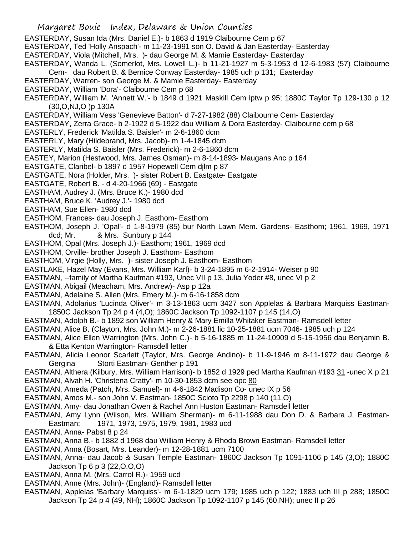- Margaret Bouic Index, Delaware & Union Counties
- EASTERDAY, Susan Ida (Mrs. Daniel E.)- b 1863 d 1919 Claibourne Cem p 67
- EASTERDAY, Ted 'Holly Anspach'- m 11-23-1991 son O. David & Jan Easterday- Easterday
- EASTERDAY, Viola (Mitchell, Mrs. )- dau George M. & Mamie Easterday- Easterday
- EASTERDAY, Wanda L. (Somerlot, Mrs. Lowell L.)- b 11-21-1927 m 5-3-1953 d 12-6-1983 (57) Claibourne
- Cem- dau Robert B. & Bernice Conway Easterday- 1985 uch p 131; Easterday
- EASTERDAY, Warren- son George M. & Mamie Easterday- Easterday
- EASTERDAY, William 'Dora'- Claibourne Cem p 68
- EASTERDAY, William M. 'Annett W.'- b 1849 d 1921 Maskill Cem lptw p 95; 1880C Taylor Tp 129-130 p 12 (30,O,NJ,O )p 130A
- EASTERDAY, William Vess 'Genevieve Batton'- d 7-27-1982 (88) Claibourne Cem- Easterday
- EASTERDAY, Zerra Grace- b 2-1922 d 5-1922 dau William & Dora Easterday- Claibourne cem p 68
- EASTERLY, Frederick 'Matilda S. Baisler'- m 2-6-1860 dcm
- EASTERLY, Mary (Hildebrand, Mrs. Jacob)- m 1-4-1845 dcm
- EASTERLY, Matilda S. Baisler (Mrs. Frederick)- m 2-6-1860 dcm
- EASTEY, Marion (Hestwood, Mrs. James Osman)- m 8-14-1893- Maugans Anc p 164
- EASTGATE, Claribel- b 1897 d 1957 Hopewell Cem djlm p 87
- EASTGATE, Nora (Holder, Mrs. )- sister Robert B. Eastgate- Eastgate
- EASTGATE, Robert B. d 4-20-1966 (69) Eastgate
- EASTHAM, Audrey J. (Mrs. Bruce K.)- 1980 dcd
- EASTHAM, Bruce K. 'Audrey J.'- 1980 dcd
- EASTHAM, Sue Ellen- 1980 dcd
- EASTHOM, Frances- dau Joseph J. Easthom- Easthom
- EASTHOM, Joseph J. 'Opal'- d 1-8-1979 (85) bur North Lawn Mem. Gardens- Easthom; 1961, 1969, 1971 dcd; Mr. & Mrs. Sunbury p 144
- EASTHOM, Opal (Mrs. Joseph J.)- Easthom; 1961, 1969 dcd
- EASTHOM, Orville- brother Joseph J. Easthom- Easthom
- EASTHOM, Virgie (Holly, Mrs. )- sister Joseph J. Easthom- Easthom
- EASTLAKE, Hazel May (Evans, Mrs. William Karl)- b 3-24-1895 m 6-2-1914- Weiser p 90
- EASTMAN, --family of Martha Kaufman #193, Unec VII p 13, Julia Yoder #8, unec VI p 2
- EASTMAN, Abigail (Meacham, Mrs. Andrew)- Asp p 12a
- EASTMAN, Adelaine S. Allen (Mrs. Emery M.)- m 6-16-1858 dcm
- EASTMAN, Adolarius 'Lucinda Oliver'- m 3-13-1863 ucm 3427 son Applelas & Barbara Marquiss Eastman-1850C Jackson Tp 24 p 4 (4,O); 1860C Jackson Tp 1092-1107 p 145 (14,O)
- EASTMAN, Adolph B.- b 1892 son William Henry & Mary Emilla Whitaker Eastman- Ramsdell letter
- EASTMAN, Alice B. (Clayton, Mrs. John M.)- m 2-26-1881 lic 10-25-1881 ucm 7046- 1985 uch p 124
- EASTMAN, Alice Ellen Warrington (Mrs. John C.)- b 5-16-1885 m 11-24-10909 d 5-15-1956 dau Benjamin B. & Etta Kenton Warrington- Ramsdell letter
- EASTMAN, Alicia Leonor Scarlett (Taylor, Mrs. George Andino)- b 11-9-1946 m 8-11-1972 dau George & Gergina Storti Eastman- Genther p 191
- EASTMAN, Althera (Kilbury, Mrs. William Harrison)- b 1852 d 1929 ped Martha Kaufman #193 31 -unec X p 21 EASTMAN, Alvah H. 'Christena Cratty'- m 10-30-1853 dcm see opc 80
- EASTMAN, Ameda (Patch, Mrs. Samuel)- m 4-6-1842 Madison Co- unec IX p 56
- EASTMAN, Amos M.- son John V. Eastman- 1850C Scioto Tp 2298 p 140 (11,O)
- EASTMAN, Amy- dau Jonathan Owen & Rachel Ann Huston Eastman- Ramsdell letter
- EASTMAN, Amy Lynn (Wilson, Mrs. William Sherman)- m 6-11-1988 dau Don D. & Barbara J. Eastman-Eastman; 1971, 1973, 1975, 1979, 1981, 1983 ucd
- EASTMAN, Anna- Pabst 8 p 24
- EASTMAN, Anna B.- b 1882 d 1968 dau William Henry & Rhoda Brown Eastman- Ramsdell letter
- EASTMAN, Anna (Bosart, Mrs. Leander)- m 12-28-1881 ucm 7100
- EASTMAN, Anna- dau Jacob & Susan Temple Eastman- 1860C Jackson Tp 1091-1106 p 145 (3,O); 1880C Jackson Tp 6 p 3 (22,O,O,O)
- EASTMAN, Anna M. (Mrs. Carrol R.)- 1959 ucd
- EASTMAN, Anne (Mrs. John)- (England)- Ramsdell letter
- EASTMAN, Applelas 'Barbary Marquiss'- m 6-1-1829 ucm 179; 1985 uch p 122; 1883 uch III p 288; 1850C Jackson Tp 24 p 4 (49, NH); 1860C Jackson Tp 1092-1107 p 145 (60,NH); unec II p 26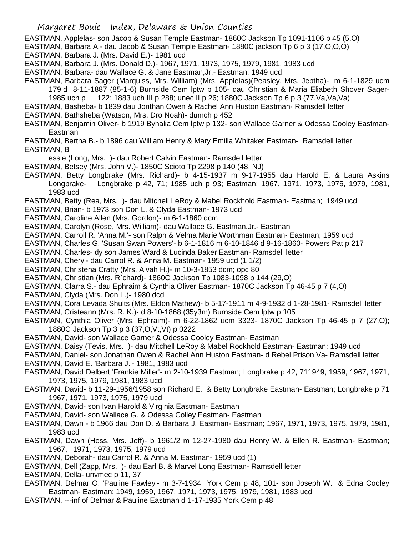EASTMAN, Applelas- son Jacob & Susan Temple Eastman- 1860C Jackson Tp 1091-1106 p 45 (5,O)

- EASTMAN, Barbara A.- dau Jacob & Susan Temple Eastman- 1880C jackson Tp 6 p 3 (17,O,O,O)
- EASTMAN, Barbara J. (Mrs. David E.)- 1981 ucd
- EASTMAN, Barbara J. (Mrs. Donald D.)- 1967, 1971, 1973, 1975, 1979, 1981, 1983 ucd
- EASTMAN, Barbara- dau Wallace G. & Jane Eastman,Jr.- Eastman; 1949 ucd

EASTMAN, Barbara Sager (Marquiss, Mrs. William) (Mrs. Applelas)(Peasley, Mrs. Jeptha)- m 6-1-1829 ucm 179 d 8-11-1887 (85-1-6) Burnside Cem lptw p 105- dau Christian & Maria Eliabeth Shover Sager-

1985 uch p 122; 1883 uch III p 288; unec II p 26; 1880C Jackson Tp 6 p 3 (77,Va,Va,Va) EASTMAN, Basheba- b 1839 dau Jonthan Owen & Rachel Ann Huston Eastman- Ramsdell letter

EASTMAN, Bathsheba (Watson, Mrs. Dro Noah)- dumch p 452

EASTMAN, Benjamin Oliver- b 1919 Byhalia Cem lptw p 132- son Wallace Garner & Odessa Cooley Eastman-Eastman

EASTMAN, Bertha B.- b 1896 dau William Henry & Mary Emilla Whitaker Eastman- Ramsdell letter EASTMAN, B

essie (Long, Mrs. )- dau Robert Calvin Eastman- Ramsdell letter

- EASTMAN, Betsey (Mrs. John V.)- 1850C Scioto Tp 2298 p 140 (48, NJ)
- EASTMAN, Betty Longbrake (Mrs. Richard)- b 4-15-1937 m 9-17-1955 dau Harold E. & Laura Askins Longbrake- Longbrake p 42, 71; 1985 uch p 93; Eastman; 1967, 1971, 1973, 1975, 1979, 1981, 1983 ucd

EASTMAN, Betty (Rea, Mrs. )- dau Mitchell LeRoy & Mabel Rockhold Eastman- Eastman; 1949 ucd

- EASTMAN, Brian- b 1973 son Don L. & Clyda Eastman- 1973 ucd
- EASTMAN, Caroline Allen (Mrs. Gordon)- m 6-1-1860 dcm

EASTMAN, Carolyn (Rose, Mrs. William)- dau Wallace G. Eastman.Jr.- Eastman

EASTMAN, Carroll R. 'Anna M.'- son Ralph & Velma Marie Worthman Eastman- Eastman; 1959 ucd

EASTMAN, Charles G. 'Susan Swan Powers'- b 6-1-1816 m 6-10-1846 d 9-16-1860- Powers Pat p 217

EASTMAN, Charles- dy son James Ward & Lucinda Baker Eastman- Ramsdell letter

EASTMAN, Cheryl- dau Carrol R. & Anna M. Eastman- 1959 ucd (1 1/2)

EASTMAN, Christena Cratty (Mrs. Alvah H.)- m 10-3-1853 dcm; opc 80

EASTMAN, Christian (Mrs. R`chard)- 1860C Jackson Tp 1083-1098 p 144 (29,O)

EASTMAN, Clarra S.- dau Ephraim & Cynthia Oliver Eastman- 1870C Jackson Tp 46-45 p 7 (4,O)

EASTMAN, Clyda (Mrs. Don L.)- 1980 dcd

EASTMAN, Cora Levada Shults (Mrs. Eldon Mathew)- b 5-17-1911 m 4-9-1932 d 1-28-1981- Ramsdell letter

- EASTMAN, Cristeann (Mrs. R. K.)- d 8-10-1868 (35y3m) Burnside Cem lptw p 105
- EASTMAN, Cynthia Oliver (Mrs. Ephraim)- m 6-22-1862 ucm 3323- 1870C Jackson Tp 46-45 p 7 (27,O); 1880C Jackson Tp 3 p 3 (37,O,Vt,Vt) p 0222
- EASTMAN, David- son Wallace Garner & Odessa Cooley Eastman- Eastman

EASTMAN, Daisy (Tevis, Mrs. )- dau Mitchell LeRoy & Mabel Rockhold Eastman- Eastman; 1949 ucd

EASTMAN, Daniel- son Jonathan Owen & Rachel Ann Huston Eastman- d Rebel Prison,Va- Ramsdell letter

EASTMAN, David E. 'Barbara J.'- 1981, 1983 ucd

- EASTMAN, David Delbert 'Frankie Miller'- m 2-10-1939 Eastman; Longbrake p 42, 711949, 1959, 1967, 1971, 1973, 1975, 1979, 1981, 1983 ucd
- EASTMAN, David- b 11-29-1956/1958 son Richard E. & Betty Longbrake Eastman- Eastman; Longbrake p 71 1967, 1971, 1973, 1975, 1979 ucd
- EASTMAN, David- son Ivan Harold & Virginia Eastman- Eastman
- EASTMAN, David- son Wallace G. & Odessa Colley Eastman- Eastman
- EASTMAN, Dawn b 1966 dau Don D. & Barbara J. Eastman- Eastman; 1967, 1971, 1973, 1975, 1979, 1981, 1983 ucd
- EASTMAN, Dawn (Hess, Mrs. Jeff)- b 1961/2 m 12-27-1980 dau Henry W. & Ellen R. Eastman- Eastman; 1967, 1971, 1973, 1975, 1979 ucd
- EASTMAN, Deborah- dau Carrol R. & Anna M. Eastman- 1959 ucd (1)
- EASTMAN, Dell (Zapp, Mrs. )- dau Earl B. & Marvel Long Eastman- Ramsdell letter
- EASTMAN, Della- unvmec p 11, 37
- EASTMAN, Delmar O. 'Pauline Fawley'- m 3-7-1934 York Cem p 48, 101- son Joseph W. & Edna Cooley Eastman- Eastman; 1949, 1959, 1967, 1971, 1973, 1975, 1979, 1981, 1983 ucd
- EASTMAN, ---inf of Delmar & Pauline Eastman d 1-17-1935 York Cem p 48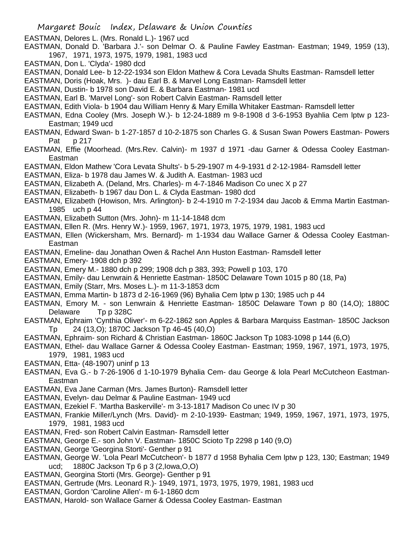- EASTMAN, Delores L. (Mrs. Ronald L.)- 1967 ucd
- EASTMAN, Donald D. 'Barbara J.'- son Delmar O. & Pauline Fawley Eastman- Eastman; 1949, 1959 (13), 1967, 1971, 1973, 1975, 1979, 1981, 1983 ucd
- EASTMAN, Don L. 'Clyda'- 1980 dcd
- EASTMAN, Donald Lee- b 12-22-1934 son Eldon Mathew & Cora Levada Shults Eastman- Ramsdell letter
- EASTMAN, Doris (Hoak, Mrs. )- dau Earl B. & Marvel Long Eastman- Ramsdell letter
- EASTMAN, Dustin- b 1978 son David E. & Barbara Eastman- 1981 ucd
- EASTMAN, Earl B. 'Marvel Long'- son Robert Calvin Eastman- Ramsdell letter
- EASTMAN, Edith Viola- b 1904 dau William Henry & Mary Emilla Whitaker Eastman- Ramsdell letter
- EASTMAN, Edna Cooley (Mrs. Joseph W.)- b 12-24-1889 m 9-8-1908 d 3-6-1953 Byahlia Cem lptw p 123- Eastman; 1949 ucd
- EASTMAN, Edward Swan- b 1-27-1857 d 10-2-1875 son Charles G. & Susan Swan Powers Eastman- Powers Pat p 217
- EASTMAN, Effie (Moorhead. (Mrs.Rev. Calvin)- m 1937 d 1971 -dau Garner & Odessa Cooley Eastman-Eastman
- EASTMAN, Eldon Mathew 'Cora Levata Shults'- b 5-29-1907 m 4-9-1931 d 2-12-1984- Ramsdell letter
- EASTMAN, Eliza- b 1978 dau James W. & Judith A. Eastman- 1983 ucd
- EASTMAN, Elizabeth A. (Deland, Mrs. Charles)- m 4-7-1846 Madison Co unec X p 27
- EASTMAN, Elizabeth- b 1967 dau Don L. & Clyda Eastman- 1980 dcd
- EASTMAN, Elizabeth (Howison, Mrs. Arlington)- b 2-4-1910 m 7-2-1934 dau Jacob & Emma Martin Eastman-1985 uch p 44
- EASTMAN, Elizabeth Sutton (Mrs. John)- m 11-14-1848 dcm
- EASTMAN, Ellen R. (Mrs. Henry W.)- 1959, 1967, 1971, 1973, 1975, 1979, 1981, 1983 ucd
- EASTMAN, Ellen (Wickersham, Mrs. Bernard)- m 1-1934 dau Wallace Garner & Odessa Cooley Eastman-Eastman
- EASTMAN, Emeline- dau Jonathan Owen & Rachel Ann Huston Eastman- Ramsdell letter
- EASTMAN, Emery- 1908 dch p 392
- EASTMAN, Emery M.- 1880 dch p 299; 1908 dch p 383, 393; Powell p 103, 170
- EASTMAN, Emily- dau Lenwrain & Henriette Eastman- 1850C Delaware Town 1015 p 80 (18, Pa)
- EASTMAN, Emily (Starr, Mrs. Moses L.)- m 11-3-1853 dcm
- EASTMAN, Emma Martin- b 1873 d 2-16-1969 (96) Byhalia Cem lptw p 130; 1985 uch p 44
- EASTMAN, Emory M. son Lenwrain & Henriette Eastman- 1850C Delaware Town p 80 (14,O); 1880C Delaware Tp p 328C
- EASTMAN, Ephraim 'Cynthia Oliver'- m 6-22-1862 son Apples & Barbara Marquiss Eastman- 1850C Jackson Tp 24 (13,O); 1870C Jackson Tp 46-45 (40,O)
- EASTMAN, Ephraim- son Richard & Christian Eastman- 1860C Jackson Tp 1083-1098 p 144 (6,O)
- EASTMAN, Ethel- dau Wallace Garner & Odessa Cooley Eastman- Eastman; 1959, 1967, 1971, 1973, 1975, 1979, 1981, 1983 ucd
- EASTMAN, Etta- (48-1907) uninf p 13
- EASTMAN, Eva G.- b 7-26-1906 d 1-10-1979 Byhalia Cem- dau George & lola Pearl McCutcheon Eastman-Eastman
- EASTMAN, Eva Jane Carman (Mrs. James Burton)- Ramsdell letter
- EASTMAN, Evelyn- dau Delmar & Pauline Eastman- 1949 ucd
- EASTMAN, Ezekiel F. 'Martha Baskerville'- m 3-13-1817 Madison Co unec IV p 30
- EASTMAN, Frankie Miller/Lynch (Mrs. David)- m 2-10-1939- Eastman; 1949, 1959, 1967, 1971, 1973, 1975, 1979, 1981, 1983 ucd
- EASTMAN, Fred- son Robert Calvin Eastman- Ramsdell letter
- EASTMAN, George E.- son John V. Eastman- 1850C Scioto Tp 2298 p 140 (9,O)
- EASTMAN, George 'Georgina Storti'- Genther p 91
- EASTMAN, George W. 'Lola Pearl McCutcheon'- b 1877 d 1958 Byhalia Cem lptw p 123, 130; Eastman; 1949 ucd; 1880C Jackson Tp 6 p 3 (2,Iowa,O,O)
- EASTMAN, Georgina Storti (Mrs. George)- Genther p 91
- EASTMAN, Gertrude (Mrs. Leonard R.)- 1949, 1971, 1973, 1975, 1979, 1981, 1983 ucd
- EASTMAN, Gordon 'Caroline Allen'- m 6-1-1860 dcm
- EASTMAN, Harold- son Wallace Garner & Odessa Cooley Eastman- Eastman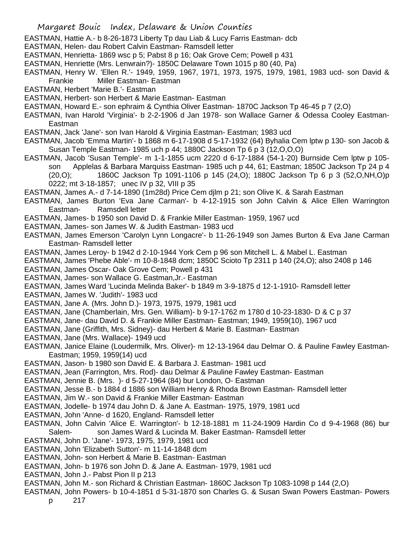- EASTMAN, Hattie A.- b 8-26-1873 Liberty Tp dau Liab & Lucy Farris Eastman- dcb
- EASTMAN, Helen- dau Robert Calvin Eastman- Ramsdell letter
- EASTMAN, Henrietta- 1869 wsc p 5; Pabst 8 p 16; Oak Grove Cem; Powell p 431
- EASTMAN, Henriette (Mrs. Lenwrain?)- 1850C Delaware Town 1015 p 80 (40, Pa)
- EASTMAN, Henry W. 'Ellen R.'- 1949, 1959, 1967, 1971, 1973, 1975, 1979, 1981, 1983 ucd- son David & Frankie Miller Eastman- Eastman
- EASTMAN, Herbert 'Marie B.'- Eastman
- EASTMAN, Herbert- son Herbert & Marie Eastman- Eastman
- EASTMAN, Howard E.- son ephraim & Cynthia Oliver Eastman- 1870C Jackson Tp 46-45 p 7 (2,O)
- EASTMAN, Ivan Harold 'Virginia'- b 2-2-1906 d Jan 1978- son Wallace Garner & Odessa Cooley Eastman-Eastman
- EASTMAN, Jack 'Jane'- son Ivan Harold & Virginia Eastman- Eastman; 1983 ucd
- EASTMAN, Jacob 'Emma Martin'- b 1868 m 6-17-1908 d 5-17-1932 (64) Byhalia Cem lptw p 130- son Jacob & Susan Temple Eastman- 1985 uch p 44; 1880C Jackson Tp 6 p 3 (12,O,O,O)
- EASTMAN, Jacob 'Susan Temple'- m 1-1-1855 ucm 2220 d 6-17-1884 (54-1-20) Burnside Cem lptw p 105 son Applelas & Barbara Marquiss Eastman- 1985 uch p 44, 61; Eastman; 1850C Jackson Tp 24 p 4 (20,O); 1860C Jackson Tp 1091-1106 p 145 (24,O); 1880C Jackson Tp 6 p 3 (52,O,NH,O)p 0222; mt 3-18-1857; unec IV p 32, VIII p 35
- EASTMAN, James A.- d 7-14-1890 (1m28d) Price Cem djlm p 21; son Olive K. & Sarah Eastman
- EASTMAN, James Burton 'Eva Jane Carman'- b 4-12-1915 son John Calvin & Alice Ellen Warrington Eastman- Ramsdell letter
- EASTMAN, James- b 1950 son David D. & Frankie Miller Eastman- 1959, 1967 ucd
- EASTMAN, James- son James W. & Judith Eastman- 1983 ucd
- EASTMAN, James Emerson 'Carolyn Lynn Longacre'- b 11-26-1949 son James Burton & Eva Jane Carman Eastman- Ramsdell letter
- EASTMAN, James Leroy- b 1942 d 2-10-1944 York Cem p 96 son Mitchell L. & Mabel L. Eastman
- EASTMAN, James 'Phebe Able'- m 10-8-1848 dcm; 1850C Scioto Tp 2311 p 140 (24,O); also 2408 p 146
- EASTMAN, James Oscar- Oak Grove Cem; Powell p 431
- EASTMAN, James- son Wallace G. Eastman,Jr.- Eastman
- EASTMAN, James Ward 'Lucinda Melinda Baker'- b 1849 m 3-9-1875 d 12-1-1910- Ramsdell letter
- EASTMAN, James W. 'Judith'- 1983 ucd
- EASTMAN, Jane A. (Mrs. John D.)- 1973, 1975, 1979, 1981 ucd
- EASTMAN, Jane (Chamberlain, Mrs. Gen. William)- b 9-17-1762 m 1780 d 10-23-1830- D & C p 37
- EASTMAN, Jane- dau David D. & Frankie Miller Eastman- Eastman; 1949, 1959(10), 1967 ucd
- EASTMAN, Jane (Griffith, Mrs. Sidney)- dau Herbert & Marie B. Eastman- Eastman
- EASTMAN, Jane (Mrs. Wallace)- 1949 ucd
- EASTMAN, Janice Elaine (Loudermilk, Mrs. Oliver)- m 12-13-1964 dau Delmar O. & Pauline Fawley Eastman-Eastman; 1959, 1959(14) ucd
- EASTMAN, Jason- b 1980 son David E. & Barbara J. Eastman- 1981 ucd
- EASTMAN, Jean (Farrington, Mrs. Rod)- dau Delmar & Pauline Fawley Eastman- Eastman
- EASTMAN, Jennie B. (Mrs. )- d 5-27-1964 (84) bur London, O- Eastman
- EASTMAN, Jesse B.- b 1884 d 1886 son William Henry & Rhoda Brown Eastman- Ramsdell letter
- EASTMAN, Jim W.- son David & Frankie Miller Eastman- Eastman
- EASTMAN, Jodelle- b 1974 dau John D. & Jane A. Eastman- 1975, 1979, 1981 ucd
- EASTMAN, John 'Anne- d 1620, England- Ramsdell letter
- EASTMAN, John Calvin 'Alice E. Warrington'- b 12-18-1881 m 11-24-1909 Hardin Co d 9-4-1968 (86) bur Salem- son James Ward & Lucinda M. Baker Eastman- Ramsdell letter
- EASTMAN, John D. 'Jane'- 1973, 1975, 1979, 1981 ucd
- EASTMAN, John 'Elizabeth Sutton'- m 11-14-1848 dcm
- EASTMAN, John- son Herbert & Marie B. Eastman- Eastman
- EASTMAN, John- b 1976 son John D. & Jane A. Eastman- 1979, 1981 ucd
- EASTMAN, John J.- Pabst Pion II p 213
- EASTMAN, John M.- son Richard & Christian Eastman- 1860C Jackson Tp 1083-1098 p 144 (2,O)
- EASTMAN, John Powers- b 10-4-1851 d 5-31-1870 son Charles G. & Susan Swan Powers Eastman- Powers
	- p 217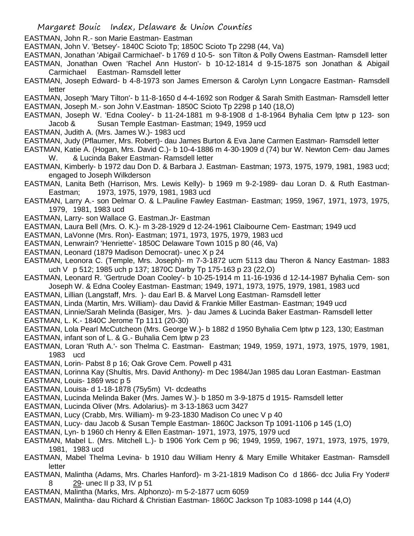- EASTMAN, John R.- son Marie Eastman- Eastman
- EASTMAN, John V. 'Betsey'- 1840C Scioto Tp; 1850C Scioto Tp 2298 (44, Va)
- EASTMAN, Jonathan 'Abigail Carmichael'- b 1769 d 10-5- son Tilton & Polly Owens Eastman- Ramsdell letter
- EASTMAN, Jonathan Owen 'Rachel Ann Huston'- b 10-12-1814 d 9-15-1875 son Jonathan & Abigail Carmichael Eastman- Ramsdell letter
- EASTMAN, Joseph Edward- b 4-8-1973 son James Emerson & Carolyn Lynn Longacre Eastman- Ramsdell letter
- EASTMAN, Joseph 'Mary Tilton'- b 11-8-1650 d 4-4-1692 son Rodger & Sarah Smith Eastman- Ramsdell letter EASTMAN, Joseph M.- son John V.Eastman- 1850C Scioto Tp 2298 p 140 (18,O)
- EASTMAN, Joseph W. 'Edna Cooley'- b 11-24-1881 m 9-8-1908 d 1-8-1964 Byhalia Cem lptw p 123- son Jacob & Susan Temple Eastman- Eastman; 1949, 1959 ucd
- EASTMAN, Judith A. (Mrs. James W.)- 1983 ucd
- EASTMAN, Judy (Pflaumer, Mrs. Robert)- dau James Burton & Eva Jane Carmen Eastman- Ramsdell letter
- EASTMAN, Katie A. (Hogan, Mrs. David C.)- b 10-4-1886 m 4-30-1909 d (74) bur W. Newton Cem- dau James W. & Lucinda Baker Eastman- Ramsdell letter
- EASTMAN, Kimberly- b 1972 dau Don D. & Barbara J. Eastman- Eastman; 1973, 1975, 1979, 1981, 1983 ucd; engaged to Joseph Wilkderson
- EASTMAN, Lanita Beth (Harrison, Mrs. Lewis Kelly)- b 1969 m 9-2-1989- dau Loran D. & Ruth Eastman-Eastman; 1973, 1975, 1979, 1981, 1983 ucd
- EASTMAN, Larry A.- son Delmar O. & L.Pauline Fawley Eastman- Eastman; 1959, 1967, 1971, 1973, 1975, 1979, 1981, 1983 ucd
- EASTMAN, Larry- son Wallace G. Eastman.Jr- Eastman
- EASTMAN, Laura Bell (Mrs. O. K.)- m 3-28-1929 d 12-24-1961 Claibourne Cem- Eastman; 1949 ucd
- EASTMAN, LaVonne (Mrs. Ron)- Eastman; 1971, 1973, 1975, 1979, 1983 ucd
- EASTMAN, Lenwrain? 'Henriette'- 1850C Delaware Town 1015 p 80 (46, Va)
- EASTMAN, Leonard (1879 Madison Democrat)- unec X p 24
- EASTMAN, Leonora C. (Temple, Mrs. Joseph)- m 7-3-1872 ucm 5113 dau Theron & Nancy Eastman- 1883 uch V p 512; 1985 uch p 137; 1870C Darby Tp 175-163 p 23 (22,O)
- EASTMAN, Leonard R. 'Gertrude Doan Cooley'- b 10-25-1914 m 11-16-1936 d 12-14-1987 Byhalia Cem- son Joseph W. & Edna Cooley Eastman- Eastman; 1949, 1971, 1973, 1975, 1979, 1981, 1983 ucd
- EASTMAN, Lillian (Langstaff, Mrs. )- dau Earl B. & Marvel Long Eastman- Ramsdell letter
- EASTMAN, Linda (Martin, Mrs. William)- dau David & Frankie Miller Eastman- Eastman; 1949 ucd
- EASTMAN, Linnie/Sarah Melinda (Basiger, Mrs. )- dau James & Lucinda Baker Eastman- Ramsdell letter
- EASTMAN, L. K.- 1840C Jerome Tp 1111 (20-30)
- EASTMAN, Lola Pearl McCutcheon (Mrs. George W.)- b 1882 d 1950 Byhalia Cem lptw p 123, 130; Eastman
- EASTMAN, infant son of L. & G.- Buhalia Cem lptw p 23
- EASTMAN, Loran 'Ruth A.'- son Thelma C. Eastman- Eastman; 1949, 1959, 1971, 1973, 1975, 1979, 1981, 1983 ucd
- EASTMAN, Lorin- Pabst 8 p 16; Oak Grove Cem. Powell p 431
- EASTMAN, Lorinna Kay (Shultis, Mrs. David Anthony)- m Dec 1984/Jan 1985 dau Loran Eastman- Eastman
- EASTMAN, Louis- 1869 wsc p 5
- EASTMAN, Louisa- d 1-18-1878 (75y5m) Vt- dcdeaths
- EASTMAN, Lucinda Melinda Baker (Mrs. James W.)- b 1850 m 3-9-1875 d 1915- Ramsdell letter
- EASTMAN, Lucinda Oliver (Mrs. Adolarius)- m 3-13-1863 ucm 3427
- EASTMAN, Lucy (Crabb, Mrs. William)- m 9-23-1830 Madison Co unec V p 40
- EASTMAN, Lucy- dau Jacob & Susan Temple Eastman- 1860C Jackson Tp 1091-1106 p 145 (1,O)
- EASTMAN, Lyn- b 1960 ch Henry & Ellen Eastman- 1971, 1973, 1975, 1979 ucd
- EASTMAN, Mabel L. (Mrs. Mitchell L.)- b 1906 York Cem p 96; 1949, 1959, 1967, 1971, 1973, 1975, 1979, 1981, 1983 ucd
- EASTMAN, Mabel Thelma Levina- b 1910 dau William Henry & Mary Emille Whitaker Eastman- Ramsdell letter
- EASTMAN, Malintha (Adams, Mrs. Charles Hanford)- m 3-21-1819 Madison Co d 1866- dcc Julia Fry Yoder# 8 29- unec II p 33, IV p 51
- EASTMAN, Malintha (Marks, Mrs. Alphonzo)- m 5-2-1877 ucm 6059
- EASTMAN, Malintha- dau Richard & Christian Eastman- 1860C Jackson Tp 1083-1098 p 144 (4,O)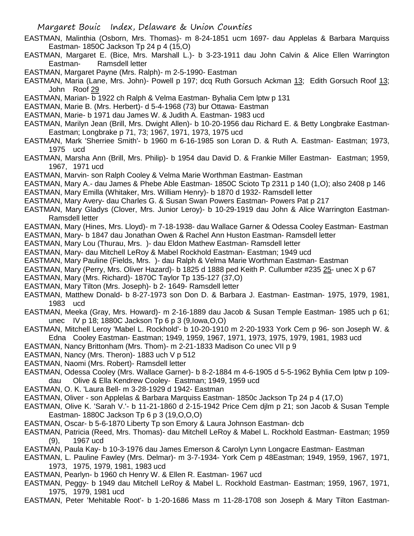- EASTMAN, Malinthia (Osborn, Mrs. Thomas)- m 8-24-1851 ucm 1697- dau Applelas & Barbara Marquiss Eastman- 1850C Jackson Tp 24 p 4 (15,O)
- EASTMAN, Margaret E. (Bice, Mrs. Marshall L.)- b 3-23-1911 dau John Calvin & Alice Ellen Warrington Eastman- Ramsdell letter
- EASTMAN, Margaret Payne (Mrs. Ralph)- m 2-5-1990- Eastman
- EASTMAN, Maria (Lane, Mrs. John)- Powell p 197; dcq Ruth Gorsuch Ackman 13; Edith Gorsuch Roof 13; John Roof 29
- EASTMAN, Marian- b 1922 ch Ralph & Velma Eastman- Byhalia Cem lptw p 131
- EASTMAN, Marie B. (Mrs. Herbert)- d 5-4-1968 (73) bur Ottawa- Eastman
- EASTMAN, Marie- b 1971 dau James W. & Judith A. Eastman- 1983 ucd
- EASTMAN, Marilyn Jean (Brill, Mrs. Dwight Allen)- b 10-20-1956 dau Richard E. & Betty Longbrake Eastman-Eastman; Longbrake p 71, 73; 1967, 1971, 1973, 1975 ucd
- EASTMAN, Mark 'Sherriee Smith'- b 1960 m 6-16-1985 son Loran D. & Ruth A. Eastman- Eastman; 1973, 1975 ucd
- EASTMAN, Marsha Ann (Brill, Mrs. Philip)- b 1954 dau David D. & Frankie Miller Eastman- Eastman; 1959, 1967, 1971 ucd
- EASTMAN, Marvin- son Ralph Cooley & Velma Marie Worthman Eastman- Eastman
- EASTMAN, Mary A.- dau James & Phebe Able Eastman- 1850C Scioto Tp 2311 p 140 (1,O); also 2408 p 146
- EASTMAN, Mary Emilla (Whitaker, Mrs. William Henry)- b 1870 d 1932- Ramsdell letter
- EASTMAN, Mary Avery- dau Charles G. & Susan Swan Powers Eastman- Powers Pat p 217
- EASTMAN, Mary Gladys (Clover, Mrs. Junior Leroy)- b 10-29-1919 dau John & Alice Warrington Eastman-Ramsdell letter
- EASTMAN, Mary (Hines, Mrs. Lloyd)- m 7-18-1938- dau Wallace Garner & Odessa Cooley Eastman- Eastman
- EASTMAN, Mary- b 1847 dau Jonathan Owen & Rachel Ann Huston Eastman- Ramsdell letter
- EASTMAN, Mary Lou (Thurau, Mrs. )- dau Eldon Mathew Eastman- Ramsdell letter
- EASTMAN, Mary- dau Mitchell LeRoy & Mabel Rockhold Eastman- Eastman; 1949 ucd
- EASTMAN, Mary Pauline (Fields, Mrs. )- dau Ralph & Velma Marie Worthman Eastman- Eastman
- EASTMAN, Mary (Perry, Mrs. Oliver Hazard)- b 1825 d 1888 ped Keith P. Cullumber #235 25- unec X p 67
- EASTMAN, Mary (Mrs. Richard)- 1870C Taylor Tp 135-127 (37,O)
- EASTMAN, Mary Tilton (Mrs. Joseph)- b 2- 1649- Ramsdell letter
- EASTMAN, Matthew Donald- b 8-27-1973 son Don D. & Barbara J. Eastman- Eastman- 1975, 1979, 1981, 1983 ucd
- EASTMAN, Meeka (Gray, Mrs. Howard)- m 2-16-1889 dau Jacob & Susan Temple Eastman- 1985 uch p 61; unec IV p 18; 1880C Jackson Tp 6 p 3 (9,Iowa,O,O)
- EASTMAN, Mitchell Leroy 'Mabel L. Rockhold'- b 10-20-1910 m 2-20-1933 York Cem p 96- son Joseph W. & Edna Cooley Eastman- Eastman; 1949, 1959, 1967, 1971, 1973, 1975, 1979, 1981, 1983 ucd
- EASTMAN, Nancy Brittonham (Mrs. Thom)- m 2-21-1833 Madison Co unec VII p 9
- EASTMAN, Nancy (Mrs. Theron)- 1883 uch V p 512
- EASTMAN, Naomi (Mrs. Robert)- Ramsdell letter
- EASTMAN, Odessa Cooley (Mrs. Wallace Garner)- b 8-2-1884 m 4-6-1905 d 5-5-1962 Byhlia Cem lptw p 109 dau Olive & Ella Kendrew Cooley- Eastman; 1949, 1959 ucd
- EASTMAN, O. K. 'Laura Bell- m 3-28-1929 d 1942- Eastman
- EASTMAN, Oliver son Applelas & Barbara Marquiss Eastman- 1850c Jackson Tp 24 p 4 (17,O)
- EASTMAN, Olive K. 'Sarah V.'- b 11-21-1860 d 2-15-1942 Price Cem djlm p 21; son Jacob & Susan Temple Eastman- 1880C Jackson Tp 6 p 3 (19,O,O,O)
- EASTMAN, Oscar- b 5-6-1870 Liberty Tp son Emory & Laura Johnson Eastman- dcb
- EASTMAN, Patricia (Reed, Mrs. Thomas)- dau Mitchell LeRoy & Mabel L. Rockhold Eastman- Eastman; 1959 (9), 1967 ucd
- EASTMAN, Paula Kay- b 10-3-1976 dau James Emerson & Carolyn Lynn Longacre Eastman- Eastman
- EASTMAN, L. Pauline Fawley (Mrs. Delmar)- m 3-7-1934- York Cem p 48Eastman; 1949, 1959, 1967, 1971, 1973, 1975, 1979, 1981, 1983 ucd
- EASTMAN, Pearlyn- b 1960 ch Henry W. & Ellen R. Eastman- 1967 ucd
- EASTMAN, Peggy- b 1949 dau Mitchell LeRoy & Mabel L. Rockhold Eastman- Eastman; 1959, 1967, 1971, 1975, 1979, 1981 ucd
- EASTMAN, Peter 'Mehitable Root'- b 1-20-1686 Mass m 11-28-1708 son Joseph & Mary Tilton Eastman-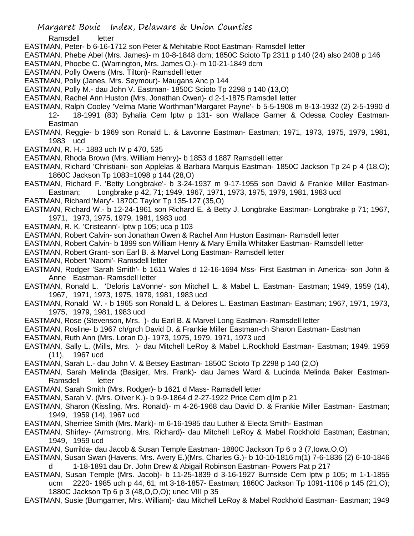- Ramsdell
- EASTMAN, Peter- b 6-16-1712 son Peter & Mehitable Root Eastman- Ramsdell letter
- EASTMAN, Phebe Abel (Mrs. James)- m 10-8-1848 dcm; 1850C Scioto Tp 2311 p 140 (24) also 2408 p 146
- EASTMAN, Phoebe C. (Warrington, Mrs. James O.)- m 10-21-1849 dcm
- EASTMAN, Polly Owens (Mrs. Tilton)- Ramsdell letter
- EASTMAN, Polly (Janes, Mrs. Seymour)- Maugans Anc p 144
- EASTMAN, Polly M.- dau John V. Eastman- 1850C Scioto Tp 2298 p 140 (13,O)
- EASTMAN, Rachel Ann Huston (Mrs. Jonathan Owen)- d 2-1-1875 Ramsdell letter
- EASTMAN, Ralph Cooley 'Velma Marie Worthman''Margaret Payne'- b 5-5-1908 m 8-13-1932 (2) 2-5-1990 d 12- 18-1991 (83) Byhalia Cem lptw p 131- son Wallace Garner & Odessa Cooley Eastman-**Eastman**
- EASTMAN, Reggie- b 1969 son Ronald L. & Lavonne Eastman- Eastman; 1971, 1973, 1975, 1979, 1981, 1983 ucd
- EASTMAN, R. H.- 1883 uch IV p 470, 535
- EASTMAN, Rhoda Brown (Mrs. William Henry)- b 1853 d 1887 Ramsdell letter
- EASTMAN, Richard 'Christiani- son Applelas & Barbara Marquis Eastman- 1850C Jackson Tp 24 p 4 (18,O); 1860C Jackson Tp 1083=1098 p 144 (28,O)
- EASTMAN, Richard F. 'Betty Longbrake'- b 3-24-1937 m 9-17-1955 son David & Frankie Miller Eastman-Eastman; Longbrake p 42, 71; 1949, 1967, 1971, 1973, 1975, 1979, 1981, 1983 ucd
- EASTMAN, Richard 'Mary'- 1870C Taylor Tp 135-127 (35,O)
- EASTMAN, Richard W.- b 12-24-1961 son Richard E. & Betty J. Longbrake Eastman- Longbrake p 71; 1967,
	- 1971, 1973, 1975, 1979, 1981, 1983 ucd
- EASTMAN, R. K. 'Cristeann'- lptw p 105; uca p 103
- EASTMAN, Robert Calvin- son Jonathan Owen & Rachel Ann Huston Eastman- Ramsdell letter
- EASTMAN, Robert Calvin- b 1899 son William Henry & Mary Emilla Whitaker Eastman- Ramsdell letter
- EASTMAN, Robert Grant- son Earl B. & Marvel Long Eastman- Ramsdell letter
- EASTMAN, Robert 'Naomi'- Ramsdell letter
- EASTMAN, Rodger 'Sarah Smith'- b 1611 Wales d 12-16-1694 Mss- First Eastman in America- son John & Anne Eastman- Ramsdell letter
- EASTMAN, Ronald L. 'Deloris LaVonne'- son Mitchell L. & Mabel L. Eastman- Eastman; 1949, 1959 (14), 1967, 1971, 1973, 1975, 1979, 1981, 1983 ucd
- EASTMAN, Ronald W. b 1965 son Ronald L. & Delores L. Eastman Eastman- Eastman; 1967, 1971, 1973, 1975, 1979, 1981, 1983 ucd
- EASTMAN, Rose (Stevenson, Mrs. )- du Earl B. & Marvel Long Eastman- Ramsdell letter
- EASTMAN, Rosline- b 1967 ch/grch David D. & Frankie Miller Eastman-ch Sharon Eastman- Eastman
- EASTMAN, Ruth Ann (Mrs. Loran D.)- 1973, 1975, 1979, 1971, 1973 ucd
- EASTMAN, Sally L. (Mills, Mrs. )- dau Mitchell LeRoy & Mabel L.Rockhold Eastman- Eastman; 1949. 1959 (11), 1967 ucd
- EASTMAN, Sarah L.- dau John V. & Betsey Eastman- 1850C Scioto Tp 2298 p 140 (2,O)
- EASTMAN, Sarah Melinda (Basiger, Mrs. Frank)- dau James Ward & Lucinda Melinda Baker Eastman-Ramsdell letter
- EASTMAN, Sarah Smith (Mrs. Rodger)- b 1621 d Mass- Ramsdell letter
- EASTMAN, Sarah V. (Mrs. Oliver K.)- b 9-9-1864 d 2-27-1922 Price Cem djlm p 21
- EASTMAN, Sharon (Kissling, Mrs. Ronald)- m 4-26-1968 dau David D. & Frankie Miller Eastman- Eastman; 1949, 1959 (14), 1967 ucd
- EASTMAN, Sherriee Smith (Mrs. Mark)- m 6-16-1985 dau Luther & Electa Smith- Eastman
- EASTMAN, Shirley- (Armstrong, Mrs. Richard)- dau Mitchell LeRoy & Mabel Rockhold Eastman; Eastman; 1949, 1959 ucd
- EASTMAN, Surrilda- dau Jacob & Susan Temple Eastman- 1880C Jackson Tp 6 p 3 (7,Iowa,O,O)
- EASTMAN, Susan Swan (Havens, Mrs. Avery E.)(Mrs. Charles G.)- b 10-10-1816 m(1) 7-6-1836 (2) 6-10-1846 d 1-18-1891 dau Dr. John Drew & Abigail Robinson Eastman- Powers Pat p 217
- EASTMAN, Susan Temple (Mrs. Jacob)- b 11-25-1839 d 3-16-1927 Burnside Cem lptw p 105; m 1-1-1855 ucm 2220- 1985 uch p 44, 61; mt 3-18-1857- Eastman; 1860C Jackson Tp 1091-1106 p 145 (21,O); 1880C Jackson Tp 6 p 3 (48,O,O,O); unec VIII p 35
- EASTMAN, Susie (Bumgarner, Mrs. William)- dau Mitchell LeRoy & Mabel Rockhold Eastman- Eastman; 1949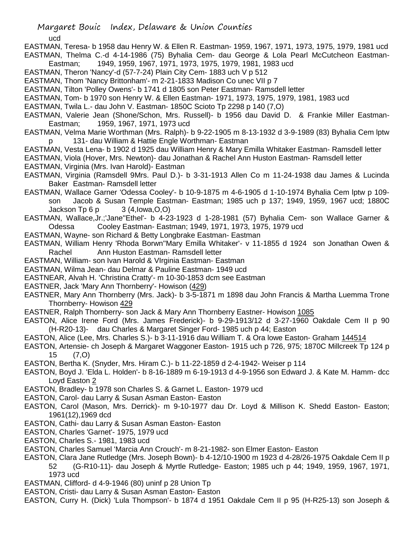ucd

- EASTMAN, Teresa- b 1958 dau Henry W. & Ellen R. Eastman- 1959, 1967, 1971, 1973, 1975, 1979, 1981 ucd
- EASTMAN, Thelma C.-d 4-14-1986 (75) Byhalia Cem- dau George & Lola Pearl McCutcheon Eastman-Eastman; 1949, 1959, 1967, 1971, 1973, 1975, 1979, 1981, 1983 ucd
- EASTMAN, Theron 'Nancy'-d (57-7-24) Plain City Cem- 1883 uch V p 512
- EASTMAN, Thom 'Nancy Brittonham'- m 2-21-1833 Madison Co unec VII p 7
- EASTMAN, Tilton 'Polley Owens'- b 1741 d 1805 son Peter Eastman- Ramsdell letter
- EASTMAN, Tom- b 1970 son Henry W. & Ellen Eastman- 1971, 1973, 1975, 1979, 1981, 1983 ucd
- EASTMAN, Twila L.- dau John V. Eastman- 1850C Scioto Tp 2298 p 140 (7,O)
- EASTMAN, Valerie Jean (Shone/Schon, Mrs. Russell)- b 1956 dau David D. & Frankie Miller Eastman-Eastman; 1959, 1967, 1971, 1973 ucd
- EASTMAN, Velma Marie Worthman (Mrs. Ralph)- b 9-22-1905 m 8-13-1932 d 3-9-1989 (83) Byhalia Cem lptw 131- dau William & Hattie Engle Worthman- Eastman
- EASTMAN, Vesta Lena- b 1902 d 1925 dau William Henry & Mary Emilla Whitaker Eastman- Ramsdell letter EASTMAN, Viola (Hover, Mrs. Newton)- dau Jonathan & Rachel Ann Huston Eastman- Ramsdell letter EASTMAN, Virginia (Mrs. Ivan Harold)- Eastman
- EASTMAN, Virginia (Ramsdell 9Mrs. Paul D.)- b 3-31-1913 Allen Co m 11-24-1938 dau James & Lucinda Baker Eastman- Ramsdell letter
- EASTMAN, Wallace Garner 'Odessa Cooley'- b 10-9-1875 m 4-6-1905 d 1-10-1974 Byhalia Cem lptw p 109 son Jacob & Susan Temple Eastman- Eastman; 1985 uch p 137; 1949, 1959, 1967 ucd; 1880C Jackson  $\text{Sp} \qquad 3 (4,1)$  ackson  $\text{Sp} \qquad 3 (4,1)$
- EASTMAN, Wallace,Jr.;'Jane''Ethel'- b 4-23-1923 d 1-28-1981 (57) Byhalia Cem- son Wallace Garner & Odessa Cooley Eastman- Eastman; 1949, 1971, 1973, 1975, 1979 ucd
- EASTMAN, Wayne- son Richard & Betty Longbrake Eastman- Eastman
- EASTMAN, William Henry 'Rhoda Borwn''Mary Emilla Whitaker'- v 11-1855 d 1924 son Jonathan Owen & Rachel Ann Huston Eastman- Ramsdell letter
- EASTMAN, William- son Ivan Harold & VIrginia Eastman- Eastman
- EASTMAN, Wilma Jean- dau Delmar & Pauline Eastman- 1949 ucd
- EASTNEAR, Alvah H. 'Christina Cratty'- m 10-30-1853 dcm see Eastman
- EASTNER, Jack 'Mary Ann Thornberry'- Howison (429)
- EASTNER, Mary Ann Thornberry (Mrs. Jack)- b 3-5-1871 m 1898 dau John Francis & Martha Luemma Trone Thornberry- Howison 429
- EASTNER, Ralph Thornberry- son Jack & Mary Ann Thornberry Eastner- Howison 1085
- EASTON, Alice Irene Ford (Mrs. James Frederick)- b 9-29-1913/12 d 3-27-1960 Oakdale Cem II p 90 (H-R20-13)- dau Charles & Margaret Singer Ford- 1985 uch p 44; Easton
- EASTON, Alice (Lee, Mrs. Charles S.)- b 3-11-1916 dau William T. & Ora lowe Easton- Graham 144514
- EASTON, Artensie- ch Joseph & Margaret Waggoner Easton- 1915 uch p 726, 975; 1870C Millcreek Tp 124 p 15 (7,O)
- EASTON, Bertha K. (Snyder, Mrs. Hiram C.)- b 11-22-1859 d 2-4-1942- Weiser p 114
- EASTON, Boyd J. 'Elda L. Holden'- b 8-16-1889 m 6-19-1913 d 4-9-1956 son Edward J. & Kate M. Hamm- dcc Loyd Easton 2
- EASTON, Bradley- b 1978 son Charles S. & Garnet L. Easton- 1979 ucd
- EASTON, Carol- dau Larry & Susan Asman Easton- Easton
- EASTON, Carol (Mason, Mrs. Derrick)- m 9-10-1977 dau Dr. Loyd & Millison K. Shedd Easton- Easton; 1961(12),1969 dcd
- EASTON, Cathi- dau Larry & Susan Asman Easton- Easton
- EASTON, Charles 'Garnet'- 1975, 1979 ucd
- EASTON, Charles S.- 1981, 1983 ucd
- EASTON, Charles Samuel 'Marcia Ann Crouch'- m 8-21-1982- son Elmer Easton- Easton
- EASTON, Clara Jane Rutledge (Mrs. Joseph Bown)- b 4-12/10-1900 m 1923 d 4-28/26-1975 Oakdale Cem II p 52 (G-R10-11)- dau Joseph & Myrtle Rutledge- Easton; 1985 uch p 44; 1949, 1959, 1967, 1971, 1973 ucd
- EASTMAN, Clifford- d 4-9-1946 (80) uninf p 28 Union Tp
- EASTON, Cristi- dau Larry & Susan Asman Easton- Easton
- EASTON, Curry H. (Dick) 'Lula Thompson'- b 1874 d 1951 Oakdale Cem II p 95 (H-R25-13) son Joseph &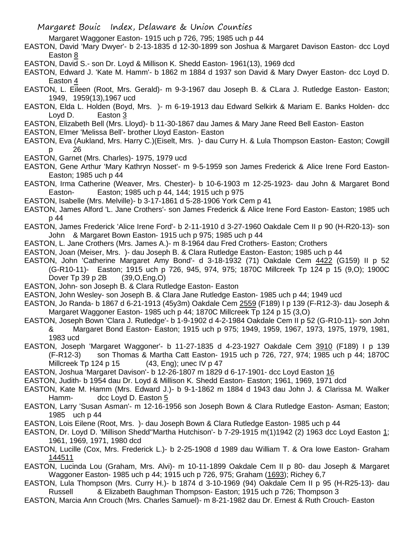Margaret Waggoner Easton- 1915 uch p 726, 795; 1985 uch p 44

- EASTON, David 'Mary Dwyer'- b 2-13-1835 d 12-30-1899 son Joshua & Margaret Davison Easton- dcc Loyd Easton 8
- EASTON, David S.- son Dr. Loyd & Millison K. Shedd Easton- 1961(13), 1969 dcd
- EASTON, Edward J. 'Kate M. Hamm'- b 1862 m 1884 d 1937 son David & Mary Dwyer Easton- dcc Loyd D. Easton 4
- EASTON, L. Eileen (Root, Mrs. Gerald)- m 9-3-1967 dau Joseph B. & CLara J. Rutledge Easton- Easton; 1949, 1959(13),1967 ucd
- EASTON, Elda L. Holden (Boyd, Mrs. )- m 6-19-1913 dau Edward Selkirk & Mariam E. Banks Holden- dcc Loyd D. Easton 3
- EASTON, Elizabeth Bell (Mrs. Lloyd)- b 11-30-1867 dau James & Mary Jane Reed Bell Easton- Easton
- EASTON, Elmer 'Melissa Bell'- brother Lloyd Easton- Easton
- EASTON, Eva (Aukland, Mrs. Harry C.)(Eiselt, Mrs. )- dau Curry H. & Lula Thompson Easton- Easton; Cowgill p 26
- EASTON, Garnet (Mrs. Charles)- 1975, 1979 ucd
- EASTON, Gene Arthur 'Mary Kathryn Nosset'- m 9-5-1959 son James Frederick & Alice Irene Ford Easton-Easton; 1985 uch p 44
- EASTON, Irma Catherine (Weaver, Mrs. Chester)- b 10-6-1903 m 12-25-1923- dau John & Margaret Bond Easton- Easton; 1985 uch p 44, 144; 1915 uch p 975
- EASTON, Isabelle (Mrs. Melville)- b 3-17-1861 d 5-28-1906 York Cem p 41
- EASTON, James Alford 'L. Jane Crothers'- son James Frederick & Alice Irene Ford Easton- Easton; 1985 uch p 44
- EASTON, James Frederick 'Alice Irene Ford'- b 2-11-1910 d 3-27-1960 Oakdale Cem II p 90 (H-R20-13)- son John & Margaret Bown Easton- 1915 uch p 975; 1985 uch p 44
- EASTON, L. Jane Crothers (Mrs. James A.)- m 8-1964 dau Fred Crothers- Easton; Crothers
- EASTON, Joan (Meiser, Mrs. )- dau Joseph B. & Clara Rutledge Easton- Easton; 1985 uch p 44
- EASTON, John 'Catherine Margaret Amy Bond'- d 3-18-1932 (71) Oakdale Cem 4422 (G159) II p 52
	- (G-R10-11)- Easton; 1915 uch p 726, 945, 974, 975; 1870C Millcreek Tp 124 p 15 (9,O); 1900C Dover Tp 39 p 2B (39,O,Eng,O)
- EASTON, John- son Joseph B. & Clara Rutledge Easton- Easton
- EASTON, John Wesley- son Joseph B. & Clara Jane Rutledge Easton- 1985 uch p 44; 1949 ucd
- EASTON, Jo Randa- b 1867 d 6-21-1913 (45y3m) Oakdale Cem 2559 (F189) I p 139 (F-R12-3)- dau Joseph & Margaret Waggoner Easton- 1985 uch p 44; 1870C Millcreek Tp 124 p 15 (3,O)
- EASTON, Joseph Bown 'Clara J. Rutledge'- b 1-9-1902 d 4-2-1984 Oakdale Cem II p 52 (G-R10-11)- son John & Margaret Bond Easton- Easton; 1915 uch p 975; 1949, 1959, 1967, 1973, 1975, 1979, 1981, 1983 ucd

EASTON, Joseph 'Margaret Waggoner'- b 11-27-1835 d 4-23-1927 Oakdale Cem 3910 (F189) I p 139 (F-R12-3) son Thomas & Martha Catt Easton- 1915 uch p 726, 727, 974; 1985 uch p 44; 1870C Millcreek Tp 124 p 15 (43, Eng); unec IV p 47

- EASTON, Joshua 'Margaret Davison'- b 12-26-1807 m 1829 d 6-17-1901- dcc Loyd Easton 16
- EASTON, Judith- b 1954 dau Dr. Loyd & Millison K. Shedd Easton- Easton; 1961, 1969, 1971 dcd
- EASTON, Kate M. Hamm (Mrs. Edward J.)- b 9-1-1862 m 1884 d 1943 dau John J. & Clarissa M. Walker Hamm- dcc Loyd D. Easton 5
- EASTON, Larry 'Susan Asman'- m 12-16-1956 son Joseph Bown & Clara Rutledge Easton- Asman; Easton; 1985 uch p 44
- EASTON, Lois Eilene (Root, Mrs. )- dau Joseph Bown & Clara Rutledge Easton- 1985 uch p 44
- EASTON, Dr. Loyd D. 'Millison Shedd''Martha Hutchison'- b 7-29-1915 m(1)1942 (2) 1963 dcc Loyd Easton 1; 1961, 1969, 1971, 1980 dcd
- EASTON, Lucille (Cox, Mrs. Frederick L.)- b 2-25-1908 d 1989 dau William T. & Ora lowe Easton- Graham 144511
- EASTON, Lucinda Lou (Graham, Mrs. Alvi)- m 10-11-1899 Oakdale Cem II p 80- dau Joseph & Margaret Waggoner Easton- 1985 uch p 44; 1915 uch p 726, 975; Graham (1693); Richey 6,7
- EASTON, Lula Thompson (Mrs. Curry H.)- b 1874 d 3-10-1969 (94) Oakdale Cem II p 95 (H-R25-13)- dau Russell & Elizabeth Baughman Thompson- Easton; 1915 uch p 726; Thompson 3
- EASTON, Marcia Ann Crouch (Mrs. Charles Samuel)- m 8-21-1982 dau Dr. Ernest & Ruth Crouch- Easton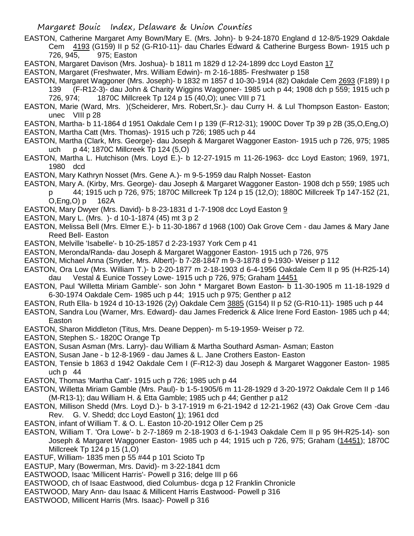Margaret Bouic Index, Delaware & Union Counties

EASTON, Catherine Margaret Amy Bown/Mary E. (Mrs. John)- b 9-24-1870 England d 12-8/5-1929 Oakdale Cem 4193 (G159) II p 52 (G-R10-11)- dau Charles Edward & Catherine Burgess Bown- 1915 uch p 726, 945, 975; Easton

EASTON, Margaret Davison (Mrs. Joshua)- b 1811 m 1829 d 12-24-1899 dcc Loyd Easton 17

EASTON, Margaret (Freshwater, Mrs. William Edwin)- m 2-16-1885- Freshwater p 158

EASTON, Margaret Waggoner (Mrs. Joseph)- b 1832 m 1857 d 10-30-1914 (82) Oakdale Cem 2693 (F189) I p 139 (F-R12-3)- dau John & Charity Wiggins Waggoner- 1985 uch p 44; 1908 dch p 559; 1915 uch p 726, 974; 1870C Millcreek Tp 124 p 15 (40,O); unec VIII p 71

- EASTON, Marie (Ward, Mrs. )(Scheiderer, Mrs. Robert,Sr.)- dau Curry H. & Lul Thompson Easton- Easton; unec VIII p 28
- EASTON, Martha- b 11-1864 d 1951 Oakdale Cem I p 139 (F-R12-31); 1900C Dover Tp 39 p 2B (35,O,Eng,O) EASTON, Martha Catt (Mrs. Thomas)- 1915 uch p 726; 1985 uch p 44
- EASTON, Martha (Clark, Mrs. George)- dau Joseph & Margaret Waggoner Easton- 1915 uch p 726, 975; 1985 uch p 44; 1870C Millcreek Tp 124 (5,O)
- EASTON, Martha L. Hutchison (Mrs. Loyd E.)- b 12-27-1915 m 11-26-1963- dcc Loyd Easton; 1969, 1971, 1980 dcd
- EASTON, Mary Kathryn Nosset (Mrs. Gene A.)- m 9-5-1959 dau Ralph Nosset- Easton
- EASTON, Mary A. (Kirby, Mrs. George)- dau Joseph & Margaret Waggoner Easton- 1908 dch p 559; 1985 uch p 44; 1915 uch p 726, 975; 1870C Millcreek Tp 124 p 15 (12,O); 1880C Millcreek Tp 147-152 (21, O,Eng,O) p 162A
- EASTON, Mary Dwyer (Mrs. David)- b 8-23-1831 d 1-7-1908 dcc Loyd Easton 9
- EASTON, Mary L. (Mrs. )- d 10-1-1874 (45) mt 3 p 2
- EASTON, Melissa Bell (Mrs. Elmer E.)- b 11-30-1867 d 1968 (100) Oak Grove Cem dau James & Mary Jane Reed Bell- Easton
- EASTON, Melville 'Isabelle'- b 10-25-1857 d 2-23-1937 York Cem p 41
- EASTON, Meronda/Randa- dau Joseph & Margaret Waggoner Easton- 1915 uch p 726, 975
- EASTON, Michael Anna (Snyder, Mrs. Albert)- b 7-28-1847 m 9-3-1878 d 9-1930- Weiser p 112
- EASTON, Ora Low (Mrs. William T.)- b 2-20-1877 m 2-18-1903 d 6-4-1956 Oakdale Cem II p 95 (H-R25-14) dau Vestal & Eunice Tossey Lowe- 1915 uch p 726, 975; Graham 14451
- EASTON, Paul 'Willetta Miriam Gamble'- son John \* Margaret Bown Easton- b 11-30-1905 m 11-18-1929 d 6-30-1974 Oakdale Cem- 1985 uch p 44; 1915 uch p 975; Genther p a12
- EASTON, Ruth Ella- b 1924 d 10-13-1926 (2y) Oakdale Cem 3885 (G154) II p 52 (G-R10-11)- 1985 uch p 44
- EASTON, Sandra Lou (Warner, Mrs. Edward)- dau James Frederick & Alice Irene Ford Easton- 1985 uch p 44; Easton
- EASTON, Sharon Middleton (Titus, Mrs. Deane Deppen)- m 5-19-1959- Weiser p 72.
- EASTON, Stephen S.- 1820C Orange Tp
- EASTON, Susan Asman (Mrs. Larry)- dau William & Martha Southard Asman- Asman; Easton
- EASTON, Susan Jane b 12-8-1969 dau James & L. Jane Crothers Easton- Easton
- EASTON, Tensie b 1863 d 1942 Oakdale Cem I (F-R12-3) dau Joseph & Margaret Waggoner Easton- 1985 uch p 44
- EASTON, Thomas 'Martha Catt'- 1915 uch p 726; 1985 uch p 44
- EASTON, Willetta Miriam Gamble (Mrs. Paul)- b 1-5-1905/6 m 11-28-1929 d 3-20-1972 Oakdale Cem II p 146 (M-R13-1); dau William H. & Etta Gamble; 1985 uch p 44; Genther p a12
- EASTON, Millison Shedd (Mrs. Loyd D.)- b 3-17-1919 m 6-21-1942 d 12-21-1962 (43) Oak Grove Cem -dau Rev. G. V. Shedd; dcc Loyd Easton( 1); 1961 dcd
- EASTON, infant of William T. & O. L. Easton 10-20-1912 Oller Cem p 25
- EASTON, William T. 'Ora Lowe'- b 2-7-1869 m 2-18-1903 d 6-1-1943 Oakdale Cem II p 95 9H-R25-14)- son Joseph & Margaret Waggoner Easton- 1985 uch p 44; 1915 uch p 726, 975; Graham (14451); 1870C Millcreek Tp 124 p 15 (1,O)
- EASTUF, William- 1835 men p 55 #44 p 101 Scioto Tp
- EASTUP, Mary (Bowerman, Mrs. David)- m 3-22-1841 dcm
- EASTWOOD, Isaac 'Millicent Harris'- Powell p 316; delge III p 66
- EASTWOOD, ch of Isaac Eastwood, died Columbus- dcga p 12 Franklin Chronicle
- EASTWOOD, Mary Ann- dau Isaac & Millicent Harris Eastwood- Powell p 316
- EASTWOOD, Millicent Harris (Mrs. Isaac)- Powell p 316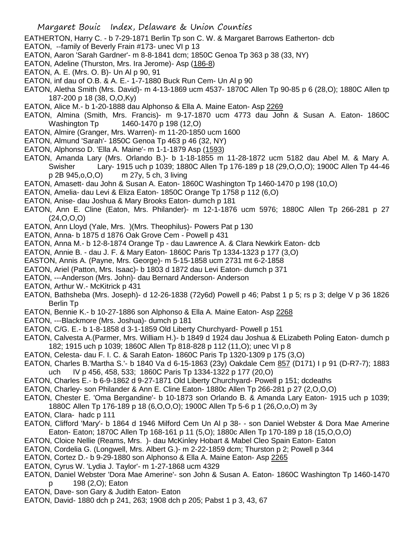- EATHERTON, Harry C. b 7-29-1871 Berlin Tp son C. W. & Margaret Barrows Eatherton- dcb
- EATON, --family of Beverly Frain #173- unec VI p 13
- EATON, Aaron 'Sarah Gardner'- m 8-8-1841 dcm; 1850C Genoa Tp 363 p 38 (33, NY)
- EATON, Adeline (Thurston, Mrs. Ira Jerome)- Asp (186-8)
- EATON, A. E. (Mrs. O. B)- Un Al p 90, 91
- EATON, inf dau of O.B. & A. E.- 1-7-1880 Buck Run Cem- Un Al p 90
- EATON, Aletha Smith (Mrs. David)- m 4-13-1869 ucm 4537- 1870C Allen Tp 90-85 p 6 (28,O); 1880C Allen tp 187-200 p 18 (38, O,O,Ky)
- EATON, Alice M.- b 1-20-1888 dau Alphonso & Ella A. Maine Eaton- Asp 2269
- EATON, Almina (Smith, Mrs. Francis)- m 9-17-1870 ucm 4773 dau John & Susan A. Eaton- 1860C Washington Tp 1460-1470 p 198 (12,0)
- EATON, Almire (Granger, Mrs. Warren)- m 11-20-1850 ucm 1600
- EATON, Almund 'Sarah'- 1850C Genoa Tp 463 p 46 (32, NY)
- EATON, Alphonso D. 'Ella A. Maine'- m 1-1-1879 Asp (1593)
- EATON, Amanda Lary (Mrs. Orlando B.)- b 1-18-1855 m 11-28-1872 ucm 5182 dau Abel M. & Mary A. Swisher Lary- 1915 uch p 1039; 1880C Allen Tp 176-189 p 18 (29,O,O,O); 1900C Allen Tp 44-46 p 2B 945,o,O,O) m 27y, 5 ch, 3 living
- EATON, Amasett- dau John & Susan A. Eaton- 1860C Washington Tp 1460-1470 p 198 (10,O)
- EATON, Amelia- dau Levi & Eliza Eaton- 1850C Orange Tp 1758 p 112 (6,O)
- EATON, Anise- dau Joshua & Mary Brooks Eaton- dumch p 181
- EATON, Ann E. Cline (Eaton, Mrs. Philander)- m 12-1-1876 ucm 5976; 1880C Allen Tp 266-281 p 27 (24,O,O,O)
- EATON, Ann Lloyd (Yale, Mrs. )(Mrs. Theophilus)- Powers Pat p 130
- EATON, Anna- b 1875 d 1876 Oak Grove Cem Powell p 431
- EATON, Anna M.- b 12-8-1874 Orange Tp dau Lawrence A. & Clara Newkirk Eaton- dcb
- EATON, Annie B. dau J. F. & Mary Eaton- 1860C Paris Tp 1334-1323 p 177 (3,O)
- EASTON, Annis A. (Payne, Mrs. George)- m 5-15-1858 ucm 2731 mt 6-2-1858
- EATON, Ariel (Patton, Mrs. Isaac)- b 1803 d 1872 dau Levi Eaton- dumch p 371
- EATON, ---Anderson (Mrs. John)- dau Bernard Anderson- Anderson
- EATON, Arthur W.- McKitrick p 431
- EATON, Bathsheba (Mrs. Joseph)- d 12-26-1838 (72y6d) Powell p 46; Pabst 1 p 5; rs p 3; delge V p 36 1826 Berlin Tp
- EATON, Bennie K.- b 10-27-1886 son Alphonso & Ella A. Maine Eaton- Asp 2268
- EATON, ---Blackmore (Mrs. Joshua)- dumch p 181
- EATON, C/G. E.- b 1-8-1858 d 3-1-1859 Old Liberty Churchyard- Powell p 151
- EATON, Calvesta A.(Parmer, Mrs. William H.)- b 1849 d 1924 dau Joshua & ELizabeth Poling Eaton- dumch p 182; 1915 uch p 1039; 1860C Allen Tp 818-828 p 112 (11,O); unec VI p 8
- EATON, Celesta- dau F. I. C. & Sarah Eaton- 1860C Paris Tp 1320-1309 p 175 (3,O)
- EATON, Charles B.'Martha S.'- b 1840 Va d 6-15-1863 (23y) Oakdale Cem 857 (D171) I p 91 (D-R7-7); 1883 uch IV p 456, 458, 533; 1860C Paris Tp 1334-1322 p 177 (20,O)
- EATON, Charles E.- b 6-9-1862 d 9-27-1871 Old Liberty Churchyard- Powell p 151; dcdeaths
- EATON, Charley- son Philander & Ann E. Cline Eaton- 1880c Allen Tp 266-281 p 27 (2,O,O,O)
- EATON, Chester E. 'Oma Bergandine'- b 10-1873 son Orlando B. & Amanda Lary Eaton- 1915 uch p 1039;
- 1880C Allen Tp 176-189 p 18 (6,O,O,O); 1900C Allen Tp 5-6 p 1 (26,O,o,O) m 3y
- EATON, Clara- hadc p 111
- EATON, Clifford 'Mary'- b 1864 d 1946 Milford Cem Un Al p 38- son Daniel Webster & Dora Mae Amerine Eaton- Eaton; 1870C Allen Tp 168-161 p 11 (5,O); 1880c Allen Tp 170-189 p 18 (15,O,O,O)
- EATON, Cloice Nellie (Reams, Mrs. )- dau McKinley Hobart & Mabel Cleo Spain Eaton- Eaton
- EATON, Cordelia G. (Longwell, Mrs. Albert G.)- m 2-22-1859 dcm; Thurston p 2; Powell p 344
- EATON, Cortez D.- b 9-29-1880 son Alphonso & Ella A. Maine Eaton- Asp 2265
- EATON, Cyrus W. 'Lydia J. Taylor'- m 1-27-1868 ucm 4329
- EATON, Daniel Webster 'Dora Mae Amerine'- son John & Susan A. Eaton- 1860C Washington Tp 1460-1470 p 198 (2,O); Eaton
- EATON, Dave- son Gary & Judith Eaton- Eaton
- EATON, David- 1880 dch p 241, 263; 1908 dch p 205; Pabst 1 p 3, 43, 67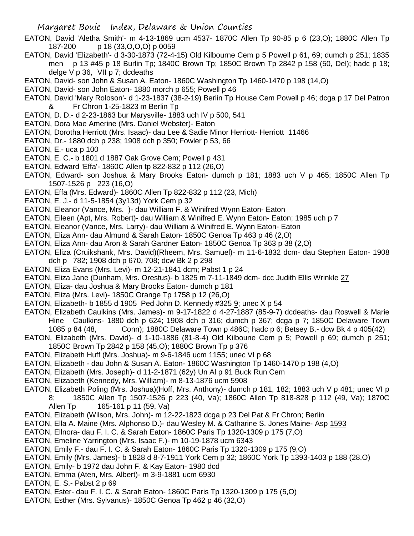- EATON, David 'Aletha Smith'- m 4-13-1869 ucm 4537- 1870C Allen Tp 90-85 p 6 (23,O); 1880C Allen Tp 187-200 p 18 (33,O,O,O) p 0059
- EATON, David 'Elizabeth'- d 3-30-1873 (72-4-15) Old Kilbourne Cem p 5 Powell p 61, 69; dumch p 251; 1835 men p 13 #45 p 18 Burlin Tp; 1840C Brown Tp; 1850C Brown Tp 2842 p 158 (50, Del); hadc p 18; delge V p 36, VII p 7; dcdeaths
- EATON, David- son John & Susan A. Eaton- 1860C Washington Tp 1460-1470 p 198 (14,O)
- EATON, David- son John Eaton- 1880 morch p 655; Powell p 46
- EATON, David 'Mary Roloson'- d 1-23-1837 (38-2-19) Berlin Tp House Cem Powell p 46; dcga p 17 Del Patron
	- & Fr Chron 1-25-1823 m Berlin Tp
- EATON, D. D.- d 2-23-1863 bur Marysville- 1883 uch IV p 500, 541
- EATON, Dora Mae Amerine (Mrs. Daniel Webster)- Eaton
- EATON, Dorotha Herriott (Mrs. Isaac)- dau Lee & Sadie Minor Herriott- Herriott 11466
- EATON, Dr.- 1880 dch p 238; 1908 dch p 350; Fowler p 53, 66
- EATON, E.- uca p 100
- EATON, E. C.- b 1801 d 1887 Oak Grove Cem; Powell p 431
- EATON, Edward 'Effa'- 1860C Allen tp 822-832 p 112 (26,O)
- EATON, Edward- son Joshua & Mary Brooks Eaton- dumch p 181; 1883 uch V p 465; 1850C Allen Tp 1507-1526 p 223 (16,O)
- EATON, Effa (Mrs. Edward)- 1860C Allen Tp 822-832 p 112 (23, Mich)
- EATON, E. J.- d 11-5-1854 (3y13d) York Cem p 32
- EATON, Eleanor (Vance, Mrs. )- dau William F. & Winifred Wynn Eaton- Eaton
- EATON, Eileen (Apt, Mrs. Robert)- dau William & Winifred E. Wynn Eaton- Eaton; 1985 uch p 7
- EATON, Eleanor (Vance, Mrs. Larry)- dau William & Winifred E. Wynn Eaton- Eaton
- EATON, Eliza Ann- dau Almund & Sarah Eaton- 1850C Genoa Tp 463 p 46 (2,O)
- EATON, Eliza Ann- dau Aron & Sarah Gardner Eaton- 1850C Genoa Tp 363 p 38 (2,O)
- EATON, Eliza (Cruikshank, Mrs. David)(Rheem, Mrs. Samuel)- m 11-6-1832 dcm- dau Stephen Eaton- 1908 dch p 782; 1908 dch p 670, 708; dcw Bk 2 p 298
- EATON, Eliza Evans (Mrs. Levi)- m 12-21-1841 dcm; Pabst 1 p 24
- EATON, Eliza Jane (Dunham, Mrs. Orestus)- b 1825 m 7-11-1849 dcm- dcc Judith Ellis Wrinkle 27
- EATON, Eliza- dau Joshua & Mary Brooks Eaton- dumch p 181
- EATON, Eliza (Mrs. Levi)- 1850C Orange Tp 1758 p 12 (26,O)
- EATON, Elizabeth- b 1855 d 1905 Ped John D. Kennedy #325 9; unec X p 54
- EATON, Elizabeth Caulkins (Mrs. James)- m 9-17-1822 d 4-27-1887 (85-9-7) dcdeaths- dau Roswell & Marie Hine Caulkins- 1880 dch p 624; 1908 dch p 316; dumch p 367; dcga p 7; 1850C Delaware Town 1085 p 84 (48, Conn); 1880C Delaware Town p 486C; hadc p 6; Betsey B.- dcw Bk 4 p 405(42)
- EATON, Elizabeth (Mrs. David)- d 1-10-1886 (81-8-4) Old Kilboune Cem p 5; Powell p 69; dumch p 251; 1850C Brown Tp 2842 p 158 (45,O); 1880C Brown Tp p 376
- EATON, Elizabeth Huff (Mrs. Joshua)- m 9-6-1846 ucm 1155; unec VI p 68
- EATON, Elizabeth dau John & Susan A. Eaton- 1860C Washington Tp 1460-1470 p 198 (4,O)
- EATON, Elizabeth (Mrs. Joseph)- d 11-2-1871 (62y) Un Al p 91 Buck Run Cem
- EATON, Elizabeth (Kennedy, Mrs. William)- m 8-13-1876 ucm 5908
- EATON, Elizabeth Poling (Mrs. Joshua)(Hoff, Mrs. Anthony)- dumch p 181, 182; 1883 uch V p 481; unec VI p
	- 8; 1850C Allen Tp 1507-1526 p 223 (40, Va); 1860C Allen Tp 818-828 p 112 (49, Va); 1870C Allen Tp 165-161 p 11 (59, Va)
- EATON, Elizabeth (Wilson, Mrs. John)- m 12-22-1823 dcga p 23 Del Pat & Fr Chron; Berlin
- EATON, Ella A. Maine (Mrs. Alphonso D.)- dau Wesley M. & Catharine S. Jones Maine- Asp 1593
- EATON, Ellnora- dau F. I. C. & Sarah Eaton- 1860C Paris Tp 1320-1309 p 175 (7,O)
- EATON, Emeline Yarrington (Mrs. Isaac F.)- m 10-19-1878 ucm 6343
- EATON, Emily F.- dau F. I. C. & Sarah Eaton- 1860C Paris Tp 1320-1309 p 175 (9,O)
- EATON, Emily (Mrs. James)- b 1828 d 8-7-1911 York Cem p 32; 1860C York Tp 1393-1403 p 188 (28,O)
- EATON, Emily- b 1972 dau John F. & Kay Eaton- 1980 dcd
- EATON, Emma (Aten, Mrs. Albert)- m 3-9-1881 ucm 6930
- EATON, E. S.- Pabst 2 p 69
- EATON, Ester- dau F. I. C. & Sarah Eaton- 1860C Paris Tp 1320-1309 p 175 (5,O)
- EATON, Esther (Mrs. Sylvanus)- 1850C Genoa Tp 462 p 46 (32,O)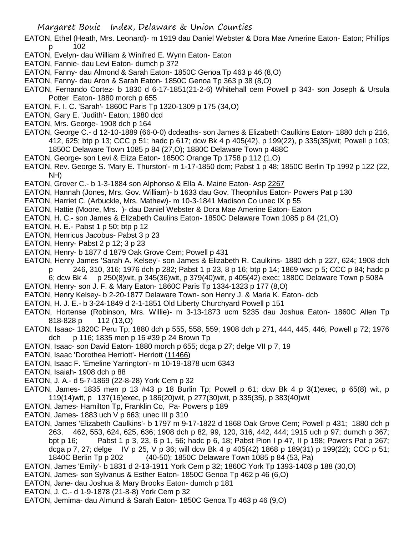- EATON, Ethel (Heath, Mrs. Leonard)- m 1919 dau Daniel Webster & Dora Mae Amerine Eaton- Eaton; Phillips p 102
- EATON, Evelyn- dau William & Winifred E. Wynn Eaton- Eaton
- EATON, Fannie- dau Levi Eaton- dumch p 372
- EATON, Fanny- dau Almond & Sarah Eaton- 1850C Genoa Tp 463 p 46 (8,O)
- EATON, Fanny- dau Aron & Sarah Eaton- 1850C Genoa Tp 363 p 38 (8,O)
- EATON, Fernando Cortez- b 1830 d 6-17-1851(21-2-6) Whitehall cem Powell p 343- son Joseph & Ursula Potter Eaton- 1880 morch p 655
- EATON, F. I. C. 'Sarah'- 1860C Paris Tp 1320-1309 p 175 (34,O)
- EATON, Gary E. 'Judith'- Eaton; 1980 dcd
- EATON, Mrs. George- 1908 dch p 164
- EATON, George C.- d 12-10-1889 (66-0-0) dcdeaths- son James & Elizabeth Caulkins Eaton- 1880 dch p 216, 412, 625; btp p 13; CCC p 51; hadc p 617; dcw Bk 4 p 405(42), p 199(22), p 335(35)wit; Powell p 103; 1850C Delaware Town 1085 p 84 (27,O); 1880C Delaware Town p 488C
- EATON, George- son Levi & Eliza Eaton- 1850C Orange Tp 1758 p 112 (1,O)
- EATON, Rev. George S. 'Mary E. Thurston'- m 1-17-1850 dcm; Pabst 1 p 48; 1850C Berlin Tp 1992 p 122 (22, NH)
- EATON, Grover C.- b 1-3-1884 son Alphonso & Ella A. Maine Eaton- Asp 2267
- EATON, Hannah (Jones, Mrs. Gov. William)- b 1633 dau Gov. Theophilus Eaton- Powers Pat p 130
- EATON, Harriet C. (Arbuckle, Mrs. Mathew)- m 10-3-1841 Madison Co unec IX p 55
- EATON, Hattie (Moore, Mrs. )- dau Daniel Webster & Dora Mae Amerine Eaton- Eaton
- EATON, H. C.- son James & Elizabeth Caulins Eaton- 1850C Delaware Town 1085 p 84 (21,O)
- EATON, H. E.- Pabst 1 p 50; btp p 12
- EATON, Henricus Jacobus- Pabst 3 p 23
- EATON, Henry- Pabst 2 p 12; 3 p 23
- EATON, Henry- b 1877 d 1879 Oak Grove Cem; Powell p 431
- EATON, Henry James 'Sarah A. Kelsey'- son James & Elizabeth R. Caulkins- 1880 dch p 227, 624; 1908 dch p 246, 310, 316; 1976 dch p 282; Pabst 1 p 23, 8 p 16; btp p 14; 1869 wsc p 5; CCC p 84; hadc p
	- 6; dcw Bk 4 p 250(8)wit, p 345(36)wit, p 379(40)wit, p 405(42) exec; 1880C Delaware Town p 508A
- EATON, Henry- son J. F. & Mary Eaton- 1860C Paris Tp 1334-1323 p 177 (8,O)
- EATON, Henry Kelsey- b 2-20-1877 Delaware Town- son Henry J. & Maria K. Eaton- dcb
- EATON, H. J. E.- b 3-24-1849 d 2-1-1851 Old Liberty Churchyard Powell p 151
- EATON, Hortense (Robinson, Mrs. Willie)- m 3-13-1873 ucm 5235 dau Joshua Eaton- 1860C Allen Tp 818-828 p 112 (13,O)
- EATON, Isaac- 1820C Peru Tp; 1880 dch p 555, 558, 559; 1908 dch p 271, 444, 445, 446; Powell p 72; 1976 dch p 116; 1835 men p 16 #39 p 24 Brown Tp
- EATON, Isaac- son David Eaton- 1880 morch p 655; dcga p 27; delge VII p 7, 19
- EATON, Isaac 'Dorothea Herriott'- Herriott (11466)
- EATON, Isaac F. 'Emeline Yarrington'- m 10-19-1878 ucm 6343
- EATON, Isaiah- 1908 dch p 88
- EATON, J. A.- d 5-7-1869 (22-8-28) York Cem p 32
- EATON, James- 1835 men p 13 #43 p 18 Burlin Tp; Powell p 61; dcw Bk 4 p 3(1)exec, p 65(8) wit, p 119(14)wit, p 137(16)exec, p 186(20)wit, p 277(30)wit, p 335(35), p 383(40)wit
- EATON, James- Hamilton Tp, Franklin Co, Pa- Powers p 189
- EATON, James- 1883 uch V p 663; unec III p 310
- EATON, James 'Elizabeth Caulkins'- b 1797 m 9-17-1822 d 1868 Oak Grove Cem; Powell p 431; 1880 dch p 263, 462, 553, 624, 625, 636; 1908 dch p 82, 99, 120, 316, 442, 444; 1915 uch p 97; dumch p 367; bpt p 16; Pabst 1 p 3, 23, 6 p 1, 56; hadc p 6, 18; Pabst Pion I p 47, II p 198; Powers Pat p 267; dcga p 7, 27; delge IV p 25, V p 36; will dcw Bk 4 p 405(42) 1868 p 189(31) p 199(22); CCC p 51; 1840C Berlin Tp p 202 (40-50); 1850C Delaware Town 1085 p 84 (53, Pa)
- EATON, James 'Emily'- b 1831 d 2-13-1911 York Cem p 32; 1860C York Tp 1393-1403 p 188 (30,O)
- EATON, James- son Sylvanus & Esther Eaton- 1850C Genoa Tp 462 p 46 (6,O)
- EATON, Jane- dau Joshua & Mary Brooks Eaton- dumch p 181
- EATON, J. C.- d 1-9-1878 (21-8-8) York Cem p 32
- EATON, Jemima- dau Almund & Sarah Eaton- 1850C Genoa Tp 463 p 46 (9,O)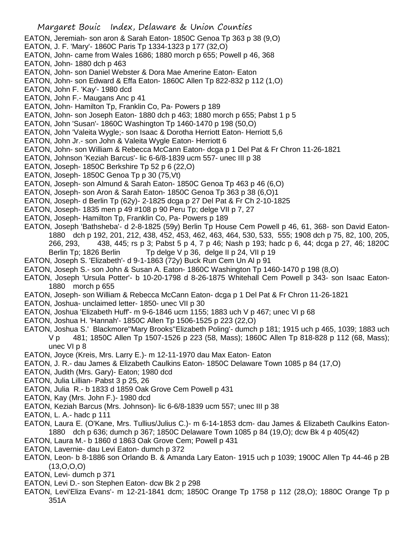- Margaret Bouic Index, Delaware & Union Counties EATON, Jeremiah- son aron & Sarah Eaton- 1850C Genoa Tp 363 p 38 (9.O) EATON, J. F. 'Mary'- 1860C Paris Tp 1334-1323 p 177 (32,O) EATON, John- came from Wales 1686; 1880 morch p 655; Powell p 46, 368 EATON, John- 1880 dch p 463 EATON, John- son Daniel Webster & Dora Mae Amerine Eaton- Eaton EATON, John- son Edward & Effa Eaton- 1860C Allen Tp 822-832 p 112 (1,O) EATON, John F. 'Kay'- 1980 dcd EATON, John F.- Maugans Anc p 41 EATON, John- Hamilton Tp, Franklin Co, Pa- Powers p 189 EATON, John- son Joseph Eaton- 1880 dch p 463; 1880 morch p 655; Pabst 1 p 5 EATON, John 'Susan'- 1860C Washington Tp 1460-1470 p 198 (50,O) EATON, John 'Valeita Wygle;- son Isaac & Dorotha Herriott Eaton- Herriott 5,6 EATON, John Jr.- son John & Valeita Wygle Eaton- Herriott 6 EATON, John- son William & Rebecca McCann Eaton- dcga p 1 Del Pat & Fr Chron 11-26-1821 EATON, Johnson 'Keziah Barcus'- lic 6-6/8-1839 ucm 557- unec III p 38 EATON, Joseph- 1850C Berkshire Tp 52 p 6 (22,O) EATON, Joseph- 1850C Genoa Tp p 30 (75,Vt) EATON, Joseph- son Almund & Sarah Eaton- 1850C Genoa Tp 463 p 46 (6,O) EATON, Joseph- son Aron & Sarah Eaton- 1850C Genoa Tp 363 p 38 (6,O)1 EATON, Joseph- d Berlin Tp (62y)- 2-1825 dcga p 27 Del Pat & Fr Ch 2-10-1825 EATON, Joseph- 1835 men p 49 #108 p 90 Peru Tp; delge VII p 7, 27 EATON, Joseph- Hamilton Tp, Franklin Co, Pa- Powers p 189 EATON, Joseph 'Bathsheba'- d 2-8-1825 (59y) Berlin Tp House Cem Powell p 46, 61, 368- son David Eaton-1880 dch p 192, 201, 212, 438, 452, 453, 462, 463, 464, 530, 533, 555; 1908 dch p 75, 82, 100, 205, 266, 293, 438, 445; rs p 3; Pabst 5 p 4, 7 p 46; Nash p 193; hadc p 6, 44; dcga p 27, 46; 1820C Berlin Tp; 1826 Berlin Tp delge V p 36, delge II p 24, VII p 19 EATON, Joseph S. 'Elizabeth'- d 9-1-1863 (72y) Buck Run Cem Un Al p 91 EATON, Joseph S.- son John & Susan A. Eaton- 1860C Washington Tp 1460-1470 p 198 (8,O) EATON, Joseph 'Ursula Potter'- b 10-20-1798 d 8-26-1875 Whitehall Cem Powell p 343- son Isaac Eaton-1880 morch p 655 EATON, Joseph- son William & Rebecca McCann Eaton- dcga p 1 Del Pat & Fr Chron 11-26-1821 EATON, Joshua- unclaimed letter- 1850- unec VII p 30 EATON, Joshua 'Elizabeth Huff'- m 9-6-1846 ucm 1155; 1883 uch V p 467; unec VI p 68 EATON, Joshua H. 'Hannah'- 1850C Allen Tp 1506-1525 p 223 (22,O) EATON, Joshua S.' Blackmore''Mary Brooks''Elizabeth Poling'- dumch p 181; 1915 uch p 465, 1039; 1883 uch
	- V p 481; 1850C Allen Tp 1507-1526 p 223 (58, Mass); 1860C Allen Tp 818-828 p 112 (68, Mass); unec VI p 8
	- EATON, Joyce (Kreis, Mrs. Larry E.)- m 12-11-1970 dau Max Eaton- Eaton
- EATON, J. R.- dau James & Elizabeth Caulkins Eaton- 1850C Delaware Town 1085 p 84 (17,O)
- EATON, Judith (Mrs. Gary)- Eaton; 1980 dcd
- EATON, Julia Lillian- Pabst 3 p 25, 26
- EATON, Julia R.- b 1833 d 1859 Oak Grove Cem Powell p 431
- EATON, Kay (Mrs. John F.)- 1980 dcd
- EATON, Keziah Barcus (Mrs. Johnson)- lic 6-6/8-1839 ucm 557; unec III p 38
- EATON, L. A.- hadc p 111
- EATON, Laura E. (O'Kane, Mrs. Tullius/Julius C.)- m 6-14-1853 dcm- dau James & Elizabeth Caulkins Eaton-1880 dch p 636; dumch p 367; 1850C Delaware Town 1085 p 84 (19,O); dcw Bk 4 p 405(42)
- EATON, Laura M.- b 1860 d 1863 Oak Grove Cem; Powell p 431
- EATON, Lavernie- dau Levi Eaton- dumch p 372
- EATON, Leon- b 8-1886 son Orlando B. & Amanda Lary Eaton- 1915 uch p 1039; 1900C Allen Tp 44-46 p 2B  $(13,0,0,0)$
- EATON, Levi- dumch p 371
- EATON, Levi D.- son Stephen Eaton- dcw Bk 2 p 298
- EATON, Levi'Eliza Evans'- m 12-21-1841 dcm; 1850C Orange Tp 1758 p 112 (28,O); 1880C Orange Tp p 351A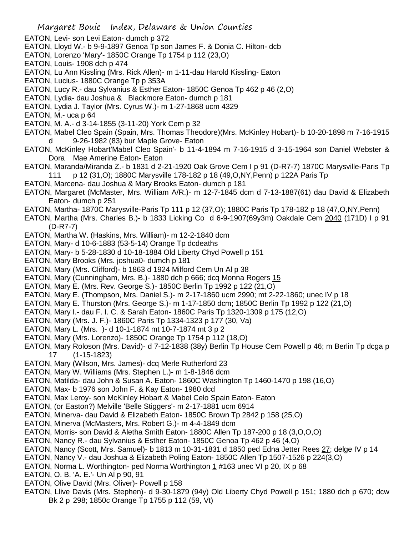- EATON, Levi- son Levi Eaton- dumch p 372
- EATON, Lloyd W.- b 9-9-1897 Genoa Tp son James F. & Donia C. Hilton- dcb
- EATON, Lorenzo 'Mary'- 1850C Orange Tp 1754 p 112 (23,O)
- EATON, Louis- 1908 dch p 474
- EATON, Lu Ann Kissling (Mrs. Rick Allen)- m 1-11-dau Harold Kissling- Eaton
- EATON, Lucius- 1880C Orange Tp p 353A
- EATON, Lucy R.- dau Sylvanius & Esther Eaton- 1850C Genoa Tp 462 p 46 (2,O)
- EATON, Lydia- dau Joshua & Blackmore Eaton- dumch p 181
- EATON, Lydia J. Taylor (Mrs. Cyrus W.)- m 1-27-1868 ucm 4329
- EATON, M.- uca p 64
- EATON, M. A.- d 3-14-1855 (3-11-20) York Cem p 32
- EATON, Mabel Cleo Spain (Spain, Mrs. Thomas Theodore)(Mrs. McKinley Hobart)- b 10-20-1898 m 7-16-1915 d 9-26-1982 (83) bur Maple Grove- Eaton
- EATON, McKinley Hobart'Mabel Cleo Spain'- b 11-4-1894 m 7-16-1915 d 3-15-1964 son Daniel Webster & Dora Mae Amerine Eaton- Eaton
- EATON, Maranda/Miranda Z.- b 1831 d 2-21-1920 Oak Grove Cem I p 91 (D-R7-7) 1870C Marysville-Paris Tp 111 p 12 (31,O); 1880C Marysville 178-182 p 18 (49,O,NY,Penn) p 122A Paris Tp
- EATON, Marcena- dau Joshua & Mary Brooks Eaton- dumch p 181
- EATON, Margaret (McMaster, Mrs. William A/R.)- m 12-7-1845 dcm d 7-13-1887(61) dau David & Elizabeth Eaton- dumch p 251
- EATON, Martha- 1870C Marysville-Paris Tp 111 p 12 (37,O); 1880C Paris Tp 178-182 p 18 (47,O,NY,Penn)
- EATON, Martha (Mrs. Charles B.)- b 1833 Licking Co d 6-9-1907(69y3m) Oakdale Cem 2040 (171D) I p 91 (D-R7-7)
- EATON, Martha W. (Haskins, Mrs. William)- m 12-2-1840 dcm
- EATON, Mary- d 10-6-1883 (53-5-14) Orange Tp dcdeaths
- EATON, Mary- b 5-28-1830 d 10-18-1884 Old Liberty Chyd Powell p 151
- EATON, Mary Brooks (Mrs. joshua0- dumch p 181
- EATON, Mary (Mrs. Clifford)- b 1863 d 1924 Milford Cem Un Al p 38
- EATON, Mary (Cunningham, Mrs. B.)- 1880 dch p 666; dcq Monna Rogers 15
- EATON, Mary E. (Mrs. Rev. George S.)- 1850C Berlin Tp 1992 p 122 (21,O)
- EATON, Mary E. (Thompson, Mrs. Daniel S.)- m 2-17-1860 ucm 2990; mt 2-22-1860; unec IV p 18
- EATON, Mary E. Thurston (Mrs. George S.)- m 1-17-1850 dcm; 1850C Berlin Tp 1992 p 122 (21,O)
- EATON, Mary I.- dau F. I. C. & Sarah Eaton- 1860C Paris Tp 1320-1309 p 175 (12,O)
- EATON, Mary (Mrs. J. F.)- 1860C Paris Tp 1334-1323 p 177 (30, Va)
- EATON, Mary L. (Mrs. )- d 10-1-1874 mt 10-7-1874 mt 3 p 2
- EATON, Mary (Mrs. Lorenzo)- 1850C Orange Tp 1754 p 112 (18,O)
- EATON, Mary Roloson (Mrs. David)- d 7-12-1838 (38y) Berlin Tp House Cem Powell p 46; m Berlin Tp dcga p 17 (1-15-1823)
- EATON, Mary (Wilson, Mrs. James)- dcq Merle Rutherford 23
- EATON, Mary W. Williams (Mrs. Stephen L.)- m 1-8-1846 dcm
- EATON, Matilda- dau John & Susan A. Eaton- 1860C Washington Tp 1460-1470 p 198 (16,O)
- EATON, Max- b 1976 son John F. & Kay Eaton- 1980 dcd
- EATON, Max Leroy- son McKinley Hobart & Mabel Celo Spain Eaton- Eaton
- EATON, (or Easton?) Melville 'Belle Stiggers'- m 2-17-1881 ucm 6914
- EATON, Minerva- dau David & Elizabeth Eaton- 1850C Brown Tp 2842 p 158 (25,O)
- EATON, Minerva (McMasters, Mrs. Robert G.)- m 4-4-1849 dcm
- EATON, Morris- son David & Aletha Smith Eaton- 1880C Allen Tp 187-200 p 18 (3,O,O,O)
- EATON, Nancy R.- dau Sylvanius & Esther Eaton- 1850C Genoa Tp 462 p 46 (4,O)
- EATON, Nancy (Scott, Mrs. Samuel)- b 1813 m 10-31-1831 d 1850 ped Edna Jetter Rees 27; delge IV p 14
- EATON, Nancy V.- dau Joshua & Elizabeth Poling Eaton- 1850C Allen Tp 1507-1526 p 224(3,O)
- EATON, Norma L. Worthington- ped Norma Worthington 1 #163 unec VI p 20, IX p 68
- EATON, O. B. 'A. E.'- Un Al p 90, 91
- EATON, Olive David (Mrs. Oliver)- Powell p 158
- EATON, Llive Davis (Mrs. Stephen)- d 9-30-1879 (94y) Old Liberty Chyd Powell p 151; 1880 dch p 670; dcw Bk 2 p 298; 1850c Orange Tp 1755 p 112 (59, Vt)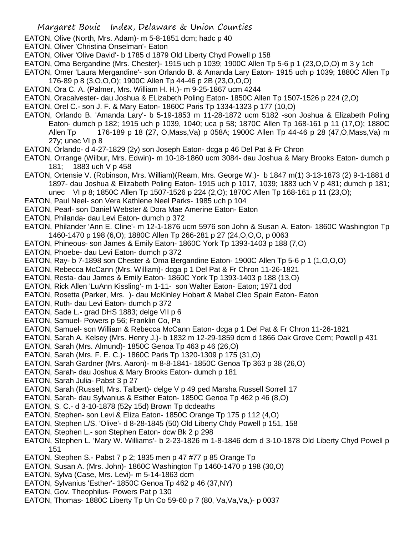- EATON, Olive (North, Mrs. Adam)- m 5-8-1851 dcm; hadc p 40
- EATON, Oliver 'Christina Onselman'- Eaton
- EATON, Oliver 'Olive David'- b 1785 d 1879 Old Liberty Chyd Powell p 158
- EATON, Oma Bergandine (Mrs. Chester)- 1915 uch p 1039; 1900C Allen Tp 5-6 p 1 (23,O,O,O) m 3 y 1ch
- EATON, Omer 'Laura Mergandine'- son Orlando B. & Amanda Lary Eaton- 1915 uch p 1039; 1880C Allen Tp 176-89 p 8 (3,O,O,O); 1900C Allen Tp 44-46 p 2B (23,O,O,O)
- EATON, Ora C. A. (Palmer, Mrs. William H. H.)- m 9-25-1867 ucm 4244
- EATON, Oracalvester- dau Joshua & ELizabeth Poling Eaton- 1850C Allen Tp 1507-1526 p 224 (2,O)
- EATON, Orel C.- son J. F. & Mary Eaton- 1860C Paris Tp 1334-1323 p 177 (10,O)
- EATON, Orlando B. 'Amanda Lary'- b 5-19-1853 m 11-28-1872 ucm 5182 -son Joshua & Elizabeth Poling Eaton- dumch p 182; 1915 uch p 1039, 1040; uca p 58; 1870C Allen Tp 168-161 p 11 (17,O); 1880C Allen Tp 176-189 p 18 (27, O,Mass,Va) p 058A; 1900C Allen Tp 44-46 p 28 (47,O,Mass,Va) m 27y; unec VI p 8
- EATON, Orlando- d 4-27-1829 (2y) son Joseph Eaton- dcga p 46 Del Pat & Fr Chron
- EATON, Orrange (Wilbur, Mrs. Edwin)- m 10-18-1860 ucm 3084- dau Joshua & Mary Brooks Eaton- dumch p 181; 1883 uch V p 458
- EATON, Ortensie V. (Robinson, Mrs. William)(Ream, Mrs. George W.)- b 1847 m(1) 3-13-1873 (2) 9-1-1881 d 1897- dau Joshua & Elizabeth Poling Eaton- 1915 uch p 1017, 1039; 1883 uch V p 481; dumch p 181; unec VI p 8; 1850C Allen Tp 1507-1526 p 224 (2,O); 1870C Allen Tp 168-161 p 11 (23,O);
- EATON, Paul Neel- son Vera Kathlene Neel Parks- 1985 uch p 104
- EATON, Pearl- son Daniel Webster & Dora Mae Amerine Eaton- Eaton
- EATON, Philanda- dau Levi Eaton- dumch p 372
- EATON, Philander 'Ann E. Cline'- m 12-1-1876 ucm 5976 son John & Susan A. Eaton- 1860C Washington Tp 1460-1470 p 198 (6,O); 1880C Allen Tp 266-281 p 27 (24,O,O,O, p 0063
- EATON, Phineous- son James & Emily Eaton- 1860C York Tp 1393-1403 p 188 (7,O)
- EATON, Phoebe- dau Levi Eaton- dumch p 372
- EATON, Ray- b 7-1898 son Chester & Oma Bergandine Eaton- 1900C Allen Tp 5-6 p 1 (1,O,O,O)
- EATON, Rebecca McCann (Mrs. William)- dcga p 1 Del Pat & Fr Chron 11-26-1821
- EATON, Resta- dau James & Emily Eaton- 1860C York Tp 1393-1403 p 188 (13,O)
- EATON, Rick Allen 'LuAnn Kissling'- m 1-11- son Walter Eaton- Eaton; 1971 dcd
- EATON, Rosetta (Parker, Mrs. )- dau McKinley Hobart & Mabel Cleo Spain Eaton- Eaton
- EATON, Ruth- dau Levi Eaton- dumch p 372
- EATON, Sade L.- grad DHS 1883; delge VII p 6
- EATON, Samuel- Powers p 56; Franklin Co, Pa
- EATON, Samuel- son William & Rebecca McCann Eaton- dcga p 1 Del Pat & Fr Chron 11-26-1821
- EATON, Sarah A. Kelsey (Mrs. Henry J.)- b 1832 m 12-29-1859 dcm d 1866 Oak Grove Cem; Powell p 431
- EATON, Sarah (Mrs. Almund)- 1850C Genoa Tp 463 p 46 (26,O)
- EATON, Sarah (Mrs. F. E. C.)- 1860C Paris Tp 1320-1309 p 175 (31,O)
- EATON, Sarah Gardner (Mrs. Aaron)- m 8-8-1841- 1850C Genoa Tp 363 p 38 (26,O)
- EATON, Sarah- dau Joshua & Mary Brooks Eaton- dumch p 181
- EATON, Sarah Julia- Pabst 3 p 27
- EATON, Sarah (Russell, Mrs. Talbert)- delge V p 49 ped Marsha Russell Sorrell 17
- EATON, Sarah- dau Sylvanius & Esther Eaton- 1850C Genoa Tp 462 p 46 (8,O)
- EATON, S. C.- d 3-10-1878 (52y 15d) Brown Tp dcdeaths
- EATON, Stephen- son Levi & Eliza Eaton- 1850C Orange Tp 175 p 112 (4,O)
- EATON, Stephen L/S. 'Olive'- d 8-28-1845 (50) Old Liberty Chdy Powell p 151, 158
- EATON, Stephen L.- son Stephen Eaton- dcw Bk 2 p 298
- EATON, Stephen L. 'Mary W. Williams'- b 2-23-1826 m 1-8-1846 dcm d 3-10-1878 Old Liberty Chyd Powell p 151
- EATON, Stephen S.- Pabst 7 p 2; 1835 men p 47 #77 p 85 Orange Tp
- EATON, Susan A. (Mrs. John)- 1860C Washington Tp 1460-1470 p 198 (30,O)
- EATON, Sylva (Case, Mrs. Levi)- m 5-14-1863 dcm
- EATON, Sylvanius 'Esther'- 1850C Genoa Tp 462 p 46 (37,NY)
- EATON, Gov. Theophilus- Powers Pat p 130
- EATON, Thomas- 1880C Liberty Tp Un Co 59-60 p 7 (80, Va, Va, Va, )- p 0037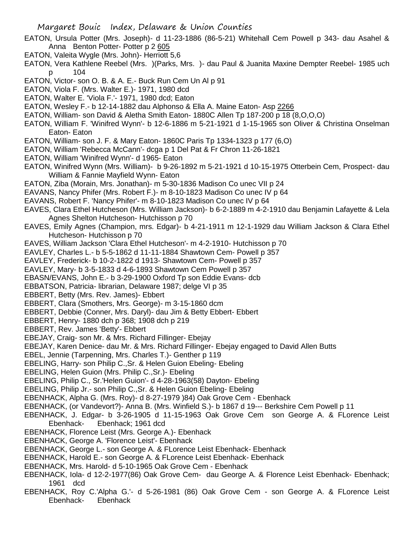- EATON, Ursula Potter (Mrs. Joseph)- d 11-23-1886 (86-5-21) Whitehall Cem Powell p 343- dau Asahel & Anna Benton Potter- Potter p 2 605
- EATON, Valeita Wygle (Mrs. John)- Herriott 5,6
- EATON, Vera Kathlene Reebel (Mrs. )(Parks, Mrs. )- dau Paul & Juanita Maxine Dempter Reebel- 1985 uch p 104
- EATON, Victor- son O. B. & A. E.- Buck Run Cem Un Al p 91
- EATON, Viola F. (Mrs. Walter E.)- 1971, 1980 dcd
- EATON, Walter E. 'Viola F.'- 1971, 1980 dcd; Eaton
- EATON, Wesley F.- b 12-14-1882 dau Alphonso & Ella A. Maine Eaton- Asp 2266
- EATON, William- son David & Aletha Smith Eaton- 1880C Allen Tp 187-200 p 18 (8,O,O,O)
- EATON, William F. 'Winifred Wynn'- b 12-6-1886 m 5-21-1921 d 1-15-1965 son Oliver & Christina Onselman Eaton- Eaton
- EATON, William- son J. F. & Mary Eaton- 1860C Paris Tp 1334-1323 p 177 (6,O)
- EATON, William 'Rebecca McCann'- dcga p 1 Del Pat & Fr Chron 11-26-1821
- EATON, William 'Winifred Wynn'- d 1965- Eaton
- EATON, Winifred Wynn (Mrs. William)- b 9-26-1892 m 5-21-1921 d 10-15-1975 Otterbein Cem, Prospect- dau William & Fannie Mayfield Wynn- Eaton
- EATON, Ziba (Morain, Mrs. Jonathan)- m 5-30-1836 Madison Co unec VII p 24
- EAVANS, Nancy Phifer (Mrs. Robert F.)- m 8-10-1823 Madison Co unec IV p 64
- EAVANS, Robert F. 'Nancy Phifer'- m 8-10-1823 Madison Co unec IV p 64
- EAVES, Clara Ethel Hutcheson (Mrs. William Jackson)- b 6-2-1889 m 4-2-1910 dau Benjamin Lafayette & Lela Agnes Shelton Hutcheson- Hutchisson p 70
- EAVES, Emily Agnes (Champion, mrs. Edgar)- b 4-21-1911 m 12-1-1929 dau William Jackson & Clara Ethel Hutcheson- Hutchisson p 70
- EAVES, William Jackson 'Clara Ethel Hutcheson'- m 4-2-1910- Hutchisson p 70
- EAVLEY, Charles L.- b 5-5-1862 d 11-11-1884 Shawtown Cem- Powell p 357
- EAVLEY, Frederick- b 10-2-1822 d 1913- Shawtown Cem- Powell p 357
- EAVLEY, Mary- b 3-5-1833 d 4-6-1893 Shawtown Cem Powell p 357
- EBASN/EVANS, John E.- b 3-29-1900 Oxford Tp son Eddie Evans- dcb
- EBBATSON, Patricia- librarian, Delaware 1987; delge VI p 35
- EBBERT, Betty (Mrs. Rev. James)- Ebbert
- EBBERT, Clara (Smothers, Mrs. George)- m 3-15-1860 dcm
- EBBERT, Debbie (Conner, Mrs. Daryl)- dau Jim & Betty Ebbert- Ebbert
- EBBERT, Henry- 1880 dch p 368; 1908 dch p 219
- EBBERT, Rev. James 'Betty'- Ebbert
- EBEJAY, Craig- son Mr. & Mrs. Richard Fillinger- Ebejay
- EBEJAY, Karen Denice- dau Mr. & Mrs. Richard Fillinger- Ebejay engaged to David Allen Butts
- EBEL, Jennie (Tarpenning, Mrs. Charles T.)- Genther p 119
- EBELING, Harry- son Philip C.,Sr. & Helen Guion Ebeling- Ebeling
- EBELING, Helen Guion (Mrs. Philip C.,Sr.)- Ebeling
- EBELING, Philip C., Sr.'Helen Guion'- d 4-28-1963(58) Dayton- Ebeling
- EBELING, Philip Jr.- son Philip C.,Sr. & Helen Guion Ebeling- Ebeling
- EBENHACK, Alpha G. (Mrs. Roy)- d 8-27-1979 )84) Oak Grove Cem Ebenhack
- EBENHACK, (or Vandevort?)- Anna B. (Mrs. Winfield S.)- b 1867 d 19--- Berkshire Cem Powell p 11
- EBENHACK, J. Edgar- b 3-26-1905 d 11-15-1963 Oak Grove Cem son George A. & FLorence Leist Ebenhack- Ebenhack; 1961 dcd
- EBENHACK, Florence Leist (Mrs. George A.)- Ebenhack
- EBENHACK, George A. 'Florence Leist'- Ebenhack
- EBENHACK, George L.- son George A. & FLorence Leist Ebenhack- Ebenhack
- EBENHACK, Harold E.- son George A. & FLorence Leist Ebenhack- Ebenhack
- EBENHACK, Mrs. Harold- d 5-10-1965 Oak Grove Cem Ebenhack
- EBENHACK, Iola- d 12-2-1977(86) Oak Grove Cem- dau George A. & Florence Leist Ebenhack- Ebenhack; 1961 dcd
- EBENHACK, Roy C.'Alpha G.'- d 5-26-1981 (86) Oak Grove Cem son George A. & FLorence Leist Ebenhack- Ebenhack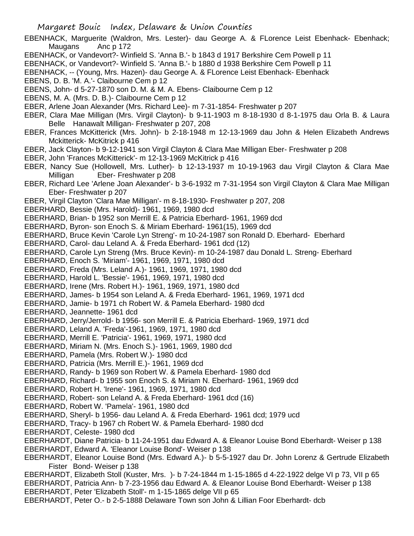- EBENHACK, Marguerite (Waldron, Mrs. Lester)- dau George A. & FLorence Leist Ebenhack- Ebenhack; Maugans Anc p 172
- EBENHACK, or Vandevort?- Winfield S. 'Anna B.'- b 1843 d 1917 Berkshire Cem Powell p 11
- EBENHACK, or Vandevort?- Winfield S. 'Anna B.'- b 1880 d 1938 Berkshire Cem Powell p 11
- EBENHACK, -- (Young, Mrs. Hazen)- dau George A. & FLorence Leist Ebenhack- Ebenhack
- EBENS, D. B. 'M. A.'- Claibourne Cem p 12
- EBENS, John- d 5-27-1870 son D. M. & M. A. Ebens- Claibourne Cem p 12
- EBENS, M. A. (Mrs. D. B.)- Claibourne Cem p 12
- EBER, Arlene Joan Alexander (Mrs. Richard Lee)- m 7-31-1854- Freshwater p 207
- EBER, Clara Mae Milligan (Mrs. Virgil Clayton)- b 9-11-1903 m 8-18-1930 d 8-1-1975 dau Orla B. & Laura Belle Hanawalt Milligan- Freshwater p 207, 208
- EBER, Frances McKitterick (Mrs. John)- b 2-18-1948 m 12-13-1969 dau John & Helen Elizabeth Andrews Mckitterick- McKitrick p 416
- EBER, Jack Clayton- b 9-12-1941 son Virgil Clayton & Clara Mae Milligan Eber- Freshwater p 208
- EBER, John 'Frances McKitterick'- m 12-13-1969 McKitrick p 416
- EBER, Nancy Sue (Hollowell, Mrs. Luther)- b 12-13-1937 m 10-19-1963 dau Virgil Clayton & Clara Mae Milligan Eber- Freshwater p 208
- EBER, Richard Lee 'Arlene Joan Alexander'- b 3-6-1932 m 7-31-1954 son Virgil Clayton & Clara Mae Milligan Eber- Freshwater p 207
- EBER, Virgil Clayton 'Clara Mae Milligan'- m 8-18-1930- Freshwater p 207, 208
- EBERHARD, Bessie (Mrs. Harold)- 1961, 1969, 1980 dcd
- EBERHARD, Brian- b 1952 son Merrill E. & Patricia Eberhard- 1961, 1969 dcd
- EBERHARD, Byron- son Enoch S. & Miriam Eberhard- 1961(15), 1969 dcd
- EBERHARD, Bruce Kevin 'Carole Lyn Streng'- m 10-24-1987 son Ronald D. Eberhard- Eberhard
- EBERHARD, Carol- dau Leland A. & Freda Eberhard- 1961 dcd (12)
- EBERHARD, Carole Lyn Streng (Mrs. Bruce Kevin)- m 10-24-1987 dau Donald L. Streng- Eberhard
- EBERHARD, Enoch S. 'Miriam'- 1961, 1969, 1971, 1980 dcd
- EBERHARD, Freda (Mrs. Leland A.)- 1961, 1969, 1971, 1980 dcd
- EBERHARD, Harold L. 'Bessie'- 1961, 1969, 1971, 1980 dcd
- EBERHARD, Irene (Mrs. Robert H.)- 1961, 1969, 1971, 1980 dcd
- EBERHARD, James- b 1954 son Leland A. & Freda Eberhard- 1961, 1969, 1971 dcd
- EBERHARD, Jamie- b 1971 ch Robert W. & Pamela Eberhard- 1980 dcd
- EBERHARD, Jeannette- 1961 dcd
- EBERHARD, Jerry/Jerrold- b 1956- son Merrill E. & Patricia Eberhard- 1969, 1971 dcd
- EBERHARD, Leland A. 'Freda'-1961, 1969, 1971, 1980 dcd
- EBERHARD, Merrill E. 'Patricia'- 1961, 1969, 1971, 1980 dcd
- EBERHARD, Miriam N. (Mrs. Enoch S.)- 1961, 1969, 1980 dcd
- EBERHARD, Pamela (Mrs. Robert W.)- 1980 dcd
- EBERHARD, Patricia (Mrs. Merrill E.)- 1961, 1969 dcd
- EBERHARD, Randy- b 1969 son Robert W. & Pamela Eberhard- 1980 dcd
- EBERHARD, Richard- b 1955 son Enoch S. & Miriam N. Eberhard- 1961, 1969 dcd
- EBERHARD, Robert H. 'Irene'- 1961, 1969, 1971, 1980 dcd
- EBERHARD, Robert- son Leland A. & Freda Eberhard- 1961 dcd (16)
- EBERHARD, Robert W. 'Pamela'- 1961, 1980 dcd
- EBERHARD, Sheryl- b 1956- dau Leland A. & Freda Eberhard- 1961 dcd; 1979 ucd
- EBERHARD, Tracy- b 1967 ch Robert W. & Pamela Eberhard- 1980 dcd
- EBERHARDT, Celeste- 1980 dcd
- EBERHARDT, Diane Patricia- b 11-24-1951 dau Edward A. & Eleanor Louise Bond Eberhardt- Weiser p 138
- EBERHARDT, Edward A. 'Eleanor Louise Bond'- Weiser p 138
- EBERHARDT, Eleanor Louise Bond (Mrs. Edward A.)- b 5-5-1927 dau Dr. John Lorenz & Gertrude Elizabeth Fister Bond- Weiser p 138
- EBERHARDT, Elizabeth Stoll (Kuster, Mrs. )- b 7-24-1844 m 1-15-1865 d 4-22-1922 delge VI p 73, VII p 65
- EBERHARDT, Patricia Ann- b 7-23-1956 dau Edward A. & Eleanor Louise Bond Eberhardt- Weiser p 138
- EBERHARDT, Peter 'Elizabeth Stoll'- m 1-15-1865 delge VII p 65
- EBERHARDT, Peter O.- b 2-5-1888 Delaware Town son John & Lillian Foor Eberhardt- dcb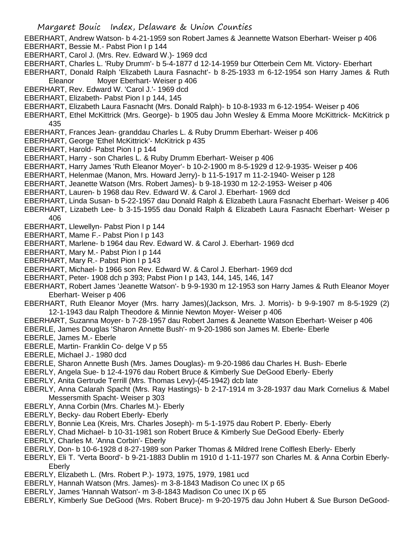- EBERHART, Andrew Watson- b 4-21-1959 son Robert James & Jeannette Watson Eberhart- Weiser p 406 EBERHART, Bessie M.- Pabst Pion I p 144
- EBERHART, Carol J. (Mrs. Rev. Edward W.)- 1969 dcd
- EBERHART, Charles L. 'Ruby Drumm'- b 5-4-1877 d 12-14-1959 bur Otterbein Cem Mt. Victory- Eberhart
- EBERHART, Donald Ralph 'Elizabeth Laura Fasnacht'- b 8-25-1933 m 6-12-1954 son Harry James & Ruth Eleanor Moyer Eberhart- Weiser p 406
- EBERHART, Rev. Edward W. 'Carol J.'- 1969 dcd
- EBERHART, Elizabeth- Pabst Pion I p 144, 145
- EBERHART, Elizabeth Laura Fasnacht (Mrs. Donald Ralph)- b 10-8-1933 m 6-12-1954- Weiser p 406
- EBERHART, Ethel McKittrick (Mrs. George)- b 1905 dau John Wesley & Emma Moore McKittrick- McKitrick p 435
- EBERHART, Frances Jean- granddau Charles L. & Ruby Drumm Eberhart- Weiser p 406
- EBERHART, George 'Ethel McKittrick'- McKitrick p 435
- EBERHART, Harold- Pabst Pion I p 144
- EBERHART, Harry son Charles L. & Ruby Drumm Eberhart- Weiser p 406
- EBERHART, Harry James 'Ruth Eleanor Moyer'- b 10-2-1900 m 8-5-1929 d 12-9-1935- Weiser p 406
- EBERHART, Helenmae (Manon, Mrs. Howard Jerry)- b 11-5-1917 m 11-2-1940- Weiser p 128
- EBERHART, Jeanette Watson (Mrs. Robert James)- b 9-18-1930 m 12-2-1953- Weiser p 406
- EBERHART, Lauren- b 1968 dau Rev. Edward W. & Carol J. Eberhart- 1969 dcd
- EBERHART, Linda Susan- b 5-22-1957 dau Donald Ralph & Elizabeth Laura Fasnacht Eberhart- Weiser p 406
- EBERHART, Lizabeth Lee- b 3-15-1955 dau Donald Ralph & Elizabeth Laura Fasnacht Eberhart- Weiser p 406
- EBERHART, Llewellyn- Pabst Pion I p 144
- EBERHART, Mame F.- Pabst Pion I p 143
- EBERHART, Marlene- b 1964 dau Rev. Edward W. & Carol J. Eberhart- 1969 dcd
- EBERHART, Mary M.- Pabst Pion I p 144
- EBERHART, Mary R.- Pabst Pion I p 143
- EBERHART, Michael- b 1966 son Rev. Edward W. & Carol J. Eberhart- 1969 dcd
- EBERHART, Peter- 1908 dch p 393; Pabst Pion I p 143, 144, 145, 146, 147
- EBERHART, Robert James 'Jeanette Watson'- b 9-9-1930 m 12-1953 son Harry James & Ruth Eleanor Moyer Eberhart- Weiser p 406
- EBERHART, Ruth Eleanor Moyer (Mrs. harry James)(Jackson, Mrs. J. Morris)- b 9-9-1907 m 8-5-1929 (2) 12-1-1943 dau Ralph Theodore & Minnie Newton Moyer- Weiser p 406
- EBERHART, Suzanna Moyer- b 7-28-1957 dau Robert James & Jeanette Watson Eberhart- Weiser p 406
- EBERLE, James Douglas 'Sharon Annette Bush'- m 9-20-1986 son James M. Eberle- Eberle
- EBERLE, James M.- Eberle
- EBERLE, Martin- Franklin Co- delge V p 55
- EBERLE, Michael J.- 1980 dcd
- EBERLE, Sharon Annette Bush (Mrs. James Douglas)- m 9-20-1986 dau Charles H. Bush- Eberle
- EBERLY, Angela Sue- b 12-4-1976 dau Robert Bruce & Kimberly Sue DeGood Eberly- Eberly
- EBERLY, Anita Gertrude Terrill (Mrs. Thomas Levy)-(45-1942) dcb late
- EBERLY, Anna Calarah Spacht (Mrs. Ray Hastings)- b 2-17-1914 m 3-28-1937 dau Mark Cornelius & Mabel Messersmith Spacht- Weiser p 303
- EBERLY, Anna Corbin (Mrs. Charles M.)- Eberly
- EBERLY, Becky- dau Robert Eberly- Eberly
- EBERLY, Bonnie Lea (Kreis, Mrs. Charles Joseph)- m 5-1-1975 dau Robert P. Eberly- Eberly
- EBERLY, Chad Michael- b 10-31-1981 son Robert Bruce & Kimberly Sue DeGood Eberly- Eberly
- EBERLY, Charles M. 'Anna Corbin'- Eberly
- EBERLY, Don- b 10-6-1928 d 8-27-1989 son Parker Thomas & Mildred Irene Colflesh Eberly- Eberly
- EBERLY, Eli T. 'Verta Boord'- b 9-21-1883 Dublin m 1910 d 1-11-1977 son Charles M. & Anna Corbin Eberly-Eberly
- EBERLY, Elizabeth L. (Mrs. Robert P.)- 1973, 1975, 1979, 1981 ucd
- EBERLY, Hannah Watson (Mrs. James)- m 3-8-1843 Madison Co unec IX p 65
- EBERLY, James 'Hannah Watson'- m 3-8-1843 Madison Co unec IX p 65
- EBERLY, Kimberly Sue DeGood (Mrs. Robert Bruce)- m 9-20-1975 dau John Hubert & Sue Burson DeGood-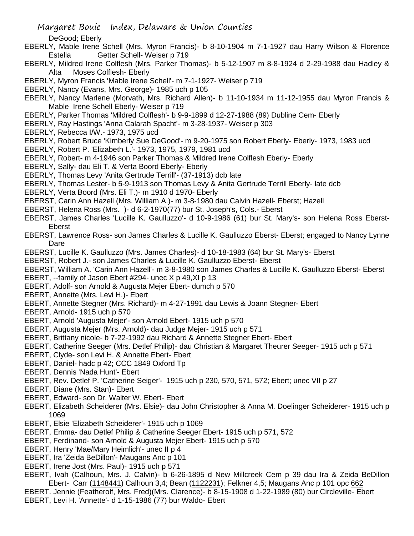- Margaret Bouic Index, Delaware & Union Counties
	- DeGood; Eberly
- EBERLY, Mable Irene Schell (Mrs. Myron Francis)- b 8-10-1904 m 7-1-1927 dau Harry Wilson & Florence Estella Getter Schell- Weiser p 719
- EBERLY, Mildred Irene Colflesh (Mrs. Parker Thomas)- b 5-12-1907 m 8-8-1924 d 2-29-1988 dau Hadley & Alta Moses Colflesh- Eberly
- EBERLY, Myron Francis 'Mable Irene Schell'- m 7-1-1927- Weiser p 719
- EBERLY, Nancy (Evans, Mrs. George)- 1985 uch p 105
- EBERLY, Nancy Marlene (Morvath, Mrs. Richard Allen)- b 11-10-1934 m 11-12-1955 dau Myron Francis & Mable Irene Schell Eberly- Weiser p 719
- EBERLY, Parker Thomas 'Mildred Colflesh'- b 9-9-1899 d 12-27-1988 (89) Dubline Cem- Eberly
- EBERLY, Ray Hastings 'Anna Calarah Spacht'- m 3-28-1937- Weiser p 303
- EBERLY, Rebecca I/W.- 1973, 1975 ucd
- EBERLY, Robert Bruce 'Kimberly Sue DeGood'- m 9-20-1975 son Robert Eberly- Eberly- 1973, 1983 ucd
- EBERLY, Robert P. 'Elizabeth L.'- 1973, 1975, 1979, 1981 ucd
- EBERLY, Robert- m 4-1946 son Parker Thomas & Mildred Irene Colflesh Eberly- Eberly
- EBERLY, Sally- dau Eli T. & Verta Boord Eberly- Eberly
- EBERLY, Thomas Levy 'Anita Gertrude Terrill'- (37-1913) dcb late
- EBERLY, Thomas Lester- b 5-9-1913 son Thomas Levy & Anita Gertrude Terrill Eberly- late dcb
- EBERLY, Verta Boord (Mrs. Eli T.)- m 1910 d 1970- Eberly
- EBERST, Carin Ann Hazell (Mrs. William A.)- m 3-8-1980 dau Calvin Hazell- Eberst; Hazell
- EBERST, Helena Ross (Mrs. )- d 6-2-1970(77) bur St. Joseph's, Cols.- Eberst
- EBERST, James Charles 'Lucille K. Gaulluzzo'- d 10-9-1986 (61) bur St. Mary's- son Helena Ross Eberst-Eberst
- EBERST, Lawrence Ross- son James Charles & Lucille K. Gaulluzzo Eberst- Eberst; engaged to Nancy Lynne **Dare**
- EBERST, Lucille K. Gaulluzzo (Mrs. James Charles)- d 10-18-1983 (64) bur St. Mary's- Eberst
- EBERST, Robert J.- son James Charles & Lucille K. Gaulluzzo Eberst- Eberst
- EBERST, William A. 'Carin Ann Hazell'- m 3-8-1980 son James Charles & Lucille K. Gaulluzzo Eberst- Eberst
- EBERT, --family of Jason Ebert #294- unec X p 49,XI p 13
- EBERT, Adolf- son Arnold & Augusta Mejer Ebert- dumch p 570
- EBERT, Annette (Mrs. Levi H.)- Ebert
- EBERT, Annette Stegner (Mrs. Richard)- m 4-27-1991 dau Lewis & Joann Stegner- Ebert
- EBERT, Arnold- 1915 uch p 570
- EBERT, Arnold 'Augusta Mejer'- son Arnold Ebert- 1915 uch p 570
- EBERT, Augusta Mejer (Mrs. Arnold)- dau Judge Mejer- 1915 uch p 571
- EBERT, Brittany nicole- b 7-22-1992 dau Richard & Annette Stegner Ebert- Ebert
- EBERT, Catherine Seeger (Mrs. Detlef Philip)- dau Christian & Margaret Theurer Seeger- 1915 uch p 571
- EBERT, Clyde- son Levi H. & Annette Ebert- Ebert
- EBERT, Daniel- hadc p 42; CCC 1849 Oxford Tp
- EBERT, Dennis 'Nada Hunt'- Ebert
- EBERT, Rev. Detlef P. 'Catherine Seiger'- 1915 uch p 230, 570, 571, 572; Ebert; unec VII p 27
- EBERT, Diane (Mrs. Stan)- Ebert
- EBERT, Edward- son Dr. Walter W. Ebert- Ebert
- EBERT, Elizabeth Scheiderer (Mrs. Elsie)- dau John Christopher & Anna M. Doelinger Scheiderer- 1915 uch p 1069
- EBERT, Elsie 'Elizabeth Scheiderer'- 1915 uch p 1069
- EBERT, Emma- dau Detlef Philip & Catherine Seeger Ebert- 1915 uch p 571, 572
- EBERT, Ferdinand- son Arnold & Augusta Mejer Ebert- 1915 uch p 570
- EBERT, Henry 'Mae/Mary Heimlich'- unec II p 4
- EBERT, Ira 'Zeida BeDillon'- Maugans Anc p 101
- EBERT, Irene Jost (Mrs. Paul)- 1915 uch p 571
- EBERT, Ivah (Calhoun, Mrs. J. Calvin)- b 6-26-1895 d New Millcreek Cem p 39 dau Ira & Zeida BeDillon Ebert- Carr (1148441) Calhoun 3,4; Bean (1122231); Felkner 4,5; Maugans Anc p 101 opc 662
- EBERT. Jennie (Featherolf, Mrs. Fred)(Mrs. Clarence)- b 8-15-1908 d 1-22-1989 (80) bur Circleville- Ebert EBERT, Levi H. 'Annette'- d 1-15-1986 (77) bur Waldo- Ebert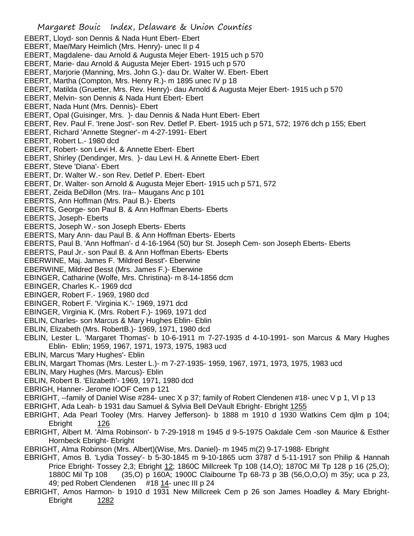- Margaret Bouic Index, Delaware & Union Counties EBERT, Lloyd- son Dennis & Nada Hunt Ebert- Ebert EBERT, Mae/Mary Heimlich (Mrs. Henry)- unec II p 4 EBERT, Magdalene- dau Arnold & Augusta Mejer Ebert- 1915 uch p 570 EBERT, Marie- dau Arnold & Augusta Mejer Ebert- 1915 uch p 570 EBERT, Marjorie (Manning, Mrs. John G.)- dau Dr. Walter W. Ebert- Ebert EBERT, Martha (Compton, Mrs. Henry R.)- m 1895 unec IV p 18 EBERT, Matilda (Gruetter, Mrs. Rev. Henry)- dau Arnold & Augusta Mejer Ebert- 1915 uch p 570 EBERT, Melvin- son Dennis & Nada Hunt Ebert- Ebert EBERT, Nada Hunt (Mrs. Dennis)- Ebert EBERT, Opal (Guisinger, Mrs. )- dau Dennis & Nada Hunt Ebert- Ebert EBERT, Rev. Paul F. 'Irene Jost'- son Rev. Detlef P. Ebert- 1915 uch p 571, 572; 1976 dch p 155; Ebert EBERT, Richard 'Annette Stegner'- m 4-27-1991- Ebert EBERT, Robert L.- 1980 dcd EBERT, Robert- son Levi H. & Annette Ebert- Ebert EBERT, Shirley (Dendinger, Mrs. )- dau Levi H. & Annette Ebert- Ebert EBERT, Steve 'Diana'- Ebert EBERT, Dr. Walter W.- son Rev. Detlef P. Ebert- Ebert EBERT, Dr. Walter- son Arnold & Augusta Mejer Ebert- 1915 uch p 571, 572 EBERT, Zeida BeDillon (Mrs. Ira-- Maugans Anc p 101 EBERTS, Ann Hoffman (Mrs. Paul B.)- Eberts EBERTS, George- son Paul B. & Ann Hoffman Eberts- Eberts EBERTS, Joseph- Eberts EBERTS, Joseph W.- son Joseph Eberts- Eberts EBERTS, Mary Ann- dau Paul B. & Ann Hoffman Eberts- Eberts EBERTS, Paul B. 'Ann Hoffman'- d 4-16-1964 (50) bur St. Joseph Cem- son Joseph Eberts- Eberts EBERTS, Paul Jr.- son Paul B. & Ann Hoffman Eberts- Eberts EBERWINE, Maj. James F. 'Mildred Besst'- Eberwine EBERWINE, Mildred Besst (Mrs. James F.)- Eberwine EBINGER, Catharine (Wolfe, Mrs. Christina)- m 8-14-1856 dcm EBINGER, Charles K.- 1969 dcd EBINGER, Robert F.- 1969, 1980 dcd EBINGER, Robert F. 'Virginia K.'- 1969, 1971 dcd EBINGER, Virginia K. (Mrs. Robert F.)- 1969, 1971 dcd EBLIN, Charles- son Marcus & Mary Hughes Eblin- Eblin EBLIN, Elizabeth (Mrs. RobertB.)- 1969, 1971, 1980 dcd EBLIN, Lester L. 'Margaret Thomas'- b 10-6-1911 m 7-27-1935 d 4-10-1991- son Marcus & Mary Hughes Eblin- Eblin; 1959, 1967, 1971, 1973, 1975, 1983 ucd EBLIN, Marcus 'Mary Hughes'- Eblin EBLIN, Margart Thomas (Mrs. Lester L.)- m 7-27-1935- 1959, 1967, 1971, 1973, 1975, 1983 ucd EBLIN, Mary Hughes (Mrs. Marcus)- Eblin EBLIN, Robert B. 'Elizabeth'- 1969, 1971, 1980 dcd EBRIGH, Hanner- Jerome IOOF Cem p 121 EBRIGHT, --family of Daniel Wise #284- unec X p 37; family of Robert Clendenen #18- unec V p 1, VI p 13 EBRIGHT, Ada Leah- b 1931 dau Samuel & Sylvia Bell DeVault Ebright- Ebright 1255 EBRIGHT, Ada Pearl Tooley (Mrs. Harvey Jefferson)- b 1888 m 1910 d 1930 Watkins Cem djlm p 104; Ebright 126 EBRIGHT, Albert M. 'Alma Robinson'- b 7-29-1918 m 1945 d 9-5-1975 Oakdale Cem -son Maurice & Esther Hornbeck Ebright- Ebright EBRIGHT, Alma Robinson (Mrs. Albert)(Wise, Mrs. Daniel)- m 1945 m(2) 9-17-1988- Ebright
	- EBRIGHT, Amos B. 'Lydia Tossey'- b 5-30-1845 m 9-10-1865 ucm 3787 d 5-11-1917 son Philip & Hannah Price Ebright- Tossey 2,3; Ebright 12; 1860C Millcreek Tp 108 (14,O); 1870C Mil Tp 128 p 16 (25,O); 1880C Mil Tp 108 (35,O) p 160A; 1900C Claibourne Tp 68-73 p 3B (56,O,O,O) m 35y; uca p 23, 49; ped Robert Clendenen #18 14- unec III p 24
	- EBRIGHT, Amos Harmon- b 1910 d 1931 New Millcreek Cem p 26 son James Hoadley & Mary Ebright-Ebright 1282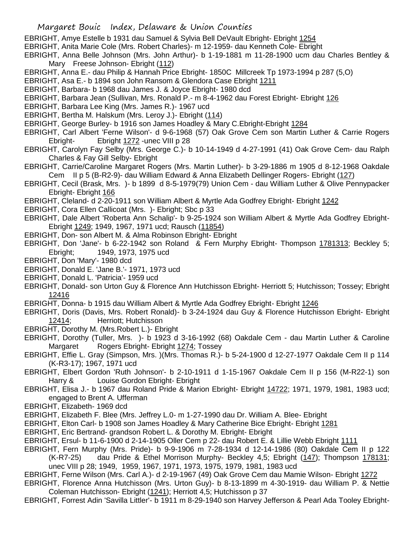- EBRIGHT, Amye Estelle b 1931 dau Samuel & Sylvia Bell DeVault Ebright- Ebright 1254
- EBRIGHT, Anita Marie Cole (Mrs. Robert Charles)- m 12-1959- dau Kenneth Cole- Ebright
- EBRIGHT, Anna Belle Johnson (Mrs. John Arthur)- b 1-19-1881 m 11-28-1900 ucm dau Charles Bentley & Mary Freese Johnson- Ebright (112)
- EBRIGHT, Anna E.- dau Philip & Hannah Price Ebright- 1850C Millcreek Tp 1973-1994 p 287 (5,O)
- EBRIGHT, Asa E.- b 1894 son John Ransom & Glendora Case Ebright 1211
- EBRIGHT, Barbara- b 1968 dau James J. & Joyce Ebright- 1980 dcd
- EBRIGHT, Barbara Jean (Sullivan, Mrs. Ronald P.- m 8-4-1962 dau Forest Ebright- Ebright 126
- EBRIGHT, Barbara Lee King (Mrs. James R.)- 1967 ucd
- EBRIGHT, Bertha M. Halskum (Mrs. Leroy J.)- Ebright (114)
- EBRIGHT, George Burley- b 1916 son James Hoadley & Mary C.Ebright-Ebright 1284
- EBRIGHT, Carl Albert 'Ferne Wilson'- d 9-6-1968 (57) Oak Grove Cem son Martin Luther & Carrie Rogers Ebright- Ebright 1272 -unec VIII p 28
- EBRIGHT, Carolyn Fay Selby (Mrs. George C.)- b 10-14-1949 d 4-27-1991 (41) Oak Grove Cem- dau Ralph Charles & Fay Gill Selby- Ebright
- EBRIGHT, Carrie/Caroline Margaret Rogers (Mrs. Martin Luther)- b 3-29-1886 m 1905 d 8-12-1968 Oakdale Cem II p 5 (B-R2-9)- dau William Edward & Anna Elizabeth Dellinger Rogers- Ebright (127)
- EBRIGHT, Cecil (Brask, Mrs. )- b 1899 d 8-5-1979(79) Union Cem dau William Luther & Olive Pennypacker Ebright- Ebright 166
- EBRIGHT, Cleland- d 2-20-1911 son William Albert & Myrtle Ada Godfrey Ebright- Ebright 1242
- EBRIGHT, Cora Ellen Callicoat (Mrs. )- Ebright; Sbc p 33
- EBRIGHT, Dale Albert 'Roberta Ann Schalip'- b 9-25-1924 son William Albert & Myrtle Ada Godfrey Ebright-Ebright 1249; 1949, 1967, 1971 ucd; Rausch (11854)
- EBRIGHT, Don- son Albert M. & Alma Robinson Ebright- Ebright
- EBRIGHT, Don 'Jane'- b 6-22-1942 son Roland & Fern Murphy Ebright- Thompson 1781313; Beckley 5; Ebright; 1949, 1973, 1975 ucd
- EBRIGHT, Don 'Mary'- 1980 dcd
- EBRIGHT, Donald E. 'Jane B.'- 1971, 1973 ucd
- EBRIGHT, Donald L. 'Patricia'- 1959 ucd
- EBRIGHT, Donald- son Urton Guy & Florence Ann Hutchisson Ebright- Herriott 5; Hutchisson; Tossey; Ebright 12416
- EBRIGHT, Donna- b 1915 dau William Albert & Myrtle Ada Godfrey Ebright- Ebright 1246
- EBRIGHT, Doris (Davis, Mrs. Robert Ronald)- b 3-24-1924 dau Guy & Florence Hutchisson Ebright- Ebright 12414; Herriott; Hutchisson
- EBRIGHT, Dorothy M. (Mrs.Robert L.)- Ebright
- EBRIGHT, Dorothy (Tuller, Mrs. )- b 1923 d 3-16-1992 (68) Oakdale Cem dau Martin Luther & Caroline Margaret Rogers Ebright- Ebright 1274; Tossey
- EBRIGHT, Effie L. Gray (Simpson, Mrs. )(Mrs. Thomas R.)- b 5-24-1900 d 12-27-1977 Oakdale Cem II p 114 (K-R3-17); 1967, 1971 ucd
- EBRIGHT, Elbert Gordon 'Ruth Johnson'- b 2-10-1911 d 1-15-1967 Oakdale Cem II p 156 (M-R22-1) son Harry & Louise Gordon Ebright- Ebright
- EBRIGHT, Elisa J.- b 1967 dau Roland Pride & Marion Ebright- Ebright 14722; 1971, 1979, 1981, 1983 ucd; engaged to Brent A. Ufferman
- EBRIGHT, Elizabeth- 1969 dcd
- EBRIGHT, Elizabeth F. Blee (Mrs. Jeffrey L.0- m 1-27-1990 dau Dr. William A. Blee- Ebright
- EBRIGHT, Elton Carl- b 1908 son James Hoadley & Mary Catherine Bice Ebright- Ebright 1281
- EBRIGHT, Eric Bertrand- grandson Robert L. & Dorothy M. Ebright- Ebright
- EBRIGHT, Ersul- b 11-6-1900 d 2-14-1905 Oller Cem p 22- dau Robert E. & Lillie Webb Ebright 1111
- EBRIGHT, Fern Murphy (Mrs. Pride)- b 9-9-1906 m 7-28-1934 d 12-14-1986 (80) Oakdale Cem II p 122 (K-R7-25) dau Pride & Ethel Morrison Murphy- Beckley 4,5; Ebright (147); Thompson 178131; unec VIII p 28; 1949, 1959, 1967, 1971, 1973, 1975, 1979, 1981, 1983 ucd
- EBRIGHT, Ferne Wilson (Mrs. Carl A.)- d 2-19-1967 (49) Oak Grove Cem dau Mamie Wilson- Ebright 1272

EBRIGHT, Florence Anna Hutchisson (Mrs. Urton Guy)- b 8-13-1899 m 4-30-1919- dau William P. & Nettie Coleman Hutchisson- Ebright (1241); Herriott 4,5; Hutchisson p 37

EBRIGHT, Forrest Adin 'Savilla Littler'- b 1911 m 8-29-1940 son Harvey Jefferson & Pearl Ada Tooley Ebright-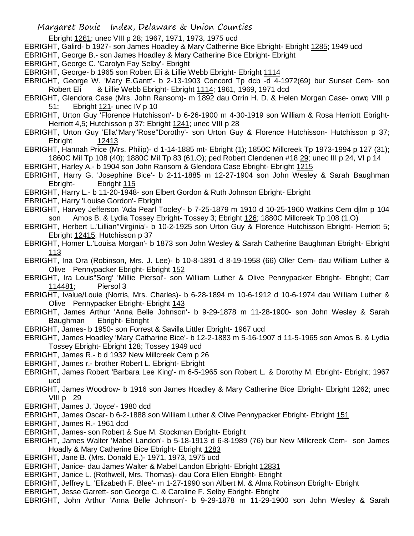- Ebright 1261; unec VIII p 28; 1967, 1971, 1973, 1975 ucd
- EBRIGHT, Galird- b 1927- son James Hoadley & Mary Catherine Bice Ebright- Ebright 1285; 1949 ucd
- EBRIGHT, George B.- son James Hoadley & Mary Catherine Bice Ebright- Ebright
- EBRIGHT, George C. 'Carolyn Fay Selby'- Ebright
- EBRIGHT, George- b 1965 son Robert Eli & Lillie Webb Ebright- Ebright 1114
- EBRIGHT, George W. 'Mary E.Gantt'- b 2-13-1903 Concord Tp dcb -d 4-1972(69) bur Sunset Cem- son Robert Eli & Lillie Webb Ebright- Ebright 1114; 1961, 1969, 1971 dcd
- EBRIGHT, Glendora Case (Mrs. John Ransom)- m 1892 dau Orrin H. D. & Helen Morgan Case- onwq VIII p 51; Ebright 121- unec IV p 10
- EBRIGHT, Urton Guy 'Florence Hutchisson'- b 6-26-1900 m 4-30-1919 son William & Rosa Herriott Ebright-Herriott 4,5; Hutchisson p 37; Ebright 1241; unec VIII p 28
- EBRIGHT, Urton Guy 'Ella''Mary''Rose''Dorothy'- son Urton Guy & Florence Hutchisson- Hutchisson p 37; Ebright 12413
- EBRIGHT, Hannah Price (Mrs. Philip)- d 1-14-1885 mt- Ebright (1); 1850C Millcreek Tp 1973-1994 p 127 (31); 1860C Mil Tp 108 (40); 1880C Mil Tp 83 (61,O); ped Robert Clendenen #18 29; unec III p 24, VI p 14

EBRIGHT, Harley A.- b 1904 son John Ransom & Glendora Case Ebright- Ebright 1215

- EBRIGHT, Harry G. 'Josephine Bice'- b 2-11-1885 m 12-27-1904 son John Wesley & Sarah Baughman Ebright- Ebright 115
- EBRIGHT, Harry L.- b 11-20-1948- son Elbert Gordon & Ruth Johnson Ebright- Ebright
- EBRIGHT, Harry 'Louise Gordon'- Ebright
- EBRIGHT, Harvey Jefferson 'Ada Pearl Tooley'- b 7-25-1879 m 1910 d 10-25-1960 Watkins Cem djlm p 104 son Amos B. & Lydia Tossey Ebright- Tossey 3; Ebright 126; 1880C Millcreek Tp 108 (1,O)
- EBRIGHT, Herbert L.'Lillian''Virginia'- b 10-2-1925 son Urton Guy & Florence Hutchisson Ebright- Herriott 5; Ebright 12415; Hutchisson p 37
- EBRIGHT, Homer L.'Louisa Morgan'- b 1873 son John Wesley & Sarah Catherine Baughman Ebright- Ebright 113
- EBRIGHT, Ina Ora (Robinson, Mrs. J. Lee)- b 10-8-1891 d 8-19-1958 (66) Oller Cem- dau William Luther & Olive Pennypacker Ebright- Ebright 152
- EBRIGHT, Ira Louis"Sorg' 'Millie Piersol'- son William Luther & Olive Pennypacker Ebright- Ebright; Carr 114481; Piersol 3
- EBRIGHT, Ivalue/Louie (Norris, Mrs. Charles)- b 6-28-1894 m 10-6-1912 d 10-6-1974 dau William Luther & Olive Pennypacker Ebright- Ebright 143
- EBRIGHT, James Arthur 'Anna Belle Johnson'- b 9-29-1878 m 11-28-1900- son John Wesley & Sarah Baughman Ebright- Ebright
- EBRIGHT, James- b 1950- son Forrest & Savilla Littler Ebright- 1967 ucd
- EBRIGHT, James Hoadley 'Mary Catharine Bice'- b 12-2-1883 m 5-16-1907 d 11-5-1965 son Amos B. & Lydia Tossey Ebright- Ebright 128; Tossey 1949 ucd
- EBRIGHT, James R.- b d 1932 New Millcreek Cem p 26
- EBRIGHT, James r.- brother Robert L. Ebright- Ebright
- EBRIGHT, James Robert 'Barbara Lee King'- m 6-5-1965 son Robert L. & Dorothy M. Ebright- Ebright; 1967 ucd
- EBRIGHT, James Woodrow- b 1916 son James Hoadley & Mary Catherine Bice Ebright- Ebright 1262; unec VIII p 29
- EBRIGHT, James J. 'Joyce'- 1980 dcd
- EBRIGHT, James Oscar- b 6-2-1888 son William Luther & Olive Pennypacker Ebright- Ebright 151
- EBRIGHT, James R.- 1961 dcd
- EBRIGHT, James- son Robert & Sue M. Stockman Ebright- Ebright
- EBRIGHT, James Walter 'Mabel Landon'- b 5-18-1913 d 6-8-1989 (76) bur New Millcreek Cem- son James Hoadly & Mary Catherine Bice Ebright- Ebright 1283
- EBRIGHT, Jane B. (Mrs. Donald E.)- 1971, 1973, 1975 ucd
- EBRIGHT, Janice- dau James Walter & Mabel Landon Ebright- Ebright 12831
- EBRIGHT, Janice L. (Rothwell, Mrs. Thomas)- dau Cora Ellen Ebright- Ebright
- EBRIGHT, Jeffrey L. 'Elizabeth F. Blee'- m 1-27-1990 son Albert M. & Alma Robinson Ebright- Ebright
- EBRIGHT, Jesse Garrett- son George C. & Caroline F. Selby Ebright- Ebright
- EBRIGHT, John Arthur 'Anna Belle Johnson'- b 9-29-1878 m 11-29-1900 son John Wesley & Sarah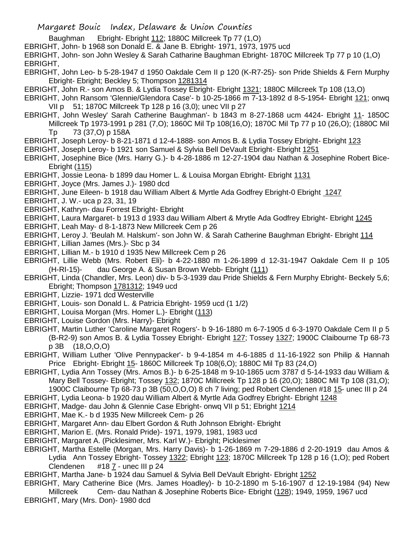Baughman Ebright- Ebright 112; 1880C Millcreek Tp 77 (1,O)

EBRIGHT, John- b 1968 son Donald E. & Jane B. Ebright- 1971, 1973, 1975 ucd

EBRIGHT, John- son John Wesley & Sarah Catharine Baughman Ebright- 1870C Millcreek Tp 77 p 10 (1,O) EBRIGHT,

- EBRIGHT, John Leo- b 5-28-1947 d 1950 Oakdale Cem II p 120 (K-R7-25)- son Pride Shields & Fern Murphy Ebright- Ebright; Beckley 5; Thompson 1281314
- EBRIGHT, John R.- son Amos B. & Lydia Tossey Ebright- Ebright 1321; 1880C Millcreek Tp 108 (13,O)
- EBRIGHT, John Ransom 'Glennie/Glendora Case'- b 10-25-1866 m 7-13-1892 d 8-5-1954- Ebright 121; onwq VII p 51; 1870C Millcreek Tp 128 p 16 (3,0); unec VII p 27
- EBRIGHT, John Wesley' Sarah Catherine Baughman'- b 1843 m 8-27-1868 ucm 4424- Ebright 11- 1850C Millcreek Tp 1973-1991 p 281 (7,O); 1860C Mil Tp 108(16,O); 1870C Mil Tp 77 p 10 (26,O); (1880C Mil Tp 73 (37,O) p 158A
- EBRIGHT, Joseph Leroy- b 8-21-1871 d 12-4-1888- son Amos B. & Lydia Tossey Ebright- Ebright 123
- EBRIGHT, Joseph Leroy- b 1921 son Samuel & Sylvia Bell DeVault Ebright- Ebright 1251
- EBRIGHT, Josephine Bice (Mrs. Harry G.)- b 4-28-1886 m 12-27-1904 dau Nathan & Josephine Robert Bice-Ebright (115)
- EBRIGHT, Jossie Leona- b 1899 dau Homer L. & Louisa Morgan Ebright- Ebright 1131
- EBRIGHT, Joyce (Mrs. James J.)- 1980 dcd
- EBRIGHT, June Eileen- b 1918 dau William Albert & Myrtle Ada Godfrey Ebright-0 Ebright 1247
- EBRIGHT, J. W.- uca p 23, 31, 19
- EBRIGHT, Kathryn- dau Forrest Ebright- Ebright
- EBRIGHT, Laura Margaret- b 1913 d 1933 dau William Albert & Mrytle Ada Godfrey Ebright- Ebright 1245
- EBRIGHT, Leah May- d 8-1-1873 New Millcreek Cem p 26
- EBRIGHT, Leroy J. 'Beulah M. Halskum'- son John W. & Sarah Catherine Baughman Ebright- Ebright 114
- EBRIGHT, Lillian James (Mrs.)- Sbc p 34
- EBRIGHT, Lillian M.- b 1910 d 1935 New Millcreek Cem p 26
- EBRIGHT, Lillie Webb (Mrs. Robert Eli)- b 4-22-1880 m 1-26-1899 d 12-31-1947 Oakdale Cem II p 105 (H-RI-15)- dau George A. & Susan Brown Webb- Ebright (111)
- EBRIGHT, Linda (Chandler, Mrs. Leon) div- b 5-3-1939 dau Pride Shields & Fern Murphy Ebright- Beckely 5,6; Ebright; Thompson 1781312; 1949 ucd
- EBRIGHT, Lizzie- 1971 dcd Westerville
- EBRIGHT, Louis- son Donald L. & Patricia Ebright- 1959 ucd (1 1/2)
- EBRIGHT, Louisa Morgan (Mrs. Homer L.)- Ebright (113)
- EBRIGHT, Louise Gordon (Mrs. Harry)- Ebright
- EBRIGHT, Martin Luther 'Caroline Margaret Rogers'- b 9-16-1880 m 6-7-1905 d 6-3-1970 Oakdale Cem II p 5 (B-R2-9) son Amos B. & Lydia Tossey Ebright- Ebright 127; Tossey 1327; 1900C Claibourne Tp 68-73 p 3B (18,O,O,O)
- EBRIGHT, William Luther 'Olive Pennypacker'- b 9-4-1854 m 4-6-1885 d 11-16-1922 son Philip & Hannah Price Ebright- Ebright 15- 1860C Millcreek Tp 108(6,O); 1880C Mil Tp 83 (24,O)
- EBRIGHT, Lydia Ann Tossey (Mrs. Amos B.)- b 6-25-1848 m 9-10-1865 ucm 3787 d 5-14-1933 dau William & Mary Bell Tossey- Ebright; Tossey 132; 1870C Millcreek Tp 128 p 16 (20,O); 1880C Mil Tp 108 (31,O); 1900C Claibourne Tp 68-73 p 3B (50,O,O,O) 8 ch 7 living; ped Robert Clendenen #18 15- unec III p 24
- EBRIGHT, Lydia Leona- b 1920 dau William Albert & Myrtle Ada Godfrey Ebright- Ebright 1248
- EBRIGHT, Madge- dau John & Glennie Case Ebright- onwq VII p 51; Ebright 1214
- EBRIGHT, Mae K.- b d 1935 New Millcreek Cem- p 26
- EBRIGHT, Margaret Ann- dau Elbert Gordon & Ruth Johnson Ebright- Ebright
- EBRIGHT, Marion E. (Mrs. Ronald Pride)- 1971, 1979, 1981, 1983 ucd
- EBRIGHT, Margaret A. (Picklesimer, Mrs. Karl W.)- Ebright; Picklesimer
- EBRIGHT, Martha Estelle (Morgan, Mrs. Harry Davis)- b 1-26-1869 m 7-29-1886 d 2-20-1919 dau Amos & Lydia Ann Tossey Ebright- Tossey 1322; Ebright 123; 1870C Millcreek Tp 128 p 16 (1,O); ped Robert Clendenen #18 7 - unec III p 24
- EBRIGHT, Martha Jane- b 1924 dau Samuel & Sylvia Bell DeVault Ebright- Ebright 1252
- EBRIGHT, Mary Catherine Bice (Mrs. James Hoadley)- b 10-2-1890 m 5-16-1907 d 12-19-1984 (94) New Millcreek Cem- dau Nathan & Josephine Roberts Bice- Ebright (128); 1949, 1959, 1967 ucd
- EBRIGHT, Mary (Mrs. Don)- 1980 dcd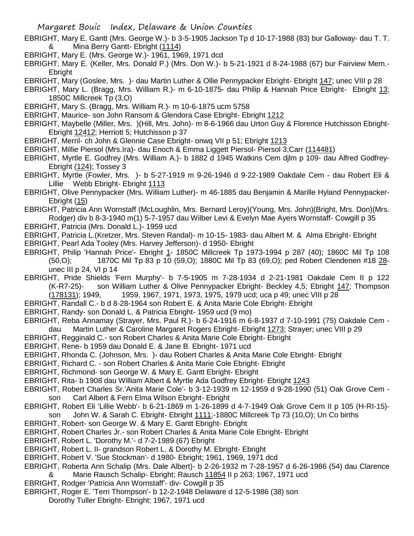- EBRIGHT, Mary E. Gantt (Mrs. George W.)- b 3-5-1905 Jackson Tp d 10-17-1988 (83) bur Galloway- dau T. T. & Mina Berry Gantt- Ebright (1114)
- EBRIGHT, Mary E. (Mrs. George W.)- 1961, 1969, 1971 dcd
- EBRIGHT, Mary E. (Keller, Mrs. Donald P.) (Mrs. Don W.)- b 5-21-1921 d 8-24-1988 (67) bur Fairview Mem.- **Ebright**
- EBRIGHT, Mary (Goslee, Mrs. )- dau Martin Luther & Ollie Pennypacker Ebright- Ebright 147; unec VIII p 28
- EBRIGHT, Mary L. (Bragg, Mrs. William R.)- m 6-10-1875- dau Philip & Hannah Price Ebright- Ebright 13; 1850C Millcreek Tp (3,O)
- EBRIGHT, Mary S. (Bragg, Mrs. William R.)- m 10-6-1875 ucm 5758
- EBRIGHT, Maurice- son John Ransom & Glendora Case Ebright- Ebright 1212
- EBRIGHT, Maybelle (Miller, Mrs. )(Hill, Mrs. John)- m 8-6-1966 dau Urton Guy & Florence Hutchisson Ebright-Ebright 12412; Herriott 5; Hutchisson p 37
- EBRIGHT, Merril- ch John & Glennie Case Ebright- onwq VII p 51; Ebright 1213
- EBRIGHT, Millie Piersol (Mrs.Ira)- dau Enoch & Emma Liggett Piersol- Piersol 3;Carr (114481)
- EBRIGHT, Myrtle E. Godfrey (Mrs. William A.)- b 1882 d 1945 Watkins Cem djlm p 109- dau Alfred Godfrey-Ebright (124); Tossey 3
- EBRIGHT, Myrtle (Fowler, Mrs. )- b 5-27-1919 m 9-26-1946 d 9-22-1989 Oakdale Cem dau Robert Eli & Lillie Webb Ebright- Ebright 1113
- EBRIGHT, Olive Pennypacker (Mrs. William Luther)- m 46-1885 dau Benjamin & Marille Hyland Pennypacker-Ebright (15)
- EBRIGHT, Patricia Ann Wornstaff (McLoughlin, Mrs. Bernard Leroy)(Young, Mrs. John)(Bright, Mrs. Don)(Mrs. Rodger) div b 8-3-1940 m(1) 5-7-1957 dau Wilber Levi & Evelyn Mae Ayers Wornstaff- Cowgill p 35
- EBRIGHT, Patricia (Mrs. Donald L.)- 1959 ucd
- EBRIGHT, Patricia L.(Kretzer, Mrs. Steven Randal)- m 10-15- 1983- dau Albert M. & Alma Ebright- Ebright
- EBRIGHT, Pearl Ada Tooley (Mrs. Harvey Jefferson)- d 1950- Ebright
- EBRIGHT, Philip 'Hannah Price'- Ebright 1- 1850C Millcreek Tp 1973-1994 p 287 (40); 1860C Mil Tp 108 (50,O); 1870C Mil Tp 83 p 10 (59,O); 1880C Mil Tp 83 (69,O); ped Robert Clendenen #18 28 unec III p 24, VI p 14
- EBRIGHT, Pride Shields 'Fern Murphy'- b 7-5-1905 m 7-28-1934 d 2-21-1981 Oakdale Cem II p 122 (K-R7-25)- son William Luther & Olive Pennypacker Ebright- Beckley 4,5; Ebright 147; Thompson (178131); 1949, 1959, 1967, 1971, 1973, 1975, 1979 ucd; uca p 49; unec VIII p 28
- EBRIGHT, Randall C.- b d 8-28-1964 son Robert E. & Anita Marie Cole Ebright- Ebright
- 
- EBRIGHT, Randy- son Donald L. & Patricia Ebright- 1959 ucd (9 mo)
- EBRIGHT, Reba Annamay (Strayer, Mrs. Paul R.)- b 6-24-1916 m 6-8-1937 d 7-10-1991 (75) Oakdale Cem dau Martin Luther & Caroline Margaret Rogers Ebright- Ebright 1273; Strayer; unec VIII p 29
- EBRIGHT, Regginald C.- son Robert Charles & Anita Marie Cole Ebright- Ebright
- EBRIGHT, Rene- b 1959 dau Donald E. & Jane B. Ebright- 1971 ucd
- EBRIGHT, Rhonda C. (Johnson, Mrs. )- dau Robert Charles & Anita Marie Cole Ebright- Ebright
- EBRIGHT, Richard C. son Robert Charles & Anita Marie Cole Ebright- Ebright
- EBRIGHT, Richmond- son George W. & Mary E. Gantt Ebright- Ebright
- EBRIGHT, Rita- b 1908 dau William Albert & Myrtle Ada Godfrey Ebright- Ebright 1243
- EBRIGHT, Robert Charles Sr.'Anita Marie Cole'- b 3-12-1939 m 12-1959 d 9-28-1990 (51) Oak Grove Cem son Carl Albert & Fern Elma Wilson Ebright- Ebright
- EBRIGHT, Robert Eli 'Lillie Webb'- b 6-21-1869 m 1-26-1899 d 4-7-1949 Oak Grove Cem II p 105 (H-RI-15) son John W. & Sarah C. Ebright- Ebright 1111;-1880C Millcreek Tp 73 (10,O); Un Co births
- EBRIGHT, Robert- son George W. & Mary E. Gantt Ebright- Ebright
- EBRIGHT, Robert Charles Jr.- son Robert Charles & Anita Marie Cole Ebright- Ebright
- EBRIGHT, Robert L. 'Dorothy M.'- d 7-2-1989 (67) Ebright
- EBRIGHT, Robert L. II- grandson Robert L. & Dorothy M. Ebright- Ebright
- EBRIGHT, Robert V. 'Sue Stockman'- d 1980- Ebright; 1961, 1969, 1971 dcd
- EBRIGHT, Roberta Ann Schalip (Mrs. Dale Albert)- b 2-26-1932 m 7-28-1957 d 6-26-1986 (54) dau Clarence Marie Rausch Schalip- Ebright; Rausch 11854 II p 263; 1967, 1971 ucd
- EBRIGHT, Rodger 'Patricia Ann Wornstaff'- div- Cowgill p 35
- EBRIGHT, Roger E. 'Terri Thompson'- b 12-2-1948 Delaware d 12-5-1986 (38) son
	- Dorothy Tuller Ebright- Ebright; 1967, 1971 ucd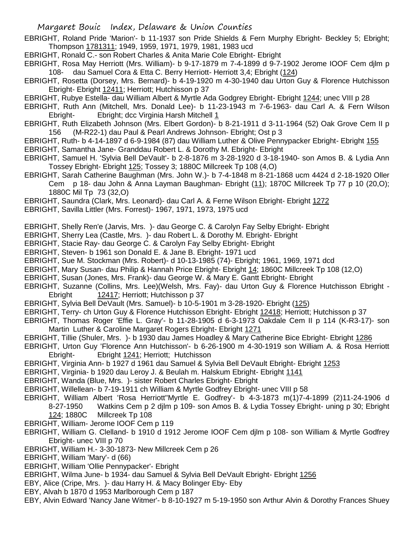- EBRIGHT, Roland Pride 'Marion'- b 11-1937 son Pride Shields & Fern Murphy Ebright- Beckley 5; Ebright; Thompson 1781311; 1949, 1959, 1971, 1979, 1981, 1983 ucd
- EBRIGHT, Ronald C.- son Robert Charles & Anita Marie Cole Ebright- Ebright
- EBRIGHT, Rosa May Herriott (Mrs. William)- b 9-17-1879 m 7-4-1899 d 9-7-1902 Jerome IOOF Cem djlm p 108- dau Samuel Cora & Etta C. Berry Herriott- Herriott 3,4; Ebright (124)
- EBRIGHT, Rosetta (Dorsey, Mrs. Bernard)- b 4-19-1920 m 4-30-1940 dau Urton Guy & Florence Hutchisson Ebright- Ebright 12411; Herriott; Hutchisson p 37
- EBRIGHT, Rubye Estella- dau William Albert & Myrtle Ada Godgrey Ebright- Ebright 1244; unec VIII p 28
- EBRIGHT, Ruth Ann (Mitchell, Mrs. Donald Lee)- b 11-23-1943 m 7-6-1963- dau Carl A. & Fern Wilson Ebright- Ebright; dcc Virginia Harsh Mitchell 1
- EBRIGHT, Ruth Elizabeth Johnson (Mrs. Elbert Gordon)- b 8-21-1911 d 3-11-1964 (52) Oak Grove Cem II p 156 (M-R22-1) dau Paul & Pearl Andrews Johnson- Ebright; Ost p 3
- EBRIGHT, Ruth- b 4-14-1897 d 6-9-1984 (87) dau William Luther & Olive Pennypacker Ebright- Ebright 155 EBRIGHT, Samantha Jane- Granddau Robert L. & Dorothy M. Ebright- Ebright
- EBRIGHT, Samuel H. 'Sylvia Bell DeVault'- b 2-8-1876 m 3-28-1920 d 3-18-1940- son Amos B. & Lydia Ann Tossey Ebright- Ebright 125; Tossey 3; 1880C Millcreek Tp 108 (4,O)
- EBRIGHT, Sarah Catherine Baughman (Mrs. John W.)- b 7-4-1848 m 8-21-1868 ucm 4424 d 2-18-1920 Oller Cem p 18- dau John & Anna Layman Baughman- Ebright (11); 1870C Millcreek Tp 77 p 10 (20,O); 1880C Mil Tp 73 (32,O)
- EBRIGHT, Saundra (Clark, Mrs. Leonard)- dau Carl A. & Ferne Wilson Ebright- Ebright 1272
- EBRIGHT, Savilla Littler (Mrs. Forrest)- 1967, 1971, 1973, 1975 ucd
- EBRIGHT, Shelly Ren'e (Jarvis, Mrs. )- dau George C. & Carolyn Fay Selby Ebright- Ebright
- EBRIGHT, Sherry Lea (Castle, Mrs. )- dau Robert L. & Dorothy M. Ebright- Ebright
- EBRIGHT, Stacie Ray- dau George C. & Carolyn Fay Selby Ebright- Ebright
- EBRIGHT, Steven- b 1961 son Donald E. & Jane B. Ebright- 1971 ucd
- EBRIGHT, Sue M. Stockman (Mrs. Robert)- d 10-13-1985 (74)- Ebright; 1961, 1969, 1971 dcd
- EBRIGHT, Mary Susan- dau Philip & Hannah Price Ebright- Ebright 14; 1860C Millcreek Tp 108 (12,O)
- EBRIGHT, Susan (Jones, Mrs. Frank)- dau George W. & Mary E. Gantt Ebright- Ebright
- EBRIGHT, Suzanne (Collins, Mrs. Lee)(Welsh, Mrs. Fay)- dau Urton Guy & Florence Hutchisson Ebright Ebright 12417; Herriott; Hutchisson p 37
- EBRIGHT, Sylvia Bell DeVault (Mrs. Samuel)- b 10-5-1901 m 3-28-1920- Ebright (125)
- EBRIGHT, Terry- ch Urton Guy & Florence Hutchisson Ebright- Ebright 12418; Herriott; Hutchisson p 37
- EBRIGHT, Thomas Roger 'Effie L. Gray'- b 11-28-1905 d 6-3-1973 Oakdale Cem II p 114 (K-R3-17)- son Martin Luther & Caroline Margaret Rogers Ebright- Ebright 1271
- EBRIGHT, Tillie (Shuler, Mrs. )- b 1930 dau James Hoadley & Mary Catherine Bice Ebright- Ebright 1286
- EBRIGHT, Urton Guy 'Florence Ann Hutchisson'- b 6-26-1900 m 4-30-1919 son William A. & Rosa Herriott Ebright- Ebright 1241; Herriott; Hutchisson
- EBRIGHT, Virginia Ann- b 1927 d 1961 dau Samuel & Sylvia Bell DeVault Ebright- Ebright 1253
- EBRIGHT, Virginia- b 1920 dau Leroy J. & Beulah m. Halskum Ebright- Ebright 1141
- EBRIGHT, Wanda (Blue, Mrs. )- sister Robert Charles Ebright- Ebright
- EBRIGHT, Willellean- b 7-19-1911 ch William & Myrtle Godfrey Ebright- unec VIII p 58
- EBRIGHT, William Albert 'Rosa Herriott''Myrtle E. Godfrey'- b 4-3-1873 m(1)7-4-1899 (2)11-24-1906 d 8-27-1950 Watkins Cem p 2 djlm p 109- son Amos B. & Lydia Tossey Ebright- uning p 30; Ebright 124; 1880C Millcreek Tp 108
- EBRIGHT, William- Jerome IOOF Cem p 119
- EBRIGHT, William G. Clelland- b 1910 d 1912 Jerome IOOF Cem djlm p 108- son William & Myrtle Godfrey Ebright- unec VIII p 70
- EBRIGHT, William H.- 3-30-1873- New Millcreek Cem p 26
- EBRIGHT, William 'Mary'- d (66)
- EBRIGHT, William 'Ollie Pennypacker'- Ebright
- EBRIGHT, Wilma June- b 1934- dau Samuel & Sylvia Bell DeVault Ebright- Ebright 1256
- EBY, Alice (Cripe, Mrs. )- dau Harry H. & Macy Bolinger Eby- Eby
- EBY, Alvah b 1870 d 1953 Marlborough Cem p 187
- EBY, Alvin Edward 'Nancy Jane Witmer'- b 8-10-1927 m 5-19-1950 son Arthur Alvin & Dorothy Frances Shuey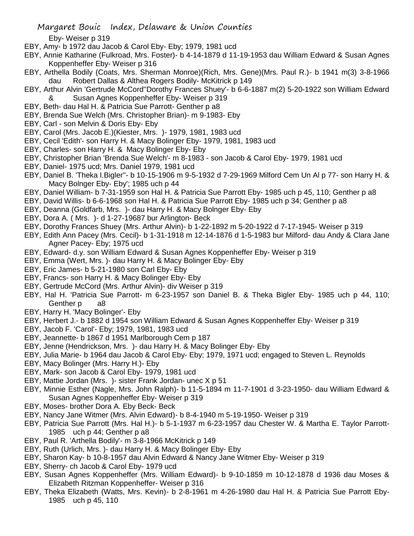- Margaret Bouic Index, Delaware & Union Counties Eby- Weiser p 319
- EBY, Amy- b 1972 dau Jacob & Carol Eby- Eby; 1979, 1981 ucd
- EBY, Annie Katharine (Fulkroad, Mrs. Foster)- b 4-14-1879 d 11-19-1953 dau William Edward & Susan Agnes Koppenheffer Eby- Weiser p 316
- EBY, Arthella Bodily (Coats, Mrs. Sherman Monroe)(Rich, Mrs. Gene)(Mrs. Paul R.)- b 1941 m(3) 3-8-1966 dau Robert Dallas & Althea Rogers Bodily- McKitrick p 149
- EBY, Arthur Alvin 'Gertrude McCord''Dorothy Frances Shuey'- b 6-6-1887 m(2) 5-20-1922 son William Edward & Susan Agnes Koppenheffer Eby- Weiser p 319
- EBY, Beth- dau Hal H. & Patricia Sue Parrott- Genther p a8
- EBY, Brenda Sue Welch (Mrs. Christopher Brian)- m 9-1983- Eby
- EBY, Carl son Melvin & Doris Eby- Eby
- EBY, Carol (Mrs. Jacob E.)(Kiester, Mrs. )- 1979, 1981, 1983 ucd
- EBY, Cecil 'Edith'- son Harry H. & Macy Bolinger Eby- 1979, 1981, 1983 ucd
- EBY, Charles- son Harry H. & Macy Bolinger Eby- Eby
- EBY, Christopher Brian 'Brenda Sue Welch'- m 8-1983 son Jacob & Carol Eby- 1979, 1981 ucd
- EBY, Daniel- 1975 ucd; Mrs. Daniel 1979, 1981 ucd
- EBY, Daniel B. 'Theka I.Bigler''- b 10-15-1906 m 9-5-1932 d 7-29-1969 Milford Cem Un Al p 77- son Harry H. & Macy Bolnger Eby- Eby'; 1985 uch p 44
- EBY, Daniel William- b 7-31-1959 son Hal H. & Patricia Sue Parrott Eby- 1985 uch p 45, 110; Genther p a8
- EBY, David Willis- b 6-6-1968 son Hal H. & Patricia Sue Parrott Eby- 1985 uch p 34; Genther p a8
- EBY, Deanna (Goldfarb, Mrs. )- dau Harry H. & Macy Bolnger Eby- Eby
- EBY, Dora A. ( Mrs. )- d 1-27-19687 bur Arlington- Beck
- EBY, Dorothy Frances Shuey (Mrs. Arthur Alvin)- b 1-22-1892 m 5-20-1922 d 7-17-1945- Weiser p 319
- EBY, Edith Ann Pacey (Mrs. Cecil)- b 1-31-1918 m 12-14-1876 d 1-5-1983 bur Milford- dau Andy & Clara Jane Agner Pacey- Eby; 1975 ucd
- EBY, Edward- d.y. son William Edward & Susan Agnes Koppenheffer Eby- Weiser p 319
- EBY, Emma (Wert, Mrs. )- dau Harry H. & Macy Bolinger Eby- Eby
- EBY, Eric James- b 5-21-1980 son Carl Eby- Eby
- EBY, Francs- son Harry H. & Macy Bolinger Eby- Eby
- EBY, Gertrude McCord (Mrs. Arthur Alvin)- div Weiser p 319
- EBY, Hal H. 'Patricia Sue Parrott- m 6-23-1957 son Daniel B. & Theka Bigler Eby- 1985 uch p 44, 110; Genther p a8
- EBY, Harry H. 'Macy Bolinger'- Eby
- EBY, Herbert J.- b 1882 d 1954 son William Edward & Susan Agnes Koppenheffer Eby- Weiser p 319
- EBY, Jacob F. 'Carol'- Eby; 1979, 1981, 1983 ucd
- EBY, Jeannette- b 1867 d 1951 Marlborough Cem p 187
- EBY, Jenne (Hendrickson, Mrs. )- dau Harry H. & Macy Bolinger Eby- Eby
- EBY, Julia Marie- b 1964 dau Jacob & Carol Eby- Eby; 1979, 1971 ucd; engaged to Steven L. Reynolds
- EBY, Macy Bolinger (Mrs. Harry H.)- Eby
- EBY, Mark- son Jacob & Carol Eby- 1979, 1981 ucd
- EBY, Mattie Jordan (Mrs. )- sister Frank Jordan- unec X p 51
- EBY, Minnie Esther (Nagle, Mrs. John Ralph)- b 11-5-1894 m 11-7-1901 d 3-23-1950- dau William Edward & Susan Agnes Koppenheffer Eby- Weiser p 319
- EBY, Moses- brother Dora A. Eby Beck- Beck
- EBY, Nancy Jane Witmer (Mrs. Alvin Edward)- b 8-4-1940 m 5-19-1950- Weiser p 319
- EBY, Patricia Sue Parrott (Mrs. Hal H.)- b 5-1-1937 m 6-23-1957 dau Chester W. & Martha E. Taylor Parrott-1985 uch p 44; Genther p a8
- EBY, Paul R. 'Arthella Bodily'- m 3-8-1966 McKitrick p 149
- EBY, Ruth (Urlich, Mrs. )- dau Harry H. & Macy Bolinger Eby- Eby
- EBY, Sharon Kay- b 10-8-1957 dau Alvin Edward & Nancy Jane Witmer Eby- Weiser p 319
- EBY, Sherry- ch Jacob & Carol Eby- 1979 ucd
- EBY, Susan Agnes Koppenheffer (Mrs. William Edward)- b 9-10-1859 m 10-12-1878 d 1936 dau Moses & Elizabeth Ritzman Koppenheffer- Weiser p 316
- EBY, Theka Elizabeth (Watts, Mrs. Kevin)- b 2-8-1961 m 4-26-1980 dau Hal H. & Patricia Sue Parrott Eby-1985 uch p 45, 110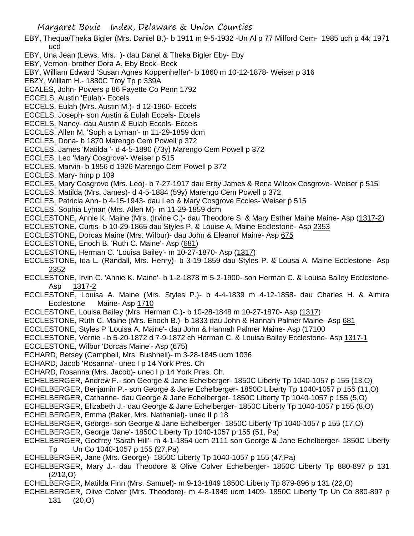- EBY, Thequa/Theka Bigler (Mrs. Daniel B.)- b 1911 m 9-5-1932 -Un Al p 77 Milford Cem- 1985 uch p 44; 1971 ucd
- EBY, Una Jean (Lews, Mrs. )- dau Danel & Theka Bigler Eby- Eby
- EBY, Vernon- brother Dora A. Eby Beck- Beck
- EBY, William Edward 'Susan Agnes Koppenheffer'- b 1860 m 10-12-1878- Weiser p 316
- EBZY, William H.- 1880C Troy Tp p 339A
- ECALES, John- Powers p 86 Fayette Co Penn 1792
- ECCELS, Austin 'Eulah'- Eccels
- ECCELS, Eulah (Mrs. Austin M.)- d 12-1960- Eccels
- ECCELS, Joseph- son Austin & Eulah Eccels- Eccels
- ECCELS, Nancy- dau Austin & Eulah Eccels- Eccels
- ECCLES, Allen M. 'Soph a Lyman'- m 11-29-1859 dcm
- ECCLES, Dona- b 1870 Marengo Cem Powell p 372
- ECCLES, James 'Matilda '- d 4-5-1890 (73y) Marengo Cem Powell p 372
- ECCLES, Leo 'Mary Cosgrove'- Weiser p 515
- ECCLES, Marvin- b 1856 d 1926 Marengo Cem Powell p 372
- ECCLES, Mary- hmp p 109
- ECCLES, Mary Cosgrove (Mrs. Leo)- b 7-27-1917 dau Erby James & Rena Wilcox Cosgrove- Weiser p 515l
- ECCLES, Matilda (Mrs. James)- d 4-5-1884 (59y) Marengo Cem Powell p 372
- ECCLES, Patricia Ann- b 4-15-1943- dau Leo & Mary Cosgrove Eccles- Weiser p 515
- ECCLES, Sophia Lyman (Mrs. Allen M)- m 11-29-1859 dcm
- ECCLESTONE, Annie K. Maine (Mrs. (Irvine C.)- dau Theodore S. & Mary Esther Maine Maine- Asp (1317-2)
- ECCLESTONE, Curtis- b 10-29-1865 dau Styles P. & Louise A. Maine Ecclestone- Asp 2353
- ECCLESTONE, Dorcas Maine (Mrs. Wilbur)- dau John & Eleanor Maine- Asp 675
- ECCLESTONE, Enoch B. 'Ruth C. Maine'- Asp (681)
- ECCLESTONE, Herman C. 'Louisa Bailey'- m 10-27-1870- Asp (1317)
- ECCLESTONE, Ida L. (Randall, Mrs. Henry)- b 3-19-1859 dau Styles P. & Lousa A. Maine Ecclestone- Asp 2352
- ECCLESTONE, Irvin C. 'Annie K. Maine'- b 1-2-1878 m 5-2-1900- son Herman C. & Louisa Bailey Ecclestone-Asp 1317-2
- ECCLESTONE, Louisa A. Maine (Mrs. Styles P.)- b 4-4-1839 m 4-12-1858- dau Charles H. & Almira Ecclestone Maine- Asp 1710
- ECCLESTONE, Louisa Bailey (Mrs. Herman C.)- b 10-28-1848 m 10-27-1870- Asp (1317)
- ECCLESTONE, Ruth C. Maine (Mrs. Enoch B.)- b 1833 dau John & Hannah Palmer Maine- Asp 681
- ECCLESTONE, Styles P 'Louisa A. Maine'- dau John & Hannah Palmer Maine- Asp (17100
- ECCLESTONE, Vernie b 5-20-1872 d 7-9-1872 ch Herman C. & Louisa Bailey Ecclestone- Asp 1317-1
- ECCLESTONE, Wilbur 'Dorcas Maine'- Asp (675)
- ECHARD, Betsey (Campbell, Mrs. Bushnell)- m 3-28-1845 ucm 1036
- ECHARD, Jacob 'Rosanna'- unec I p 14 York Pres. Ch
- ECHARD, Rosanna (Mrs. Jacob)- unec I p 14 York Pres. Ch.
- ECHELBERGER, Andrew F.- son George & Jane Echelberger- 1850C Liberty Tp 1040-1057 p 155 (13,O)
- ECHELBERGER, Benjamin P.- son George & Jane Echelberger- 1850C Liberty Tp 1040-1057 p 155 (11,O)
- ECHELBERGER, Catharine- dau George & Jane Echelberger- 1850C Liberty Tp 1040-1057 p 155 (5,O)
- ECHELBERGER, Elizabeth J.- dau George & Jane Echelberger- 1850C Liberty Tp 1040-1057 p 155 (8,O) ECHELBERGER, Emma (Baker, Mrs. Nathaniel)- unec II p 18
- ECHELBERGER, George- son George & Jane Echelberger- 1850C Liberty Tp 1040-1057 p 155 (17,O)
- ECHELBERGER, George 'Jane'- 1850C Liberty Tp 1040-1057 p 155 (51, Pa)
- ECHELBERGER, Godfrey 'Sarah Hill'- m 4-1-1854 ucm 2111 son George & Jane Echelberger- 1850C Liberty Tp Un Co 1040-1057 p 155 (27,Pa)
- ECHELBERGER, Jane (Mrs. George)- 1850C Liberty Tp 1040-1057 p 155 (47,Pa)
- ECHELBERGER, Mary J.- dau Theodore & Olive Colver Echelberger- 1850C Liberty Tp 880-897 p 131 (2/12,O)
- ECHELBERGER, Matilda Finn (Mrs. Samuel)- m 9-13-1849 1850C Liberty Tp 879-896 p 131 (22,O)
- ECHELBERGER, Olive Colver (Mrs. Theodore)- m 4-8-1849 ucm 1409- 1850C Liberty Tp Un Co 880-897 p 131 (20,O)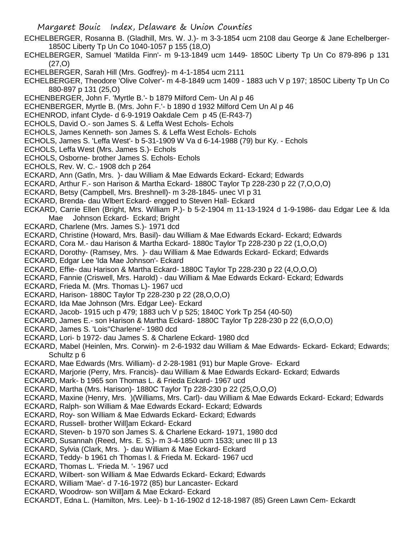- ECHELBERGER, Rosanna B. (Gladhill, Mrs. W. J.)- m 3-3-1854 ucm 2108 dau George & Jane Echelberger-1850C Liberty Tp Un Co 1040-1057 p 155 (18,O)
- ECHELBERGER, Samuel 'Matilda Finn'- m 9-13-1849 ucm 1449- 1850C Liberty Tp Un Co 879-896 p 131 (27,O)
- ECHELBERGER, Sarah Hill (Mrs. Godfrey)- m 4-1-1854 ucm 2111
- ECHELBERGER, Theodore 'Olive Colver'- m 4-8-1849 ucm 1409 1883 uch V p 197; 1850C Liberty Tp Un Co 880-897 p 131 (25,O)
- ECHENBERGER, John F. 'Myrtle B.'- b 1879 Milford Cem- Un Al p 46
- ECHENBERGER, Myrtle B. (Mrs. John F.'- b 1890 d 1932 Milford Cem Un Al p 46
- ECHENROD, infant Clyde- d 6-9-1919 Oakdale Cem p 45 (E-R43-7)
- ECHOLS, David O.- son James S. & Leffa West Echols- Echols
- ECHOLS, James Kenneth- son James S. & Leffa West Echols- Echols
- ECHOLS, James S. 'Leffa West'- b 5-31-1909 W Va d 6-14-1988 (79) bur Ky. Echols
- ECHOLS, Leffa West (Mrs. James S.)- Echols
- ECHOLS, Osborne- brother James S. Echols- Echols
- ECHOLS, Rev. W. C.- 1908 dch p 264
- ECKARD, Ann (Gatln, Mrs. )- dau William & Mae Edwards Eckard- Eckard; Edwards
- ECKARD, Arthur F.- son Harison & Martha Eckard- 1880C Taylor Tp 228-230 p 22 (7,O,O,O)
- ECKARD, Betsy (Campbell, Mrs. Breshnell)- m 3-28-1845- unec VI p 31
- ECKARD, Brenda- dau Wlbert Eckard- engged to Steven Hall- Eckard
- ECKARD, Carrie Ellen (Bright, Mrs. William P.)- b 5-2-1904 m 11-13-1924 d 1-9-1986- dau Edgar Lee & Ida Mae Johnson Eckard- Eckard; Bright
- ECKARD, Charlene (Mrs. James S.)- 1971 dcd
- ECKARD, Christine (Howard, Mrs. Basil)- dau William & Mae Edwards Eckard- Eckard; Edwards
- ECKARD, Cora M.- dau Harison & Martha Eckard- 1880c Taylor Tp 228-230 p 22 (1,O,O,O)
- ECKARD, Dorothy- (Ramsey, Mrs. )- dau William & Mae Edwards Eckard- Eckard; Edwards
- ECKARD, Edgar Lee 'Ida Mae Johnson'- Eckard
- ECKARD, Effie- dau Harison & Martha Eckard- 1880C Taylor Tp 228-230 p 22 (4,O,O,O)
- ECKARD, Fannie (Criswell, Mrs. Harold) dau William & Mae Edwards Eckard- Eckard; Edwards
- ECKARD, Frieda M. (Mrs. Thomas L)- 1967 ucd
- ECKARD, Harison- 1880C Taylor Tp 228-230 p 22 (28,O,O,O)
- ECKARD, Ida Mae Johnson (Mrs. Edgar Lee)- Eckard
- ECKARD, Jacob- 1915 uch p 479; 1883 uch V p 525; 1840C York Tp 254 (40-50)
- ECKARD, James E.- son Harison & Martha Eckard- 1880C Taylor Tp 228-230 p 22 (6,O,O,O)
- ECKARD, James S. 'Lois''Charlene'- 1980 dcd
- ECKARD, Lori- b 1972- dau James S. & Charlene Eckard- 1980 dcd
- ECKARD, Mabel (Heinlen, Mrs. Corwin)- m 2-6-1932 dau William & Mae Edwards- Eckard- Eckard; Edwards; Schultz p 6
- ECKARD, Mae Edwards (Mrs. William)- d 2-28-1981 (91) bur Maple Grove- Eckard
- ECKARD, Marjorie (Perry, Mrs. Francis)- dau William & Mae Edwards Eckard- Eckard; Edwards
- ECKARD, Mark- b 1965 son Thomas L. & Frieda Eckard- 1967 ucd
- ECKARD, Martha (Mrs. Harison)- 1880C Taylor Tp 228-230 p 22 (25,O,O,O)
- ECKARD, Maxine (Henry, Mrs. )(Williams, Mrs. Carl)- dau William & Mae Edwards Eckard- Eckard; Edwards
- ECKARD, Ralph- son William & Mae Edwards Eckard- Eckard; Edwards
- ECKARD, Roy- son William & Mae Edwards Eckard- Eckard; Edwards
- ECKARD, Russell- brother Will]am Eckard- Eckard
- ECKARD, Steven- b 1970 son James S. & Charlene Eckard- 1971, 1980 dcd
- ECKARD, Susannah (Reed, Mrs. E. S.)- m 3-4-1850 ucm 1533; unec III p 13
- ECKARD, Sylvia (Clark, Mrs. )- dau William & Mae Eckard- Eckard
- ECKARD, Teddy- b 1961 ch Thomas l. & Frieda M. Eckard- 1967 ucd
- ECKARD, Thomas L. 'Frieda M. '- 1967 ucd
- ECKARD, Wilbert- son William & Mae Edwards Eckard- Eckard; Edwards
- ECKARD, William 'Mae'- d 7-16-1972 (85) bur Lancaster- Eckard
- ECKARD, Woodrow- son Will]am & Mae Eckard- Eckard
- ECKARDT, Edna L. (Hamilton, Mrs. Lee)- b 1-16-1902 d 12-18-1987 (85) Green Lawn Cem- Eckardt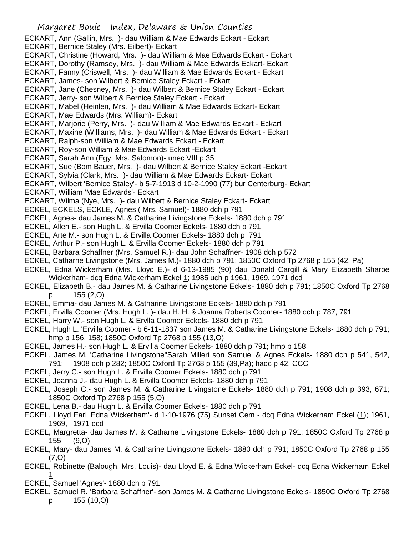- ECKART, James- son Wilbert & Bernice Staley Eckart Eckart
- ECKART, Jane (Chesney, Mrs. )- dau Wilbert & Bernice Staley Eckart Eckart
- ECKART, Jerry- son Wilbert & Bernice Staley Eckart Eckart

ECKART, Mabel (Heinlen, Mrs. )- dau William & Mae Edwards Eckart- Eckart

- ECKART, Mae Edwards (Mrs. William)- Eckart
- ECKART, Marjorie (Perry, Mrs. )- dau William & Mae Edwards Eckart Eckart
- ECKART, Maxine (Williams, Mrs. )- dau William & Mae Edwards Eckart Eckart
- ECKART, Ralph-son William & Mae Edwards Eckart Eckart
- ECKART, Roy-son William & Mae Edwards Eckart -Eckart
- ECKART, Sarah Ann (Egy, Mrs. Salomon)- unec VIII p 35
- ECKART, Sue (Bom Bauer, Mrs. )- dau Wilbert & Bernice Staley Eckart -Eckart
- ECKART, Sylvia (Clark, Mrs. )- dau William & Mae Edwards Eckart- Eckart
- ECKART, Wilbert 'Bernice Staley'- b 5-7-1913 d 10-2-1990 (77) bur Centerburg- Eckart
- ECKART, William 'Mae Edwards'- Eckart
- ECKART, Wilma (Nye, Mrs. )- dau Wilbert & Bernice Staley Eckart- Eckart
- ECKEL, ECKELS, ECKLE, Agnes ( Mrs. Samuel)- 1880 dch p 791
- ECKEL, Agnes- dau James M. & Catharine Livingstone Eckels- 1880 dch p 791
- ECKEL, Allen E.- son Hugh L. & Ervilla Coomer Eckels- 1880 dch p 791
- ECKEL, Arte M.- son Hugh L. & Ervilla Coomer Eckels- 1880 dch p 791
- ECKEL, Arthur P.- son Hugh L. & Ervilla Coomer Eckels- 1880 dch p 791
- ECKEL, Barbara Schaffner (Mrs. Samuel R.)- dau John Schaffner- 1908 dch p 572
- ECKEL, Catharne Livingstone (Mrs. James M.)- 1880 dch p 791; 1850C Oxford Tp 2768 p 155 (42, Pa)
- ECKEL, Edna Wickerham (Mrs. Lloyd E.)- d 6-13-1985 (90) dau Donald Cargill & Mary Elizabeth Sharpe Wickerham- dcq Edna Wickerham Eckel 1; 1985 uch p 1961, 1969, 1971 dcd
- ECKEL, Elizabeth B.- dau James M. & Catharine Livingstone Eckels- 1880 dch p 791; 1850C Oxford Tp 2768 p 155 (2,O)
- ECKEL, Emma- dau James M. & Catharine Livingstone Eckels- 1880 dch p 791
- ECKEL, Ervilla Coomer (Mrs. Hugh L. )- dau H. H. & Joanna Roberts Coomer- 1880 dch p 787, 791
- ECKEL, Harry W.- son Hugh L. & Ervlla Coomer Eckels- 1880 dch p 791
- ECKEL, Hugh L. 'Ervilla Coomer'- b 6-11-1837 son James M. & Catharine Livingstone Eckels- 1880 dch p 791; hmp p 156, 158; 1850C Oxford Tp 2768 p 155 (13,O)
- ECKEL, James H.- son Hugh L. & Ervilla Coomer Eckels- 1880 dch p 791; hmp p 158
- ECKEL, James M. 'Catharine Livingstone''Sarah Milleri son Samuel & Agnes Eckels- 1880 dch p 541, 542, 791; 1908 dch p 282; 1850C Oxford Tp 2768 p 155 (39,Pa); hadc p 42, CCC
- ECKEL, Jerry C.- son Hugh L. & Ervilla Coomer Eckels- 1880 dch p 791
- ECKEL, Joanna J.- dau Hugh L. & Ervilla Coomer Eckels- 1880 dch p 791
- ECKEL, Joseph C.- son James M. & Catharine Livingstone Eckels- 1880 dch p 791; 1908 dch p 393, 671; 1850C Oxford Tp 2768 p 155 (5,O)
- ECKEL, Lena B.- dau Hugh L. & Ervilla Coomer Eckels- 1880 dch p 791
- ECKEL, Lloyd Earl 'Edna Wickerham'- d 1-10-1976 (75) Sunset Cem dcq Edna Wickerham Eckel (1); 1961, 1969, 1971 dcd
- ECKEL, Margretta- dau James M. & Catharne Livingstone Eckels- 1880 dch p 791; 1850C Oxford Tp 2768 p 155 (9,O)
- ECKEL, Mary- dau James M. & Catharine Livingstone Eckels- 1880 dch p 791; 1850C Oxford Tp 2768 p 155 (7,O)
- ECKEL, Robinette (Balough, Mrs. Louis)- dau Lloyd E. & Edna Wickerham Eckel- dcq Edna Wickerham Eckel 1
- ECKEL, Samuel 'Agnes'- 1880 dch p 791
- ECKEL, Samuel R. 'Barbara Schaffner'- son James M. & Catharne Livingstone Eckels- 1850C Oxford Tp 2768 p 155 (10,O)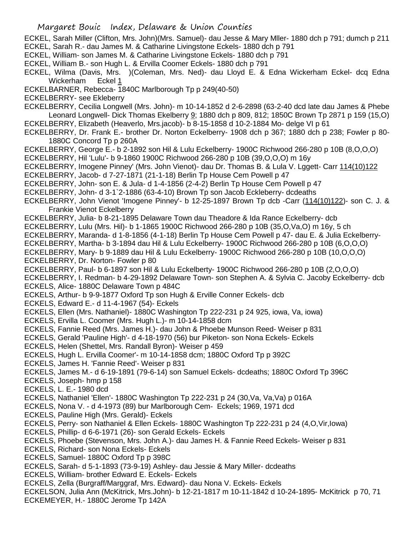- ECKEL, Sarah Miller (Clifton, Mrs. John)(Mrs. Samuel)- dau Jesse & Mary Mller- 1880 dch p 791; dumch p 211
- ECKEL, Sarah R.- dau James M. & Catharine Livingstone Eckels- 1880 dch p 791
- ECKEL, William- son James M. & Catharine Livingstone Eckels- 1880 dch p 791
- ECKEL, William B.- son Hugh L. & Ervilla Coomer Eckels- 1880 dch p 791
- ECKEL, Wilma (Davis, Mrs. )(Coleman, Mrs. Ned)- dau Lloyd E. & Edna Wickerham Eckel- dcq Edna Wickerham Eckel 1
- ECKELBARNER, Rebecca- 1840C Marlborough Tp p 249(40-50)
- ECKELBERRY- see Ekleberry
- ECKELBERRY, Cecilia Longwell (Mrs. John)- m 10-14-1852 d 2-6-2898 (63-2-40 dcd late dau James & Phebe Leonard Longwell- Dick Thomas Ekelberry 9; 1880 dch p 809, 812; 1850C Brown Tp 2871 p 159 (15,0) ECKELBERRY, Elizabeth (Heaverlo, Mrs.jacob)- b 8-15-1858 d 10-2-1884 Mo- delge VI p 61
- ECKELBERRY, Dr. Frank E.- brother Dr. Norton Eckelberry- 1908 dch p 367; 1880 dch p 238; Fowler p 80- 1880C Concord Tp p 260A
- ECKELBERRY, George E.- b 2-1892 son Hil & Lulu Eckelberry- 1900C Richwood 266-280 p 10B (8,O,O,O)
- ECKELBERRY, Hil 'Lulu'- b 9-1860 1900C Richwood 266-280 p 10B (39,O,O,O) m 16y
- ECKELBERRY, Imogene Pinney' (Mrs. John Vienot)- dau Dr. Thomas B. & Lula V. Lggett- Carr 114(10)122 ECKELBERRY, Jacob- d 7-27-1871 (21-1-18) Berlin Tp House Cem Powell p 47
- ECKELBERRY, John- son E. & Jula- d 1-4-1856 (2-4-2) Berlin Tp House Cem Powell p 47
- ECKELBERRY, John- d 3-1`2-1886 (63-4-10) Brown Tp son Jacob Eckleberry- dcdeaths
- ECKELBERRY, John Vienot 'Imogene Pinney'- b 12-25-1897 Brown Tp dcb -Carr (114(10)122)- son C. J. & Frankie Vienot Eckelberry
- ECKELBERRY, Julia- b 8-21-1895 Delaware Town dau Theadore & Ida Rance Eckelberry- dcb
- ECKELBERRY, Lulu (Mrs. Hil)- b 1-1865 1900C Richwood 266-280 p 10B (35,O,Va,O) m 16y, 5 ch
- ECKELBERRY, Maranda- d 1-8-1856 (4-1-18) Berlin Tp House Cem Powell p 47- dau E. & Julia Eckelberry-
- ECKELBERRY, Martha- b 3-1894 dau Hil & Lulu Eckelberry- 1900C Richwood 266-280 p 10B (6,O,O,O)
- ECKELBERRY, Mary- b 9-1889 dau Hil & Lulu Eckelberry- 1900C Richwood 266-280 p 10B (10,O,O,O) ECKELBERRY, Dr. Norton- Fowler p 80
- ECKELBERRY, Paul- b 6-1897 son Hil & Lulu Eckelberty- 1900C Richwood 266-280 p 10B (2,O,O,O)
- ECKELBERRY, I. Redman- b 4-29-1892 Delaware Town- son Stephen A. & Sylvia C. Jacoby Eckelberry- dcb ECKELS, Alice- 1880C Delaware Town p 484C
- ECKELS, Arthur- b 9-9-1877 Oxford Tp son Hugh & Erville Conner Eckels- dcb
- ECKELS, Edward E.- d 11-4-1967 (54)- Eckels
- ECKELS, Ellen (Mrs. Nathaniel)- 1880C Washington Tp 222-231 p 24 925, iowa, Va, iowa)
- ECKELS, Ervilla L. Coomer (Mrs. Hugh L.)- m 10-14-1858 dcm
- ECKELS, Fannie Reed (Mrs. James H.)- dau John & Phoebe Munson Reed- Weiser p 831
- ECKELS, Gerald 'Pauline High'- d 4-18-1970 (56) bur Piketon- son Nona Eckels- Eckels
- ECKELS, Helen (Shettel, Mrs. Randall Byron)- Weiser p 459
- ECKELS, Hugh L. Ervilla Coomer'- m 10-14-1858 dcm; 1880C Oxford Tp p 392C
- ECKELS, James H. 'Fannie Reed'- Weiser p 831
- ECKELS, James M.- d 6-19-1891 (79-6-14) son Samuel Eckels- dcdeaths; 1880C Oxford Tp 396C
- ECKELS, Joseph- hmp p 158
- ECKELS, L. E.- 1980 dcd
- ECKELS, Nathaniel 'Ellen'- 1880C Washington Tp 222-231 p 24 (30,Va, Va,Va) p 016A
- ECKELS, Nona V. d 4-1973 (89) bur Marlborough Cem- Eckels; 1969, 1971 dcd
- ECKELS, Pauline High (Mrs. Gerald)- Eckels
- ECKELS, Perry- son Nathaniel & Ellen Eckels- 1880C Washington Tp 222-231 p 24 (4,O,Vir,Iowa)
- ECKELS, Phillip- d 6-6-1971 (26)- son Gerald Eckels- Eckels
- ECKELS, Phoebe (Stevenson, Mrs. John A.)- dau James H. & Fannie Reed Eckels- Weiser p 831
- ECKELS, Richard- son Nona Eckels- Eckels
- ECKELS, Samuel- 1880C Oxford Tp p 398C
- ECKELS, Sarah- d 5-1-1893 (73-9-19) Ashley- dau Jessie & Mary Miller- dcdeaths
- ECKELS, William- brother Edward E. Eckels- Eckels
- ECKELS, Zella (Burgraff/Marggraf, Mrs. Edward)- dau Nona V. Eckels- Eckels
- ECKELSON, Julia Ann (McKitrick, Mrs.John)- b 12-21-1817 m 10-11-1842 d 10-24-1895- McKitrick p 70, 71 ECKEMEYER, H.- 1880C Jerome Tp 142A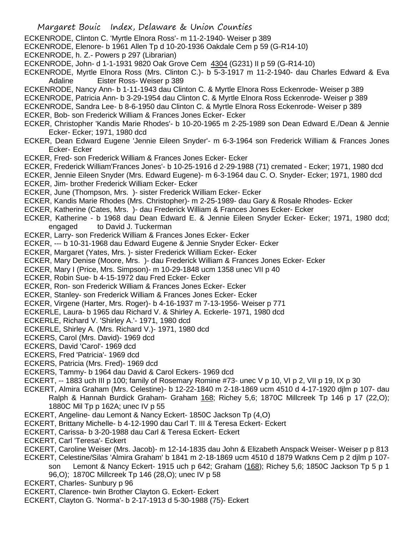- ECKENRODE, Clinton C. 'Myrtle Elnora Ross'- m 11-2-1940- Weiser p 389
- ECKENRODE, Elenore- b 1961 Allen Tp d 10-20-1936 Oakdale Cem p 59 (G-R14-10)
- ECKENRODE, h. Z.- Powers p 297 (Librarian)
- ECKENRODE, John- d 1-1-1931 9820 Oak Grove Cem 4304 (G231) II p 59 (G-R14-10)
- ECKENRODE, Myrtle Elnora Ross (Mrs. Clinton C.)- b 5-3-1917 m 11-2-1940- dau Charles Edward & Eva Adaline Eister Ross- Weiser p 389
- ECKENRODE, Nancy Ann- b 1-11-1943 dau Clinton C. & Myrtle Elnora Ross Eckenrode- Weiser p 389
- ECKENRODE, Patricia Ann- b 3-29-1954 dau Clinton C. & Myrtle Elnora Ross Eckenrode- Weiser p 389
- ECKENRODE, Sandra Lee- b 8-6-1950 dau Clinton C. & Myrtle Elnora Ross Eckenrode- Weiser p 389
- ECKER, Bob- son Frederick William & Frances Jones Ecker- Ecker
- ECKER, Christopher 'Kandis Marie Rhodes'- b 10-20-1965 m 2-25-1989 son Dean Edward E./Dean & Jennie Ecker- Ecker; 1971, 1980 dcd
- ECKER, Dean Edward Eugene 'Jennie Eileen Snyder'- m 6-3-1964 son Frederick William & Frances Jones Ecker- Ecker
- ECKER, Fred- son Frederick William & Frances Jones Ecker- Ecker
- ECKER, Frederick William'Frances Jones'- b 10-25-1916 d 2-29-1988 (71) cremated Ecker; 1971, 1980 dcd
- ECKER, Jennie Eileen Snyder (Mrs. Edward Eugene)- m 6-3-1964 dau C. O. Snyder- Ecker; 1971, 1980 dcd
- ECKER, Jim- brother Frederick William Ecker- Ecker
- ECKER, June (Thompson, Mrs. )- sister Frederick William Ecker- Ecker
- ECKER, Kandis Marie Rhodes (Mrs. Christopher)- m 2-25-1989- dau Gary & Rosale Rhodes- Ecker
- ECKER, Katherine (Cates, Mrs. )- dau Frederick William & Frances Jones Ecker- Ecker
- ECKER, Katherine b 1968 dau Dean Edward E. & Jennie Eileen Snyder Ecker- Ecker; 1971, 1980 dcd; engaged to David J. Tuckerman
- ECKER, Larry- son Frederick William & Frances Jones Ecker- Ecker
- ECKER, --- b 10-31-1968 dau Edward Eugene & Jennie Snyder Ecker- Ecker
- ECKER, Margaret (Yates, Mrs. )- sister Frederick William Ecker- Ecker
- ECKER, Mary Denise (Moore, Mrs. )- dau Frederick William & Frances Jones Ecker- Ecker
- ECKER, Mary I (Price, Mrs. Simpson)- m 10-29-1848 ucm 1358 unec VII p 40
- ECKER, Robin Sue- b 4-15-1972 dau Fred Ecker- Ecker
- ECKER, Ron- son Frederick William & Frances Jones Ecker- Ecker
- ECKER, Stanley- son Frederick William & Frances Jones Ecker- Ecker
- ECKER, Virgene (Harter, Mrs. Roger)- b 4-16-1937 m 7-13-1956- Weiser p 771
- ECKERLE, Laura- b 1965 dau Richard V. & Shirley A. Eckerle- 1971, 1980 dcd
- ECKERLE, Richard V. 'Shirley A.'- 1971, 1980 dcd
- ECKERLE, Shirley A. (Mrs. Richard V.)- 1971, 1980 dcd
- ECKERS, Carol (Mrs. David)- 1969 dcd
- ECKERS, David 'Carol'- 1969 dcd
- ECKERS, Fred 'Patricia'- 1969 dcd
- ECKERS, Patricia (Mrs. Fred)- 1969 dcd
- ECKERS, Tammy- b 1964 dau David & Carol Eckers- 1969 dcd
- ECKERT, -- 1883 uch III p 100; family of Rosemary Romine #73- unec V p 10, VI p 2, VII p 19, IX p 30
- ECKERT, Almira Graham (Mrs. Celestine)- b 12-22-1840 m 2-18-1869 ucm 4510 d 4-17-1920 djlm p 107- dau Ralph & Hannah Burdick Graham- Graham 168; Richey 5,6; 1870C Millcreek Tp 146 p 17 (22,O); 1880C Mil Tp p 162A; unec IV p 55
- ECKERT, Angeline- dau Lemont & Nancy Eckert- 1850C Jackson Tp (4,O)
- ECKERT, Brittany Michelle- b 4-12-1990 dau Carl T. III & Teresa Eckert- Eckert
- ECKERT, Carissa- b 3-20-1988 dau Carl & Teresa Eckert- Eckert
- ECKERT, Carl 'Teresa'- Eckert
- ECKERT, Caroline Weiser (Mrs. Jacob)- m 12-14-1835 dau John & Elizabeth Anspack Weiser- Weiser p p 813
- ECKERT, Celestine/Silas 'Almira Graham' b 1841 m 2-18-1869 ucm 4510 d 1879 Watkns Cem p 2 djlm p 107
	- son Lemont & Nancy Eckert- 1915 uch p 642; Graham (168); Richey 5,6; 1850C Jackson Tp 5 p 1
		- 96,O); 1870C Millcreek Tp 146 (28,O); unec IV p 58
- ECKERT, Charles- Sunbury p 96
- ECKERT, Clarence- twin Brother Clayton G. Eckert- Eckert
- ECKERT, Clayton G. 'Norma'- b 2-17-1913 d 5-30-1988 (75)- Eckert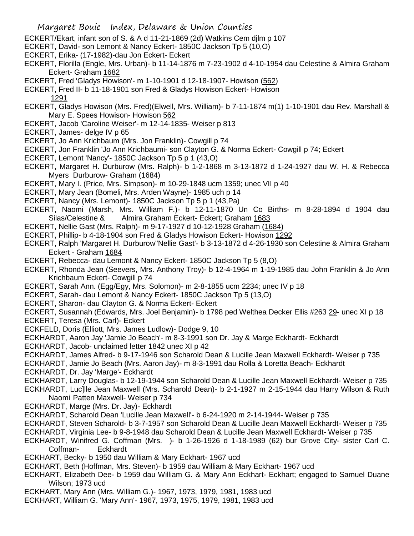- ECKERT/Ekart, infant son of S. & A d 11-21-1869 (2d) Watkins Cem djlm p 107
- ECKERT, David- son Lemont & Nancy Eckert- 1850C Jackson Tp 5 (10,O)
- ECKERT, Erika- (17-1982)-dau Jon Eckert- Eckert
- ECKERT, Florilla (Engle, Mrs. Urban)- b 11-14-1876 m 7-23-1902 d 4-10-1954 dau Celestine & Almira Graham Eckert- Graham 1682
- ECKERT, Fred 'Gladys Howison'- m 1-10-1901 d 12-18-1907- Howison (562)
- ECKERT, Fred II- b 11-18-1901 son Fred & Gladys Howison Eckert- Howison 1291
- ECKERT, Gladys Howison (Mrs. Fred)(Elwell, Mrs. William)- b 7-11-1874 m(1) 1-10-1901 dau Rev. Marshall & Mary E. Spees Howison- Howison 562
- ECKERT, Jacob 'Caroline Weiser'- m 12-14-1835- Weiser p 813
- ECKERT, James- delge IV p 65
- ECKERT, Jo Ann Krichbaum (Mrs. Jon Franklin)- Cowgill p 74
- ECKERT, Jon Franklin 'Jo Ann Krichbaumi- son Clayton G. & Norma Eckert- Cowgill p 74; Eckert
- ECKERT, Lemont 'Nancy'- 1850C Jackson Tp 5 p 1 (43,O)
- ECKERT, Margaret H. Durburow (Mrs. Ralph)- b 1-2-1868 m 3-13-1872 d 1-24-1927 dau W. H. & Rebecca Myers Durburow- Graham (1684)
- ECKERT, Mary I. (Price, Mrs. Simpson)- m 10-29-1848 ucm 1359; unec VII p 40
- ECKERT, Mary Jean (Bomeli, Mrs. Arden Wayne)- 1985 uch p 14
- ECKERT, Nancy (Mrs. Lemont)- 1850C Jackson Tp 5 p 1 (43,Pa)
- ECKERT, Naomi (Marsh, Mrs. William F.)- b 12-11-1870 Un Co Births- m 8-28-1894 d 1904 dau Silas/Celestine & Almira Graham Eckert- Eckert; Graham 1683
- ECKERT, Nellie Gast (Mrs. Ralph)- m 9-17-1927 d 10-12-1928 Graham (1684)
- ECKERT, Phillip- b 4-18-1904 son Fred & Gladys Howison Eckert- Howison 1292
- ECKERT, Ralph 'Margaret H. Durburow''Nellie Gast'- b 3-13-1872 d 4-26-1930 son Celestine & Almira Graham Eckert - Graham 1684
- ECKERT, Rebecca- dau Lemont & Nancy Eckert- 1850C Jackson Tp 5 (8,O)
- ECKERT, Rhonda Jean (Seevers, Mrs. Anthony Troy)- b 12-4-1964 m 1-19-1985 dau John Franklin & Jo Ann Krichbaum Eckert- Cowgill p 74
- ECKERT, Sarah Ann. (Egg/Egy, Mrs. Solomon)- m 2-8-1855 ucm 2234; unec IV p 18
- ECKERT, Sarah- dau Lemont & Nancy Eckert- 1850C Jackson Tp 5 (13,O)
- ECKERT, Sharon- dau Clayton G. & Norma Eckert- Eckert
- ECKERT, Susannah (Edwards, Mrs. Joel Benjamin)- b 1798 ped Welthea Decker Ellis #263 29- unec XI p 18
- ECKERT, Teresa (Mrs. Carl)- Eckert
- ECKFELD, Doris (Elliott, Mrs. James Ludlow)- Dodge 9, 10
- ECKHARDT, Aaron Jay 'Jamie Jo Beach'- m 8-3-1991 son Dr. Jay & Marge Eckhardt- Eckhardt
- ECKHARDT, Jacob- unclaimed letter 1842 unec XI p 42
- ECKHARDT, James Alfred- b 9-17-1946 son Scharold Dean & Lucille Jean Maxwell Eckhardt- Weiser p 735
- ECKHARDT, Jamie Jo Beach (Mrs. Aaron Jay)- m 8-3-1991 dau Rolla & Loretta Beach- Eckhardt
- ECKHARDT, Dr. Jay 'Marge'- Eckhardt
- ECKHARDT, Larry Douglas- b 12-19-1944 son Scharold Dean & Lucille Jean Maxwell Eckhardt- Weiser p 735
- ECKHARDT, Luc]lle Jean Maxwell (Mrs. Scharold Dean)- b 2-1-1927 m 2-15-1944 dau Harry Wilson & Ruth Naomi Patten Maxwell- Weiser p 734
- ECKHARDT, Marge (Mrs. Dr. Jay)- Eckhardt
- ECKHARDT, Scharold Dean 'Lucille Jean Maxwell'- b 6-24-1920 m 2-14-1944- Weiser p 735
- ECKHARDT, Steven Scharold- b 3-7-1957 son Scharold Dean & Lucille Jean Maxwell Eckhardt- Weiser p 735
- ECKHARDT, Virginia Lee- b 9-8-1948 dau Scharold Dean & Lucille Jean Maxwell Eckhardt- Weiser p 735
- ECKHARDT, Winifred G. Coffman (Mrs. )- b 1-26-1926 d 1-18-1989 (62) bur Grove City- sister Carl C. Coffman- Eckhardt
- ECKHART, Becky- b 1950 dau William & Mary Eckhart- 1967 ucd
- ECKHART, Beth (Hoffman, Mrs. Steven)- b 1959 dau William & Mary Eckhart- 1967 ucd
- ECKHART, Elizabeth Dee- b 1959 dau William G. & Mary Ann Eckhart- Eckhart; engaged to Samuel Duane Wilson; 1973 ucd
- ECKHART, Mary Ann (Mrs. William G.)- 1967, 1973, 1979, 1981, 1983 ucd
- ECKHART, William G. 'Mary Ann'- 1967, 1973, 1975, 1979, 1981, 1983 ucd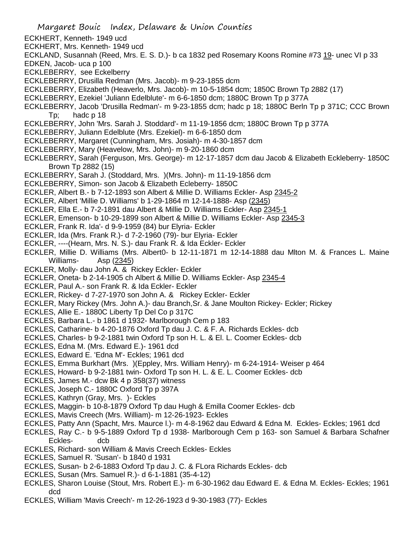- ECKHERT, Kenneth- 1949 ucd
- ECKHERT, Mrs. Kenneth- 1949 ucd
- ECKLAND, Susannah (Reed, Mrs. E. S. D.)- b ca 1832 ped Rosemary Koons Romine #73 19- unec VI p 33
- EDKEN, Jacob- uca p 100
- ECKLEBERRY, see Eckelberry
- ECKLEBERRY, Drusilla Redman (Mrs. Jacob)- m 9-23-1855 dcm
- ECKLEBERRY, Elizabeth (Heaverlo, Mrs. Jacob)- m 10-5-1854 dcm; 1850C Brown Tp 2882 (17)
- ECKLEBERRY, Ezekiel 'Juliann Edelblute'- m 6-6-1850 dcm; 1880C Brown Tp p 377A
- ECKLEBERRY, Jacob 'Drusilla Redman'- m 9-23-1855 dcm; hadc p 18; 1880C Berln Tp p 371C; CCC Brown Tp; hadc p 18
- ECKLEBERRY, John 'Mrs. Sarah J. Stoddard'- m 11-19-1856 dcm; 1880C Brown Tp p 377A
- ECKLEBERRY, Juliann Edelblute (Mrs. Ezekiel)- m 6-6-1850 dcm
- ECKLEBERRY, Margaret (Cunningham, Mrs. Josiah)- m 4-30-1857 dcm
- ECKLEBERRY, Mary (Heavelow, Mrs. John)- m 9-20-1860 dcm
- ECKLEBERRY, Sarah (Ferguson, Mrs. George)- m 12-17-1857 dcm dau Jacob & Elizabeth Eckleberry- 1850C Brown Tp 2882 (15)
- ECKLEBERRY, Sarah J. (Stoddard, Mrs. )(Mrs. John)- m 11-19-1856 dcm
- ECKLEBERRY, Simon- son Jacob & Elizabeth Ecleberry- 1850C
- ECKLER, Albert B.- b 7-12-1893 son Albert & Millie D. Williams Eckler- Asp 2345-2
- ECKLER, Albert 'Millie D. Williams' b 1-29-1864 m 12-14-1888- Asp (2345)
- ECKLER, Ella E.- b 7-2-1891 dau Albert & Millie D. Williams Eckler- Asp 2345-1
- ECKLER, Emenson- b 10-29-1899 son Albert & Millie D. Williams Eckler- Asp 2345-3
- ECKLER, Frank R. Ida'- d 9-9-1959 (84) bur Elyria- Eckler
- ECKLER, Ida (Mrs. Frank R.)- d 7-2-1960 (79)- bur Elyria- Eckler
- ECKLER, ----(Hearn, Mrs. N. S.)- dau Frank R. & Ida Eckler- Eckler
- ECKLER, Millie D. Williams (Mrs. Albert0- b 12-11-1871 m 12-14-1888 dau Mlton M. & Frances L. Maine Williams- Asp (2345)
- ECKLER, Molly- dau John A. & Rickey Eckler- Eckler
- ECKLER, Oneta- b 2-14-1905 ch Albert & Millie D. Williams Eckler- Asp 2345-4
- ECKLER, Paul A.- son Frank R. & Ida Eckler- Eckler
- ECKLER, Rickey- d 7-27-1970 son John A. & Rickey Eckler- Eckler
- ECKLER, Mary Rickey (Mrs. John A.)- dau Branch,Sr. & Jane Moulton Rickey- Eckler; Rickey
- ECKLES, Allie E.- 1880C Liberty Tp Del Co p 317C
- ECKLES, Barbara L.- b 1861 d 1932- Marlborough Cem p 183
- ECKLES, Catharine- b 4-20-1876 Oxford Tp dau J. C. & F. A. Richards Eckles- dcb
- ECKLES, Charles- b 9-2-1881 twin Oxford Tp son H. L. & El. L. Coomer Eckles- dcb
- ECKLES, Edna M. (Mrs. Edward E.)- 1961 dcd
- ECKLES, Edward E. 'Edna M'- Eckles; 1961 dcd
- ECKLES, Emma Burkhart (Mrs. )(Eppley, Mrs. William Henry)- m 6-24-1914- Weiser p 464
- ECKLES, Howard- b 9-2-1881 twin- Oxford Tp son H. L. & E. L. Coomer Eckles- dcb
- ECKLES, James M.- dcw Bk 4 p 358(37) witness
- ECKLES, Joseph C.- 1880C Oxford Tp p 397A
- ECKLES, Kathryn (Gray, Mrs. )- Eckles
- ECKLES, Maggin- b 10-8-1879 Oxford Tp dau Hugh & Emilla Coomer Eckles- dcb
- ECKLES, Mavis Creech (Mrs. William)- m 12-26-1923- Eckles
- ECKLES, Patty Ann (Spacht, Mrs. Maurce l.)- m 4-8-1962 dau Edward & Edna M. Eckles- Eckles; 1961 dcd
- ECKLES, Ray C.- b 9-5-1889 Oxford Tp d 1938- Marlborough Cem p 163- son Samuel & Barbara Schafner Eckles- dcb
- ECKLES, Richard- son William & Mavis Creech Eckles- Eckles
- ECKLES, Samuel R. 'Susan'- b 1840 d 1931
- ECKLES, Susan- b 2-6-1883 Oxford Tp dau J. C. & FLora Richards Eckles- dcb
- ECKLES, Susan (Mrs. Samuel R.)- d 6-1-1881 (35-4-12)
- ECKLES, Sharon Louise (Stout, Mrs. Robert E.)- m 6-30-1962 dau Edward E. & Edna M. Eckles- Eckles; 1961 dcd
- ECKLES, William 'Mavis Creech'- m 12-26-1923 d 9-30-1983 (77)- Eckles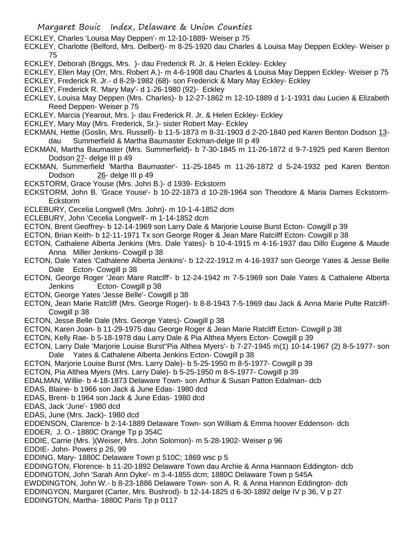ECKLEY, Charles 'Louisa May Deppen'- m 12-10-1889- Weiser p 75

ECKLEY, Charlotte (Belford, Mrs. Delbert)- m 8-25-1920 dau Charles & Louisa May Deppen Eckley- Weiser p 75

- ECKLEY, Deborah (Briggs, Mrs. )- dau Frederick R. Jr. & Helen Eckley- Eckley
- ECKLEY, Ellen May (Orr, Mrs. Robert A.)- m 4-6-1908 dau Charles & Louisa May Deppen Eckley- Weiser p 75
- ECKLEY, Frederick R. Jr.- d 8-29-1982 (68)- son Frederick & Mary May Eckley- Eckley
- ECKLEY, Frederick R. 'Mary May'- d 1-26-1980 (92)- Eckley
- ECKLEY, Louisa May Deppen (Mrs. Charles)- b 12-27-1862 m 12-10-1889 d 1-1-1931 dau Lucien & Elizabeth Reed Deppen- Weiser p 75
- ECKLEY, Marcia (Yearout, Mrs. )- dau Frederick R. Jr. & Helen Eckley- Eckley
- ECKLEY, Mary May (Mrs. Frederick, Sr.)- sister Robert May- Eckley
- ECKMAN, Hettie (Goslin, Mrs. Russell)- b 11-5-1873 m 8-31-1903 d 2-20-1840 ped Karen Benton Dodson 13 dau Summerfield & Martha Baumaster Eckman-delge III p 49
- ECKMAN, Martha Baumaster (Mrs. Summerfield)- b 7-30-1845 m 11-26-1872 d 9-7-1925 ped Karen Benton Dodson 27- delge III p 49
- ECKMAN, Summerfield 'Martha Baumaster'- 11-25-1845 m 11-26-1872 d 5-24-1932 ped Karen Benton Dodson 26- delge III p 49
- ECKSTORM, Grace Youse (Mrs. John B.)- d 1939- Eckstorm
- ECKSTORM, John B. 'Grace Youse'- b 10-22-1873 d 10-28-1964 son Theodore & Maria Dames Eckstorm-Eckstorm
- ECLEBURY, Cecelia Longwell (Mrs. John)- m 10-1-4-1852 dcm
- ECLEBURY, John 'Cecelia Longwell'- m 1-14-1852 dcm
- ECTON, Brent Geoffrey- b 12-14-1969 son Larry Dale & Marjorie Louise Burst Ecton- Cowgill p 39
- ECTON, Brian Keith- b 12-11-1971 Tx son George Roger & Jean Mare Ratcilff Ecton- Cowgill p 38
- ECTON, Cathalene Alberta Jenkins (Mrs. Dale Yates)- b 10-4-1915 m 4-16-1937 dau Dillo Eugene & Maude Anna Miller Jenkins- Cowgill p 38
- ECTON, Dale Yates 'Cathalene Alberta Jenkins'- b 12-22-1912 m 4-16-1937 son George Yates & Jesse Belle Dale Ecton- Cowgill p 38
- ECTON, George Roger 'Jean Mare Ratclff'- b 12-24-1942 m 7-5-1969 son Dale Yates & Cathalene Alberta Jenkins Ecton- Cowgill p 38
- ECTON, George Yates 'Jesse Belle'- Cowgill p 38
- ECTON, Jean Marie Ratcliff (Mrs. George Roger)- b 8-8-1943 7-5-1969 dau Jack & Anna Marie Pulte Ratcliff-Cowgill p 38
- ECTON, Jesse Belle Dale (Mrs. George Yates)- Cowgill p 38
- ECTON, Karen Joan- b 11-29-1975 dau George Roger & Jean Marie Ratcliff Ecton- Cowgill p 38
- ECTON, Kelly Rae- b 5-18-1978 dau Larry Dale & Pia Althea Myers Ecton- Cowgill p 39
- ECTON, Larry Dale 'Marjorie Louise Burst''Pia Althea Myers'- b 7-27-1945 m(1) 10-14-1967 (2) 8-5-1977- son Dale Yates & Cathalene Alberta Jenkins Ecton- Cowgill p 38
- ECTON, Marjorie Louise Burst (Mrs. Larry Dale)- b 5-25-1950 m 8-5-1977- Cowgill p 39
- ECTON, Pia Althea Myers (Mrs. Larry Dale)- b 5-25-1950 m 8-5-1977- Cowgill p 39
- EDALMAN, Willie- b 4-18-1873 Delaware Town- son Arthur & Susan Patton Edalman- dcb
- EDAS, Blaine- b 1966 son Jack & June Edas- 1980 dcd
- EDAS, Brent- b 1964 son Jack & June Edas- 1980 dcd
- EDAS, Jack 'June'- 1980 dcd
- EDAS, June (Mrs. Jack)- 1980 dcd
- EDDENSON, Clarence- b 2-14-1889 Delaware Town- son William & Emma hoover Eddenson- dcb EDDER, J. O.- 1880C Orange Tp p 354C
- EDDIE, Carrie (Mrs. )(Weiser, Mrs. John Solomon)- m 5-28-1902- Weiser p 96
- EDDIE- John- Powers p 26, 99
- EDDING, Mary- 1880C Delaware Town p 510C; 1869 wsc p 5
- EDDINGTON, Florence- b 11-20-1892 Delaware Town dau Archie & Anna Hannaon Eddington- dcb EDDINGTON, John 'Sarah Ann Dyke'- m 3-4-1855 dcm; 1880C Delaware Town p 545A
- EWDDINGTON, John W.- b 8-23-1886 Delaware Town- son A. R. & Anna Hannon Eddington- dcb EDDINGYON, Margaret (Carter, Mrs. Bushrod)- b 12-14-1825 d 6-30-1892 delge IV p 36, V p 27 EDDINGTON, Martha- 1880C Paris Tp p 0117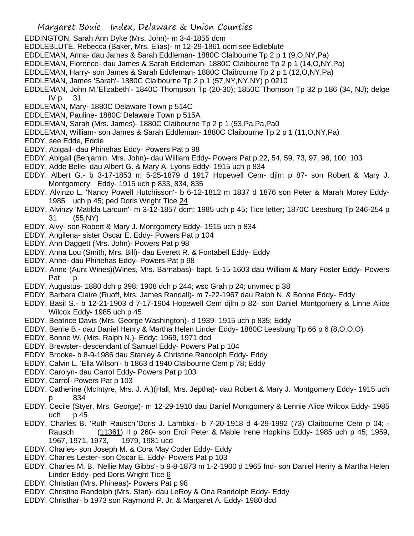- Margaret Bouic Index, Delaware & Union Counties
- EDDINGTON, Sarah Ann Dyke (Mrs. John)- m 3-4-1855 dcm
- EDDLEBLUTE, Rebecca (Baker, Mrs. Elias)- m 12-29-1861 dcm see Edleblute
- EDDLEMAN, Anna- dau James & Sarah Eddleman- 1880C Claibourne Tp 2 p 1 (9,O,NY,Pa)
- EDDLEMAN, Florence- dau James & Sarah Eddleman- 1880C Claibourne Tp 2 p 1 (14,O,NY,Pa)
- EDDLEMAN, Harry- son James & Sarah Eddleman- 1880C Claibourne Tp 2 p 1 (12,O,NY,Pa)
- EDDLEMAN, James 'Sarah'- 1880C Claibourne Tp 2 p 1 (57,NY,NY,NY) p 0210
- EDDLEMAN, John M.'Elizabeth'- 1840C Thompson Tp (20-30); 1850C Thomson Tp 32 p 186 (34, NJ); delge  $IV p 31$
- EDDLEMAN, Mary- 1880C Delaware Town p 514C
- EDDLEMAN, Pauline- 1880C Delaware Town p 515A
- EDDLEMAN, Sarah (Mrs. James)- 1880C Claibourne Tp 2 p 1 (53,Pa,Pa,Pa0
- EDDLEMAN, William- son James & Sarah Eddleman- 1880C Claibourne Tp 2 p 1 (11,O,NY,Pa)
- EDDY, see Edde, Eddie
- EDDY, Abigail- dau Phinehas Eddy- Powers Pat p 98
- EDDY, Abigail (Benjamin, Mrs. John)- dau William Eddy- Powers Pat p 22, 54, 59, 73, 97, 98, 100, 103
- EDDY, Adde Belle- dau Albert G. & Mary A. Lyons Eddy- 1915 uch p 834
- EDDY, Albert G.- b 3-17-1853 m 5-25-1879 d 1917 Hopewell Cem- djlm p 87- son Robert & Mary J. Montgomery Eddy- 1915 uch p 833, 834, 835
- EDDY, Alvinzo L. 'Nancy Powell Hutchisson'- b 6-12-1812 m 1837 d 1876 son Peter & Marah Morey Eddy-1985 uch p 45; ped Doris Wright Tice 24
- EDDY, Alvinzy 'Matilda Larcum'- m 3-12-1857 dcm; 1985 uch p 45; Tice letter; 1870C Leesburg Tp 246-254 p 31 (55,NY)
- EDDY, Alvy- son Robert & Mary J. Montgomery Eddy- 1915 uch p 834
- EDDY, Angilena- sister Oscar E. Eddy- Powers Pat p 104
- EDDY, Ann Daggett (Mrs. John)- Powers Pat p 98
- EDDY, Anna Lou (Smith, Mrs. Bill)- dau Everett R. & Fontabell Eddy- Eddy
- EDDY, Anne- dau Phinehas Eddy- Powers Pat p 98
- EDDY, Anne (Aunt Wines)(Wines, Mrs. Barnabas)- bapt. 5-15-1603 dau William & Mary Foster Eddy- Powers Pat
- EDDY, Augustus- 1880 dch p 398; 1908 dch p 244; wsc Grah p 24; unvmec p 38
- EDDY, Barbara Claire (Ruoff, Mrs. James Randall)- m 7-22-1967 dau Ralph N. & Bonne Eddy- Eddy
- EDDY, Basil S.- b 12-21-1903 d 7-17-1904 Hopewell Cem djlm p 82- son Daniel Montgomery & Linne Alice Wilcox Eddy- 1985 uch p 45
- EDDY, Beatrice Davis (Mrs. George Washington)- d 1939- 1915 uch p 835; Eddy
- EDDY, Berrie B.- dau Daniel Henry & Martha Helen Linder Eddy- 1880C Leesburg Tp 66 p 6 (8,O,O,O)
- EDDY, Bonne W. (Mrs. Ralph N.)- Eddy; 1969, 1971 dcd
- EDDY, Brewster- descendant of Samuel Eddy- Powers Pat p 104
- EDDY, Brooke- b 8-9-1986 dau Stanley & Christine Randolph Eddy- Eddy
- EDDY, Calvin L. 'Ella Wilson'- b 1863 d 1940 Claibourne Cem p 78; Eddy
- EDDY, Carolyn- dau Carrol Eddy- Powers Pat p 103
- EDDY, Carrol- Powers Pat p 103
- EDDY, Catherine (McIntyre, Mrs. J. A.)(Hall, Mrs. Jeptha)- dau Robert & Mary J. Montgomery Eddy- 1915 uch p 834
- EDDY, Cecile (Styer, Mrs. George)- m 12-29-1910 dau Daniel Montgomery & Lennie Alice Wilcox Eddy- 1985 uch  $p$  45
- EDDY, Charles B. 'Ruth Rausch''Doris J. Lambka'- b 7-20-1918 d 4-29-1992 (73) Claibourne Cem p 04; Rausch (11361) II p 260- son Ercil Peter & Mable Irene Hopkins Eddy- 1985 uch p 45; 1959, 1967, 1971, 1973, 1979, 1981 ucd
- EDDY, Charles- son Joseph M. & Cora May Coder Eddy- Eddy
- EDDY, Charles Lester- son Oscar E. Eddy- Powers Pat p 103
- EDDY, Charles M. B. 'Nellie May Gibbs'- b 9-8-1873 m 1-2-1900 d 1965 Ind- son Daniel Henry & Martha Helen Linder Eddy- ped Doris Wright Tice 6
- EDDY, Christian (Mrs. Phineas)- Powers Pat p 98
- EDDY, Christine Randolph (Mrs. Stan)- dau LeRoy & Ona Randolph Eddy- Eddy
- EDDY, Christhar- b 1973 son Raymond P. Jr. & Margaret A. Eddy- 1980 dcd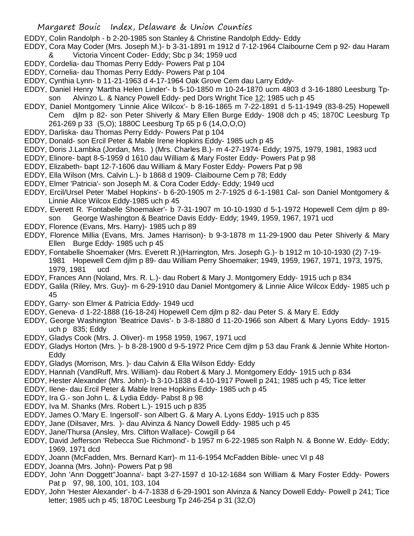- EDDY, Colin Randolph b 2-20-1985 son Stanley & Christine Randolph Eddy- Eddy
- EDDY, Cora May Coder (Mrs. Joseph M.)- b 3-31-1891 m 1912 d 7-12-1964 Claibourne Cem p 92- dau Haram Victoria Vincent Coder- Eddy; Sbc p 34; 1959 ucd
- EDDY, Cordelia- dau Thomas Perry Eddy- Powers Pat p 104
- EDDY, Cornelia- dau Thomas Perry Eddy- Powers Pat p 104
- EDDY, Cynthia Lynn- b 11-21-1963 d 4-17-1964 Oak Grove Cem dau Larry Eddy-
- EDDY, Daniel Henry 'Martha Helen Linder'- b 5-10-1850 m 10-24-1870 ucm 4803 d 3-16-1880 Leesburg Tpson Alvinzo L. & Nancy Powell Eddy- ped Dors Wright Tice 12; 1985 uch p 45
- EDDY, Daniel Montgomery 'Linnie Alice Wilcox'- b 8-16-1865 m 7-22-1891 d 5-11-1949 (83-8-25) Hopewell Cem djlm p 82- son Peter Shiverly & Mary Ellen Burge Eddy- 1908 dch p 45; 1870C Leesburg Tp 261-269 p 33 (5,O); 1880C Leesburg Tp 65 p 6 (14,O,O,O)
- EDDY, Darliska- dau Thomas Perry Eddy- Powers Pat p 104
- EDDY, Donald- son Ercil Peter & Mable Irene Hopkins Eddy- 1985 uch p 45
- EDDY, Doris J.Lambka (Jordan, Mrs. ) (Mrs. Charles B.)- m 4-27-1974- Eddy; 1975, 1979, 1981, 1983 ucd
- EDDY, Elinore- bapt 8-5-1959 d 1610 dau William & Mary Foster Eddy- Powers Pat p 98
- EDDY, Elizabeth- bapt 12-7-1606 dau William & Mary Foster Eddy- Powers Pat p 98
- EDDY, Ella Wilson (Mrs. Calvin L.)- b 1868 d 1909- Claibourne Cem p 78; Eddy
- EDDY, Elmer 'Patricia'- son Joseph M. & Cora Coder Eddy- Eddy; 1949 ucd
- EDDY, Ercil/Ursel Peter 'Mabel Hopkins'- b 6-20-1905 m 2-7-1925 d 6-1-1981 Cal- son Daniel Montgomery & Linnie Alice Wilcox Eddy-1985 uch p 45
- EDDY, Everett R. 'Fontabelle Shoemaker'- b 7-31-1907 m 10-10-1930 d 5-1-1972 Hopewell Cem djlm p 89 son George Washington & Beatrice Davis Eddy- Eddy; 1949, 1959, 1967, 1971 ucd
- EDDY, Florence (Evans, Mrs. Harry)- 1985 uch p 89
- EDDY, Florence Millia (Evans, Mrs. James Harrison)- b 9-3-1878 m 11-29-1900 dau Peter Shiverly & Mary Ellen Burge Eddy- 1985 uch p 45
- EDDY, Fontabelle Shoemaker (Mrs. Everett R.)(Harrington, Mrs. Joseph G.)- b 1912 m 10-10-1930 (2) 7-19- 1981 Hopewell Cem djlm p 89- dau William Perry Shoemaker; 1949, 1959, 1967, 1971, 1973, 1975, 1979, 1981 ucd
- EDDY, Frances Ann (Noland, Mrs. R. L.)- dau Robert & Mary J. Montgomery Eddy- 1915 uch p 834
- EDDY, Galila (Riley, Mrs. Guy)- m 6-29-1910 dau Daniel Montgomery & Linnie Alice Wilcox Eddy- 1985 uch p 45
- EDDY, Garry- son Elmer & Patricia Eddy- 1949 ucd
- EDDY, Geneva- d 1-22-1888 (16-18-24) Hopewell Cem djlm p 82- dau Peter S. & Mary E. Eddy
- EDDY, George Washington 'Beatrice Davis'- b 3-8-1880 d 11-20-1966 son Albert & Mary Lyons Eddy- 1915 uch p 835; Eddy
- EDDY, Gladys Cook (Mrs. J. Oliver)- m 1958 1959, 1967, 1971 ucd
- EDDY, Gladys Horton (Mrs. )- b 8-28-1900 d 9-5-1972 Price Cem djlm p 53 dau Frank & Jennie White Horton-Eddy
- EDDY, Gladys (Morrison, Mrs. )- dau Calvin & Ella Wilson Eddy- Eddy
- EDDY, Hannah (VandRuff, Mrs. William)- dau Robert & Mary J. Montgomery Eddy- 1915 uch p 834
- EDDY, Hester Alexander (Mrs. John)- b 3-10-1838 d 4-10-1917 Powell p 241; 1985 uch p 45; Tice letter
- EDDY, Ilene- dau Ercil Peter & Mable Irene Hopkins Eddy- 1985 uch p 45
- EDDY, Ira G.- son John L. & Lydia Eddy- Pabst 8 p 98
- EDDY, Iva M. Shanks (Mrs. Robert L.)- 1915 uch p 835
- EDDY, James O.'Mary E. Ingersoll'- son Albert G. & Mary A. Lyons Eddy- 1915 uch p 835
- EDDY, Jane (Dilsaver, Mrs. )- dau Alvinza & Nancy Dowell Eddy- 1985 uch p 45
- EDDY, Jane/Thursa (Ansley, Mrs. Clifton Wallace)- Cowgill p 64
- EDDY, David Jefferson 'Rebecca Sue Richmond'- b 1957 m 6-22-1985 son Ralph N. & Bonne W. Eddy- Eddy; 1969, 1971 dcd
- EDDY, Joann (McFadden, Mrs. Bernard Karr)- m 11-6-1954 McFadden Bible- unec VI p 48
- EDDY, Joanna (Mrs. John)- Powers Pat p 98
- EDDY, John 'Ann Doggett''Joanna'- bapt 3-27-1597 d 10-12-1684 son William & Mary Foster Eddy- Powers Pat p 97, 98, 100, 101, 103, 104
- EDDY, John 'Hester Alexander'- b 4-7-1838 d 6-29-1901 son Alvinza & Nancy Dowell Eddy- Powell p 241; Tice letter; 1985 uch p 45; 1870C Leesburg Tp 246-254 p 31 (32,O)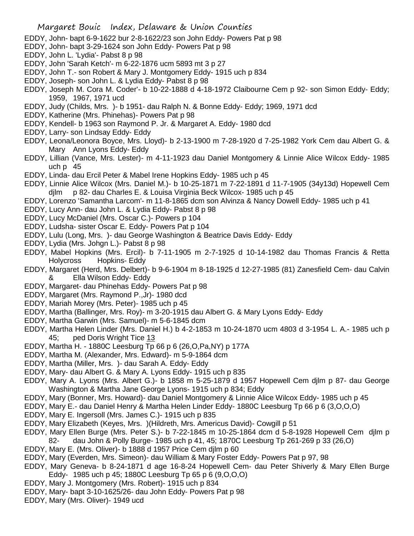- EDDY, John- bapt 6-9-1622 bur 2-8-1622/23 son John Eddy- Powers Pat p 98
- EDDY, John- bapt 3-29-1624 son John Eddy- Powers Pat p 98
- EDDY, John L. 'Lydia'- Pabst 8 p 98
- EDDY, John 'Sarah Ketch'- m 6-22-1876 ucm 5893 mt 3 p 27
- EDDY, John T.- son Robert & Mary J. Montgomery Eddy- 1915 uch p 834
- EDDY, Joseph- son John L. & Lydia Eddy- Pabst 8 p 98
- EDDY, Joseph M. Cora M. Coder'- b 10-22-1888 d 4-18-1972 Claibourne Cem p 92- son Simon Eddy- Eddy; 1959, 1967, 1971 ucd
- EDDY, Judy (Childs, Mrs. )- b 1951- dau Ralph N. & Bonne Eddy- Eddy; 1969, 1971 dcd
- EDDY, Katherine (Mrs. Phinehas)- Powers Pat p 98
- EDDY, Kendell- b 1963 son Raymond P. Jr. & Margaret A. Eddy- 1980 dcd
- EDDY, Larry- son Lindsay Eddy- Eddy
- EDDY, Leona/Leonora Boyce, Mrs. Lloyd)- b 2-13-1900 m 7-28-1920 d 7-25-1982 York Cem dau Albert G. & Mary Ann Lyons Eddy- Eddy
- EDDY, Lillian (Vance, Mrs. Lester)- m 4-11-1923 dau Daniel Montgomery & Linnie Alice Wilcox Eddy- 1985 uch p 45
- EDDY, Linda- dau Ercil Peter & Mabel Irene Hopkins Eddy- 1985 uch p 45
- EDDY, Linnie Alice Wilcox (Mrs. Daniel M.)- b 10-25-1871 m 7-22-1891 d 11-7-1905 (34y13d) Hopewell Cem djlm p 82- dau Charles E. & Louisa Virginia Beck Wilcox- 1985 uch p 45
- EDDY, Lorenzo 'Samantha Larcom'- m 11-8-1865 dcm son Alvinza & Nancy Dowell Eddy- 1985 uch p 41
- EDDY, Lucy Ann- dau John L. & Lydia Eddy- Pabst 8 p 98
- EDDY, Lucy McDaniel (Mrs. Oscar C.)- Powers p 104
- EDDY, Ludsha- sister Oscar E. Eddy- Powers Pat p 104
- EDDY, Lulu (Long, Mrs. )- dau George Washington & Beatrice Davis Eddy- Eddy
- EDDY, Lydia (Mrs. Johgn L.)- Pabst 8 p 98
- EDDY, Mabel Hopkins (Mrs. Ercil)- b 7-11-1905 m 2-7-1925 d 10-14-1982 dau Thomas Francis & Retta Holycross Hopkins- Eddy
- EDDY, Margaret (Herd, Mrs. Delbert)- b 9-6-1904 m 8-18-1925 d 12-27-1985 (81) Zanesfield Cem- dau Calvin & Ella Wilson Eddy- Eddy
- EDDY, Margaret- dau Phinehas Eddy- Powers Pat p 98
- EDDY, Margaret (Mrs. Raymond P.,Jr)- 1980 dcd
- EDDY, Mariah Morey (Mrs. Peter)- 1985 uch p 45
- EDDY, Martha (Ballinger, Mrs. Roy)- m 3-20-1915 dau Albert G. & Mary Lyons Eddy- Eddy
- EDDY, Martha Garwin (Mrs. Samuel)- m 5-6-1845 dcm
- EDDY, Martha Helen Linder (Mrs. Daniel H.) b 4-2-1853 m 10-24-1870 ucm 4803 d 3-1954 L. A.- 1985 uch p 45; ped Doris Wright Tice 13
- EDDY, Martha H. 1880C Leesburg Tp 66 p 6 (26,O,Pa,NY) p 177A
- EDDY, Martha M. (Alexander, Mrs. Edward)- m 5-9-1864 dcm
- EDDY, Martha (Miller, Mrs. )- dau Sarah A. Eddy- Eddy
- EDDY, Mary- dau Albert G. & Mary A. Lyons Eddy- 1915 uch p 835
- EDDY, Mary A. Lyons (Mrs. Albert G.)- b 1858 m 5-25-1879 d 1957 Hopewell Cem djlm p 87- dau George Washington & Martha Jane George Lyons- 1915 uch p 834; Eddy
- EDDY, Mary (Bonner, Mrs. Howard)- dau Daniel Montgomery & Linnie Alice Wilcox Eddy- 1985 uch p 45
- EDDY, Mary E.- dau Daniel Henry & Martha Helen Linder Eddy- 1880C Leesburg Tp 66 p 6 (3,O,O,O)
- EDDY, Mary E. Ingersoll (Mrs. James C.)- 1915 uch p 835
- EDDY, Mary Elizabeth (Keyes, Mrs. )(Hildreth, Mrs. Americus David)- Cowgill p 51
- EDDY, Mary Ellen Burge (Mrs. Peter S.)- b 7-22-1845 m 10-25-1864 dcm d 5-8-1928 Hopewell Cem djlm p 82- dau John & Polly Burge- 1985 uch p 41, 45; 1870C Leesburg Tp 261-269 p 33 (26,O)
- EDDY, Mary E. (Mrs. Oliver)- b 1888 d 1957 Price Cem djlm p 60
- EDDY, Mary (Everden, Mrs. Simeon)- dau William & Mary Foster Eddy- Powers Pat p 97, 98
- EDDY, Mary Geneva- b 8-24-1871 d age 16-8-24 Hopewell Cem- dau Peter Shiverly & Mary Ellen Burge Eddy- 1985 uch p 45; 1880C Leesburg Tp 65 p 6 (9,O,O,O)
- EDDY, Mary J. Montgomery (Mrs. Robert)- 1915 uch p 834
- EDDY, Mary- bapt 3-10-1625/26- dau John Eddy- Powers Pat p 98
- EDDY, Mary (Mrs. Oliver)- 1949 ucd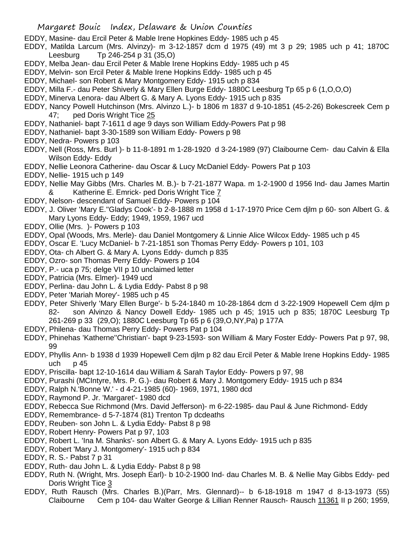- EDDY, Masine- dau Ercil Peter & Mable Irene Hopkines Eddy- 1985 uch p 45
- EDDY, Matilda Larcum (Mrs. Alvinzy)- m 3-12-1857 dcm d 1975 (49) mt 3 p 29; 1985 uch p 41; 1870C Leesburg Tp 246-254 p 31 (35,O)
- EDDY, Melba Jean- dau Ercil Peter & Mable Irene Hopkins Eddy- 1985 uch p 45
- EDDY, Melvin- son Ercil Peter & Mable Irene Hopkins Eddy- 1985 uch p 45
- EDDY, Michael- son Robert & Mary Montgomery Eddy- 1915 uch p 834
- EDDY, Milla F.- dau Peter Shiverly & Mary Ellen Burge Eddy- 1880C Leesburg Tp 65 p 6 (1,O,O,O)
- EDDY, Minerva Lenora- dau Albert G. & Mary A. Lyons Eddy- 1915 uch p 835
- EDDY, Nancy Powell Hutchinson (Mrs. Alvinzo L.)- b 1806 m 1837 d 9-10-1851 (45-2-26) Bokescreek Cem p 47; ped Doris Wright Tice 25
- EDDY, Nathaniel- bapt 7-1611 d age 9 days son William Eddy-Powers Pat p 98
- EDDY, Nathaniel- bapt 3-30-1589 son William Eddy- Powers p 98
- EDDY, Nedra- Powers p 103
- EDDY, Nell (Ross, Mrs. Burl )- b 11-8-1891 m 1-28-1920 d 3-24-1989 (97) Claibourne Cem- dau Calvin & Ella Wilson Eddy- Eddy
- EDDY, Nellie Leonora Catherine- dau Oscar & Lucy McDaniel Eddy- Powers Pat p 103
- EDDY, Nellie- 1915 uch p 149
- EDDY, Nellie May Gibbs (Mrs. Charles M. B.)- b 7-21-1877 Wapa. m 1-2-1900 d 1956 Ind- dau James Martin & Katherine E. Emrick- ped Doris Wright Tice 7
- EDDY, Nelson- descendant of Samuel Eddy- Powers p 104
- EDDY, J. Oliver 'Mary E.''Gladys Cook'- b 2-8-1888 m 1958 d 1-17-1970 Price Cem djlm p 60- son Albert G. & Mary Lyons Eddy- Eddy; 1949, 1959, 1967 ucd
- EDDY, Ollie (Mrs. )- Powers p 103
- EDDY, Opal (Woods, Mrs. Merle)- dau Daniel Montgomery & Linnie Alice Wilcox Eddy- 1985 uch p 45
- EDDY, Oscar E. 'Lucy McDaniel- b 7-21-1851 son Thomas Perry Eddy- Powers p 101, 103
- EDDY, Ota- ch Albert G. & Mary A. Lyons Eddy- dumch p 835
- EDDY, Ozro- son Thomas Perry Eddy- Powers p 104
- EDDY, P.- uca p 75; delge VII p 10 unclaimed letter
- EDDY, Patricia (Mrs. Elmer)- 1949 ucd
- EDDY, Perlina- dau John L. & Lydia Eddy- Pabst 8 p 98
- EDDY, Peter 'Mariah Morey'- 1985 uch p 45
- EDDY, Peter Shiverly 'Mary Ellen Burge'- b 5-24-1840 m 10-28-1864 dcm d 3-22-1909 Hopewell Cem djlm p 82- son Alvinzo & Nancy Dowell Eddy- 1985 uch p 45; 1915 uch p 835; 1870C Leesburg Tp 261-269 p 33 (29,O); 1880C Leesburg Tp 65 p 6 (39,O,NY,Pa) p 177A
- EDDY, Philena- dau Thomas Perry Eddy- Powers Pat p 104
- EDDY, Phinehas 'Katherne''Christian'- bapt 9-23-1593- son William & Mary Foster Eddy- Powers Pat p 97, 98, 99
- EDDY, Phyllis Ann- b 1938 d 1939 Hopewell Cem djlm p 82 dau Ercil Peter & Mable Irene Hopkins Eddy- 1985 uch p 45
- EDDY, Priscilla- bapt 12-10-1614 dau William & Sarah Taylor Eddy- Powers p 97, 98
- EDDY, Purashi (MCIntyre, Mrs. P. G.)- dau Robert & Mary J. Montgomery Eddy- 1915 uch p 834
- EDDY, Ralph N.'Bonne W.' d 4-21-1985 (60)- 1969, 1971, 1980 dcd
- EDDY, Raymond P. Jr. 'Margaret'- 1980 dcd
- EDDY, Rebecca Sue Richmond (Mrs. David Jefferson)- m 6-22-1985- dau Paul & June Richmond- Eddy
- EDDY, Remembrance- d 5-7-1874 (81) Trenton Tp dcdeaths
- EDDY, Reuben- son John L. & Lydia Eddy- Pabst 8 p 98
- EDDY, Robert Henry- Powers Pat p 97, 103
- EDDY, Robert L. 'Ina M. Shanks'- son Albert G. & Mary A. Lyons Eddy- 1915 uch p 835
- EDDY, Robert 'Mary J. Montgomery'- 1915 uch p 834
- EDDY, R. S.- Pabst 7 p 31
- EDDY, Ruth- dau John L. & Lydia Eddy- Pabst 8 p 98
- EDDY, Ruth N. (Wright, Mrs. Joseph Earl)- b 10-2-1900 Ind- dau Charles M. B. & Nellie May Gibbs Eddy- ped Doris Wright Tice 3
- EDDY, Ruth Rausch (Mrs. Charles B.)(Parr, Mrs. Glennard)-- b 6-18-1918 m 1947 d 8-13-1973 (55) Claibourne Cem p 104- dau Walter George & Lillian Renner Rausch- Rausch 11361 II p 260; 1959,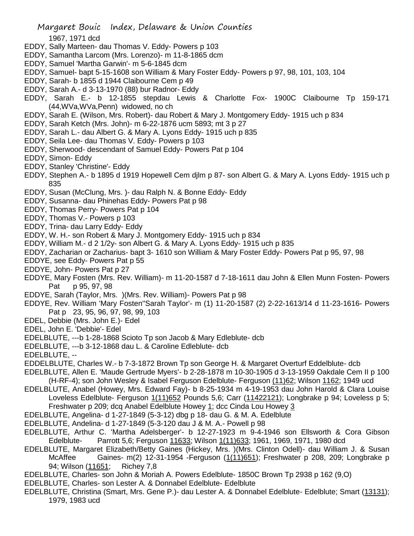## 1967, 1971 dcd

- EDDY, Sally Marteen- dau Thomas V. Eddy- Powers p 103
- EDDY, Samantha Larcom (Mrs. Lorenzo)- m 11-8-1865 dcm
- EDDY, Samuel 'Martha Garwin'- m 5-6-1845 dcm
- EDDY, Samuel- bapt 5-15-1608 son William & Mary Foster Eddy- Powers p 97, 98, 101, 103, 104
- EDDY, Sarah- b 1855 d 1944 Claibourne Cem p 49
- EDDY, Sarah A.- d 3-13-1970 (88) bur Radnor- Eddy
- EDDY, Sarah E.- b 12-1855 stepdau Lewis & Charlotte Fox- 1900C Claibourne Tp 159-171 (44,WVa,WVa,Penn) widowed, no ch
- EDDY, Sarah E. (Wilson, Mrs. Robert)- dau Robert & Mary J. Montgomery Eddy- 1915 uch p 834
- EDDY, Sarah Ketch (Mrs. John)- m 6-22-1876 ucm 5893; mt 3 p 27
- EDDY, Sarah L.- dau Albert G. & Mary A. Lyons Eddy- 1915 uch p 835
- EDDY, Seila Lee- dau Thomas V. Eddy- Powers p 103
- EDDY, Sherwood- descendant of Samuel Eddy- Powers Pat p 104
- EDDY, Simon- Eddy
- EDDY, Stanley 'Christine'- Eddy
- EDDY, Stephen A.- b 1895 d 1919 Hopewell Cem djlm p 87- son Albert G. & Mary A. Lyons Eddy- 1915 uch p 835
- EDDY, Susan (McClung, Mrs. )- dau Ralph N. & Bonne Eddy- Eddy
- EDDY, Susanna- dau Phinehas Eddy- Powers Pat p 98
- EDDY, Thomas Perry- Powers Pat p 104
- EDDY, Thomas V.- Powers p 103
- EDDY, Trina- dau Larry Eddy- Eddy
- EDDY, W. H.- son Robert & Mary J. Montgomery Eddy- 1915 uch p 834
- EDDY, William M.- d 2 1/2y- son Albert G. & Mary A. Lyons Eddy- 1915 uch p 835
- EDDY, Zacharian or Zacharius- bapt 3- 1610 son William & Mary Foster Eddy- Powers Pat p 95, 97, 98
- EDDYE, see Eddy- Powers Pat p 55
- EDDYE, John- Powers Pat p 27
- EDDYE, Mary Fosten (Mrs. Rev. William)- m 11-20-1587 d 7-18-1611 dau John & Ellen Munn Fosten- Powers Pat p 95, 97, 98
- EDDYE, Sarah (Taylor, Mrs. )(Mrs. Rev. William)- Powers Pat p 98
- EDDYE, Rev. William 'Mary Fosten''Sarah Taylor'- m (1) 11-20-1587 (2) 2-22-1613/14 d 11-23-1616- Powers Pat p 23, 95, 96, 97, 98, 99, 103
- EDEL, Debbie (Mrs. John E.)- Edel
- EDEL, John E. 'Debbie'- Edel
- EDELBLUTE, ---b 1-28-1868 Scioto Tp son Jacob & Mary Edleblute- dcb
- EDELBLUTE, ---b 3-12-1868 dau L. & Caroline Edleblute- dcb
- EDELBLUTE, --
- EDDELBLUTE, Charles W.- b 7-3-1872 Brown Tp son George H. & Margaret Overturf Eddelblute- dcb
- EDELBLUTE, Allen E. 'Maude Gertrude Myers'- b 2-28-1878 m 10-30-1905 d 3-13-1959 Oakdale Cem II p 100 (H-RF-4); son John Wesley & Isabel Ferguson Edelblute- Ferguson (11)62; Wilson 1162; 1949 ucd
- EDELBLUTE, Anabel (Howey, Mrs. Edward Fay)- b 8-25-1934 m 4-19-1953 dau John Harold & Clara Louise Loveless Edelblute- Ferguson 1(11)652 Pounds 5,6; Carr (11422121); Longbrake p 94; Loveless p 5; Freshwater p 209; dcq Anabel Edelblute Howey 1; dcc Cinda Lou Howey 3
- EDELBLUTE, Angelina- d 1-27-1849 (5-3-12) dbg p 18- dau G. & M. A. Edelblute
- EDELBLUTE, Andelina- d 1-27-1849 (5-3-120 dau J & M. A.- Powell p 98
- EDELBLUTE, Arthur C. 'Martha Adelsberger'- b 12-27-1923 m 9-4-1946 son Ellsworth & Cora Gibson Edelblute- Parrott 5,6; Ferguson 11633; Wilson 1(11)633; 1961, 1969, 1971, 1980 dcd
- EDELBLUTE, Margaret Elizabeth/Betty Gaines (Hickey, Mrs. )(Mrs. Clinton Odell)- dau William J. & Susan McAffee Gaines- m(2) 12-31-1954 -Ferguson (1(11)651); Freshwater p 208, 209; Longbrake p 94; Wilson (11651; Richey 7,8
- EDELBLUTE, Charles- son John & Moriah A. Powers Edelblute- 1850C Brown Tp 2938 p 162 (9,O)
- EDELBLUTE, Charles- son Lester A. & Donnabel Edelblute- Edelblute
- EDELBLUTE, Christina (Smart, Mrs. Gene P.)- dau Lester A. & Donnabel Edelblute- Edelblute; Smart (13131); 1979, 1983 ucd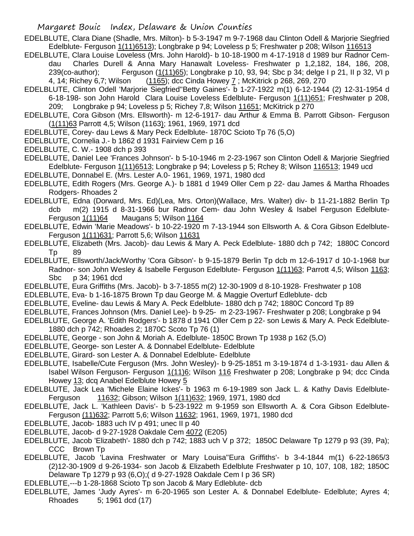- EDELBLUTE, Clara Diane (Shadle, Mrs. Milton)- b 5-3-1947 m 9-7-1968 dau Clinton Odell & Marjorie Siegfried Edelblute- Ferguson 1(11)6513); Longbrake p 94; Loveless p 5; Freshwater p 208; Wilson 116513
- EDELBLUTE, Clara Louise Loveless (Mrs. John Harold)- b 10-18-1900 m 4-17-1918 d 1989 bur Radnor Cemdau Charles Durell & Anna Mary Hanawalt Loveless- Freshwater p 1,2,182, 184, 186, 208, 239(co-author); Ferguson (1(11)65); Longbrake p 10, 93, 94; Sbc p 34; delge I p 21, II p 32, VI p 4, 14; Richey 6,7; Wilson (1165); dcc Cinda Howey 7; McKitrick p 268, 269, 270
- EDELBLUTE, Clinton Odell 'Marjorie Siegfried''Betty Gaines'- b 1-27-1922 m(1) 6-12-1944 (2) 12-31-1954 d 6-18-198- son John Harold Clara Louise Loveless Edelblute- Ferguson 1(11)651; Freshwater p 208, 209; Longbrake p 94; Loveless p 5; Richey 7,8; Wilson 11651; McKitrick p 270
- EDELBLUTE, Cora Gibson (Mrs. Ellsworth)- m 12-6-1917- dau Arthur & Emma B. Parrott Gibson- Ferguson (1(11)63 Parrott 4,5; Wilson (1163); 1961, 1969, 1971 dcd
- EDELBLUTE, Corey- dau Lews & Mary Peck Edelblute- 1870C Scioto Tp 76 (5,O)
- EDELBLUTE, Cornelia J.- b 1862 d 1931 Fairview Cem p 16
- EDELBLUTE, C. W.- 1908 dch p 393
- EDELBLUTE, Daniel Lee 'Frances Johnson'- b 5-10-1946 m 2-23-1967 son Clinton Odell & Marjorie Siegfried Edelblute- Ferguson 1(11)6513; Longbrake p 94; Loveless p 5; Rchey 8; Wilson 116513; 1949 ucd
- EDELBLUTE, Donnabel E. (Mrs. Lester A.0- 1961, 1969, 1971, 1980 dcd
- EDELBLUTE, Edith Rogers (Mrs. George A.)- b 1881 d 1949 Oller Cem p 22- dau James & Martha Rhoades Rodgers- Rhoades 2
- EDELBLUTE, Edna (Dorward, Mrs. Ed)(Lea, Mrs. Orton)(Wallace, Mrs. Walter) div- b 11-21-1882 Berlin Tp dcb m(2) 1915 d 8-31-1966 bur Radnor Cem- dau John Wesley & Isabel Ferguson Edelblute-Ferguson 1(11)64 Maugans 5; Wilson 1164
- EDELBLUTE, Edwin 'Marie Meadows'- b 10-22-1920 m 7-13-1944 son Ellsworth A. & Cora Gibson Edelblute-Ferguson 1(11)631; Parrott 5,6; Wilson 11631
- EDELBLUTE, Elizabeth (Mrs. Jacob)- dau Lewis & Mary A. Peck Edelblute- 1880 dch p 742; 1880C Concord Tp 89
- EDELBLUTE, Ellsworth/Jack/Worthy 'Cora Gibson'- b 9-15-1879 Berlin Tp dcb m 12-6-1917 d 10-1-1968 bur Radnor- son John Wesley & Isabelle Ferguson Edelblute- Ferguson 1(11)63; Parrott 4,5; Wilson 1163; Sbc p 34; 1961 dcd
- EDELBLUTE, Eura Griffiths (Mrs. Jacob)- b 3-7-1855 m(2) 12-30-1909 d 8-10-1928- Freshwater p 108
- EDLEBLUTE, Eva- b 1-16-1875 Brown Tp dau George M. & Maggie Overturf Edleblute- dcb
- EDELBLUTE, Eveline- dau Lewis & Mary A. Peck Edelblute- 1880 dch p 742; 1880C Concord Tp 89
- EDELBLUTE, Frances Johnson (Mrs. Daniel Lee)- b 9-25- m 2-23-1967- Freshwater p 208; Longbrake p 94
- EDELBLUTE, George A. 'Edith Rodgers'- b 1878 d 1941 Oller Cem p 22- son Lewis & Mary A. Peck Edelblute-1880 dch p 742; Rhoades 2; 1870C Scoto Tp 76 (1)
- EDELBLUTE, George son John & Moriah A. Edelblute- 1850C Brown Tp 1938 p 162 (5,O)
- EDELBLUTE, George- son Lester A. & Donnabel Edelblute- Edelblute
- EDELBLUTE, Girard- son Lester A. & Donnabel Edelblute- Edelblute
- EDELBLUTE, Isabelle/Cute Ferguson (Mrs. John Wesley)- b 9-25-1851 m 3-19-1874 d 1-3-1931- dau Allen & Isabel Wilson Ferguson- Ferguson 1(11)6; Wilson 116 Freshwater p 208; Longbrake p 94; dcc Cinda Howey 13; dcq Anabel Edelblute Howey 5
- EDELBLUTE, Jack Lea 'Michele Elaine Ickes'- b 1963 m 6-19-1989 son Jack L. & Kathy Davis Edelblute-Ferguson 11632; Gibson; Wilson 1(11)632; 1969, 1971, 1980 dcd
- EDELBLUTE, Jack L. 'Kathleen Davis'- b 5-23-1922 m 9-1959 son Ellsworth A. & Cora Gibson Edelblute-Ferguson (11)632; Parrott 5,6; Wilson 11632; 1961, 1969, 1971, 1980 dcd
- EDELBLUTE, Jacob- 1883 uch IV p 491; unec II p 40
- EDELBLUTE, Jacob- d 9-27-1928 Oakdale Cem 4072 (E205)
- EDELBLUTE, Jacob 'Elizabeth'- 1880 dch p 742; 1883 uch V p 372; 1850C Delaware Tp 1279 p 93 (39, Pa); CCC Brown Tp
- EDELBLUTE, Jacob 'Lavina Freshwater or Mary Louisa''Eura Griffiths'- b 3-4-1844 m(1) 6-22-1865/3 (2)12-30-1909 d 9-26-1934- son Jacob & Elizabeth Edelblute Freshwater p 10, 107, 108, 182; 1850C Delaware Tp 1279 p 93 (6,O);( d 9-27-1928 Oakdale Cem I p 36 SR)
- EDLEBLUTE,---b 1-28-1868 Scioto Tp son Jacob & Mary Edleblute- dcb
- EDELBLUTE, James 'Judy Ayres'- m 6-20-1965 son Lester A. & Donnabel Edelblute- Edelblute; Ayres 4; Rhoades 5; 1961 dcd (17)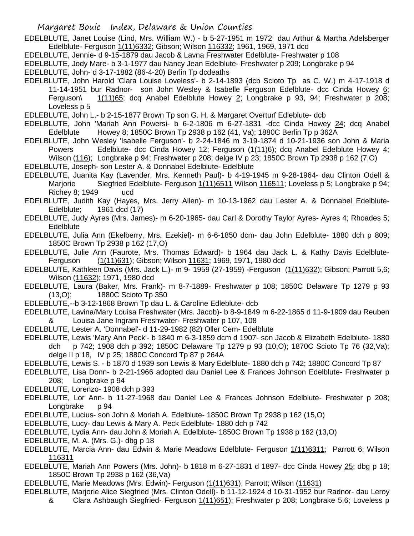EDELBLUTE, Janet Louise (Lind, Mrs. William W.) - b 5-27-1951 m 1972 dau Arthur & Martha Adelsberger Edelblute- Ferguson 1(11) 6332; Gibson; Wilson 116332; 1961, 1969, 1971 dcd

EDELBLUTE, Jennie- d 9-15-1879 dau Jacob & Lavna Freshwater Edelblute- Freshwater p 108

EDELBLUTE, Jody Mare- b 3-1-1977 dau Nancy Jean Edelblute- Freshwater p 209; Longbrake p 94

EDELBLUTE, John- d 3-17-1882 (86-4-20) Berlin Tp dcdeaths

EDELBLUTE, John Harold 'Clara Louise Loveless'- b 2-14-1893 (dcb Scioto Tp as C. W.) m 4-17-1918 d 11-14-1951 bur Radnor- son John Wesley & Isabelle Ferguson Edelblute- dcc Cinda Howey 6; Ferguson\  $1(11)65$ ; dcq Anabel Edelblute Howey 2; Longbrake p 93, 94; Freshwater p 208; Loveless p 5

EDLEBLUTE, John L.- b 2-15-1877 Brown Tp son G. H. & Margaret Overturf Edleblute- dcb

EDELBLUTE, John 'Mariah Ann Powersi- b 6-2-1806 m 6-27-1831 -dcc Cinda Howey 24; dcq Anabel Edelblute Howey 8; 1850C Brown Tp 2938 p 162 (41, Va); 1880C Berlin Tp p 362A

EDELBLUTE, John Wesley 'Isabelle Ferguson'- b 2-24-1846 m 3-19-1874 d 10-21-1936 son John & Maria Powers Edelblute- dcc Cinda Howey 12; Ferguson (1(11)6); dcq Anabel Edelblute Howey 4; Wilson (116); Longbrake p 94; Freshwater p 208; delge IV p 23; 1850C Brown Tp 2938 p 162 (7,O)

EDELBLUTE, Joseph- son Lester A. & Donnabel Edelblute- Edelblute

EDELBLUTE, Juanita Kay (Lavender, Mrs. Kenneth Paul)- b 4-19-1945 m 9-28-1964- dau Clinton Odell & Marjorie Siegfried Edelblute- Ferguson 1(11)6511 Wilson 116511; Loveless p 5; Longbrake p 94; Richey 8; 1949 ucd

EDELBLUTE, Judith Kay (Hayes, Mrs. Jerry Allen)- m 10-13-1962 dau Lester A. & Donnabel Edelblute-Edelblute; 1961 dcd (17)

EDELBLUTE, Judy Ayres (Mrs. James)- m 6-20-1965- dau Carl & Dorothy Taylor Ayres- Ayres 4; Rhoades 5; **Edelblute** 

EDELBLUTE, Julia Ann (Ekelberry, Mrs. Ezekiel)- m 6-6-1850 dcm- dau John Edelblute- 1880 dch p 809; 1850C Brown Tp 2938 p 162 (17,O)

EDELBLUTE, Julie Ann (Faurote, Mrs. Thomas Edward)- b 1964 dau Jack L. & Kathy Davis Edelblute-Ferguson (1(11)631); Gibson; Wilson 11631; 1969, 1971, 1980 dcd

EDELBLUTE, Kathleen Davis (Mrs. Jack L.)- m 9- 1959 (27-1959) -Ferguson (1(11)632); Gibson; Parrott 5,6; Wilson (11632); 1971, 1980 dcd

EDELBLUTE, Laura (Baker, Mrs. Frank)- m 8-7-1889- Freshwater p 108; 1850C Delaware Tp 1279 p 93 (13,O); 1880C Scioto Tp 350

EDLEBLUTE,--b 3-12-1868 Brown Tp dau L. & Caroline Edleblute- dcb

EDELBLUTE, Lavina/Mary Louisa Freshwater (Mrs. Jacob)- b 8-9-1849 m 6-22-1865 d 11-9-1909 dau Reuben & Louisa Jane Ingram Freshwater- Freshwater p 107, 108

EDELBLUTE, Lester A. 'Donnabel'- d 11-29-1982 (82) Oller Cem- Edelblute

EDELBLUTE, Lewis 'Mary Ann Peck'- b 1840 m 6-3-1859 dcm d 1907- son Jacob & Elizabeth Edelblute- 1880 dch p 742; 1908 dch p 392; 1850C Delaware Tp 1279 p 93 (10,O); 1870C Scioto Tp 76 (32,Va); delge II p 18, IV p 25; 1880C Concord Tp 87 p 264A

EDELBLUTE, Lewis S. - b 1870 d 1939 son Lewis & Mary Edelblute- 1880 dch p 742; 1880C Concord Tp 87

EDELBLUTE, Lisa Donn- b 2-21-1966 adopted dau Daniel Lee & Frances Johnson Edelblute- Freshwater p 208; Longbrake p 94

EDELBLUTE, Lorenzo- 1908 dch p 393

EDELBLUTE, Lor Ann- b 11-27-1968 dau Daniel Lee & Frances Johnson Edelblute- Freshwater p 208; Longbrake p 94

EDELBLUTE, Lucius- son John & Moriah A. Edelblute- 1850C Brown Tp 2938 p 162 (15,O)

EDELBLUTE, Lucy- dau Lewis & Mary A. Peck Edelblute- 1880 dch p 742

EDELBLUTE, Lydia Ann- dau John & Moriah A. Edelblute- 1850C Brown Tp 1938 p 162 (13,O)

EDELBLUTE, M. A. (Mrs. G.)- dbg p 18

EDELBLUTE, Marcia Ann- dau Edwin & Marie Meadows Edelblute- Ferguson 1(11)6311; Parrott 6; Wilson 116311

- EDELBLUTE, Mariah Ann Powers (Mrs. John)- b 1818 m 6-27-1831 d 1897- dcc Cinda Howey 25; dbg p 18; 1850C Brown Tp 2938 p 162 (36,Va)
- EDELBLUTE, Marie Meadows (Mrs. Edwin)- Ferguson (1(11)631); Parrott; Wilson (11631)
- EDELBLUTE, Marjorie Alice Siegfried (Mrs. Clinton Odell)- b 11-12-1924 d 10-31-1952 bur Radnor- dau Leroy & Clara Ashbaugh Siegfried- Ferguson 1(11)651); Freshwater p 208; Longbrake 5,6; Loveless p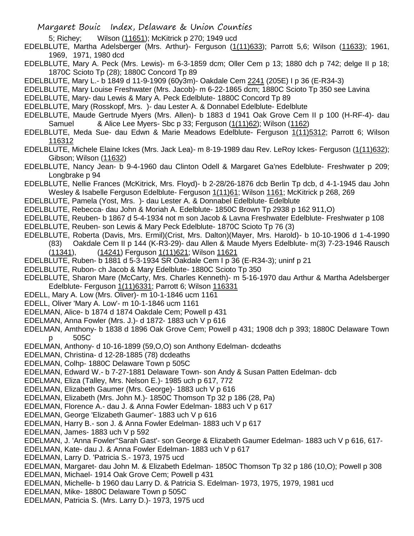- 5; Richey; Wilson (11651); McKitrick p 270; 1949 ucd
- EDELBLUTE, Martha Adelsberger (Mrs. Arthur)- Ferguson (1(11)633); Parrott 5,6; Wilson (11633); 1961, 1969, 1971, 1980 dcd
- EDELBLUTE, Mary A. Peck (Mrs. Lewis)- m 6-3-1859 dcm; Oller Cem p 13; 1880 dch p 742; delge II p 18; 1870C Scioto Tp (28); 1880C Concord Tp 89
- EDELBLUTE, Mary L.- b 1849 d 11-9-1909 (60y3m)- Oakdale Cem 2241 (205E) I p 36 (E-R34-3)
- EDELBLUTE, Mary Louise Freshwater (Mrs. Jacob)- m 6-22-1865 dcm; 1880C Scioto Tp 350 see Lavina
- EDELBLUTE, Mary- dau Lewis & Mary A. Peck Edelblute- 1880C Concord Tp 89
- EDELBLUTE, Mary (Rosskopf, Mrs. )- dau Lester A. & Donnabel Edelblute- Edelblute
- EDELBLUTE, Maude Gertrude Myers (Mrs. Allen)- b 1883 d 1941 Oak Grove Cem II p 100 (H-RF-4)- dau Samuel & Alice Lee Myers- Sbc p 33; Ferguson (1(11)62); Wilson (1162)
- EDELBLUTE, Meda Sue- dau Edwn & Marie Meadows Edelblute- Ferguson 1(11)5312; Parrott 6; Wilson 116312
- EDELBLUTE, Michele Elaine Ickes (Mrs. Jack Lea)- m 8-19-1989 dau Rev. LeRoy Ickes- Ferguson (1(11)632); Gibson; Wilson (11632)
- EDELBLUTE, Nancy Jean- b 9-4-1960 dau Clinton Odell & Margaret Ga'nes Edelblute- Freshwater p 209; Longbrake p 94
- EDELBLUTE, Nellie Frances (McKitrick, Mrs. Floyd)- b 2-28/26-1876 dcb Berlin Tp dcb, d 4-1-1945 dau John Wesley & Isabelle Ferguson Edelblute- Ferguson 1(11)61; Wilson 1161; McKitrick p 268, 269
- EDELBLUTE, Pamela (Yost, Mrs. )- dau Lester A. & Donnabel Edelblute- Edelblute
- EDELBLUTE, Rebecca- dau John & Moriah A. Edelblute- 1850C Brown Tp 2938 p 162 911,O)
- EDELBLUTE, Reuben- b 1867 d 5-4-1934 not m son Jacob & Lavna Freshwater Edelblute- Freshwater p 108
- EDELBLUTE, Reuben- son Lewis & Mary Peck Edelblute- 1870C Scioto Tp 76 (3)
- EDELBLUTE, Roberta (Davis, Mrs. Ermil)(Crist, Mrs. Dalton)(Mayer, Mrs. Harold)- b 10-10-1906 d 1-4-1990 (83) Oakdale Cem II p 144 (K-R3-29)- dau Allen & Maude Myers Edelblute- m(3) 7-23-1946 Rausch
	- (11341), (14241) Ferguson 1(11)621; Wilson 11621
- EDELBLUTE, Ruben- b 1881 d 5-3-1934 SR Oakdale Cem I p 36 (E-R34-3); uninf p 21
- EDELBLUTE, Rubon- ch Jacob & Mary Edelblute- 1880C Scioto Tp 350
- EDELBLUTE, Sharon Mare (McCarty, Mrs. Charles Kenneth)- m 5-16-1970 dau Arthur & Martha Adelsberger Edelblute- Ferguson 1(11) 6331; Parrott 6; Wilson 116331
- EDELL, Mary A. Low (Mrs. Oliver)- m 10-1-1846 ucm 1161
- EDELL, Oliver 'Mary A. Low'- m 10-1-1846 ucm 1161
- EDELMAN, Alice- b 1874 d 1874 Oakdale Cem; Powell p 431
- EDELMAN, Anna Fowler (Mrs. J.)- d 1872- 1883 uch V p 616
- EDELMAN, Amthony- b 1838 d 1896 Oak Grove Cem; Powell p 431; 1908 dch p 393; 1880C Delaware Town 505C
- EDELMAN, Anthony- d 10-16-1899 (59,O,O) son Anthony Edelman- dcdeaths
- EDELMAN, Christina- d 12-28-1885 (78) dcdeaths
- EDELMAN, Colhp- 1880C Delaware Town p 505C
- EDELMAN, Edward W.- b 7-27-1881 Delaware Town- son Andy & Susan Patten Edelman- dcb
- EDELMAN, Eliza (Talley, Mrs. Nelson E.)- 1985 uch p 617, 772
- EDELMAN, Elizabeth Gaumer (Mrs. George)- 1883 uch V p 616
- EDELMAN, Elizabeth (Mrs. John M.)- 1850C Thomson Tp 32 p 186 (28, Pa)
- EDELMAN, Florence A.- dau J. & Anna Fowler Edelman- 1883 uch V p 617
- EDELMAN, George 'Elizabeth Gaumer'- 1883 uch V p 616
- EDELMAN, Harry B.- son J. & Anna Fowler Edelman- 1883 uch V p 617
- EDELMAN, James- 1883 uch V p 592
- EDELMAN, J. 'Anna Fowler''Sarah Gast'- son George & Elizabeth Gaumer Edelman- 1883 uch V p 616, 617-
- EDELMAN, Kate- dau J. & Anna Fowler Edelman- 1883 uch V p 617
- EDELMAN, Larry D. 'Patricia S.- 1973, 1975 ucd
- EDELMAN, Margaret- dau John M. & Elizabeth Edelman- 1850C Thomson Tp 32 p 186 (10,O); Powell p 308
- EDELMAN, Michael- 1914 Oak Grove Cem; Powell p 431
- EDELMAN, Michelle- b 1960 dau Larry D. & Patricia S. Edelman- 1973, 1975, 1979, 1981 ucd
- EDELMAN, Mike- 1880C Delaware Town p 505C
- EDELMAN, Patricia S. (Mrs. Larry D.)- 1973, 1975 ucd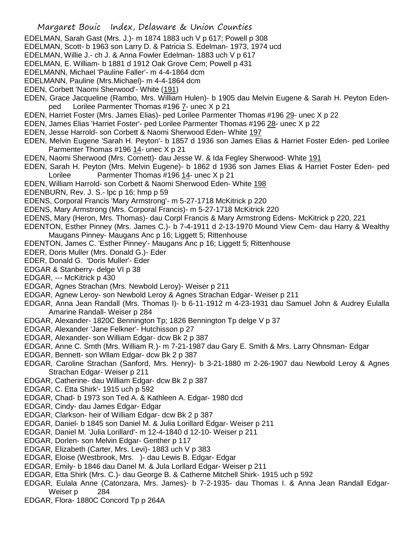- EDELMAN, Sarah Gast (Mrs. J.)- m 1874 1883 uch V p 617; Powell p 308
- EDELMAN, Scott- b 1963 son Larry D. & Patricia S. Edelman- 1973, 1974 ucd
- EDELMAN, Willie J.- ch J. & Anna Fowler Edelman- 1883 uch V p 617
- EDELMAN, E. William- b 1881 d 1912 Oak Grove Cem; Powell p 431
- EDELMANN, Michael 'Pauline Faller'- m 4-4-1864 dcm
- EDELMANN, Pauline (Mrs.Michael)- m 4-4-1864 dcm
- EDEN, Corbett 'Naomi Sherwood'- White (191)
- EDEN, Grace Jacqueline (Rambo, Mrs. William Hulen)- b 1905 dau Melvin Eugene & Sarah H. Peyton Edenped Lorilee Parmenter Thomas #196 7- unec X p 21
- EDEN, Harriet Foster (Mrs. James Elias)- ped Lorilee Parmenter Thomas #196 29- unec X p 22
- EDEN, James Elias 'Harriet Foster'- ped Lorilee Parmenter Thomas #196 28- unec X p 22
- EDEN, Jesse Harrold- son Corbett & Naomi Sherwood Eden- White 197
- EDEN, Melvin Eugene 'Sarah H. Peyton'- b 1857 d 1936 son James Elias & Harriet Foster Eden- ped Lorilee Parmenter Thomas #196 14- unec X p 21
- EDEN, Naomi Sherwood (Mrs. Cornett)- dau Jesse W. & Ida Fegley Sherwood- White 191
- EDEN, Sarah H. Peyton (Mrs. Melvin Eugene)- b 1862 d 1936 son James Elias & Harriet Foster Eden- ped Lorilee Parmenter Thomas #196 14- unec X p 21
- EDEN, William Harrold- son Corbett & Naomi Sherwood Eden- White 198
- EDENBURN, Rev. J. S.- lpc p 16; hmp p 59
- EDENS, Corporal Francis 'Mary Armstrong'- m 5-27-1718 McKitrick p 220
- EDENS, Mary Armstrong (Mrs. Corporal Francis)- m 5-27-1718 McKitrick 220
- EDENS, Mary (Heron, Mrs. Thomas)- dau Corpl Francis & Mary Armstrong Edens- McKitrick p 220, 221
- EDENTON, Esther Pinney (Mrs. James C.)- b 7-4-1911 d 2-13-1970 Mound View Cem- dau Harry & Wealthy Maugans Pinney- Maugans Anc p 16; Liggett 5; Rittenhouse
- EDENTON, James C. 'Esther Pinney'- Maugans Anc p 16; Liggett 5; Rittenhouse
- EDER, Doris Muller (Mrs. Donald G.)- Eder
- EDER, Donald G. 'Doris Muller'- Eder
- EDGAR & Stanberry- delge VI p 38
- EDGAR, --- McKitrick p 430
- EDGAR, Agnes Strachan (Mrs. Newbold Leroy)- Weiser p 211
- EDGAR, Agnew Leroy- son Newbold Leroy & Agnes Strachan Edgar- Weiser p 211
- EDGAR, Anna Jean Randall (Mrs. Thomas I)- b 6-11-1912 m 4-23-1931 dau Samuel John & Audrey Eulalla Amarine Randall- Weiser p 284
- EDGAR, Alexander- 1820C Bennington Tp; 1826 Bennington Tp delge V p 37
- EDGAR, Alexander 'Jane Felkner'- Hutchisson p 27
- EDGAR, Alexander- son William Edgar- dcw Bk 2 p 387
- EDGAR, Anne C. Smth (Mrs. William R.)- m 7-21-1987 dau Gary E. Smith & Mrs. Larry Ohnsman- Edgar
- EDGAR, Bennett- son Wllam Edgar- dcw Bk 2 p 387
- EDGAR, Caroline Strachan (Sanford, Mrs. Henry)- b 3-21-1880 m 2-26-1907 dau Newbold Leroy & Agnes Strachan Edgar- Weiser p 211
- EDGAR, Catherine- dau William Edgar- dcw Bk 2 p 387
- EDGAR, C. Etta Shirk'- 1915 uch p 592
- EDGAR, Chad- b 1973 son Ted A. & Kathleen A. Edgar- 1980 dcd
- EDGAR, Cindy- dau James Edgar- Edgar
- EDGAR, Clarkson- heir of William Edgar- dcw Bk 2 p 387
- EDGAR, Daniel- b 1845 son Daniel M. & Julia Lorillard Edgar- Weiser p 211
- EDGAR, Daniel M. 'Julia Lorillard'- m 12-4-1840 d 12-10- Weiser p 211
- EDGAR, Dorlen- son Melvin Edgar- Genther p 117
- EDGAR, Elizabeth (Carter, Mrs. Levi)- 1883 uch V p 383
- EDGAR, Eloise (Westbrook, Mrs. )- dau Lewis B. Edgar- Edgar
- EDGAR, Emily- b 1846 dau Danel M. & Jula Lorllard Edgar- Weiser p 211
- EDGAR, Etta Shirk (Mrs. C.)- dau George B. & Catherne Mitchell Shirk- 1915 uch p 592
- EDGAR, Eulala Anne (Catonzara, Mrs. James)- b 7-2-1935- dau Thomas I. & Anna Jean Randall Edgar-Weiser p 284
- EDGAR, Flora- 1880C Concord Tp p 264A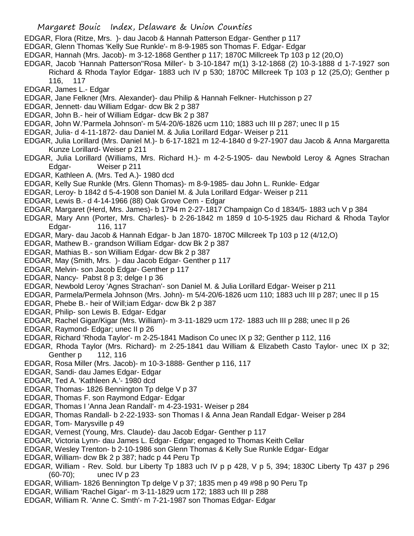- EDGAR, Flora (Ritze, Mrs. )- dau Jacob & Hannah Patterson Edgar- Genther p 117
- EDGAR, Glenn Thomas 'Kelly Sue Runkle'- m 8-9-1985 son Thomas F. Edgar- Edgar
- EDGAR, Hannah (Mrs. Jacob)- m 3-12-1868 Genther p 117; 1870C Millcreek Tp 103 p 12 (20,O)
- EDGAR, Jacob 'Hannah Patterson''Rosa Miller'- b 3-10-1847 m(1) 3-12-1868 (2) 10-3-1888 d 1-7-1927 son
	- Richard & Rhoda Taylor Edgar- 1883 uch IV p 530; 1870C Millcreek Tp 103 p 12 (25,O); Genther p 116, 117
- EDGAR, James L.- Edgar
- EDGAR, Jane Felkner (Mrs. Alexander)- dau Philip & Hannah Felkner- Hutchisson p 27
- EDGAR, Jennett- dau William Edgar- dcw Bk 2 p 387
- EDGAR, John B.- heir of William Edgar- dcw Bk 2 p 387
- EDGAR, John W.'Parmela Johnson'- m 5/4-20/6-1826 ucm 110; 1883 uch III p 287; unec II p 15
- EDGAR, Julia- d 4-11-1872- dau Daniel M. & Julia Lorillard Edgar- Weiser p 211
- EDGAR, Julia Lorillard (Mrs. Daniel M.)- b 6-17-1821 m 12-4-1840 d 9-27-1907 dau Jacob & Anna Margaretta Kunze Lorillard- Weiser p 211
- EDGAR, Julia Lorillard (Williams, Mrs. Richard H.)- m 4-2-5-1905- dau Newbold Leroy & Agnes Strachan Edgar- Weiser p 211
- EDGAR, Kathleen A. (Mrs. Ted A.)- 1980 dcd
- EDGAR, Kelly Sue Runkle (Mrs. Glenn Thomas)- m 8-9-1985- dau John L. Runkle- Edgar
- EDGAR, Leroy- b 1842 d 5-4-1908 son Daniel M. & Jula Lorillard Edgar- Weiser p 211
- EDGAR, Lewis B.- d 4-14-1966 (88) Oak Grove Cem Edgar
- EDGAR, Margaret (Herd, Mrs. James)- b 1794 m 2-27-1817 Champaign Co d 1834/5- 1883 uch V p 384
- EDGAR, Mary Ann (Porter, Mrs. Charles)- b 2-26-1842 m 1859 d 10-5-1925 dau Richard & Rhoda Taylor Edgar- 116, 117
- EDGAR, Mary- dau Jacob & Hannah Edgar- b Jan 1870- 1870C Millcreek Tp 103 p 12 (4/12,O)
- EDGAR, Mathew B.- grandson William Edgar- dcw Bk 2 p 387
- EDGAR, Mathias B.- son William Edgar- dcw Bk 2 p 387
- EDGAR, May (Smith, Mrs. )- dau Jacob Edgar- Genther p 117
- EDGAR, Melvin- son Jacob Edgar- Genther p 117
- EDGAR, Nancy- Pabst 8 p 3; delge I p 36
- EDGAR, Newbold Leroy 'Agnes Strachan'- son Daniel M. & Julia Lorillard Edgar- Weiser p 211
- EDGAR, Parmela/Permela Johnson (Mrs. John)- m 5/4-20/6-1826 ucm 110; 1883 uch III p 287; unec II p 15
- EDGAR, Phebe B.- heir of Will;iam Edgar- dcw Bk 2 p 387
- EDGAR, Philip- son Lewis B. Edgar- Edgar
- EDGAR, Rachel Gigar/Kigar (Mrs. William)- m 3-11-1829 ucm 172- 1883 uch III p 288; unec II p 26
- EDGAR, Raymond- Edgar; unec II p 26
- EDGAR, Richard 'Rhoda Taylor'- m 2-25-1841 Madison Co unec IX p 32; Genther p 112, 116
- EDGAR, Rhoda Taylor (Mrs. Richard)- m 2-25-1841 dau William & Elizabeth Casto Taylor- unec IX p 32; Genther p 112, 116
- EDGAR, Rosa Miller (Mrs. Jacob)- m 10-3-1888- Genther p 116, 117
- EDGAR, Sandi- dau James Edgar- Edgar
- EDGAR, Ted A. 'Kathleen A.'- 1980 dcd
- EDGAR, Thomas- 1826 Bennington Tp delge V p 37
- EDGAR, Thomas F. son Raymond Edgar- Edgar
- EDGAR, Thomas I 'Anna Jean Randall'- m 4-23-1931- Weiser p 284
- EDGAR, Thomas Randall- b 2-22-1933- son Thomas I & Anna Jean Randall Edgar- Weiser p 284
- EDGAR, Tom- Marysville p 49
- EDGAR, Vernest (Young, Mrs. Claude)- dau Jacob Edgar- Genther p 117
- EDGAR, Victoria Lynn- dau James L. Edgar- Edgar; engaged to Thomas Keith Cellar
- EDGAR, Wesley Trenton- b 2-10-1986 son Glenn Thomas & Kelly Sue Runkle Edgar- Edgar
- EDGAR, William- dcw Bk 2 p 387; hadc p 44 Peru Tp
- EDGAR, William Rev. Sold. bur Liberty Tp 1883 uch IV p p 428, V p 5, 394; 1830C Liberty Tp 437 p 296 (60-70); unec IV p 23
- EDGAR, William- 1826 Bennington Tp delge V p 37; 1835 men p 49 #98 p 90 Peru Tp
- EDGAR, William 'Rachel Gigar'- m 3-11-1829 ucm 172; 1883 uch III p 288
- EDGAR, William R. 'Anne C. Smth'- m 7-21-1987 son Thomas Edgar- Edgar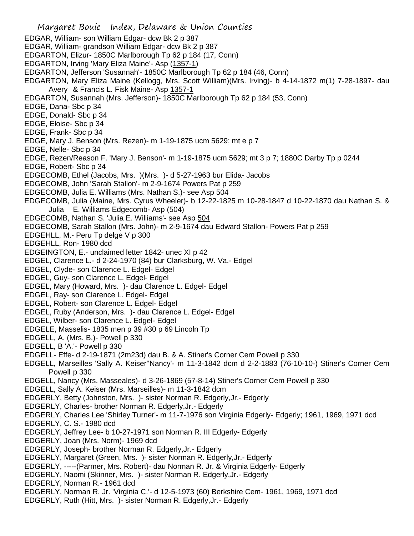Margaret Bouic Index, Delaware & Union Counties EDGAR, William- son William Edgar- dcw Bk 2 p 387 EDGAR, William- grandson William Edgar- dcw Bk 2 p 387 EDGARTON, Elizur- 1850C Marlborough Tp 62 p 184 (17, Conn) EDGARTON, Irving 'Mary Eliza Maine'- Asp (1357-1) EDGARTON, Jefferson 'Susannah'- 1850C Marlborough Tp 62 p 184 (46, Conn) EDGARTON, Mary Eliza Maine (Kellogg, Mrs. Scott William)(Mrs. Irving)- b 4-14-1872 m(1) 7-28-1897- dau Avery & Francis L. Fisk Maine- Asp 1357-1 EDGARTON, Susannah (Mrs. Jefferson)- 1850C Marlborough Tp 62 p 184 (53, Conn) EDGE, Dana- Sbc p 34 EDGE, Donald- Sbc p 34 EDGE, Eloise- Sbc p 34 EDGE, Frank- Sbc p 34 EDGE, Mary J. Benson (Mrs. Rezen)- m 1-19-1875 ucm 5629; mt e p 7 EDGE, Nelle- Sbc p 34 EDGE, Rezen/Reason F. 'Mary J. Benson'- m 1-19-1875 ucm 5629; mt 3 p 7; 1880C Darby Tp p 0244 EDGE, Robert- Sbc p 34 EDGECOMB, Ethel (Jacobs, Mrs. )(Mrs. )- d 5-27-1963 bur Elida- Jacobs EDGECOMB, John 'Sarah Stallon'- m 2-9-1674 Powers Pat p 259 EDGECOMB, Julia E. Williams (Mrs. Nathan S.)- see Asp 504 EDGECOMB, Julia (Maine, Mrs. Cyrus Wheeler)- b 12-22-1825 m 10-28-1847 d 10-22-1870 dau Nathan S. & Julia E. Williams Edgecomb- Asp (504) EDGECOMB, Nathan S. 'Julia E. Williams'- see Asp 504 EDGECOMB, Sarah Stallon (Mrs. John)- m 2-9-1674 dau Edward Stallon- Powers Pat p 259 EDGEHLL, M.- Peru Tp delge V p 300 EDGEHLL, Ron- 1980 dcd EDGEINGTON, E.- unclaimed letter 1842- unec XI p 42 EDGEL, Clarence L.- d 2-24-1970 (84) bur Clarksburg, W. Va.- Edgel EDGEL, Clyde- son Clarence L. Edgel- Edgel EDGEL, Guy- son Clarence L. Edgel- Edgel EDGEL, Mary (Howard, Mrs. )- dau Clarence L. Edgel- Edgel EDGEL, Ray- son Clarence L. Edgel- Edgel EDGEL, Robert- son Clarence L. Edgel- Edgel EDGEL, Ruby (Anderson, Mrs. )- dau Clarence L. Edgel- Edgel EDGEL, Wilber- son Clarence L. Edgel- Edgel EDGELE, Masselis- 1835 men p 39 #30 p 69 Lincoln Tp EDGELL, A. (Mrs. B.)- Powell p 330 EDGELL, B 'A.'- Powell p 330 EDGELL- Effe- d 2-19-1871 (2m23d) dau B. & A. Stiner's Corner Cem Powell p 330 EDGELL, Marseilles 'Sally A. Keiser''Nancy'- m 11-3-1842 dcm d 2-2-1883 (76-10-10-) Stiner's Corner Cem Powell p 330 EDGELL, Nancy (Mrs. Masseales)- d 3-26-1869 (57-8-14) Stiner's Corner Cem Powell p 330 EDGELL, Sally A. Keiser (Mrs. Marseilles)- m 11-3-1842 dcm EDGERLY, Betty (Johnston, Mrs. )- sister Norman R. Edgerly,Jr.- Edgerly EDGERLY, Charles- brother Norman R. Edgerly,Jr.- Edgerly EDGERLY, Charles Lee 'Shirley Turner'- m 11-7-1976 son Virginia Edgerly- Edgerly; 1961, 1969, 1971 dcd EDGERLY, C. S.- 1980 dcd EDGERLY, Jeffrey Lee- b 10-27-1971 son Norman R. III Edgerly- Edgerly EDGERLY, Joan (Mrs. Norm)- 1969 dcd EDGERLY, Joseph- brother Norman R. Edgerly,Jr.- Edgerly EDGERLY, Margaret (Green, Mrs. )- sister Norman R. Edgerly,Jr.- Edgerly EDGERLY, -----(Parmer, Mrs. Robert)- dau Norman R. Jr. & Virginia Edgerly- Edgerly EDGERLY, Naomi (Skinner, Mrs. )- sister Norman R. Edgerly,Jr.- Edgerly EDGERLY, Norman R.- 1961 dcd EDGERLY, Norman R. Jr. 'Virginia C.'- d 12-5-1973 (60) Berkshire Cem- 1961, 1969, 1971 dcd

EDGERLY, Ruth (Hitt, Mrs. )- sister Norman R. Edgerly,Jr.- Edgerly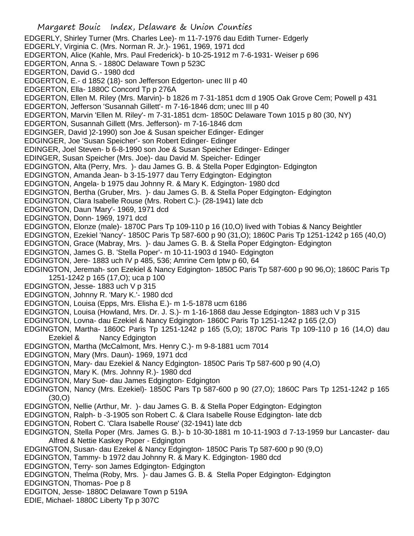Margaret Bouic Index, Delaware & Union Counties EDGERLY, Shirley Turner (Mrs. Charles Lee)- m 11-7-1976 dau Edith Turner- Edgerly EDGERLY, Virginia C. (Mrs. Norman R. Jr.)- 1961, 1969, 1971 dcd EDGERTON, Alice (Kahle, Mrs. Paul Frederick)- b 10-25-1912 m 7-6-1931- Weiser p 696 EDGERTON, Anna S. - 1880C Delaware Town p 523C EDGERTON, David G.- 1980 dcd EDGERTON, E.- d 1852 (18)- son Jefferson Edgerton- unec III p 40 EDGERTON, Ella- 1880C Concord Tp p 276A EDGERTON, Ellen M. Riley (Mrs. Marvin)- b 1826 m 7-31-1851 dcm d 1905 Oak Grove Cem; Powell p 431 EDGERTON, Jefferson 'Susannah Gillett'- m 7-16-1846 dcm; unec III p 40 EDGERTON, Marvin 'Ellen M. Riley'- m 7-31-1851 dcm- 1850C Delaware Town 1015 p 80 (30, NY) EDGERTON, Susannah Gillett (Mrs. Jefferson)- m 7-16-1846 dcm EDGINGER, David )2-1990) son Joe & Susan speicher Edinger- Edinger EDGINGER, Joe 'Susan Speicher'- son Robert Edinger- Edinger EDINGER, Joel Steven- b 6-8-1990 son Joe & Susan Speicher Edinger- Edinger EDINGER, Susan Speicher (Mrs. Joe)- dau David M. Speicher- Edinger EDGINGTON, Alta (Perry, Mrs. )- dau James G. B. & Stella Poper Edgington- Edgington EDGINGTON, Amanda Jean- b 3-15-1977 dau Terry Edgington- Edgington EDGINGTON, Angela- b 1975 dau Johnny R. & Mary K. Edgington- 1980 dcd EDGINGTON, Bertha (Gruber, Mrs. )- dau James G. B. & Stella Poper Edgington- Edgington EDGINGTON, Clara Isabelle Rouse (Mrs. Robert C.)- (28-1941) late dcb EDGINGTON, Daun 'Mary'- 1969, 1971 dcd EDGINGTON, Donn- 1969, 1971 dcd EDGINGTON, Elonze (male)- 1870C Pars Tp 109-110 p 16 (10,O) lived with Tobias & Nancy Beightler EDGINGTON, Ezekiel 'Nancy'- 1850C Paris Tp 587-600 p 90 (31,O); 1860C Paris Tp 1251-1242 p 165 (40,O) EDGINGTON, Grace (Mabray, Mrs. )- dau James G. B. & Stella Poper Edgington- Edgington EDGINGTON, James G. B. 'Stella Poper'- m 10-11-1903 d 1940- Edgington EDGINGTON, Jere- 1883 uch IV p 485, 536; Amrine Cem lptw p 60, 64 EDGINGTON, Jeremah- son Ezekiel & Nancy Edgington- 1850C Paris Tp 587-600 p 90 96,O); 1860C Paris Tp 1251-1242 p 165 (17,O); uca p 100 EDGINGTON, Jesse- 1883 uch V p 315 EDGINGTON, Johnny R. 'Mary K.'- 1980 dcd EDGINGTON, Louisa (Epps, Mrs. Elisha E.)- m 1-5-1878 ucm 6186 EDGINGTON, Louisa (Howland, Mrs. Dr. J. S.)- m 1-16-1868 dau Jesse Edgington- 1883 uch V p 315 EDGINGTON, Lovna- dau Ezekiel & Nancy Edgington- 1860C Paris Tp 1251-1242 p 165 (2,O) EDGINGTON, Martha- 1860C Paris Tp 1251-1242 p 165 (5,O); 1870C Paris Tp 109-110 p 16 (14,O) dau Ezekiel & Nancy Edgington EDGINGTON, Martha (McCalmont, Mrs. Henry C.)- m 9-8-1881 ucm 7014 EDGINGTON, Mary (Mrs. Daun)- 1969, 1971 dcd EDGINGTON, Mary- dau Ezekiel & Nancy Edgington- 1850C Paris Tp 587-600 p 90 (4,O) EDGINGTON, Mary K. (Mrs. Johnny R.)- 1980 dcd EDGINGTON, Mary Sue- dau James Edgington- Edgington EDGINGTON, Nancy (Mrs. Ezekiel)- 1850C Pars Tp 587-600 p 90 (27,O); 1860C Pars Tp 1251-1242 p 165 (30,O) EDGINGTON, Nellie (Arthur, Mr. )- dau James G. B. & Stella Poper Edgington- Edgington EDGINGTON, Ralph- b -3-1905 son Robert C. & Clara Isabelle Rouse Edgington- late dcb EDGINGTON, Robert C. 'Clara Isabelle Rouse' (32-1941) late dcb EDGINGTON, Stella Poper (Mrs. James G. B.)- b 10-30-1881 m 10-11-1903 d 7-13-1959 bur Lancaster- dau Alfred & Nettie Kaskey Poper - Edgington EDGINGTON, Susan- dau Ezekel & Nancy Edgington- 1850C Paris Tp 587-600 p 90 (9,O) EDGINGTON, Tammy- b 1972 dau Johnny R. & Mary K. Edgington- 1980 dcd EDGINGTON, Terry- son James Edgington- Edgington EDGINGTON, Thelma (Roby, Mrs. )- dau James G. B. & Stella Poper Edgington- Edgington EDGINGTON, Thomas- Poe p 8

- EDGITON, Jesse- 1880C Delaware Town p 519A
- EDIE, Michael- 1880C Liberty Tp p 307C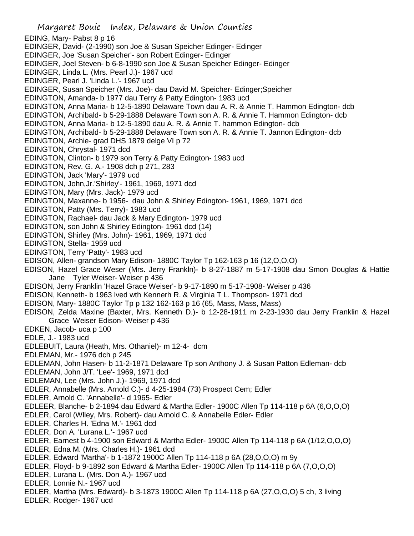Margaret Bouic Index, Delaware & Union Counties EDING, Mary- Pabst 8 p 16 EDINGER, David- (2-1990) son Joe & Susan Speicher Edinger- Edinger EDINGER, Joe 'Susan Speicher'- son Robert Edinger- Edinger EDINGER, Joel Steven- b 6-8-1990 son Joe & Susan Speicher Edinger- Edinger EDINGER, Linda L. (Mrs. Pearl J.)- 1967 ucd EDINGER, Pearl J. 'Linda L.'- 1967 ucd EDINGER, Susan Speicher (Mrs. Joe)- dau David M. Speicher- Edinger;Speicher EDINGTON, Amanda- b 1977 dau Terry & Patty Edington- 1983 ucd EDINGTON, Anna Maria- b 12-5-1890 Delaware Town dau A. R. & Annie T. Hammon Edington- dcb EDINGTON, Archibald- b 5-29-1888 Delaware Town son A. R. & Annie T. Hammon Edington- dcb EDINGTON, Anna Maria- b 12-5-1890 dau A. R. & Annie T. hammon Edington- dcb EDINGTON, Archibald- b 5-29-1888 Delaware Town son A. R. & Annie T. Jannon Edington- dcb EDINGTON, Archie- grad DHS 1879 delge VI p 72 EDINGTON, Chrystal- 1971 dcd EDINGTON, Clinton- b 1979 son Terry & Patty Edington- 1983 ucd EDINGTON, Rev. G. A.- 1908 dch p 271, 283 EDINGTON, Jack 'Mary'- 1979 ucd EDINGTON, John,Jr.'Shirley'- 1961, 1969, 1971 dcd EDINGTON, Mary (Mrs. Jack)- 1979 ucd EDINGTON, Maxanne- b 1956- dau John & Shirley Edington- 1961, 1969, 1971 dcd EDINGTON, Patty (Mrs. Terry)- 1983 ucd EDINGTON, Rachael- dau Jack & Mary Edington- 1979 ucd EDINGTON, son John & Shirley Edington- 1961 dcd (14) EDINGTON, Shirley (Mrs. John)- 1961, 1969, 1971 dcd EDINGTON, Stella- 1959 ucd EDINGTON, Terry 'Patty'- 1983 ucd EDISON, Allen- grandson Mary Edison- 1880C Taylor Tp 162-163 p 16 (12,O,O,O) EDISON, Hazel Grace Weser (Mrs. Jerry Frankln)- b 8-27-1887 m 5-17-1908 dau Smon Douglas & Hattie Jane Tyler Weiser- Weiser p 436 EDISON, Jerry Franklin 'Hazel Grace Weiser'- b 9-17-1890 m 5-17-1908- Weiser p 436 EDISON, Kenneth- b 1963 lved wth Kennerh R. & Virginia T L. Thompson- 1971 dcd EDISON, Mary- 1880C Taylor Tp p 132 162-163 p 16 (65, Mass, Mass, Mass) EDISON, Zelda Maxine (Baxter, Mrs. Kenneth D.)- b 12-28-1911 m 2-23-1930 dau Jerry Franklin & Hazel Grace Weiser Edison- Weiser p 436 EDKEN, Jacob- uca p 100 EDLE, J.- 1983 ucd EDLEBUIT, Laura (Heath, Mrs. Othaniel)- m 12-4- dcm EDLEMAN, Mr.- 1976 dch p 245 EDLEMAN, John Hasen- b 11-2-1871 Delaware Tp son Anthony J. & Susan Patton Edleman- dcb EDLEMAN, John J/T. 'Lee'- 1969, 1971 dcd EDLEMAN, Lee (Mrs. John J.)- 1969, 1971 dcd EDLER, Annabelle (Mrs. Arnold C.)- d 4-25-1984 (73) Prospect Cem; Edler EDLER, Arnold C. 'Annabelle'- d 1965- Edler EDLEER, Blanche- b 2-1894 dau Edward & Martha Edler- 1900C Allen Tp 114-118 p 6A (6,O,O,O) EDLER, Carol (Wlley, Mrs. Robert)- dau Arnold C. & Annabelle Edler- Edler EDLER, Charles H. 'Edna M.'- 1961 dcd EDLER, Don A. 'Lurana L.'- 1967 ucd EDLER, Earnest b 4-1900 son Edward & Martha Edler- 1900C Allen Tp 114-118 p 6A (1/12,O,O,O) EDLER, Edna M. (Mrs. Charles H.)- 1961 dcd EDLER, Edward 'Martha'- b 1-1872 1900C Allen Tp 114-118 p 6A (28,O,O,O) m 9y EDLER, Floyd- b 9-1892 son Edward & Martha Edler- 1900C Allen Tp 114-118 p 6A (7,O,O,O) EDLER, Lurana L. (Mrs. Don A.)- 1967 ucd EDLER, Lonnie N.- 1967 ucd EDLER, Martha (Mrs. Edward)- b 3-1873 1900C Allen Tp 114-118 p 6A (27,O,O,O) 5 ch, 3 living EDLER, Rodger- 1967 ucd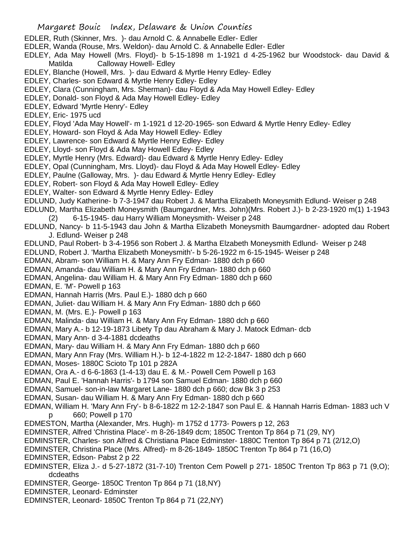- EDLER, Ruth (Skinner, Mrs. )- dau Arnold C. & Annabelle Edler- Edler
- EDLER, Wanda (Rouse, Mrs. Weldon)- dau Arnold C. & Annabelle Edler- Edler
- EDLEY, Ada May Howell (Mrs. Floyd)- b 5-15-1898 m 1-1921 d 4-25-1962 bur Woodstock- dau David & Matilda Calloway Howell- Edley
- EDLEY, Blanche (Howell, Mrs. )- dau Edward & Myrtle Henry Edley- Edley
- EDLEY, Charles- son Edward & Myrtle Henry Edley- Edley
- EDLEY, Clara (Cunningham, Mrs. Sherman)- dau Floyd & Ada May Howell Edley- Edley
- EDLEY, Donald- son Floyd & Ada May Howell Edley- Edley
- EDLEY, Edward 'Myrtle Henry'- Edley
- EDLEY, Eric- 1975 ucd
- EDLEY, Floyd 'Ada May Howell'- m 1-1921 d 12-20-1965- son Edward & Myrtle Henry Edley- Edley
- EDLEY, Howard- son Floyd & Ada May Howell Edley- Edley
- EDLEY, Lawrence- son Edward & Myrtle Henry Edley- Edley
- EDLEY, Lloyd- son Floyd & Ada May Howell Edley- Edley
- EDLEY, Myrtle Henry (Mrs. Edward)- dau Edward & Myrtle Henry Edley- Edley
- EDLEY, Opal (Cunningham, Mrs. Lloyd)- dau Floyd & Ada May Howell Edley- Edley
- EDLEY, Paulne (Galloway, Mrs. )- dau Edward & Myrtle Henry Edley- Edley
- EDLEY, Robert- son Floyd & Ada May Howell Edley- Edley
- EDLEY, Walter- son Edward & Myrtle Henry Edley- Edley
- EDLUND, Judy Katherine- b 7-3-1947 dau Robert J. & Martha Elizabeth Moneysmith Edlund- Weiser p 248
- EDLUND, Martha Elizabeth Moneysmith (Baumgardner, Mrs. John)(Mrs. Robert J.)- b 2-23-1920 m(1) 1-1943
	- (2) 6-15-1945- dau Harry William Moneysmith- Weiser p 248
- EDLUND, Nancy- b 11-5-1943 dau John & Martha Elizabeth Moneysmith Baumgardner- adopted dau Robert J. Edlund- Weiser p 248
- EDLUND, Paul Robert- b 3-4-1956 son Robert J. & Martha Elzabeth Moneysmith Edlund- Weiser p 248
- EDLUND, Robert J. 'Martha Elizabeth Moneysmith'- b 5-26-1922 m 6-15-1945- Weiser p 248
- EDMAN, Abram- son William H. & Mary Ann Fry Edman- 1880 dch p 660
- EDMAN, Amanda- dau William H. & Mary Ann Fry Edman- 1880 dch p 660
- EDMAN, Angelina- dau William H. & Mary Ann Fry Edman- 1880 dch p 660
- EDMAN, E. 'M'- Powell p 163
- EDMAN, Hannah Harris (Mrs. Paul E.)- 1880 dch p 660
- EDMAN, Juliet- dau William H. & Mary Ann Fry Edman- 1880 dch p 660
- EDMAN, M. (Mrs. E.)- Powell p 163
- EDMAN, Malinda- dau William H. & Mary Ann Fry Edman- 1880 dch p 660
- EDMAN, Mary A.- b 12-19-1873 Libety Tp dau Abraham & Mary J. Matock Edman- dcb
- EDMAN, Mary Ann- d 3-4-1881 dcdeaths
- EDMAN, Mary- dau William H. & Mary Ann Fry Edman- 1880 dch p 660
- EDMAN, Mary Ann Fray (Mrs. William H.)- b 12-4-1822 m 12-2-1847- 1880 dch p 660
- EDMAN, Moses- 1880C Scioto Tp 101 p 282A
- EDMAN, Ora A.- d 6-6-1863 (1-4-13) dau E. & M.- Powell Cem Powell p 163
- EDMAN, Paul E. 'Hannah Harris'- b 1794 son Samuel Edman- 1880 dch p 660
- EDMAN, Samuel- son-in-law Margaret Lane- 1880 dch p 660; dcw Bk 3 p 253
- EDMAN, Susan- dau William H. & Mary Ann Fry Edman- 1880 dch p 660
- EDMAN, William H. 'Mary Ann Fry'- b 8-6-1822 m 12-2-1847 son Paul E. & Hannah Harris Edman- 1883 uch V p 660; Powell p 170
- EDMESTON, Martha (Alexander, Mrs. Hugh)- m 1752 d 1773- Powers p 12, 263
- EDMINSTER, Alfred 'Christina Place'- m 8-26-1849 dcm; 1850C Trenton Tp 864 p 71 (29, NY)
- EDMINSTER, Charles- son Alfred & Christiana Place Edminster- 1880C Trenton Tp 864 p 71 (2/12,O)
- EDMINSTER, Christina Place (Mrs. Alfred)- m 8-26-1849- 1850C Trenton Tp 864 p 71 (16,O)
- EDMINSTER, Edson- Pabst 2 p 22
- EDMINSTER, Eliza J.- d 5-27-1872 (31-7-10) Trenton Cem Powell p 271- 1850C Trenton Tp 863 p 71 (9,O); dcdeaths
- EDMINSTER, George- 1850C Trenton Tp 864 p 71 (18,NY)
- EDMINSTER, Leonard- Edminster
- EDMINSTER, Leonard- 1850C Trenton Tp 864 p 71 (22,NY)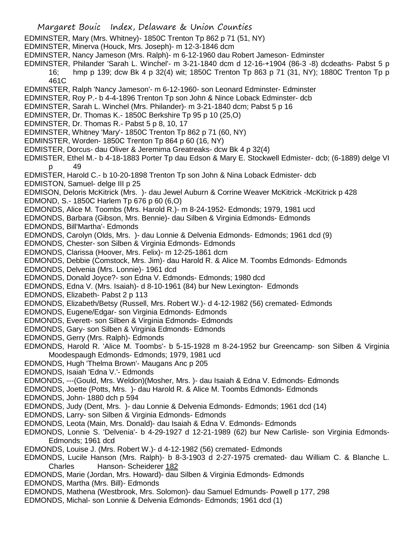- EDMINSTER, Mary (Mrs. Whitney)- 1850C Trenton Tp 862 p 71 (51, NY)
- EDMINSTER, Minerva (Houck, Mrs. Joseph)- m 12-3-1846 dcm
- EDMINSTER, Nancy Jameson (Mrs. Ralph)- m 6-12-1960 dau Robert Jameson- Edminster
- EDMINSTER, Philander 'Sarah L. Winchel'- m 3-21-1840 dcm d 12-16-+1904 (86-3 -8) dcdeaths- Pabst 5 p 16; hmp p 139; dcw Bk 4 p 32(4) wit; 1850C Trenton Tp 863 p 71 (31, NY); 1880C Trenton Tp p 461C
- EDMINSTER, Ralph 'Nancy Jameson'- m 6-12-1960- son Leonard Edminster- Edminster
- EDMINSTER, Roy P.- b 4-4-1896 Trenton Tp son John & Nince Loback Edminster- dcb
- EDMINSTER, Sarah L. Winchel (Mrs. Philander)- m 3-21-1840 dcm; Pabst 5 p 16
- EDMINSTER, Dr. Thomas K.- 1850C Berkshire Tp 95 p 10 (25,O)
- EDMINSTER, Dr. Thomas R.- Pabst 5 p 8, 10, 17
- EDMINSTER, Whitney 'Mary'- 1850C Trenton Tp 862 p 71 (60, NY)
- EDMINSTER, Worden- 1850C Trenton Tp 864 p 60 (16, NY)
- EDMISTER, Dorcus- dau Oliver & Jeremima Greatreaks- dcw Bk 4 p 32(4)
- EDMISTER, Ethel M.- b 4-18-1883 Porter Tp dau Edson & Mary E. Stockwell Edmister- dcb; (6-1889) delge VI 49
- EDMISTER, Harold C.- b 10-20-1898 Trenton Tp son John & Nina Loback Edmister- dcb
- EDMISTON, Samuel- delge III p 25
- EDMISON, Deloris McKitrick (Mrs. )- dau Jewel Auburn & Corrine Weaver McKitrick -McKitrick p 428 EDMOND, S.- 1850C Harlem Tp 676 p 60 (6,O)
- EDMONDS, Alice M. Toombs (Mrs. Harold R.)- m 8-24-1952- Edmonds; 1979, 1981 ucd
- EDMONDS, Barbara (Gibson, Mrs. Bennie)- dau Silben & Virginia Edmonds- Edmonds
- EDMONDS, Bill'Martha'- Edmonds
- EDMONDS, Carolyn (Olds, Mrs. )- dau Lonnie & Delvenia Edmonds- Edmonds; 1961 dcd (9)
- EDMONDS, Chester- son Silben & Virginia Edmonds- Edmonds
- EDMONDS, Clarissa (Hoover, Mrs. Felix)- m 12-25-1861 dcm
- EDMONDS, Debbie (Comstock, Mrs. Jim)- dau Harold R. & Alice M. Toombs Edmonds- Edmonds
- EDMONDS, Delvenia (Mrs. Lonnie)- 1961 dcd
- EDMONDS, Donald Joyce?- son Edna V. Edmonds- Edmonds; 1980 dcd
- EDMONDS, Edna V. (Mrs. Isaiah)- d 8-10-1961 (84) bur New Lexington- Edmonds
- EDMONDS, Elizabeth- Pabst 2 p 113
- EDMONDS, Elizabeth/Betsy (Russell, Mrs. Robert W.)- d 4-12-1982 (56) cremated- Edmonds
- EDMONDS, Eugene/Edgar- son Virginia Edmonds- Edmonds
- EDMONDS, Everett- son Silben & Virginia Edmonds- Edmonds
- EDMONDS, Gary- son Silben & Virginia Edmonds- Edmonds
- EDMONDS, Gerry (Mrs. Ralph)- Edmonds
- EDMONDS, Harold R. 'Alice M. Toombs'- b 5-15-1928 m 8-24-1952 bur Greencamp- son Silben & Virginia Moodespaugh Edmonds- Edmonds; 1979, 1981 ucd
- EDMONDS, Hugh 'Thelma Brown'- Maugans Anc p 205
- EDMONDS, Isaiah 'Edna V.'- Edmonds
- EDMONDS, ---(Gould, Mrs. Weldon)(Mosher, Mrs. )- dau Isaiah & Edna V. Edmonds- Edmonds
- EDMONDS, Joette (Potts, Mrs. )- dau Harold R. & Alice M. Toombs Edmonds- Edmonds
- EDMONDS, John- 1880 dch p 594
- EDMONDS, Judy (Dent, Mrs. )- dau Lonnie & Delvenia Edmonds- Edmonds; 1961 dcd (14)
- EDMONDS, Larry- son Silben & Virginia Edmonds- Edmonds
- EDMONDS, Leota (Main, Mrs. Donald)- dau Isaiah & Edna V. Edmonds- Edmonds
- EDMONDS, Lonnie S. 'Delvenia'- b 4-29-1927 d 12-21-1989 (62) bur New Carlisle- son Virginia Edmonds-Edmonds; 1961 dcd
- EDMONDS, Louise J. (Mrs. Robert W.)- d 4-12-1982 (56) cremated- Edmonds
- EDMONDS, Lucile Hanson (Mrs. Ralph)- b 8-3-1903 d 2-27-1975 cremated- dau William C. & Blanche L. Charles Hanson- Scheiderer 182
- EDMONDS, Marie (Jordan, Mrs. Howard)- dau Silben & Virginia Edmonds- Edmonds
- EDMONDS, Martha (Mrs. Bill)- Edmonds
- EDMONDS, Mathena (Westbrook, Mrs. Solomon)- dau Samuel Edmunds- Powell p 177, 298
- EDMONDS, Michal- son Lonnie & Delvenia Edmonds- Edmonds; 1961 dcd (1)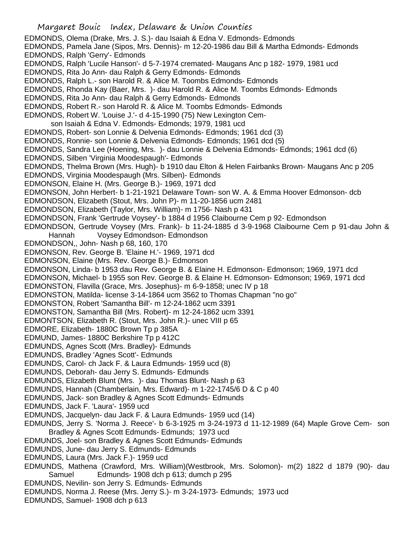- EDMONDS, Olema (Drake, Mrs. J. S.)- dau Isaiah & Edna V. Edmonds- Edmonds
- EDMONDS, Pamela Jane (Sipos, Mrs. Dennis)- m 12-20-1986 dau Bill & Martha Edmonds- Edmonds EDMONDS, Ralph 'Gerry'- Edmonds
- EDMONDS, Ralph 'Lucile Hanson'- d 5-7-1974 cremated- Maugans Anc p 182- 1979, 1981 ucd
- EDMONDS, Rita Jo Ann- dau Ralph & Gerry Edmonds- Edmonds
- EDMONDS, Ralph L.- son Harold R. & Alice M. Toombs Edmonds- Edmonds
- EDMONDS, Rhonda Kay (Baer, Mrs. )- dau Harold R. & Alice M. Toombs Edmonds- Edmonds
- EDMONDS, Rita Jo Ann- dau Ralph & Gerry Edmonds- Edmonds
- EDMONDS, Robert R.- son Harold R. & Alice M. Toombs Edmonds- Edmonds
- EDMONDS, Robert W. 'Louise J.'- d 4-15-1990 (75) New Lexington Cem-
- son Isaiah & Edna V. Edmonds- Edmonds; 1979, 1981 ucd
- EDMONDS, Robert- son Lonnie & Delvenia Edmonds- Edmonds; 1961 dcd (3)
- EDMONDS, Ronnie- son Lonnie & Delvenia Edmonds- Edmonds; 1961 dcd (5)
- EDMONDS, Sandra Lee (Hoening, Mrs. )- dau Lonnie & Delvenia Edmonds- Edmonds; 1961 dcd (6)
- EDMONDS, Silben 'Virginia Moodespaugh'- Edmonds
- EDMONDS, Thelma Brown (Mrs. Hugh)- b 1910 dau Elton & Helen Fairbanks Brown- Maugans Anc p 205
- EDMONDS, Virginia Moodespaugh (Mrs. Silben)- Edmonds
- EDMONSON, Elaine H. (Mrs. George B.)- 1969, 1971 dcd
- EDMONSON, John Herbert- b 1-21-1921 Delaware Town- son W. A. & Emma Hoover Edmonson- dcb
- EDMONDSON, Elizabeth (Stout, Mrs. John P)- m 11-20-1856 ucm 2481
- EDMONDSON, Elizabeth (Taylor, Mrs. William)- m 1756- Nash p 431
- EDMONDSON, Frank 'Gertrude Voysey'- b 1884 d 1956 Claibourne Cem p 92- Edmondson
- EDMONDSON, Gertrude Voysey (Mrs. Frank)- b 11-24-1885 d 3-9-1968 Claibourne Cem p 91-dau John & Hannah Voysey Edmondson- Edmondson
- EDMONDSON,, John- Nash p 68, 160, 170
- EDMONSON, Rev. George B. 'Elaine H.'- 1969, 1971 dcd
- EDMONSON, Elaine (Mrs. Rev. George B.)- Edmonson
- EDMONSON, Linda- b 1953 dau Rev. George B. & Elaine H. Edmonson- Edmonson; 1969, 1971 dcd
- EDMONSON, Michael- b 1955 son Rev. George B. & Elaine H. Edmonson- Edmonson; 1969, 1971 dcd
- EDMONSTON, Flavilla (Grace, Mrs. Josephus)- m 6-9-1858; unec IV p 18
- EDMONSTON, Matilda- license 3-14-1864 ucm 3562 to Thomas Chapman "no go"
- EDMONSTON, Robert 'Samantha Bill'- m 12-24-1862 ucm 3391
- EDMONSTON, Samantha Bill (Mrs. Robert)- m 12-24-1862 ucm 3391
- EDMONTSON, Elizabeth R. (Stout, Mrs. John R.)- unec VIII p 65
- EDMORE, Elizabeth- 1880C Brown Tp p 385A
- EDMUND, James- 1880C Berkshire Tp p 412C
- EDMUNDS, Agnes Scott (Mrs. Bradley)- Edmunds
- EDMUNDS, Bradley 'Agnes Scott'- Edmunds
- EDMUNDS, Carol- ch Jack F. & Laura Edmunds- 1959 ucd (8)
- EDMUNDS, Deborah- dau Jerry S. Edmunds- Edmunds
- EDMUNDS, Elizabeth Blunt (Mrs. )- dau Thomas Blunt- Nash p 63
- EDMUNDS, Hannah (Chamberlain, Mrs. Edward)- m 1-22-1745/6 D & C p 40
- EDMUNDS, Jack- son Bradley & Agnes Scott Edmunds- Edmunds
- EDMUNDS, Jack F. 'Laura'- 1959 ucd
- EDMUNDS, Jacquelyn- dau Jack F. & Laura Edmunds- 1959 ucd (14)
- EDMUNDS, Jerry S. 'Norma J. Reece'- b 6-3-1925 m 3-24-1973 d 11-12-1989 (64) Maple Grove Cem- son Bradley & Agnes Scott Edmunds- Edmunds; 1973 ucd
- EDMUNDS, Joel- son Bradley & Agnes Scott Edmunds- Edmunds
- EDMUNDS, June- dau Jerry S. Edmunds- Edmunds
- EDMUNDS, Laura (Mrs. Jack F.)- 1959 ucd
- EDMUNDS, Mathena (Crawford, Mrs. William)(Westbrook, Mrs. Solomon)- m(2) 1822 d 1879 (90)- dau Samuel Edmunds- 1908 dch p 613; dumch p 295
- EDMUNDS, Nevilin- son Jerry S. Edmunds- Edmunds
- EDMUNDS, Norma J. Reese (Mrs. Jerry S.)- m 3-24-1973- Edmunds; 1973 ucd
- EDMUNDS, Samuel- 1908 dch p 613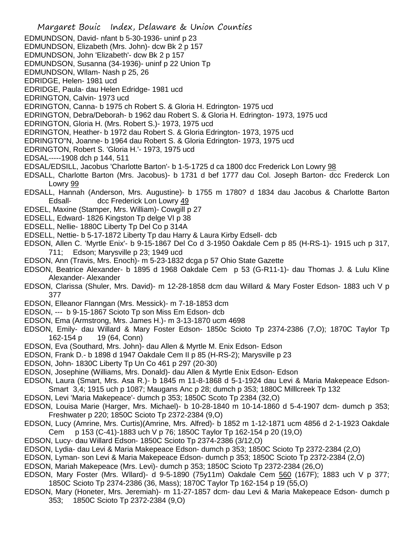- Margaret Bouic Index, Delaware & Union Counties EDMUNDSON, David- nfant b 5-30-1936- uninf p 23 EDMUNDSON, Elizabeth (Mrs. John)- dcw Bk 2 p 157 EDMUNDSON, John 'Elizabeth'- dcw Bk 2 p 157 EDMUNDSON, Susanna (34-1936)- uninf p 22 Union Tp EDMUNDSON, Wllam- Nash p 25, 26 EDRIDGE, Helen- 1981 ucd EDRIDGE, Paula- dau Helen Edridge- 1981 ucd EDRINGTON, Calvin- 1973 ucd EDRINGTON, Canna- b 1975 ch Robert S. & Gloria H. Edrington- 1975 ucd EDRINGTON, Debra/Deborah- b 1962 dau Robert S. & Gloria H. Edrington- 1973, 1975 ucd EDRINGTON, Gloria H. (Mrs. Robert S.)- 1973, 1975 ucd EDRINGTON, Heather- b 1972 dau Robert S. & Gloria Edrington- 1973, 1975 ucd EDRINGTO"N, Joanne- b 1964 dau Robert S. & Gloria Edrington- 1973, 1975 ucd EDRINGTON, Robert S. 'Gloria H.'- 1973, 1975 ucd EDSAL-----1908 dch p 144, 511 EDSAL/EDSILL, Jacobus 'Charlotte Barton'- b 1-5-1725 d ca 1800 dcc Frederick Lon Lowry 98 EDSALL, Charlotte Barton (Mrs. Jacobus)- b 1731 d bef 1777 dau Col. Joseph Barton- dcc Frederck Lon Lowry 99 EDSALL, Hannah (Anderson, Mrs. Augustine)- b 1755 m 1780? d 1834 dau Jacobus & Charlotte Barton Edsall- dcc Frederick Lon Lowry 49 EDSEL, Maxine (Stamper, Mrs. William)- Cowgill p 27 EDSELL, Edward- 1826 Kingston Tp delge VI p 38 EDSELL, Nellie- 1880C Liberty Tp Del Co p 314A EDSELL, Nettie- b 5-17-1872 Liberty Tp dau Harry & Laura Kirby Edsell- dcb EDSON, Allen C. 'Myrtle Enix'- b 9-15-1867 Del Co d 3-1950 Oakdale Cem p 85 (H-RS-1)- 1915 uch p 317, 711; Edson; Marysville p 23; 1949 ucd EDSON, Ann (Travis, Mrs. Enoch)- m 5-23-1832 dcga p 57 Ohio State Gazette EDSON, Beatrice Alexander- b 1895 d 1968 Oakdale Cem p 53 (G-R11-1)- dau Thomas J. & Lulu Kline Alexander- Alexander EDSON, Clarissa (Shuler, Mrs. David)- m 12-28-1858 dcm dau Willard & Mary Foster Edson- 1883 uch V p 377 EDSON, Elleanor Flanngan (Mrs. Messick)- m 7-18-1853 dcm EDSON, --- b 9-15-1867 Scioto Tp son Miss Em Edson- dcb EDSON, Ema (Armstrong, Mrs. James H.)- m 3-13-1870 ucm 4698 EDSON, Emily- dau Willard & Mary Foster Edson- 1850c Scioto Tp 2374-2386 (7,O); 1870C Taylor Tp 162-154 p 19 (64, Conn) EDSON, Eva (Southard, Mrs. John)- dau Allen & Myrtle M. Enix Edson- Edson EDSON, Frank D.- b 1898 d 1947 Oakdale Cem II p 85 (H-RS-2); Marysville p 23 EDSON, John- 1830C Liberty Tp Un Co 461 p 297 (20-30) EDSON, Josephine (Williams, Mrs. Donald)- dau Allen & Myrtle Enix Edson- Edson EDSON, Laura (Smart, Mrs. Asa R.)- b 1845 m 11-8-1868 d 5-1-1924 dau Levi & Maria Makepeace Edson-Smart 3,4; 1915 uch p 1087; Maugans Anc p 28; dumch p 353; 1880C Milllcreek Tp 132 EDSON, Levi 'Maria Makepeace'- dumch p 353; 1850C Scoto Tp 2384 (32,O) EDSON, Louisa Marie (Harger, Mrs. Michael)- b 10-28-1840 m 10-14-1860 d 5-4-1907 dcm- dumch p 353; Freshwater p 220; 1850C Scioto Tp 2372-2384 (9,O) EDSON, Lucy (Amrine, Mrs. Curtis)(Amrine, Mrs. Alfred)- b 1852 m 1-12-1871 ucm 4856 d 2-1-1923 Oakdale Cem p 153 (C-41)-1883 uch V p 76; 1850C Taylor Tp 162-154 p 20 (19,O) EDSON, Lucy- dau Willard Edson- 1850C Scioto Tp 2374-2386 (3/12,O) EDSON, Lydia- dau Levi & Maria Makepeace Edson- dumch p 353; 1850C Scioto Tp 2372-2384 (2,O) EDSON, Lyman- son Levi & Maria Makepeace Edson- dumch p 353; 1850C Scioto Tp 2372-2384 (2,O) EDSON, Mariah Makepeace (Mrs. Levi)- dumch p 353; 1850C Scioto Tp 2372-2384 (26,O)
- EDSON, Mary Foster (Mrs. Wllard)- d 9-5-1890 (75y11m) Oakdale Cem 560 (167F); 1883 uch V p 377; 1850C Scioto Tp 2374-2386 (36, Mass); 1870C Taylor Tp 162-154 p 19 (55,O)
- EDSON, Mary (Honeter, Mrs. Jeremiah)- m 11-27-1857 dcm- dau Levi & Maria Makepeace Edson- dumch p 353; 1850C Scioto Tp 2372-2384 (9,O)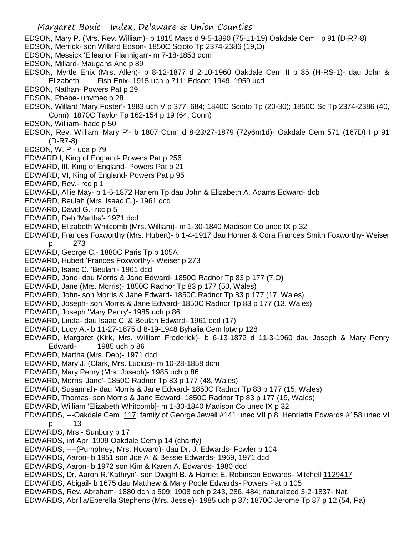- Margaret Bouic Index, Delaware & Union Counties EDSON, Mary P. (Mrs. Rev. William)- b 1815 Mass d 9-5-1890 (75-11-19) Oakdale Cem I p 91 (D-R7-8) EDSON, Merrick- son Willard Edson- 1850C Scioto Tp 2374-2386 (19,O) EDSON, Messick 'Elleanor Flannigan'- m 7-18-1853 dcm EDSON, Millard- Maugans Anc p 89 EDSON, Myrtle Enix (Mrs. Allen)- b 8-12-1877 d 2-10-1960 Oakdale Cem II p 85 (H-RS-1)- dau John & Elizabeth Fish Enix- 1915 uch p 711; Edson; 1949, 1959 ucd EDSON, Nathan- Powers Pat p 29 EDSON, Phebe- unvmec p 28 EDSON, Willard 'Mary Foster'- 1883 uch V p 377, 684; 1840C Scioto Tp (20-30); 1850C Sc Tp 2374-2386 (40, Conn); 1870C Taylor Tp 162-154 p 19 (64, Conn) EDSON, William- hadc p 50 EDSON, Rev. William 'Mary P'- b 1807 Conn d 8-23/27-1879 (72y6m1d)- Oakdale Cem 571 (167D) I p 91 (D-R7-8) EDSON, W. P.- uca p 79 EDWARD I, King of England- Powers Pat p 256 EDWARD, III, King of England- Powers Pat p 21 EDWARD, VI, King of England- Powers Pat p 95 EDWARD, Rev.- rcc p 1 EDWARD, Allie May- b 1-6-1872 Harlem Tp dau John & Elizabeth A. Adams Edward- dcb EDWARD, Beulah (Mrs. Isaac C.)- 1961 dcd EDWARD, David G.- rcc p 5 EDWARD, Deb 'Martha'- 1971 dcd EDWARD, Elizabeth Whitcomb (Mrs. William)- m 1-30-1840 Madison Co unec IX p 32 EDWARD, Frances Foxworthy (Mrs. Hubert)- b 1-4-1917 dau Homer & Cora Frances Smith Foxworthy- Weiser p 273 EDWARD, George C.- 1880C Paris Tp p 105A EDWARD, Hubert 'Frances Foxworthy'- Weiser p 273 EDWARD, Isaac C. 'Beulah'- 1961 dcd EDWARD, Jane- dau Morris & Jane Edward- 1850C Radnor Tp 83 p 177 (7,O) EDWARD, Jane (Mrs. Morris)- 1850C Radnor Tp 83 p 177 (50, Wales) EDWARD, John- son Morris & Jane Edward- 1850C Radnor Tp 83 p 177 (17, Wales) EDWARD, Joseph- son Morris & Jane Edward- 1850C Radnor Tp 83 p 177 (13, Wales) EDWARD, Joseph 'Mary Penry'- 1985 uch p 86 EDWARD, Linda- dau Isaac C. & Beulah Edward- 1961 dcd (17) EDWARD, Lucy A.- b 11-27-1875 d 8-19-1948 Byhalia Cem lptw p 128 EDWARD, Margaret (Kirk, Mrs. William Frederick)- b 6-13-1872 d 11-3-1960 dau Joseph & Mary Penry Edward- 1985 uch p 86 EDWARD, Martha (Mrs. Deb)- 1971 dcd EDWARD, Mary J. (Clark, Mrs. Lucius)- m 10-28-1858 dcm EDWARD, Mary Penry (Mrs. Joseph)- 1985 uch p 86 EDWARD, Morris 'Jane'- 1850C Radnor Tp 83 p 177 (48, Wales) EDWARD, Susannah- dau Morris & Jane Edward- 1850C Radnor Tp 83 p 177 (15, Wales) EDWARD, Thomas- son Morris & Jane Edward- 1850C Radnor Tp 83 p 177 (19, Wales) EDWARD, William 'Elizabeth Whitcomb]- m 1-30-1840 Madison Co unec IX p 32 EDWARDS, ---Oakdale Cem 117; family of George Jewell #141 unec VII p 8, Henrietta Edwards #158 unec VI p 13 EDWARDS, Mrs.- Sunbury p 17 EDWARDS, inf Apr. 1909 Oakdale Cem p 14 (charity) EDWARDS, ----(Pumphrey, Mrs. Howard)- dau Dr. J. Edwards- Fowler p 104 EDWARDS, Aaron- b 1951 son Joe A. & Bessie Edwards- 1969, 1971 dcd EDWARDS, Aaron- b 1972 son Kim & Karen A. Edwards- 1980 dcd EDWARDS, Dr. Aaron R.'Kathryn'- son Dwight B. & Harriet E. Robinson Edwards- Mitchell 1129417 EDWARDS, Abigail- b 1675 dau Matthew & Mary Poole Edwards- Powers Pat p 105 EDWARDS, Rev. Abraham- 1880 dch p 509; 1908 dch p 243, 286, 484; naturalized 3-2-1837- Nat.
- EDWARDS, Abrilla/Eberella Stephens (Mrs. Jessie)- 1985 uch p 37; 1870C Jerome Tp 87 p 12 (54, Pa)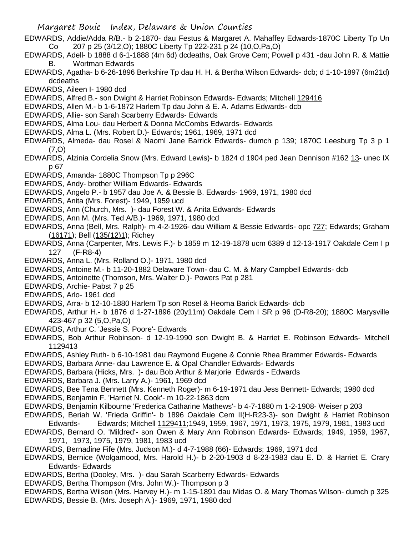- EDWARDS, Addie/Adda R/B.- b 2-1870- dau Festus & Margaret A. Mahaffey Edwards-1870C Liberty Tp Un Co 207 p 25 (3/12,O); 1880C Liberty Tp 222-231 p 24 (10,O,Pa,O)
- EDWARDS, Adell- b 1888 d 6-1-1888 (4m 6d) dcdeaths, Oak Grove Cem; Powell p 431 -dau John R. & Mattie B. Wortman Edwards
- EDWARDS, Agatha- b 6-26-1896 Berkshire Tp dau H. H. & Bertha Wilson Edwards- dcb; d 1-10-1897 (6m21d) dcdeaths
- EDWARDS, Aileen I- 1980 dcd
- EDWARDS, Alfred B.- son Dwight & Harriet Robinson Edwards- Edwards; Mitchell 129416
- EDWARDS, Allen M.- b 1-6-1872 Harlem Tp dau John & E. A. Adams Edwards- dcb
- EDWARDS, Allie- son Sarah Scarberry Edwards- Edwards
- EDWARDS, Alma Lou- dau Herbert & Donna McCombs Edwards- Edwards
- EDWARDS, Alma L. (Mrs. Robert D.)- Edwards; 1961, 1969, 1971 dcd
- EDWARDS, Almeda- dau Rosel & Naomi Jane Barrick Edwards- dumch p 139; 1870C Leesburg Tp 3 p 1 (7,O)
- EDWARDS, Alzinia Cordelia Snow (Mrs. Edward Lewis)- b 1824 d 1904 ped Jean Dennison #162 13- unec IX p 67
- EDWARDS, Amanda- 1880C Thompson Tp p 296C
- EDWARDS, Andy- brother William Edwards- Edwards
- EDWARDS, Angelo P.- b 1957 dau Joe A. & Bessie B. Edwards- 1969, 1971, 1980 dcd
- EDWARDS, Anita (Mrs. Forest)- 1949, 1959 ucd
- EDWARDS, Ann (Church, Mrs. )- dau Forest W. & Anita Edwards- Edwards
- EDWARDS, Ann M. (Mrs. Ted A/B.)- 1969, 1971, 1980 dcd
- EDWARDS, Anna (Bell, Mrs. Ralph)- m 4-2-1926- dau William & Bessie Edwards- opc 727; Edwards; Graham (16171); Bell (135(12)1); Richey
- EDWARDS, Anna (Carpenter, Mrs. Lewis F.)- b 1859 m 12-19-1878 ucm 6389 d 12-13-1917 Oakdale Cem I p 127 (F-R8-4)
- EDWARDS, Anna L. (Mrs. Rolland O.)- 1971, 1980 dcd
- EDWARDS, Antoine M.- b 11-20-1882 Delaware Town- dau C. M. & Mary Campbell Edwards- dcb
- EDWARDS, Antoinette (Thomson, Mrs. Walter D.)- Powers Pat p 281
- EDWARDS, Archie- Pabst 7 p 25
- EDWARDS, Arlo- 1961 dcd
- EDWARDS, Arra- b 12-10-1880 Harlem Tp son Rosel & Heoma Barick Edwards- dcb
- EDWARDS, Arthur H.- b 1876 d 1-27-1896 (20y11m) Oakdale Cem I SR p 96 (D-R8-20); 1880C Marysville 423-467 p 32 (5,O,Pa,O)
- EDWARDS, Arthur C. 'Jessie S. Poore'- Edwards
- EDWARDS, Bob Arthur Robinson- d 12-19-1990 son Dwight B. & Harriet E. Robinson Edwards- Mitchell 1129413
- EDWARDS, Ashley Ruth- b 6-10-1981 dau Raymond Eugene & Connie Rhea Brammer Edwards- Edwards EDWARDS, Barbara Anne- dau Lawrence E. & Opal Chandler Edwards- Edwards
- 
- EDWARDS, Barbara (Hicks, Mrs. )- dau Bob Arthur & Marjorie Edwards Edwards
- EDWARDS, Barbara J. (Mrs. Larry A.)- 1961, 1969 dcd
- EDWARDS, Bee Tena Bennett (Mrs. Kenneth Roger)- m 6-19-1971 dau Jess Bennett- Edwards; 1980 dcd EDWARDS, Benjamin F. 'Harriet N. Cook'- m 10-22-1863 dcm
- EDWARDS, Benjamin Kilbourne 'Frederica Catharine Mathews'- b 4-7-1880 m 1-2-1908- Weiser p 203
- EDWARDS, Beriah W. 'Frieda Griffin'- b 1896 Oakdale Cem II(H-R23-3)- son Dwight & Harriet Robinson Edwards- Edwards; Mitchell 1129411;1949, 1959, 1967, 1971, 1973, 1975, 1979, 1981, 1983 ucd
- EDWARDS, Bernard O. 'Mildred'- son Owen & Mary Ann Robinson Edwards- Edwards; 1949, 1959, 1967, 1971, 1973, 1975, 1979, 1981, 1983 ucd
- EDWARDS, Bernadine Fife (Mrs. Judson M.)- d 4-7-1988 (66)- Edwards; 1969, 1971 dcd
- EDWARDS, Bernice (Wolgamood, Mrs. Harold H.)- b 2-20-1903 d 8-23-1983 dau E. D. & Harriet E. Crary Edwards- Edwards
- EDWARDS, Bertha (Dooley, Mrs. )- dau Sarah Scarberry Edwards- Edwards
- EDWARDS, Bertha Thompson (Mrs. John W.)- Thompson p 3
- EDWARDS, Bertha Wilson (Mrs. Harvey H.)- m 1-15-1891 dau Midas O. & Mary Thomas Wilson- dumch p 325 EDWARDS, Bessie B. (Mrs. Joseph A.)- 1969, 1971, 1980 dcd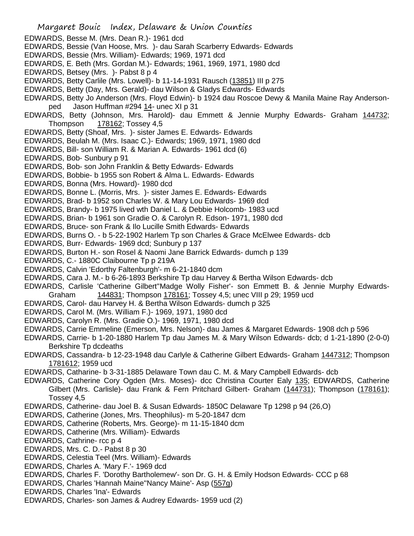- Margaret Bouic Index, Delaware & Union Counties EDWARDS, Besse M. (Mrs. Dean R.)- 1961 dcd EDWARDS, Bessie (Van Hoose, Mrs. )- dau Sarah Scarberry Edwards- Edwards EDWARDS, Bessie (Mrs. William)- Edwards; 1969, 1971 dcd EDWARDS, E. Beth (Mrs. Gordan M.)- Edwards; 1961, 1969, 1971, 1980 dcd EDWARDS, Betsey (Mrs. )- Pabst 8 p 4 EDWARDS, Betty Carlile (Mrs. Lowell)- b 11-14-1931 Rausch (13851) III p 275 EDWARDS, Betty (Day, Mrs. Gerald)- dau Wilson & Gladys Edwards- Edwards EDWARDS, Betty Jo Anderson (Mrs. Floyd Edwin)- b 1924 dau Roscoe Dewy & Manila Maine Ray Andersonped Jason Huffman #294 14- unec XI p 31 EDWARDS, Betty (Johnson, Mrs. Harold)- dau Emmett & Jennie Murphy Edwards- Graham 144732; Thompson 178162; Tossey 4,5 EDWARDS, Betty (Shoaf, Mrs. )- sister James E. Edwards- Edwards EDWARDS, Beulah M. (Mrs. Isaac C.)- Edwards; 1969, 1971, 1980 dcd EDWARDS, Bill- son William R. & Marian A. Edwards- 1961 dcd (6) EDWARDS, Bob- Sunbury p 91 EDWARDS, Bob- son John Franklin & Betty Edwards- Edwards EDWARDS, Bobbie- b 1955 son Robert & Alma L. Edwards- Edwards EDWARDS, Bonna (Mrs. Howard)- 1980 dcd EDWARDS, Bonne L. (Morris, Mrs. )- sister James E. Edwards- Edwards EDWARDS, Brad- b 1952 son Charles W. & Mary Lou Edwards- 1969 dcd EDWARDS, Brandy- b 1975 lived wth Daniel L. & Debbie Holcomb- 1983 ucd EDWARDS, Brian- b 1961 son Gradie O. & Carolyn R. Edson- 1971, 1980 dcd EDWARDS, Bruce- son Frank & Ilo Lucille Smith Edwards- Edwards EDWARDS, Burns O. - b 5-22-1902 Harlem Tp son Charles & Grace McElwee Edwards- dcb EDWARDS, Burr- Edwards- 1969 dcd; Sunbury p 137 EDWARDS, Burton H.- son Rosel & Naomi Jane Barrick Edwards- dumch p 139 EDWARDS, C.- 1880C Claibourne Tp p 219A EDWARDS, Calvin 'Edorthy Faltenburgh'- m 6-21-1840 dcm EDWARDS, Cara J. M.- b 6-26-1893 Berkshire Tp dau Harvey & Bertha Wilson Edwards- dcb EDWARDS, Carlisle 'Catherine Gilbert''Madge Wolly Fisher'- son Emmett B. & Jennie Murphy Edwards-Graham 144831; Thompson 178161; Tossey 4,5; unec VIII p 29; 1959 ucd EDWARDS, Carol- dau Harvey H. & Bertha Wilson Edwards- dumch p 325 EDWARDS, Carol M. (Mrs. William F.)- 1969, 1971, 1980 dcd EDWARDS, Carolyn R. (Mrs. Gradie O.)- 1969, 1971, 1980 dcd EDWARDS, Carrie Emmeline (Emerson, Mrs. Nelson)- dau James & Margaret Edwards- 1908 dch p 596 EDWARDS, Carrie- b 1-20-1880 Harlem Tp dau James M. & Mary Wilson Edwards- dcb; d 1-21-1890 (2-0-0) Berkshire Tp dcdeaths EDWARDS, Cassandra- b 12-23-1948 dau Carlyle & Catherine Gilbert Edwards- Graham 1447312; Thompson 1781612; 1959 ucd EDWARDS, Catharine- b 3-31-1885 Delaware Town dau C. M. & Mary Campbell Edwards- dcb EDWARDS, Catherine Cory Ogden (Mrs. Moses)- dcc Christina Courter Ealy 135; EDWARDS, Catherine Gilbert (Mrs. Carlisle)- dau Frank & Fern Pritchard Gilbert- Graham (144731); Thompson (178161); Tossey 4,5 EDWARDS, Catherine- dau Joel B. & Susan Edwards- 1850C Delaware Tp 1298 p 94 (26,O) EDWARDS, Catherine (Jones, Mrs. Theophilus)- m 5-20-1847 dcm EDWARDS, Catherine (Roberts, Mrs. George)- m 11-15-1840 dcm EDWARDS, Catherine (Mrs. William)- Edwards EDWARDS, Cathrine- rcc p 4 EDWARDS, Mrs. C. D.- Pabst 8 p 30 EDWARDS, Celestia Teel (Mrs. William)- Edwards EDWARDS, Charles A. 'Mary F.'- 1969 dcd EDWARDS, Charles F. 'Dorothy Bartholemew'- son Dr. G. H. & Emily Hodson Edwards- CCC p 68
- EDWARDS, Charles 'Hannah Maine''Nancy Maine'- Asp (557g)
- EDWARDS, Charles 'Ina'- Edwards
- EDWARDS, Charles- son James & Audrey Edwards- 1959 ucd (2)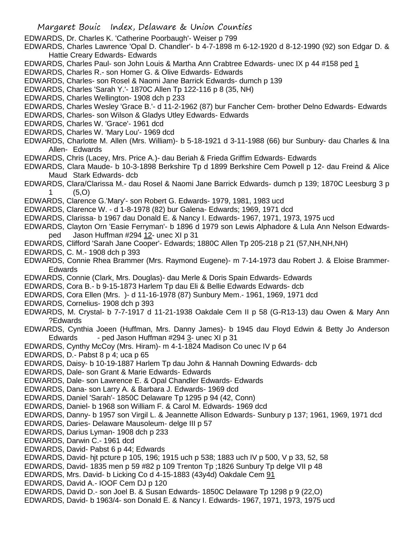- EDWARDS, Dr. Charles K. 'Catherine Poorbaugh'- Weiser p 799
- EDWARDS, Charles Lawrence 'Opal D. Chandler'- b 4-7-1898 m 6-12-1920 d 8-12-1990 (92) son Edgar D. & Hattie Creary Edwards- Edwards
- EDWARDS, Charles Paul- son John Louis & Martha Ann Crabtree Edwards- unec IX p 44 #158 ped 1
- EDWARDS, Charles R.- son Homer G. & Olive Edwards- Edwards
- EDWARDS, Charles- son Rosel & Naomi Jane Barrick Edwards- dumch p 139
- EDWARDS, Charles 'Sarah Y.'- 1870C Allen Tp 122-116 p 8 (35, NH)
- EDWARDS, Charles Wellington- 1908 dch p 233
- EDWARDS, Charles Wesley 'Grace B.'- d 11-2-1962 (87) bur Fancher Cem- brother Delno Edwards- Edwards
- EDWARDS, Charles- son Wilson & Gladys Utley Edwards- Edwards
- EDWARDS, Charles W. 'Grace'- 1961 dcd
- EDWARDS, Charles W. 'Mary Lou'- 1969 dcd
- EDWARDS, Charlotte M. Allen (Mrs. William)- b 5-18-1921 d 3-11-1988 (66) bur Sunbury- dau Charles & Ina Allen- Edwards
- EDWARDS, Chris (Lacey, Mrs. Price A.)- dau Beriah & Frieda Griffim Edwards- Edwards
- EDWARDS, Clara Maude- b 10-3-1898 Berkshire Tp d 1899 Berkshire Cem Powell p 12- dau Freind & Alice Maud Stark Edwards- dcb
- EDWARDS, Clara/Clarissa M.- dau Rosel & Naomi Jane Barrick Edwards- dumch p 139; 1870C Leesburg 3 p 1 (5,O)
- EDWARDS, Clarence G.'Mary'- son Robert G. Edwards- 1979, 1981, 1983 ucd
- EDWARDS, Clarence W. d 1-8-1978 (82) bur Galena- Edwards; 1969, 1971 dcd
- EDWARDS, Clarissa- b 1967 dau Donald E. & Nancy I. Edwards- 1967, 1971, 1973, 1975 ucd
- EDWARDS, Clayton Orn 'Easie Ferryman'- b 1896 d 1979 son Lewis Alphadore & Lula Ann Nelson Edwardsped Jason Huffman #294 12- unec XI p 31
- EDWARDS, Clifford 'Sarah Jane Cooper'- Edwards; 1880C Allen Tp 205-218 p 21 (57,NH,NH,NH)
- EDWARDS, C. M.- 1908 dch p 393
- EDWARDS, Connie Rhea Brammer (Mrs. Raymond Eugene)- m 7-14-1973 dau Robert J. & Eloise Brammer-Edwards
- EDWARDS, Connie (Clark, Mrs. Douglas)- dau Merle & Doris Spain Edwards- Edwards
- EDWARDS, Cora B.- b 9-15-1873 Harlem Tp dau Eli & Bellie Edwards Edwards- dcb
- EDWARDS, Cora Ellen (Mrs. )- d 11-16-1978 (87) Sunbury Mem.- 1961, 1969, 1971 dcd
- EDWARDS, Cornelius- 1908 dch p 393
- EDWARDS, M. Crystal- b 7-7-1917 d 11-21-1938 Oakdale Cem II p 58 (G-R13-13) dau Owen & Mary Ann ?Edwards
- EDWARDS, Cynthia Joeen (Huffman, Mrs. Danny James)- b 1945 dau Floyd Edwin & Betty Jo Anderson Edwards - ped Jason Huffman #294 3- unec XI p 31
- EDWARDS, Cynthy McCoy (Mrs. Hiram)- m 4-1-1824 Madison Co unec IV p 64
- EDWARDS, D.- Pabst 8 p 4; uca p 65
- EDWARDS, Daisy- b 10-19-1887 Harlem Tp dau John & Hannah Downing Edwards- dcb
- EDWARDS, Dale- son Grant & Marie Edwards- Edwards
- EDWARDS, Dale- son Lawrence E. & Opal Chandler Edwards- Edwards
- EDWARDS, Dana- son Larry A. & Barbara J. Edwards- 1969 dcd
- EDWARDS, Daniel 'Sarah'- 1850C Delaware Tp 1295 p 94 (42, Conn)
- EDWARDS, Daniel- b 1968 son William F. & Carol M. Edwards- 1969 dcd
- EDWARDS, Danny- b 1957 son Virgil L. & Jeannette Allison Edwards- Sunbury p 137; 1961, 1969, 1971 dcd
- EDWARDS, Daries- Delaware Mausoleum- delge III p 57
- EDWARDS, Darius Lyman- 1908 dch p 233
- EDWARDS, Darwin C.- 1961 dcd
- EDWARDS, David- Pabst 6 p 44; Edwards
- EDWARDS, David- hjt pcture p 105, 196; 1915 uch p 538; 1883 uch IV p 500, V p 33, 52, 58
- EDWARDS, David- 1835 men p 59 #82 p 109 Trenton Tp ;1826 Sunbury Tp delge VII p 48
- EDWARDS, Mrs. David- b Licking Co d 4-15-1883 (43y4d) Oakdale Cem 91
- EDWARDS, David A.- IOOF Cem DJ p 120
- EDWARDS, David D.- son Joel B. & Susan Edwards- 1850C Delaware Tp 1298 p 9 (22,O)
- EDWARDS, David- b 1963/4- son Donald E. & Nancy I. Edwards- 1967, 1971, 1973, 1975 ucd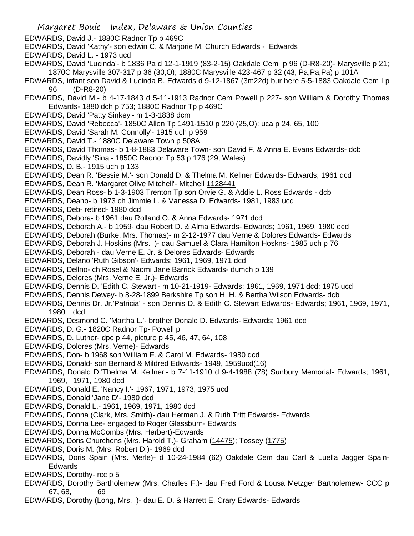- Margaret Bouic Index, Delaware & Union Counties EDWARDS, David J.- 1880C Radnor Tp p 469C EDWARDS, David 'Kathy'- son edwin C. & Marjorie M. Church Edwards - Edwards EDWARDS, David L. - 1973 ucd EDWARDS, David 'Lucinda'- b 1836 Pa d 12-1-1919 (83-2-15) Oakdale Cem p 96 (D-R8-20)- Marysville p 21; 1870C Marysville 307-317 p 36 (30,O); 1880C Marysville 423-467 p 32 (43, Pa,Pa,Pa) p 101A EDWARDS, infant son David & Lucinda B. Edwards d 9-12-1867 (3m22d) bur here 5-5-1883 Oakdale Cem I p 96 (D-R8-20) EDWARDS, David M.- b 4-17-1843 d 5-11-1913 Radnor Cem Powell p 227- son William & Dorothy Thomas Edwards- 1880 dch p 753; 1880C Radnor Tp p 469C EDWARDS, David 'Patty Sinkey'- m 1-3-1838 dcm EDWARDS, David 'Rebecca'- 1850C Allen Tp 1491-1510 p 220 (25,O); uca p 24, 65, 100 EDWARDS, David 'Sarah M. Connolly'- 1915 uch p 959 EDWARDS, David T.- 1880C Delaware Town p 508A EDWARDS, David Thomas- b 1-8-1883 Delaware Town- son David F. & Anna E. Evans Edwards- dcb EDWARDS, Davidly 'Sina'- 1850C Radnor Tp 53 p 176 (29, Wales) EDWARDS, D. B.- 1915 uch p 133 EDWARDS, Dean R. 'Bessie M.'- son Donald D. & Thelma M. Kellner Edwards- Edwards; 1961 dcd EDWARDS, Dean R. 'Margaret Olive Mitchell'- Mitchell 1128441 EDWARDS, Dean Ross- b 1-3-1903 Trenton Tp son Orvie G. & Addie L. Ross Edwards - dcb EDWARDS, Deano- b 1973 ch Jimmie L. & Vanessa D. Edwards- 1981, 1983 ucd EDWARDS, Deb- retired- 1980 dcd EDWARDS, Debora- b 1961 dau Rolland O. & Anna Edwards- 1971 dcd EDWARDS, Deborah A.- b 1959- dau Robert D. & Alma Edwards- Edwards; 1961, 1969, 1980 dcd EDWARDS, Deborah (Burke, Mrs. Thomas)- m 2-12-1977 dau Verne & Dolores Edwards- Edwards EDWARDS, Deborah J. Hoskins (Mrs. )- dau Samuel & Clara Hamilton Hoskns- 1985 uch p 76 EDWARDS, Deborah - dau Verne E. Jr. & Delores Edwards- Edwards EDWARDS, Delano 'Ruth Gibson'- Edwards; 1961, 1969, 1971 dcd EDWARDS, Dellno- ch Rosel & Naomi Jane Barrick Edwards- dumch p 139 EDWARDS, Delores (Mrs. Verne E. Jr.)- Edwards EDWARDS, Dennis D. 'Edith C. Stewart'- m 10-21-1919- Edwards; 1961, 1969, 1971 dcd; 1975 ucd EDWARDS, Dennis Dewey- b 8-28-1899 Berkshire Tp son H. H. & Bertha Wilson Edwards- dcb EDWARDS, Dennis Dr. Jr.'Patricia' - son Dennis D. & Edith C. Stewart Edwards- Edwards; 1961, 1969, 1971, 1980 dcd EDWARDS, Desmond C. 'Martha L.'- brother Donald D. Edwards- Edwards; 1961 dcd EDWARDS, D. G.- 1820C Radnor Tp- Powell p EDWARDS, D. Luther- dpc p 44, picture p 45, 46, 47, 64, 108 EDWARDS, Dolores (Mrs. Verne)- Edwards EDWARDS, Don- b 1968 son William F. & Carol M. Edwards- 1980 dcd EDWARDS, Donald- son Bernard & Mildred Edwards- 1949, 1959ucd(16) EDWARDS, Donald D.'Thelma M. Kellner'- b 7-11-1910 d 9-4-1988 (78) Sunbury Memorial- Edwards; 1961, 1969, 1971, 1980 dcd EDWARDS, Donald E. 'Nancy I.'- 1967, 1971, 1973, 1975 ucd EDWARDS, Donald 'Jane D'- 1980 dcd EDWARDS, Donald L.- 1961, 1969, 1971, 1980 dcd EDWARDS, Donna (Clark, Mrs. Smith)- dau Herman J. & Ruth Tritt Edwards- Edwards EDWARDS, Donna Lee- engaged to Roger Glassburn- Edwards EDWARDS, Donna McCombs (Mrs. Herbert)-Edwards EDWARDS, Doris Churchens (Mrs. Harold T.)- Graham (14475); Tossey (1775)
- EDWARDS, Doris M. (Mrs. Robert D.)- 1969 dcd
- EDWARDS, Doris Spain (Mrs. Merle)- d 10-24-1984 (62) Oakdale Cem dau Carl & Luella Jagger Spain-Edwards
- EDWARDS, Dorothy- rcc p 5
- EDWARDS, Dorothy Bartholemew (Mrs. Charles F.)- dau Fred Ford & Lousa Metzger Bartholemew- CCC p 67, 68, 69
- EDWARDS, Dorothy (Long, Mrs. )- dau E. D. & Harrett E. Crary Edwards- Edwards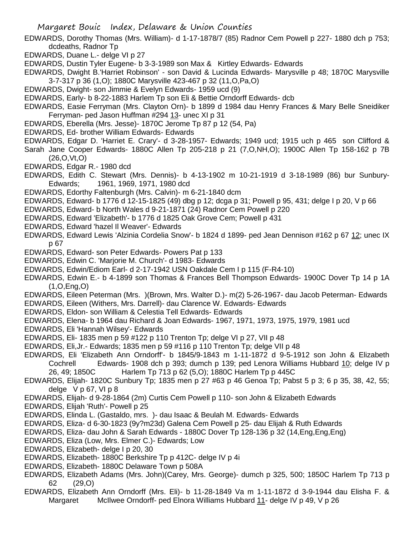- EDWARDS, Dorothy Thomas (Mrs. William)- d 1-17-1878/7 (85) Radnor Cem Powell p 227- 1880 dch p 753; dcdeaths, Radnor Tp
- EDWARDS, Duane L.- delge VI p 27
- EDWARDS, Dustin Tyler Eugene- b 3-3-1989 son Max & Kirtley Edwards- Edwards
- EDWARDS, Dwight B.'Harriet Robinson' son David & Lucinda Edwards- Marysville p 48; 1870C Marysville 3-7-317 p 36 (1,O); 1880C Marysville 423-467 p 32 (11,O,Pa,O)
- EDWARDS, Dwight- son Jimmie & Evelyn Edwards- 1959 ucd (9)
- EDWARDS, Early- b 8-22-1883 Harlem Tp son Eli & Bettie Orndorff Edwards- dcb
- EDWARDS, Easie Ferryman (Mrs. Clayton Orn)- b 1899 d 1984 dau Henry Frances & Mary Belle Sneidiker Ferryman- ped Jason Huffman #294 13- unec XI p 31
- EDWARDS, Eberella (Mrs. Jesse)- 1870C Jerome Tp 87 p 12 (54, Pa)
- EDWARDS, Ed- brother William Edwards- Edwards
- EDWARDS, Edgar D. 'Harriet E. Crary'- d 3-28-1957- Edwards; 1949 ucd; 1915 uch p 465 son Clifford &
- Sarah Jane Cooper Edwards- 1880C Allen Tp 205-218 p 21 (7,O,NH,O); 1900C Allen Tp 158-162 p 7B (26,O,Vt,O)
- EDWARDS, Edgar R.- 1980 dcd
- EDWARDS, Edith C. Stewart (Mrs. Dennis)- b 4-13-1902 m 10-21-1919 d 3-18-1989 (86) bur Sunbury-Edwards; 1961, 1969, 1971, 1980 dcd
- EDWARDS, Edorthy Faltenburgh (Mrs. Calvin)- m 6-21-1840 dcm
- EDWARDS, Edward- b 1776 d 12-15-1825 (49) dbg p 12; dcga p 31; Powell p 95, 431; delge I p 20, V p 66
- EDWARDS, Edward- b North Wales d 9-21-1871 (24) Radnor Cem Powell p 220
- EDWARDS, Edward 'Elizabeth'- b 1776 d 1825 Oak Grove Cem; Powell p 431
- EDWARDS, Edward 'hazel Il Weaver'- Edwards
- EDWARDS, Edward Lewis 'Alzinia Cordelia Snow'- b 1824 d 1899- ped Jean Dennison #162 p 67 12; unec IX p 67
- EDWARDS, Edward- son Peter Edwards- Powers Pat p 133
- EDWARDS, Edwin C. 'Marjorie M. Church'- d 1983- Edwards
- EDWARDS, Edwin/Ediom Earl- d 2-17-1942 USN Oakdale Cem I p 115 (F-R4-10)
- EDWARDS, Edwin E.- b 4-1899 son Thomas & Frances Bell Thompson Edwards- 1900C Dover Tp 14 p 1A (1,O,Eng,O)
- EDWARDS, Eileen Peterman (Mrs. )(Brown, Mrs. Walter D.)- m(2) 5-26-1967- dau Jacob Peterman- Edwards
- EDWARDS, Eileen (Withers, Mrs. Darrell)- dau Clarence W. Edwards- Edwards
- EDWARDS, Eldon- son William & Celestia Tell Edwards- Edwards
- EDWARDS, Elena- b 1964 dau Richard & Joan Edwards- 1967, 1971, 1973, 1975, 1979, 1981 ucd
- EDWARDS, Eli 'Hannah Wilsey'- Edwards
- EDWARDS, Eli- 1835 men p 59 #122 p 110 Trenton Tp; delge VI p 27, VII p 48
- EDWARDS, Eli,Jr.- Edwards; 1835 men p 59 #116 p 110 Trenton Tp; delge VII p 48
- EDWARDS, Eli 'Elizabeth Ann Orndorff'- b 1845/9-1843 m 1-11-1872 d 9-5-1912 son John & Elizabeth Cochrell Edwards- 1908 dch p 393; dumch p 139; ped Lenora Williams Hubbard 10; delge IV p 26, 49; 1850C Harlem Tp 713 p 62 (5,O); 1880C Harlem Tp p 445C
- EDWARDS, Elijah- 1820C Sunbury Tp; 1835 men p 27 #63 p 46 Genoa Tp; Pabst 5 p 3; 6 p 35, 38, 42, 55; delge  $V p 67$ . VI  $p 8$
- EDWARDS, Elijah- d 9-28-1864 (2m) Curtis Cem Powell p 110- son John & Elizabeth Edwards
- EDWARDS, Elijah 'Ruth'- Powell p 25
- EDWARDS, Elinda L. (Gastaldo, mrs. )- dau Isaac & Beulah M. Edwards- Edwards
- EDWARDS, Eliza- d 6-30-1823 (9y?m23d) Galena Cem Powell p 25- dau Elijah & Ruth Edwards
- EDWARDS, Eliza- dau John & Sarah Edwards 1880C Dover Tp 128-136 p 32 (14,Eng,Eng,Eng)
- EDWARDS, Eliza (Low, Mrs. Elmer C.)- Edwards; Low
- EDWARDS, Elizabeth- delge I p 20, 30
- EDWARDS, Elizabeth- 1880C Berkshire Tp p 412C- delge IV p 4i
- EDWARDS, Elizabeth- 1880C Delaware Town p 508A
- EDWARDS, Elizabeth Adams (Mrs. John)(Carey, Mrs. George)- dumch p 325, 500; 1850C Harlem Tp 713 p 62 (29,O)
- EDWARDS, Elizabeth Ann Orndorff (Mrs. Eli)- b 11-28-1849 Va m 1-11-1872 d 3-9-1944 dau Elisha F. & Margaret McIlwee Orndorff- ped Elnora Williams Hubbard 11- delge IV p 49, V p 26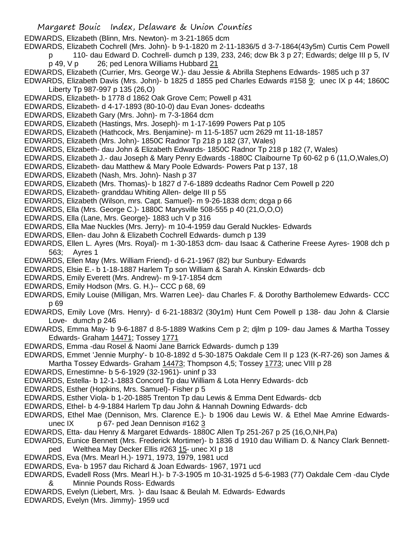EDWARDS, Elizabeth (Blinn, Mrs. Newton)- m 3-21-1865 dcm

EDWARDS, Elizabeth Cochrell (Mrs. John)- b 9-1-1820 m 2-11-1836/5 d 3-7-1864(43y5m) Curtis Cem Powell

- p 110- dau Edward D. Cochrell- dumch p 139, 233, 246; dcw Bk 3 p 27; Edwards; delge III p 5, IV
	- p 49, V p 26; ped Lenora Williams Hubbard 21
- EDWARDS, Elizabeth (Currier, Mrs. George W.)- dau Jessie & Abrilla Stephens Edwards- 1985 uch p 37

EDWARDS, Elizabeth Davis (Mrs. John)- b 1825 d 1855 ped Charles Edwards #158 9; unec IX p 44; 1860C Liberty Tp 987-997 p 135 (26,O)

- EDWARDS, Elizabeth- b 1778 d 1862 Oak Grove Cem; Powell p 431
- EDWARDS, Elizabeth- d 4-17-1893 (80-10-0) dau Evan Jones- dcdeaths
- EDWARDS, Elizabeth Gary (Mrs. John)- m 7-3-1864 dcm
- EDWARDS, Elizabeth (Hastings, Mrs. Joseph)- m 1-17-1699 Powers Pat p 105
- EDWARDS, Elizabeth (Hathcock, Mrs. Benjamine)- m 11-5-1857 ucm 2629 mt 11-18-1857
- EDWARDS, Elizabeth (Mrs. John)- 1850C Radnor Tp 218 p 182 (37, Wales)
- EDWARDS, Elizabeth- dau John & Elizabeth Edwards- 1850C Radnor Tp 218 p 182 (7, Wales)
- EDWARDS, Elizabeth J.- dau Joseph & Mary Penry Edwards -1880C Claibourne Tp 60-62 p 6 (11,O,Wales,O)
- EDWARDS, Elizabeth- dau Matthew & Mary Poole Edwards- Powers Pat p 137, 18
- EDWARDS, Elizabeth (Nash, Mrs. John)- Nash p 37
- EDWARDS, Elizabeth (Mrs. Thomas)- b 1827 d 7-6-1889 dcdeaths Radnor Cem Powell p 220
- EDWARDS, Elizabeth- granddau Whiting Allen- delge III p 55
- EDWARDS, Elizabeth (Wilson, mrs. Capt. Samuel)- m 9-26-1838 dcm; dcga p 66
- EDWARDS, Ella (Mrs. George C.)- 1880C Marysville 508-555 p 40 (21,O,O,O)
- EDWARDS, Ella (Lane, Mrs. George)- 1883 uch V p 316
- EDWARDS, Ella Mae Nuckles (Mrs. Jerry)- m 10-4-1959 dau Gerald Nuckles- Edwards
- EDWARDS, Ellen- dau John & Elizabeth Cochrell Edwards- dumch p 139
- EDWARDS, Ellen L. Ayres (Mrs. Royal)- m 1-30-1853 dcm- dau Isaac & Catherine Freese Ayres- 1908 dch p 563; Ayres 1
- EDWARDS, Ellen May (Mrs. William Friend)- d 6-21-1967 (82) bur Sunbury- Edwards
- EDWARDS, Elsie E.- b 1-18-1887 Harlem Tp son William & Sarah A. Kinskin Edwards- dcb
- EDWARDS, Emily Everett (Mrs. Andrew)- m 9-17-1854 dcm
- EDWARDS, Emily Hodson (Mrs. G. H.)-- CCC p 68, 69
- EDWARDS, Emily Louise (Milligan, Mrs. Warren Lee)- dau Charles F. & Dorothy Bartholemew Edwards- CCC p 69
- EDWARDS, Emily Love (Mrs. Henry)- d 6-21-1883/2 (30y1m) Hunt Cem Powell p 138- dau John & Clarsie Love- dumch p 246
- EDWARDS, Emma May- b 9-6-1887 d 8-5-1889 Watkins Cem p 2; djlm p 109- dau James & Martha Tossey Edwards- Graham 14471; Tossey 1771
- EDWARDS, Emma -dau Rosel & Naomi Jane Barrick Edwards- dumch p 139
- EDWARDS, Emmet 'Jennie Murphy'- b 10-8-1892 d 5-30-1875 Oakdale Cem II p 123 (K-R7-26) son James &
- Martha Tossey Edwards- Graham 14473; Thompson 4,5; Tossey 1773; unec VIII p 28
- EDWARDS, Ernestimne- b 5-6-1929 (32-1961)- uninf p 33
- EDWARDS, Estella- b 12-1-1883 Concord Tp dau William & Lota Henry Edwards- dcb
- EDWARDS, Esther (Hopkins, Mrs. Samuel)- Fisher p 5
- EDWARDS, Esther Viola- b 1-20-1885 Trenton Tp dau Lewis & Emma Dent Edwards- dcb
- EDWARDS, Ethel- b 4-9-1884 Harlem Tp dau John & Hannah Downing Edwards- dcb
- EDWARDS, Ethel Mae (Dennison, Mrs. Clarence E.)- b 1906 dau Lewis W. & Ethel Mae Amrine Edwardsunec IX p 67- ped Jean Dennison #162 3
- EDWARDS, Etta- dau Henry & Margaret Edwards- 1880C Allen Tp 251-267 p 25 (16,O,NH,Pa)
- EDWARDS, Eunice Bennett (Mrs. Frederick Mortimer)- b 1836 d 1910 dau William D. & Nancy Clark Bennettped Welthea May Decker Ellis #263 15- unec XI p 18
- EDWARDS, Eva (Mrs. Mearl H.)- 1971, 1973, 1979, 1981 ucd
- EDWARDS, Eva- b 1957 dau Richard & Joan Edwards- 1967, 1971 ucd
- EDWARDS, Evadell Ross (Mrs. Mearl H.)- b 7-3-1905 m 10-31-1925 d 5-6-1983 (77) Oakdale Cem -dau Clyde & Minnie Pounds Ross- Edwards
- EDWARDS, Evelyn (Liebert, Mrs. )- dau Isaac & Beulah M. Edwards- Edwards
- EDWARDS, Evelyn (Mrs. Jimmy)- 1959 ucd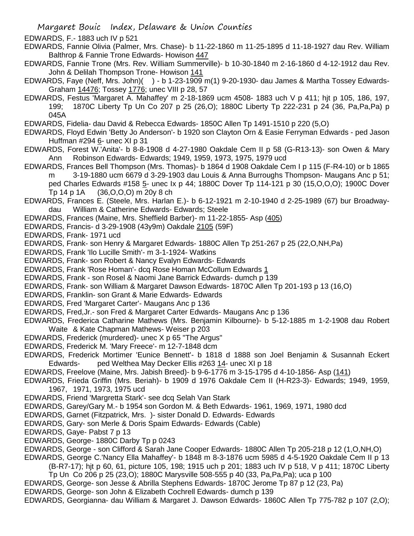EDWARDS, F.- 1883 uch IV p 521

EDWARDS, Fannie Olivia (Palmer, Mrs. Chase)- b 11-22-1860 m 11-25-1895 d 11-18-1927 dau Rev. William Balthrop & Fannie Trone Edwards- Howison 447

EDWARDS, Fannie Trone (Mrs. Rev. William Summerville)- b 10-30-1840 m 2-16-1860 d 4-12-1912 dau Rev. John & Delilah Thompson Trone- Howison 141

- EDWARDS, Faye (Neff, Mrs. John)( ) b 1-23-1909 m(1) 9-20-1930- dau James & Martha Tossey Edwards-Graham 14476; Tossey 1776; unec VIII p 28, 57
- EDWARDS, Festus 'Margaret A. Mahaffey' m 2-18-1869 ucm 4508- 1883 uch V p 411; hjt p 105, 186, 197, 199; 1870C Liberty Tp Un Co 207 p 25 (26,O); 1880C Liberty Tp 222-231 p 24 (36, Pa,Pa,Pa) p 045A

EDWARDS, Fidelia- dau David & Rebecca Edwards- 1850C Allen Tp 1491-1510 p 220 (5,O)

- EDWARDS, Floyd Edwin 'Betty Jo Anderson'- b 1920 son Clayton Orn & Easie Ferryman Edwards ped Jason Huffman #294 6- unec XI p 31
- EDWARDS, Forest W.'Anita'- b 8-8-1908 d 4-27-1980 Oakdale Cem II p 58 (G-R13-13)- son Owen & Mary Ann Robinson Edwards- Edwards; 1949, 1959, 1973, 1975, 1979 ucd
- EDWARDS, Frances Bell Thompson (Mrs. Thomas)- b 1864 d 1908 Oakdale Cem I p 115 (F-R4-10) or b 1865 m 3-19-1880 ucm 6679 d 3-29-1903 dau Louis & Anna Burroughs Thompson- Maugans Anc p 51; ped Charles Edwards #158 5- unec Ix p 44; 1880C Dover Tp 114-121 p 30 (15,O,O,O); 1900C Dover Tp 14 p 1A (36,O,O,O) m 20y 8 ch
- EDWARDS, Frances E. (Steele, Mrs. Harlan E.)- b 6-12-1921 m 2-10-1940 d 2-25-1989 (67) bur Broadwaydau William & Catherine Edwards- Edwards; Steele
- EDWARDS, Frances (Maine, Mrs. Sheffield Barber)- m 11-22-1855- Asp (405)
- EDWARDS, Francis- d 3-29-1908 (43y9m) Oakdale 2105 (59F)
- EDWARDS, Frank- 1971 ucd
- EDWARDS, Frank- son Henry & Margaret Edwards- 1880C Allen Tp 251-267 p 25 (22,O,NH,Pa)
- EDWARDS, Frank 'Ilo Lucille Smith'- m 3-1-1924- Watkins
- EDWARDS, Frank- son Robert & Nancy Evalyn Edwards- Edwards
- EDWARDS, Frank 'Rose Homan'- dcq Rose Homan McCollum Edwards 1
- EDWARDS, Frank son Rosel & Naomi Jane Barrick Edwards- dumch p 139
- EDWARDS, Frank- son William & Margaret Dawson Edwards- 1870C Allen Tp 201-193 p 13 (16,O)
- EDWARDS, Franklin- son Grant & Marie Edwards- Edwards
- EDWARDS, Fred 'Margaret Carter'- Maugans Anc p 136
- EDWARDS, Fred,Jr.- son Fred & Margaret Carter Edwards- Maugans Anc p 136
- EDWARDS, Frederica Catharine Mathews (Mrs. Benjamin Kilbourne)- b 5-12-1885 m 1-2-1908 dau Robert Waite & Kate Chapman Mathews- Weiser p 203
- EDWARDS, Frederick (murdered)- unec X p 65 "The Argus"
- EDWARDS, Frederick M. 'Mary Freece'- m 12-7-1848 dcm
- EDWARDS, Frederick Mortimer 'Eunice Bennett'- b 1818 d 1888 son Joel Benjamin & Susannah Eckert Edwards- ped Welthea May Decker Ellis #263 14- unec XI p 18
- EDWARDS, Freelove (Maine, Mrs. Jabish Breed)- b 9-6-1776 m 3-15-1795 d 4-10-1856- Asp (141)
- EDWARDS, Frieda Griffin (Mrs. Beriah)- b 1909 d 1976 Oakdale Cem II (H-R23-3)- Edwards; 1949, 1959, 1967, 1971, 1973, 1975 ucd
- EDWARDS, Friend 'Margretta Stark'- see dcq Selah Van Stark
- EDWARDS, Garey/Gary M.- b 1954 son Gordon M. & Beth Edwards- 1961, 1969, 1971, 1980 dcd
- EDWARDS, Garnet (Fitzpatrick, Mrs. )- sister Donald D. Edwards- Edwards
- EDWARDS, Gary- son Merle & Doris Spaim Edwards- Edwards (Cable)
- EDWARDS, Gaye- Pabst 7 p 13
- EDWARDS, George- 1880C Darby Tp p 0243
- EDWARDS, George son Clifford & Sarah Jane Cooper Edwards- 1880C Allen Tp 205-218 p 12 (1,O,NH,O)
- EDWARDS, George C.'Nancy Ella Mahaffey'- b 1848 m 8-3-1876 ucm 5985 d 4-5-1920 Oakdale Cem II p 13 (B-R7-17); hjt p 60, 61, picture 105, 198; 1915 uch p 201; 1883 uch IV p 518, V p 411; 1870C Liberty
	- Tp Un Co 206 p 25 (23,O); 1880C Marysville 508-555 p 40 (33, Pa,Pa,Pa); uca p 100
- EDWARDS, George- son Jesse & Abrilla Stephens Edwards- 1870C Jerome Tp 87 p 12 (23, Pa)
- EDWARDS, George- son John & Elizabeth Cochrell Edwards- dumch p 139
- EDWARDS, Georgianna- dau William & Margaret J. Dawson Edwards- 1860C Allen Tp 775-782 p 107 (2,O);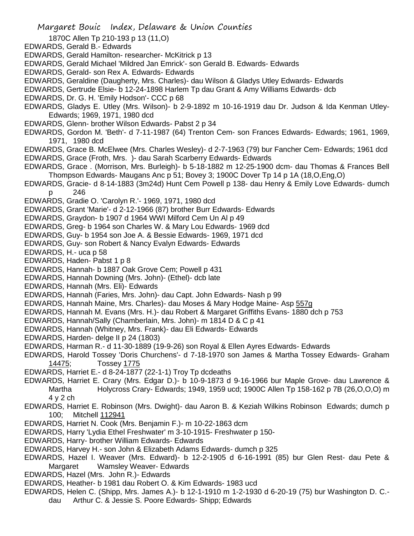Margaret Bouic Index, Delaware & Union Counties

- 1870C Allen Tp 210-193 p 13 (11,O)
- EDWARDS, Gerald B.- Edwards
- EDWARDS, Gerald Hamilton- researcher- McKitrick p 13
- EDWARDS, Gerald Michael 'Mildred Jan Emrick'- son Gerald B. Edwards- Edwards
- EDWARDS, Gerald- son Rex A. Edwards- Edwards
- EDWARDS, Geraldine (Daugherty, Mrs. Charles)- dau Wilson & Gladys Utley Edwards- Edwards
- EDWARDS, Gertrude Elsie- b 12-24-1898 Harlem Tp dau Grant & Amy Williams Edwards- dcb
- EDWARDS, Dr. G. H. 'Emily Hodson'- CCC p 68
- EDWARDS, Gladys E. Utley (Mrs. Wilson)- b 2-9-1892 m 10-16-1919 dau Dr. Judson & Ida Kenman Utley-Edwards; 1969, 1971, 1980 dcd
- EDWARDS, Glenn- brother Wilson Edwards- Pabst 2 p 34
- EDWARDS, Gordon M. 'Beth'- d 7-11-1987 (64) Trenton Cem- son Frances Edwards- Edwards; 1961, 1969, 1971, 1980 dcd
- EDWARDS, Grace B. McElwee (Mrs. Charles Wesley)- d 2-7-1963 (79) bur Fancher Cem- Edwards; 1961 dcd EDWARDS, Grace (Froth, Mrs. )- dau Sarah Scarberry Edwards- Edwards
- EDWARDS, Grace . (Morrison, Mrs. Burleigh)- b 5-18-1882 m 12-25-1900 dcm- dau Thomas & Frances Bell Thompson Edwards- Maugans Anc p 51; Bovey 3; 1900C Dover Tp 14 p 1A (18,O,Eng,O)
- EDWARDS, Gracie- d 8-14-1883 (3m24d) Hunt Cem Powell p 138- dau Henry & Emily Love Edwards- dumch p 246
- EDWARDS, Gradie O. 'Carolyn R.'- 1969, 1971, 1980 dcd
- EDWARDS, Grant 'Marie'- d 2-12-1966 (87) brother Burr Edwards- Edwards
- EDWARDS, Graydon- b 1907 d 1964 WWI Milford Cem Un Al p 49
- EDWARDS, Greg- b 1964 son Charles W. & Mary Lou Edwards- 1969 dcd
- EDWARDS, Guy- b 1954 son Joe A. & Bessie Edwards- 1969, 1971 dcd
- EDWARDS, Guy- son Robert & Nancy Evalyn Edwards- Edwards
- EDWARDS, H.- uca p 58
- EDWARDS, Haden- Pabst 1 p 8
- EDWARDS, Hannah- b 1887 Oak Grove Cem; Powell p 431
- EDWARDS, Hannah Downing (Mrs. John)- (Ethel)- dcb late
- EDWARDS, Hannah (Mrs. Eli)- Edwards
- EDWARDS, Hannah (Faries, Mrs. John)- dau Capt. John Edwards- Nash p 99
- EDWARDS, Hannah Maine, Mrs. Charles)- dau Moses & Mary Hodge Maine- Asp 557g
- EDWARDS, Hannah M. Evans (Mrs. H.)- dau Robert & Margaret Griffiths Evans- 1880 dch p 753
- EDWARDS, Hannah/Sally (Chamberlain, Mrs. John)- m 1814 D & C p 41
- EDWARDS, Hannah (Whitney, Mrs. Frank)- dau Eli Edwards- Edwards
- EDWARDS, Harden- delge II p 24 (1803)
- EDWARDS, Harman R.- d 11-30-1889 (19-9-26) son Royal & Ellen Ayres Edwards- Edwards
- EDWARDS, Harold Tossey 'Doris Churchens'- d 7-18-1970 son James & Martha Tossey Edwards- Graham 14475; Tossey 1775
- EDWARDS, Harriet E.- d 8-24-1877 (22-1-1) Troy Tp dcdeaths
- EDWARDS, Harriet E. Crary (Mrs. Edgar D.)- b 10-9-1873 d 9-16-1966 bur Maple Grove- dau Lawrence & Martha Holycross Crary- Edwards; 1949, 1959 ucd; 1900C Allen Tp 158-162 p 7B (26,O,O,O) m 4 y 2 ch
- EDWARDS, Harriet E. Robinson (Mrs. Dwight)- dau Aaron B. & Keziah Wilkins Robinson Edwards; dumch p 100; Mitchell 112941
- EDWARDS, Harriet N. Cook (Mrs. Benjamin F.)- m 10-22-1863 dcm
- EDWARDS, Harry 'Lydia Ethel Freshwater' m 3-10-1915- Freshwater p 150-
- EDWARDS, Harry- brother William Edwards- Edwards
- EDWARDS, Harvey H.- son John & Elizabeth Adams Edwards- dumch p 325
- EDWARDS, Hazel I. Weaver (Mrs. Edward)- b 12-2-1905 d 6-16-1991 (85) bur Glen Rest- dau Pete & Margaret Wamsley Weaver- Edwards
- EDWARDS, Hazel (Mrs. John R.)- Edwards
- EDWARDS, Heather- b 1981 dau Robert O. & Kim Edwards- 1983 ucd
- EDWARDS, Helen C. (Shipp, Mrs. James A.)- b 12-1-1910 m 1-2-1930 d 6-20-19 (75) bur Washington D. C. dau Arthur C. & Jessie S. Poore Edwards- Shipp; Edwards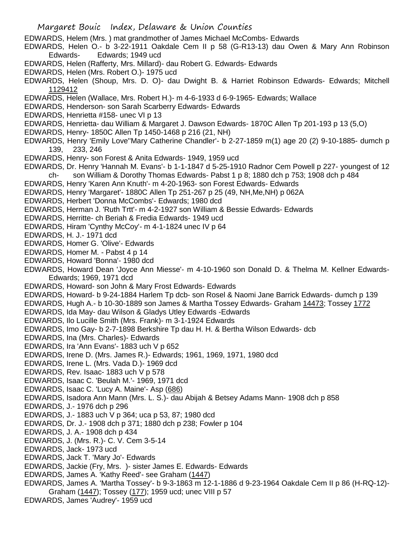Margaret Bouic Index, Delaware & Union Counties EDWARDS, Helem (Mrs. ) mat grandmother of James Michael McCombs- Edwards EDWARDS, Helen O.- b 3-22-1911 Oakdale Cem II p 58 (G-R13-13) dau Owen & Mary Ann Robinson Edwards- Edwards; 1949 ucd EDWARDS, Helen (Rafferty, Mrs. Millard)- dau Robert G. Edwards- Edwards EDWARDS, Helen (Mrs. Robert O.)- 1975 ucd EDWARDS, Helen (Shoup, Mrs. D. O)- dau Dwight B. & Harriet Robinson Edwards- Edwards; Mitchell 1129412 EDWARDS, Helen (Wallace, Mrs. Robert H.)- m 4-6-1933 d 6-9-1965- Edwards; Wallace EDWARDS, Henderson- son Sarah Scarberry Edwards- Edwards EDWARDS, Henrietta #158- unec VI p 13 EDWARDS, Henrietta- dau William & Margaret J. Dawson Edwards- 1870C Allen Tp 201-193 p 13 (5,O) EDWARDS, Henry- 1850C Allen Tp 1450-1468 p 216 (21, NH) EDWARDS, Henry 'Emily Love''Mary Catherine Chandler'- b 2-27-1859 m(1) age 20 (2) 9-10-1885- dumch p 139, 233, 246 EDWARDS, Henry- son Forest & Anita Edwards- 1949, 1959 ucd EDWARDS, Dr. Henry 'Hannah M. Evans'- b 1-1-1847 d 5-25-1910 Radnor Cem Powell p 227- youngest of 12 ch- son William & Dorothy Thomas Edwards- Pabst 1 p 8; 1880 dch p 753; 1908 dch p 484 EDWARDS, Henry 'Karen Ann Knuth'- m 4-20-1963- son Forest Edwards- Edwards EDWARDS, Henry 'Margaret'- 1880C Allen Tp 251-267 p 25 (49, NH,Me,NH) p 062A EDWARDS, Herbert 'Donna McCombs'- Edwards; 1980 dcd EDWARDS, Herman J. 'Ruth Trtt'- m 4-2-1927 son William & Bessie Edwards- Edwards EDWARDS, Herritte- ch Beriah & Fredia Edwards- 1949 ucd EDWARDS, Hiram 'Cynthy McCoy'- m 4-1-1824 unec IV p 64 EDWARDS, H. J.- 1971 dcd EDWARDS, Homer G. 'Olive'- Edwards EDWARDS, Homer M. - Pabst 4 p 14 EDWARDS, Howard 'Bonna'- 1980 dcd EDWARDS, Howard Dean 'Joyce Ann Miesse'- m 4-10-1960 son Donald D. & Thelma M. Kellner Edwards-Edwards; 1969, 1971 dcd EDWARDS, Howard- son John & Mary Frost Edwards- Edwards EDWARDS, Howard- b 9-24-1884 Harlem Tp dcb- son Rosel & Naomi Jane Barrick Edwards- dumch p 139 EDWARDS, Hugh A.- b 10-30-1889 son James & Martha Tossey Edwards- Graham 14473; Tossey 1772 EDWARDS, Ida May- dau Wilson & Gladys Utley Edwards -Edwards EDWARDS, Ilo Lucille Smith (Mrs. Frank)- m 3-1-1924 Edwards EDWARDS, Imo Gay- b 2-7-1898 Berkshire Tp dau H. H. & Bertha Wilson Edwards- dcb EDWARDS, Ina (Mrs. Charles)- Edwards EDWARDS, Ira 'Ann Evans'- 1883 uch V p 652 EDWARDS, Irene D. (Mrs. James R.)- Edwards; 1961, 1969, 1971, 1980 dcd EDWARDS, Irene L. (Mrs. Vada D.)- 1969 dcd EDWARDS, Rev. Isaac- 1883 uch V p 578 EDWARDS, Isaac C. 'Beulah M.'- 1969, 1971 dcd EDWARDS, Isaac C. 'Lucy A. Maine'- Asp (686) EDWARDS, Isadora Ann Mann (Mrs. L. S.)- dau Abijah & Betsey Adams Mann- 1908 dch p 858 EDWARDS, J.- 1976 dch p 296 EDWARDS, J.- 1883 uch V p 364; uca p 53, 87; 1980 dcd EDWARDS, Dr. J.- 1908 dch p 371; 1880 dch p 238; Fowler p 104 EDWARDS, J. A.- 1908 dch p 434 EDWARDS, J. (Mrs. R.)- C. V. Cem 3-5-14 EDWARDS, Jack- 1973 ucd EDWARDS, Jack T. 'Mary Jo'- Edwards EDWARDS, Jackie (Fry, Mrs. )- sister James E. Edwards- Edwards EDWARDS, James A. 'Kathy Reed'- see Graham (1447) EDWARDS, James A. 'Martha Tossey'- b 9-3-1863 m 12-1-1886 d 9-23-1964 Oakdale Cem II p 86 (H-RQ-12)- Graham (1447); Tossey (177); 1959 ucd; unec VIII p 57 EDWARDS, James 'Audrey'- 1959 ucd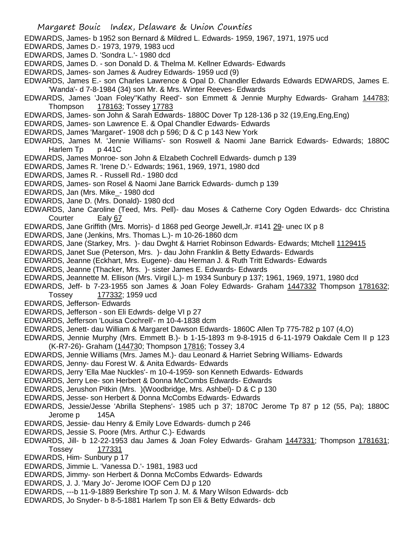- EDWARDS, James- b 1952 son Bernard & Mildred L. Edwards- 1959, 1967, 1971, 1975 ucd
- EDWARDS, James D.- 1973, 1979, 1983 ucd
- EDWARDS, James D. 'Sondra L.'- 1980 dcd
- EDWARDS, James D. son Donald D. & Thelma M. Kellner Edwards- Edwards
- EDWARDS, James- son James & Audrey Edwards- 1959 ucd (9)
- EDWARDS, James E.- son Charles Lawrence & Opal D. Chandler Edwards Edwards EDWARDS, James E. 'Wanda'- d 7-8-1984 (34) son Mr. & Mrs. Winter Reeves- Edwards
- EDWARDS, James 'Joan Foley''Kathy Reed'- son Emmett & Jennie Murphy Edwards- Graham 144783; Thompson 178163; Tossey 17783
- EDWARDS, James- son John & Sarah Edwards- 1880C Dover Tp 128-136 p 32 (19,Eng,Eng,Eng)
- EDWARDS, James- son Lawrence E. & Opal Chandler Edwards- Edwards
- EDWARDS, James 'Margaret'- 1908 dch p 596; D & C p 143 New York
- EDWARDS, James M. 'Jennie Williams'- son Roswell & Naomi Jane Barrick Edwards- Edwards; 1880C Harlem Tp p 441C
- EDWARDS, James Monroe- son John & Elzabeth Cochrell Edwards- dumch p 139
- EDWARDS, James R. 'Irene D.'- Edwards; 1961, 1969, 1971, 1980 dcd
- EDWARDS, James R. Russell Rd.- 1980 dcd
- EDWARDS, James- son Rosel & Naomi Jane Barrick Edwards- dumch p 139
- EDWARDS, Jan (Mrs. Mike\_- 1980 dcd
- EDWARDS, Jane D. (Mrs. Donald)- 1980 dcd
- EDWARDS, Jane Caroline (Teed, Mrs. Pell)- dau Moses & Catherne Cory Ogden Edwards- dcc Christina Courter Ealy 67
- EDWARDS, Jane Griffith (Mrs. Morris)- d 1868 ped George Jewell,Jr. #141 29- unec IX p 8
- EDWARDS, Jane (Jenkins, Mrs. Thomas L.)- m 10-26-1860 dcm
- EDWARDS, Jane (Starkey, Mrs. )- dau Dwght & Harriet Robinson Edwards- Edwards; Mtchell 1129415
- EDWARDS, Janet Sue (Peterson, Mrs. )- dau John Franklin & Betty Edwards- Edwards
- EDWARDS, Jeanne (Eckhart, Mrs. Eugene)- dau Herman J. & Ruth Tritt Edwards- Edwards
- EDWARDS, Jeanne (Thacker, Mrs. )- sister James E. Edwards- Edwards
- EDWARDS, Jeannette M. Ellison (Mrs. Virgil L.)- m 1934 Sunbury p 137; 1961, 1969, 1971, 1980 dcd
- EDWARDS, Jeff- b 7-23-1955 son James & Joan Foley Edwards- Graham 1447332 Thompson 1781632; Tossey 177332; 1959 ucd
- EDWARDS, Jefferson- Edwards
- EDWARDS, Jefferson son Eli Edwrds- delge VI p 27
- EDWARDS, Jefferson 'Louisa Cochrell'- m 10-4-1838 dcm
- EDWARDS, Jenett- dau William & Margaret Dawson Edwards- 1860C Allen Tp 775-782 p 107 (4,O)
- EDWARDS, Jennie Murphy (Mrs. Emmett B.)- b 1-15-1893 m 9-8-1915 d 6-11-1979 Oakdale Cem II p 123 (K-R7-26)- Graham (144730; Thompson 17816; Tossey 3,4
- EDWARDS, Jennie Williams (Mrs. James M.)- dau Leonard & Harriet Sebring Williams- Edwards
- EDWARDS, Jenny- dau Forest W. & Anita Edwards- Edwards
- EDWARDS, Jerry 'Ella Mae Nuckles'- m 10-4-1959- son Kenneth Edwards- Edwards
- EDWARDS, Jerry Lee- son Herbert & Donna McCombs Edwards- Edwards
- EDWARDS, Jerushon Pitkin (Mrs. )(Woodbridge, Mrs. Ashbel)- D & C p 130
- EDWARDS, Jesse- son Herbert & Donna McCombs Edwards- Edwards
- EDWARDS, Jessie/Jesse 'Abrilla Stephens'- 1985 uch p 37; 1870C Jerome Tp 87 p 12 (55, Pa); 1880C Jerome p 145A
- EDWARDS, Jessie- dau Henry & Emily Love Edwards- dumch p 246
- EDWARDS, Jessie S. Poore (Mrs. Arthur C.)- Edwards
- EDWARDS, Jill- b 12-22-1953 dau James & Joan Foley Edwards- Graham 1447331; Thompson 1781631; Tossey 177331
- EDWARDS, Him- Sunbury p 17
- EDWARDS, Jimmie L. 'Vanessa D.'- 1981, 1983 ucd
- EDWARDS, Jimmy- son Herbert & Donna McCombs Edwards- Edwards
- EDWARDS, J. J. 'Mary Jo'- Jerome IOOF Cem DJ p 120
- EDWARDS, ---b 11-9-1889 Berkshire Tp son J. M. & Mary Wilson Edwards- dcb
- EDWARDS, Jo Snyder- b 8-5-1881 Harlem Tp son Eli & Betty Edwards- dcb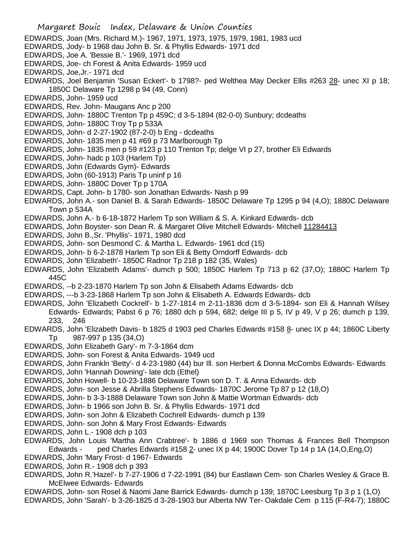- Margaret Bouic Index, Delaware & Union Counties EDWARDS, Joan (Mrs. Richard M.)- 1967, 1971, 1973, 1975, 1979, 1981, 1983 ucd EDWARDS, Jody- b 1968 dau John B. Sr. & Phyllis Edwards- 1971 dcd EDWARDS, Joe A. 'Bessie B.'- 1969, 1971 dcd EDWARDS, Joe- ch Forest & Anita Edwards- 1959 ucd EDWARDS, Joe,Jr.- 1971 dcd EDWARDS, Joel Benjamin 'Susan Eckert'- b 1798?- ped Welthea May Decker Ellis #263 28- unec XI p 18; 1850C Delaware Tp 1298 p 94 (49, Conn) EDWARDS, John- 1959 ucd EDWARDS, Rev. John- Maugans Anc p 200 EDWARDS, John- 1880C Trenton Tp p 459C; d 3-5-1894 (82-0-0) Sunbury; dcdeaths EDWARDS, John- 1880C Troy Tp p 533A EDWARDS, John- d 2-27-1902 (87-2-0) b Eng - dcdeaths EDWARDS, John- 1835 men p 41 #69 p 73 Marlborough Tp EDWARDS, John- 1835 men p 59 #123 p 110 Trenton Tp; delge VI p 27, brother Eli Edwards EDWARDS, John- hadc p 103 (Harlem Tp) EDWARDS, John (Edwards Gym)- Edwards EDWARDS, John (60-1913) Paris Tp uninf p 16 EDWARDS, John- 1880C Dover Tp p 170A EDWARDS, Capt. John- b 1780- son Jonathan Edwards- Nash p 99 EDWARDS, John A.- son Daniel B. & Sarah Edwards- 1850C Delaware Tp 1295 p 94 (4,O); 1880C Delaware Town p 534A EDWARDS, John A.- b 6-18-1872 Harlem Tp son William & S. A. Kinkard Edwards- dcb EDWARDS, John Boyster- son Dean R. & Margaret Olive Mitchell Edwards- Mitchell 11284413 EDWARDS, John B.,Sr. 'Phyllis'- 1971, 1980 dcd EDWARDS, John- son Desmond C. & Martha L. Edwards- 1961 dcd (15) EDWARDS, John- b 6-2-1878 Harlem Tp son Eli & Betty Orndorff Edwards- dcb EDWARDS, John 'Elizabeth'- 1850C Radnor Tp 218 p 182 (35, Wales) EDWARDS, John 'Elizabeth Adams'- dumch p 500; 1850C Harlem Tp 713 p 62 (37,O); 1880C Harlem Tp 445C EDWARDS, --b 2-23-1870 Harlem Tp son John & Elisabeth Adams Edwards- dcb EDWARDS, ---b 3-23-1868 Harlem Tp son John & Elisabeth A. Edwards Edwards- dcb EDWARDS, John 'Elizabeth Cockrell'- b 1-27-1814 m 2-11-1836 dcm d 3-5-1894- son Eli & Hannah Wilsey Edwards- Edwards; Pabst 6 p 76; 1880 dch p 594, 682; delge III p 5, IV p 49, V p 26; dumch p 139,
	- 233, 246
- EDWARDS, John 'Elizabeth Davis- b 1825 d 1903 ped Charles Edwards #158 8- unec IX p 44; 1860C Liberty Tp 987-997 p 135 (34,O)
	- EDWARDS, John Elizabeth Gary'- m 7-3-1864 dcm
	- EDWARDS, John- son Forest & Anita Edwards- 1949 ucd
	- EDWARDS, John Frankln 'Betty'- d 4-23-1980 (44) bur Ill. son Herbert & Donna McCombs Edwards- Edwards EDWARDS, John 'Hannah Downing'- late dcb (Ethel)
	- EDWARDS, John Howell- b 10-23-1886 Delaware Town son D. T. & Anna Edwards- dcb
	- EDWARDS, John- son Jesse & Abrilla Stephens Edwards- 1870C Jerome Tp 87 p 12 (18,O)
	- EDWARDS, John- b 3-3-1888 Delaware Town son John & Mattie Wortman Edwards- dcb
	- EDWARDS, John- b 1966 son John B. Sr. & Phyllis Edwards- 1971 dcd
	- EDWARDS, John- son John & Elizabeth Cochrell Edwards- dumch p 139
	- EDWARDS, John- son John & Mary Frost Edwards- Edwards
	- EDWARDS, John L.- 1908 dch p 103
	- EDWARDS, John Louis 'Martha Ann Crabtree'- b 1886 d 1969 son Thomas & Frances Bell Thompson Edwards - ped Charles Edwards #158 2- unec IX p 44; 1900C Dover Tp 14 p 1A (14, O, Eng, O)
	- EDWARDS, John 'Mary Frost- d 1967- Edwards
	- EDWARDS, John R.- 1908 dch p 393
	- EDWARDS, John R.'Hazel'- b 7-27-1906 d 7-22-1991 (84) bur Eastlawn Cem- son Charles Wesley & Grace B. McElwee Edwards- Edwards
	- EDWARDS, John- son Rosel & Naomi Jane Barrick Edwards- dumch p 139; 1870C Leesburg Tp 3 p 1 (1,O) EDWARDS, John 'Sarah'- b 3-26-1825 d 3-28-1903 bur Alberta NW Ter- Oakdale Cem p 115 (F-R4-7); 1880C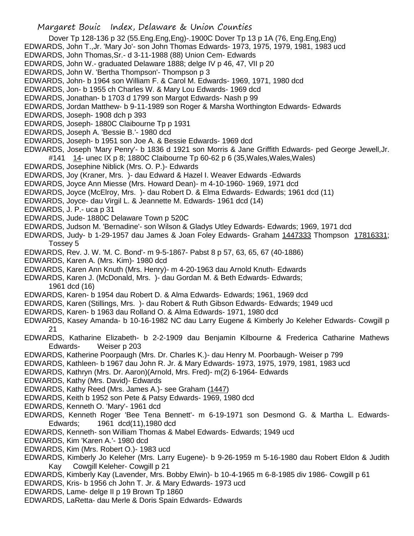Dover Tp 128-136 p 32 (55.Eng.Eng,Eng)-.1900C Dover Tp 13 p 1A (76, Eng.Eng,Eng)

- EDWARDS, John T.,Jr. 'Mary Jo'- son John Thomas Edwards- 1973, 1975, 1979, 1981, 1983 ucd
- EDWARDS, John Thomas,Sr.- d 3-11-1988 (88) Union Cem- Edwards
- EDWARDS, John W.- graduated Delaware 1888; delge IV p 46, 47, VII p 20
- EDWARDS, John W. 'Bertha Thompson'- Thompson p 3
- EDWARDS, John- b 1964 son William F. & Carol M. Edwards- 1969, 1971, 1980 dcd
- EDWARDS, Jon- b 1955 ch Charles W. & Mary Lou Edwards- 1969 dcd
- EDWARDS, Jonathan- b 1703 d 1799 son Margot Edwards- Nash p 99
- EDWARDS, Jordan Matthew- b 9-11-1989 son Roger & Marsha Worthington Edwards- Edwards
- EDWARDS, Joseph- 1908 dch p 393
- EDWARDS, Joseph- 1880C Claibourne Tp p 1931
- EDWARDS, Joseph A. 'Bessie B.'- 1980 dcd
- EDWARDS, Joseph- b 1951 son Joe A. & Bessie Edwards- 1969 dcd
- EDWARDS, Joseph 'Mary Penry'- b 1836 d 1921 son Morris & Jane Griffith Edwards- ped George Jewell,Jr. #141 14- unec IX p 8; 1880C Claibourne Tp 60-62 p 6 (35,Wales,Wales,Wales)
- EDWARDS, Josephine Niblick (Mrs. O. P.)- Edwards
- EDWARDS, Joy (Kraner, Mrs. )- dau Edward & Hazel I. Weaver Edwards -Edwards
- EDWARDS, Joyce Ann Miesse (Mrs. Howard Dean)- m 4-10-1960- 1969, 1971 dcd
- EDWARDS, Joyce (McElroy, Mrs. )- dau Robert D. & Elma Edwards- Edwards; 1961 dcd (11)
- EDWARDS, Joyce- dau Virgil L. & Jeannette M. Edwards- 1961 dcd (14)
- EDWARDS, J. P.- uca p 31
- EDWARDS, Jude- 1880C Delaware Town p 520C
- EDWARDS, Judson M. 'Bernadine'- son Wilson & Gladys Utley Edwards- Edwards; 1969, 1971 dcd
- EDWARDS, Judy- b 1-29-1957 dau James & Joan Foley Edwards- Graham 1447333 Thompson 17816331; Tossey 5
- EDWARDS, Rev. J. W. 'M. C. Bond'- m 9-5-1867- Pabst 8 p 57, 63, 65, 67 (40-1886)
- EDWARDS, Karen A. (Mrs. Kim)- 1980 dcd
- EDWARDS, Karen Ann Knuth (Mrs. Henry)- m 4-20-1963 dau Arnold Knuth- Edwards
- EDWARDS, Karen J. (McDonald, Mrs. )- dau Gordan M. & Beth Edwards- Edwards; 1961 dcd (16)
- EDWARDS, Karen- b 1954 dau Robert D. & Alma Edwards- Edwards; 1961, 1969 dcd
- EDWARDS, Karen (Stillings, Mrs. )- dau Robert & Ruth Gibson Edwards- Edwards; 1949 ucd
- EDWARDS, Karen- b 1963 dau Rolland O. & Alma Edwards- 1971, 1980 dcd
- EDWARDS, Kasey Amanda- b 10-16-1982 NC dau Larry Eugene & Kimberly Jo Keleher Edwards- Cowgill p 21
- EDWARDS, Katharine Elizabeth- b 2-2-1909 dau Benjamin Kilbourne & Frederica Catharine Mathews Edwards- Weiser p 203
- EDWARDS, Katherine Poorpaugh (Mrs. Dr. Charles K.)- dau Henry M. Poorbaugh- Weiser p 799
- EDWARDS, Kathleen- b 1967 dau John R. Jr. & Mary Edwards- 1973, 1975, 1979, 1981, 1983 ucd
- EDWARDS, Kathryn (Mrs. Dr. Aaron)(Arnold, Mrs. Fred)- m(2) 6-1964- Edwards
- EDWARDS, Kathy (Mrs. David)- Edwards
- EDWARDS, Kathy Reed (Mrs. James A.)- see Graham (1447)
- EDWARDS, Keith b 1952 son Pete & Patsy Edwards- 1969, 1980 dcd
- EDWARDS, Kenneth O. 'Mary'- 1961 dcd
- EDWARDS, Kenneth Roger 'Bee Tena Bennett'- m 6-19-1971 son Desmond G. & Martha L. Edwards-Edwards; 1961 dcd(11),1980 dcd
- EDWARDS, Kenneth- son William Thomas & Mabel Edwards- Edwards; 1949 ucd
- EDWARDS, Kim 'Karen A.'- 1980 dcd
- EDWARDS, Kim (Mrs. Robert O.)- 1983 ucd
- EDWARDS, Kimberly Jo Keleher (Mrs. Larry Eugene)- b 9-26-1959 m 5-16-1980 dau Robert Eldon & Judith Kay Cowgill Keleher- Cowgill p 21
- EDWARDS, Kimberly Kay (Lavender, Mrs. Bobby Elwin)- b 10-4-1965 m 6-8-1985 div 1986- Cowgill p 61
- EDWARDS, Kris- b 1956 ch John T. Jr. & Mary Edwards- 1973 ucd
- EDWARDS, Lame- delge II p 19 Brown Tp 1860
- EDWARDS, LaRetta- dau Merle & Doris Spain Edwards- Edwards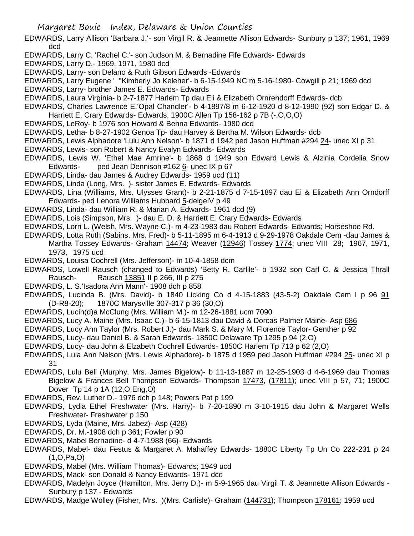- EDWARDS, Larry Allison 'Barbara J.'- son Virgil R. & Jeannette Allison Edwards- Sunbury p 137; 1961, 1969 dcd
- EDWARDS, Larry C. 'Rachel C.'- son Judson M. & Bernadine Fife Edwards- Edwards
- EDWARDS, Larry D.- 1969, 1971, 1980 dcd
- EDWARDS, Larry- son Delano & Ruth Gibson Edwards -Edwards
- EDWARDS, Larry Eugene ' ''Kimberly Jo Keleher'- b 6-15-1949 NC m 5-16-1980- Cowgill p 21; 1969 dcd
- EDWARDS, Larry- brother James E. Edwards- Edwards
- EDWARDS, Laura Virginia- b 2-7-1877 Harlem Tp dau Eli & Elizabeth Ornrendorff Edwards- dcb
- EDWARDS, Charles Lawrence E.'Opal Chandler'- b 4-1897/8 m 6-12-1920 d 8-12-1990 (92) son Edgar D. & Harriett E. Crary Edwards- Edwards; 1900C Allen Tp 158-162 p 7B (-.O,O,O)
- EDWARDS, LeRoy- b 1976 son Howard & Benna Edwards- 1980 dcd
- EDWARDS, Letha- b 8-27-1902 Genoa Tp- dau Harvey & Bertha M. Wilson Edwards- dcb
- EDWARDS, Lewis Alphadore 'Lulu Ann Nelson'- b 1871 d 1942 ped Jason Huffman #294 24- unec XI p 31
- EDWARDS, Lewis- son Robert & Nancy Evalyn Edwards- Edwards
- EDWARDS, Lewis W. 'Ethel Mae Amrine'- b 1868 d 1949 son Edward Lewis & Alzinia Cordelia Snow Edwards- ped Jean Dennison  $\#162 \underline{6}$ - unec IX p 67
- EDWARDS, Linda- dau James & Audrey Edwards- 1959 ucd (11)
- EDWARDS, Linda (Long, Mrs. )- sister James E. Edwards- Edwards
- EDWARDS, Lina (Williams, Mrs. Ulysses Grant)- b 2-21-1875 d 7-15-1897 dau Ei & Elizabeth Ann Orndorff Edwards- ped Lenora Williams Hubbard 5-delgeIV p 49
- EDWARDS, Linda- dau William R. & Marian A. Edwards- 1961 dcd (9)
- EDWARDS, Lois (Simpson, Mrs. )- dau E. D. & Harriett E. Crary Edwards- Edwards
- EDWARDS, Lorri L. (Welsh, Mrs. Wayne C.)- m 4-23-1983 dau Robert Edwards- Edwards; Horseshoe Rd.
- EDWARDS, Lotta Ruth (Sabins, Mrs. Fred)- b 5-11-1895 m 6-4-1913 d 9-29-1978 Oakdale Cem -dau James & Martha Tossey Edwards- Graham 14474; Weaver (12946) Tossey 1774; unec VIII 28; 1967, 1971, 1973, 1975 ucd
- EDWARDS, Louisa Cochrell (Mrs. Jefferson)- m 10-4-1858 dcm
- EDWARDS, Lowell Rausch (changed to Edwards) 'Betty R. Carlile'- b 1932 son Carl C. & Jessica Thrall Rausch- Rausch 13851 II p 266, III p 275
- EDWARDS, L. S.'Isadora Ann Mann'- 1908 dch p 858
- EDWARDS, Lucinda B. (Mrs. David)- b 1840 Licking Co d 4-15-1883 (43-5-2) Oakdale Cem I p 96 91 (D-R8-20); 1870C Marysville 307-317 p 36 (30,O)
- EDWARDS, Lucin(d)a McClung (Mrs. William M.)- m 12-26-1881 ucm 7090
- EDWARDS, Lucy A. Maine (Mrs. Isaac C.)- b 6-15-1813 dau David & Dorcas Palmer Maine- Asp 686
- EDWARDS, Lucy Ann Taylor (Mrs. Robert J.)- dau Mark S. & Mary M. Florence Taylor- Genther p 92
- EDWARDS, Lucy- dau Daniel B. & Sarah Edwards- 1850C Delaware Tp 1295 p 94 (2,O)
- EDWARDS, Lucy- dau John & Elzabeth Cochrell Edwards- 1850C Harlem Tp 713 p 62 (2,O)
- EDWARDS, Lula Ann Nelson (Mrs. Lewis Alphadore)- b 1875 d 1959 ped Jason Huffman #294 25- unec XI p 31
- EDWARDS, Lulu Bell (Murphy, Mrs. James Bigelow)- b 11-13-1887 m 12-25-1903 d 4-6-1969 dau Thomas Bigelow & Frances Bell Thompson Edwards- Thompson 17473, (17811); unec VIII p 57, 71; 1900C Dover Tp 14 p 1A (12,O,Eng,O)
- EDWARDS, Rev. Luther D.- 1976 dch p 148; Powers Pat p 199
- EDWARDS, Lydia Ethel Freshwater (Mrs. Harry)- b 7-20-1890 m 3-10-1915 dau John & Margaret Wells Freshwater- Freshwater p 150
- EDWARDS, Lyda (Maine, Mrs. Jabez)- Asp (428)
- EDWARDS, Dr. M.-1908 dch p 361; Fowler p 90
- EDWARDS, Mabel Bernadine- d 4-7-1988 (66)- Edwards
- EDWARDS, Mabel- dau Festus & Margaret A. Mahaffey Edwards- 1880C Liberty Tp Un Co 222-231 p 24 (1,O,Pa,O)
- EDWARDS, Mabel (Mrs. William Thomas)- Edwards; 1949 ucd
- EDWARDS, Mack- son Donald & Nancy Edwards- 1971 dcd
- EDWARDS, Madelyn Joyce (Hamilton, Mrs. Jerry D.)- m 5-9-1965 dau Virgil T. & Jeannette Allison Edwards Sunbury p 137 - Edwards
- EDWARDS, Madge Wolley (Fisher, Mrs. )(Mrs. Carlisle)- Graham (144731); Thompson 178161; 1959 ucd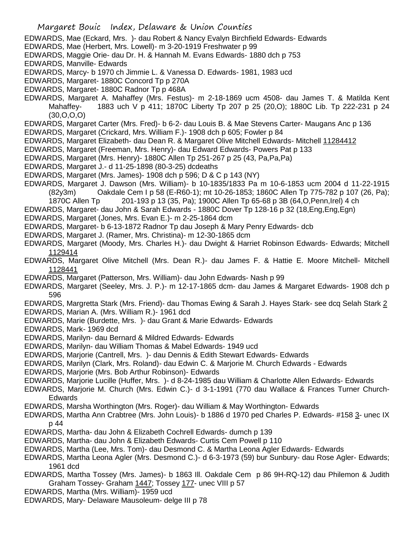- EDWARDS, Mae (Eckard, Mrs. )- dau Robert & Nancy Evalyn Birchfield Edwards- Edwards
- EDWARDS, Mae (Herbert, Mrs. Lowell)- m 3-20-1919 Freshwater p 99
- EDWARDS, Maggie Orie- dau Dr. H. & Hannah M. Evans Edwards- 1880 dch p 753
- EDWARDS, Manville- Edwards
- EDWARDS, Marcy- b 1970 ch Jimmie L. & Vanessa D. Edwards- 1981, 1983 ucd
- EDWARDS, Margaret- 1880C Concord Tp p 270A
- EDWARDS, Margaret- 1880C Radnor Tp p 468A
- EDWARDS, Margaret A. Mahaffey (Mrs. Festus)- m 2-18-1869 ucm 4508- dau James T. & Matilda Kent Mahaffey- 1883 uch V p 411; 1870C Liberty Tp 207 p 25 (20,O); 1880C Lib. Tp 222-231 p 24 (30,O,O,O)
- EDWARDS, Margaret Carter (Mrs. Fred)- b 6-2- dau Louis B. & Mae Stevens Carter- Maugans Anc p 136
- EDWARDS, Margaret (Crickard, Mrs. William F.)- 1908 dch p 605; Fowler p 84
- EDWARDS, Margaret Elizabeth- dau Dean R. & Margaret Olive Mitchell Edwards- Mitchell 11284412
- EDWARDS, Margaret (Freeman, Mrs. Henry)- dau Edward Edwards- Powers Pat p 133
- EDWARDS, Margaret (Mrs. Henry)- 1880C Allen Tp 251-267 p 25 (43, Pa,Pa,Pa)
- EDWARDS, Margaret J.- d 11-25-1898 (80-3-25) dcdeaths
- EDWARDS, Margaret (Mrs. James)- 1908 dch p 596; D & C p 143 (NY)
- EDWARDS, Margaret J. Dawson (Mrs. William)- b 10-1835/1833 Pa m 10-6-1853 ucm 2004 d 11-22-1915 (82y3m) Oakdale Cem I p 58 (E-R60-1); mt 10-26-1853; 1860C Allen Tp 775-782 p 107 (26, Pa);
- 1870C Allen Tp 201-193 p 13 (35, Pa); 1900C Allen Tp 65-68 p 3B (64,O,Penn,Irel) 4 ch
- EDWARDS, Margaret- dau John & Sarah Edwards 1880C Dover Tp 128-16 p 32 (18,Eng,Eng,Egn)
- EDWARDS, Margaret (Jones, Mrs. Evan E.)- m 2-25-1864 dcm
- EDWARDS, Margaret- b 6-13-1872 Radnor Tp dau Joseph & Mary Penry Edwards- dcb
- EDWARDS, Margaret J. (Ramer, Mrs. Christina)- m 12-30-1865 dcm
- EDWARDS, Margaret (Moody, Mrs. Charles H.)- dau Dwight & Harriet Robinson Edwards- Edwards; Mitchell 1129414
- EDWARDS, Margaret Olive Mitchell (Mrs. Dean R.)- dau James F. & Hattie E. Moore Mitchell- Mitchell 1128441
- EDWARDS, Margaret (Patterson, Mrs. William)- dau John Edwards- Nash p 99
- EDWARDS, Margaret (Seeley, Mrs. J. P.)- m 12-17-1865 dcm- dau James & Margaret Edwards- 1908 dch p 596
- EDWARDS, Margretta Stark (Mrs. Friend)- dau Thomas Ewing & Sarah J. Hayes Stark- see dcq Selah Stark 2
- EDWARDS, Marian A. (Mrs. William R.)- 1961 dcd
- EDWARDS, Marie (Burdette, Mrs. )- dau Grant & Marie Edwards- Edwards
- EDWARDS, Mark- 1969 dcd
- EDWARDS, Marilyn- dau Bernard & Mildred Edwards- Edwards
- EDWARDS, Marilyn- dau William Thomas & Mabel Edwards- 1949 ucd
- EDWARDS, Marjorie (Cantrell, Mrs. )- dau Dennis & Edith Stewart Edwards- Edwards
- EDWARDS, Marilyn (Clark, Mrs. Roland)- dau Edwin C. & Marjorie M. Church Edwards Edwards
- EDWARDS, Marjorie (Mrs. Bob Arthur Robinson)- Edwards
- EDWARDS, Marjorie Lucille (Huffer, Mrs. )- d 8-24-1985 dau William & Charlotte Allen Edwards- Edwards
- EDWARDS, Marjorie M. Church (Mrs. Edwin C.)- d 3-1-1991 (770 dau Wallace & Frances Turner Church-Edwards
- EDWARDS, Marsha Worthington (Mrs. Roger)- dau William & May Worthington- Edwards
- EDWARDS, Martha Ann Crabtree (Mrs. John Louis)- b 1886 d 1970 ped Charles P. Edwards- #158 3- unec IX p 44
- EDWARDS, Martha- dau John & Elizabeth Cochrell Edwards- dumch p 139
- EDWARDS, Martha- dau John & Elizabeth Edwards- Curtis Cem Powell p 110
- EDWARDS, Martha (Lee, Mrs. Tom)- dau Desmond C. & Martha Leona Agler Edwards- Edwards
- EDWARDS, Martha Leona Agler (Mrs. Desmond C.)- d 6-3-1973 (59) bur Sunbury- dau Rose Agler- Edwards; 1961 dcd
- EDWARDS, Martha Tossey (Mrs. James)- b 1863 Ill. Oakdale Cem p 86 9H-RQ-12) dau Philemon & Judith Graham Tossey- Graham 1447; Tossey 177- unec VIII p 57
- EDWARDS, Martha (Mrs. William)- 1959 ucd
- EDWARDS, Mary- Delaware Mausoleum- delge III p 78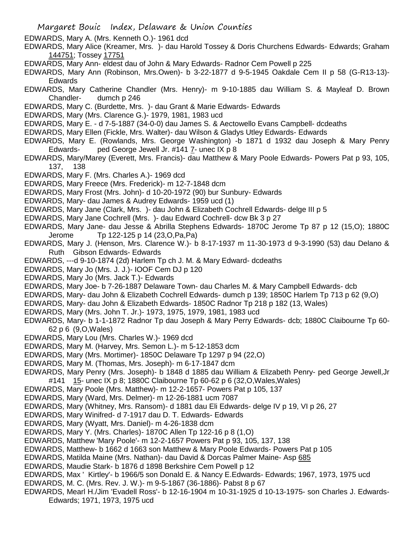- Margaret Bouic Index, Delaware & Union Counties
- EDWARDS, Mary A. (Mrs. Kenneth O.)- 1961 dcd
- EDWARDS, Mary Alice (Kreamer, Mrs. )- dau Harold Tossey & Doris Churchens Edwards- Edwards; Graham 144751; Tossey 17751
- EDWARDS, Mary Ann- eldest dau of John & Mary Edwards- Radnor Cem Powell p 225
- EDWARDS, Mary Ann (Robinson, Mrs.Owen)- b 3-22-1877 d 9-5-1945 Oakdale Cem II p 58 (G-R13-13)- Edwards
- EDWARDS, Mary Catherine Chandler (Mrs. Henry)- m 9-10-1885 dau William S. & Mayleaf D. Brown Chandler- dumch p 246
- EDWARDS, Mary C. (Burdette, Mrs. )- dau Grant & Marie Edwards- Edwards
- EDWARDS, Mary (Mrs. Clarence G.)- 1979, 1981, 1983 ucd
- EDWARDS, Mary E. d 7-5-1887 (34-0-0) dau James S. & Aectowello Evans Campbell- dcdeaths
- EDWARDS, Mary Ellen (Fickle, Mrs. Walter)- dau Wilson & Gladys Utley Edwards- Edwards
- EDWARDS, Mary E. (Rowlands, Mrs. George Washington) -b 1871 d 1932 dau Joseph & Mary Penry Edwards- ped George Jewell Jr. #141 7- unec IX p 8
- EDWARDS, Mary/Marey (Everett, Mrs. Francis)- dau Matthew & Mary Poole Edwards- Powers Pat p 93, 105, 137, 138
- EDWARDS, Mary F. (Mrs. Charles A.)- 1969 dcd
- EDWARDS, Mary Freece (Mrs. Frederick)- m 12-7-1848 dcm
- EDWARDS, Mary Frost (Mrs. John)- d 10-20-1972 (90) bur Sunbury- Edwards
- EDWARDS, Mary- dau James & Audrey Edwards- 1959 ucd (1)
- EDWARDS, Mary Jane (Clark, Mrs. )- dau John & Elizabeth Cochrell Edwards- delge III p 5
- EDWARDS, Mary Jane Cochrell (Mrs. )- dau Edward Cochrell- dcw Bk 3 p 27
- EDWARDS, Mary Jane- dau Jesse & Abrilla Stephens Edwards- 1870C Jerome Tp 87 p 12 (15,O); 1880C Jerome Tp 122-125 p 14 (23,O,Pa,Pa)
- EDWARDS, Mary J. (Henson, Mrs. Clarence W.)- b 8-17-1937 m 11-30-1973 d 9-3-1990 (53) dau Delano & Ruth Gibson Edwards- Edwards
- EDWARDS, ---d 9-10-1874 (2d) Harlem Tp ch J. M. & Mary Edward- dcdeaths
- EDWARDS, Mary Jo (Mrs. J. J.)- IOOF Cem DJ p 120
- EDWARDS, Mary Jo (Mrs. Jack T.)- Edwards
- EDWARDS, Mary Joe- b 7-26-1887 Delaware Town- dau Charles M. & Mary Campbell Edwards- dcb
- EDWARDS, Mary- dau John & Elizabeth Cochrell Edwards- dumch p 139; 1850C Harlem Tp 713 p 62 (9,O)
- EDWARDS, Mary- dau John & Elizabeth Edwards- 1850C Radnor Tp 218 p 182 (13, Wales)
- EDWARDS, Mary (Mrs. John T. Jr.)- 1973, 1975, 1979, 1981, 1983 ucd
- EDWARDS, Mary- b 1-1-1872 Radnor Tp dau Joseph & Mary Perry Edwards- dcb; 1880C Claibourne Tp 60- 62 p 6 (9,O,Wales)
- EDWARDS, Mary Lou (Mrs. Charles W.)- 1969 dcd
- EDWARDS, Mary M. (Harvey, Mrs. Semon L.)- m 5-12-1853 dcm
- EDWARDS, Mary (Mrs. Mortimer)- 1850C Delaware Tp 1297 p 94 (22,O)
- EDWARDS, Mary M. (Thomas, Mrs. Joseph)- m 6-17-1847 dcm
- EDWARDS, Mary Penry (Mrs. Joseph)- b 1848 d 1885 dau William & Elizabeth Penry- ped George Jewell,Jr #141 15- unec IX p 8; 1880C Claibourne Tp 60-62 p 6 (32,O,Wales,Wales)
- EDWARDS, Mary Poole (Mrs. Matthew)- m 12-2-1657- Powers Pat p 105, 137
- EDWARDS, Mary (Ward, Mrs. Delmer)- m 12-26-1881 ucm 7087
- EDWARDS, Mary (Whitney, Mrs. Ransom)- d 1881 dau Eli Edwards- delge IV p 19, VI p 26, 27
- EDWARDS, Mary Winifred- d 7-1917 dau D. T. Edwards- Edwards
- EDWARDS, Mary (Wyatt, Mrs. Daniel)- m 4-26-1838 dcm
- EDWARDS, Mary Y. (Mrs. Charles)- 1870C Allen Tp 122-16 p 8 (1,O)
- EDWARDS, Matthew 'Mary Poole'- m 12-2-1657 Powers Pat p 93, 105, 137, 138
- EDWARDS, Matthew- b 1662 d 1663 son Matthew & Mary Poole Edwards- Powers Pat p 105
- EDWARDS, Matilda Maine (Mrs. Nathan)- dau David & Dorcas Palmer Maine- Asp 685
- EDWARDS, Maudie Stark- b 1876 d 1898 Berkshire Cem Powell p 12
- EDWARDS, Max ' Kirtley'- b 1966/5 son Donald E. & Nancy E.Edwards- Edwards; 1967, 1973, 1975 ucd
- EDWARDS, M. C. (Mrs. Rev. J. W.)- m 9-5-1867 (36-1886)- Pabst 8 p 67
- EDWARDS, Mearl H./Jim 'Evadell Ross'- b 12-16-1904 m 10-31-1925 d 10-13-1975- son Charles J. Edwards-Edwards; 1971, 1973, 1975 ucd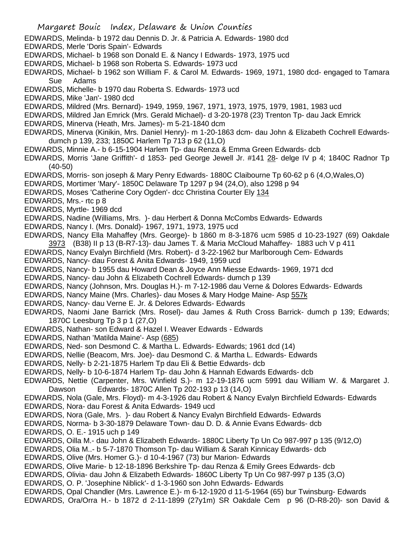- EDWARDS, Melinda- b 1972 dau Dennis D. Jr. & Patricia A. Edwards- 1980 dcd
- EDWARDS, Merle 'Doris Spain'- Edwards
- EDWARDS, Michael- b 1968 son Donald E. & Nancy I Edwards- 1973, 1975 ucd
- EDWARDS, Michael- b 1968 son Roberta S. Edwards- 1973 ucd
- EDWARDS, Michael- b 1962 son William F. & Carol M. Edwards- 1969, 1971, 1980 dcd- engaged to Tamara Sue Adams
- EDWARDS, Michelle- b 1970 dau Roberta S. Edwards- 1973 ucd
- EDWARDS, Mike 'Jan'- 1980 dcd
- EDWARDS, Mildred (Mrs. Bernard)- 1949, 1959, 1967, 1971, 1973, 1975, 1979, 1981, 1983 ucd
- EDWARDS, Mildred Jan Emrick (Mrs. Gerald Michael)- d 3-20-1978 (23) Trenton Tp- dau Jack Emrick
- EDWARDS, Minerva (Heath, Mrs. James)- m 5-21-1840 dcm
- EDWARDS, Minerva (Kinikin, Mrs. Daniel Henry)- m 1-20-1863 dcm- dau John & Elizabeth Cochrell Edwardsdumch p 139, 233; 1850C Harlem Tp 713 p 62 (11,O)
- EDWARDS, Minnie A.- b 6-15-1904 Harlem Tp- dau Renza & Emma Green Edwards- dcb
- EDWARDS, Morris 'Jane Griffith'- d 1853- ped George Jewell Jr. #141 28- delge IV p 4; 1840C Radnor Tp (40-50)
- EDWARDS, Morris- son joseph & Mary Penry Edwards- 1880C Claibourne Tp 60-62 p 6 (4,O,Wales,O)
- EDWARDS, Mortimer 'Mary'- 1850C Delaware Tp 1297 p 94 (24,O), also 1298 p 94
- EDWARDS, Moses 'Catherine Cory Ogden'- dcc Christina Courter Ely 134
- EDWARDS, Mrs.- rtc p 8
- EDWARDS, Myrtle- 1969 dcd
- EDWARDS, Nadine (Williams, Mrs. )- dau Herbert & Donna McCombs Edwards- Edwards
- EDWARDS, Nancy I. (Mrs. Donald)- 1967, 1971, 1973, 1975 ucd
- EDWARDS, Nancy Ella Mahaffey (Mrs. George)- b 1860 m 8-3-1876 ucm 5985 d 10-23-1927 (69) Oakdale 3973 (B38) II p 13 (B-R7-13)- dau James T. & Maria McCloud Mahaffey- 1883 uch V p 411
- EDWARDS, Nancy Evalyn Birchfield (Mrs. Robert)- d 3-22-1962 bur Marlborough Cem- Edwards
- EDWARDS, Nancy- dau Forest & Anita Edwards- 1949, 1959 ucd
- EDWARDS, Nancy- b 1955 dau Howard Dean & Joyce Ann Miesse Edwards- 1969, 1971 dcd
- EDWARDS, Nancy- dau John & Elizabeth Cochrell Edwards- dumch p 139
- EDWARDS, Nancy (Johnson, Mrs. Douglas H.)- m 7-12-1986 dau Verne & Dolores Edwards- Edwards
- EDWARDS, Nancy Maine (Mrs. Charles)- dau Moses & Mary Hodge Maine- Asp 557k
- EDWARDS, Nancy- dau Verne E. Jr. & Delores Edwards- Edwards
- EDWARDS, Naomi Jane Barrick (Mrs. Rosel)- dau James & Ruth Cross Barrick- dumch p 139; Edwards; 1870C Leesburg Tp 3 p 1 (27,O)
- EDWARDS, Nathan- son Edward & Hazel I. Weaver Edwards Edwards
- EDWARDS, Nathan 'Matilda Maine'- Asp (685)
- EDWARDS, Ned- son Desmond C. & Martha L. Edwards- Edwards; 1961 dcd (14)
- EDWARDS, Nellie (Beacom, Mrs. Joe)- dau Desmond C. & Martha L. Edwards- Edwards
- EDWARDS, Nelly- b 2-21-1875 Harlem Tp dau Eli & Bettie Edwards- dcb
- EDWARDS, Nelly- b 10-6-1874 Harlem Tp- dau John & Hannah Edwards Edwards- dcb
- EDWARDS, Nettie (Carpenter, Mrs. Winfield S.)- m 12-19-1876 ucm 5991 dau William W. & Margaret J. Dawson Edwards- 1870C Allen Tp 202-193 p 13 (14,O)
- EDWARDS, Nola (Gale, Mrs. Floyd)- m 4-3-1926 dau Robert & Nancy Evalyn Birchfield Edwards- Edwards EDWARDS, Nora- dau Forest & Anita Edwards- 1949 ucd
- EDWARDS, Nora (Gale, Mrs. )- dau Robert & Nancy Evalyn Birchfield Edwards- Edwards
- EDWARDS, Norma- b 3-30-1879 Delaware Town- dau D. D. & Annie Evans Edwards- dcb
- EDWARDS, O. E.- 1915 uch p 149
- EDWARDS, Oilla M.- dau John & Elizabeth Edwards- 1880C Liberty Tp Un Co 987-997 p 135 (9/12,O)
- EDWARDS, Olia M..- b 5-7-1870 Thomson Tp- dau William & Sarah Kinnicay Edwards- dcb
- EDWARDS, Olive (Mrs. Homer G.)- d 10-4-1967 (73) bur Marion- Edwards
- EDWARDS, Olive Marie- b 12-18-1896 Berkshire Tp- dau Renza & Emily Grees Edwards- dcb
- EDWARDS, Olivia- dau John & Elizabeth Edwards- 1860C Liberty Tp Un Co 987-997 p 135 (3,O)
- EDWARDS, O. P. 'Josephine Niblick'- d 1-3-1960 son John Edwards- Edwards
- EDWARDS, Opal Chandler (Mrs. Lawrence E.)- m 6-12-1920 d 11-5-1964 (65) bur Twinsburg- Edwards EDWARDS, Ora/Orra H.- b 1872 d 2-11-1899 (27y1m) SR Oakdale Cem p 96 (D-R8-20)- son David &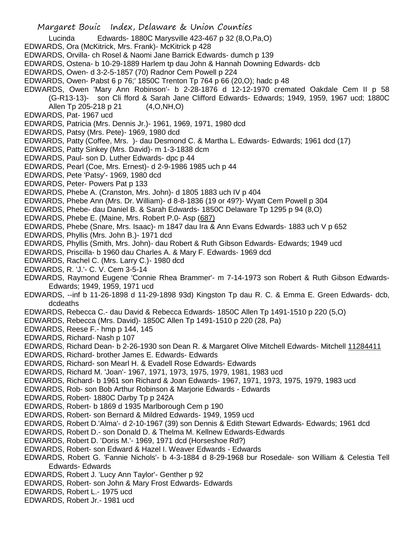Margaret Bouic Index, Delaware & Union Counties

Lucinda Edwards- 1880C Marysville 423-467 p 32 (8,O,Pa,O)

- EDWARDS, Ora (McKitrick, Mrs. Frank)- McKitrick p 428
- EDWARDS, Orvilla- ch Rosel & Naomi Jane Barrick Edwards- dumch p 139
- EDWARDS, Ostena- b 10-29-1889 Harlem tp dau John & Hannah Downing Edwards- dcb
- EDWARDS, Owen- d 3-2-5-1857 (70) Radnor Cem Powell p 224
- EDWARDS, Owen- Pabst 6 p 76;' 1850C Trenton Tp 764 p 66 (20,O); hadc p 48
- EDWARDS, Owen 'Mary Ann Robinson'- b 2-28-1876 d 12-12-1970 cremated Oakdale Cem II p 58 (G-R13-13)- son Cli fford & Sarah Jane Clifford Edwards- Edwards; 1949, 1959, 1967 ucd; 1880C Allen Tp 205-218 p 21 (4,O,NH,O)
- EDWARDS, Pat- 1967 ucd
- EDWARDS, Patricia (Mrs. Dennis Jr.)- 1961, 1969, 1971, 1980 dcd
- EDWARDS, Patsy (Mrs. Pete)- 1969, 1980 dcd
- EDWARDS, Patty (Coffee, Mrs. )- dau Desmond C. & Martha L. Edwards- Edwards; 1961 dcd (17)
- EDWARDS, Patty Sinkey (Mrs. David)- m 1-3-1838 dcm
- EDWARDS, Paul- son D. Luther Edwards- dpc p 44
- EDWARDS, Pearl (Coe, Mrs. Ernest)- d 2-9-1986 1985 uch p 44
- EDWARDS, Pete 'Patsy'- 1969, 1980 dcd
- EDWARDS, Peter- Powers Pat p 133
- EDWARDS, Phebe A. (Cranston, Mrs. John)- d 1805 1883 uch IV p 404
- EDWARDS, Phebe Ann (Mrs. Dr. William)- d 8-8-1836 (19 or 49?)- Wyatt Cem Powell p 304
- EDWARDS, Phebe- dau Daniel B. & Sarah Edwards- 1850C Delaware Tp 1295 p 94 (8,O)
- EDWARDS, Phebe E. (Maine, Mrs. Robert P.0- Asp (687)
- EDWARDS, Phebe (Snare, Mrs. Isaac)- m 1847 dau Ira & Ann Evans Edwards- 1883 uch V p 652
- EDWARDS, Phyllis (Mrs. John B.)- 1971 dcd
- EDWARDS, Phyllis (Smith, Mrs. John)- dau Robert & Ruth Gibson Edwards- Edwards; 1949 ucd
- EDWARDS, Priscilla- b 1960 dau Charles A. & Mary F. Edwards- 1969 dcd
- EDWARDS, Rachel C. (Mrs. Larry C.)- 1980 dcd
- EDWARDS, R. 'J.'- C. V. Cem 3-5-14
- EDWARDS, Raymond Eugene 'Connie Rhea Brammer'- m 7-14-1973 son Robert & Ruth Gibson Edwards-Edwards; 1949, 1959, 1971 ucd
- EDWARDS, --inf b 11-26-1898 d 11-29-1898 93d) Kingston Tp dau R. C. & Emma E. Green Edwards- dcb, dcdeaths
- EDWARDS, Rebecca C.- dau David & Rebecca Edwards- 1850C Allen Tp 1491-1510 p 220 (5,O)
- EDWARDS, Rebecca (Mrs. David)- 1850C Allen Tp 1491-1510 p 220 (28, Pa)
- EDWARDS, Reese F.- hmp p 144, 145
- EDWARDS, Richard- Nash p 107
- EDWARDS, Richard Dean- b 2-26-1930 son Dean R. & Margaret Olive Mitchell Edwards- Mitchell 11284411
- EDWARDS, Richard- brother James E. Edwards- Edwards
- EDWARDS, Richard- son Mearl H. & Evadell Rose Edwards- Edwards
- EDWARDS, Richard M. 'Joan'- 1967, 1971, 1973, 1975, 1979, 1981, 1983 ucd
- EDWARDS, Richard- b 1961 son Richard & Joan Edwards- 1967, 1971, 1973, 1975, 1979, 1983 ucd
- EDWARDS, Rob- son Bob Arthur Robinson & Marjorie Edwards Edwards
- EDWARDS, Robert- 1880C Darby Tp p 242A
- EDWARDS, Robert- b 1869 d 1935 Marlborough Cem p 190
- EDWARDS, Robert- son Bernard & Mildred Edwards- 1949, 1959 ucd
- EDWARDS, Robert D.'Alma'- d 2-10-1967 (39) son Dennis & Edith Stewart Edwards- Edwards; 1961 dcd
- EDWARDS, Robert D.- son Donald D. & Thelma M. Kellnew Edwards-Edwards
- EDWARDS, Robert D. 'Doris M.'- 1969, 1971 dcd (Horseshoe Rd?)
- EDWARDS, Robert- son Edward & Hazel I. Weaver Edwards Edwards
- EDWARDS, Robert G. 'Fannie Nichols'- b 4-3-1884 d 8-29-1968 bur Rosedale- son William & Celestia Tell Edwards- Edwards
- EDWARDS, Robert J. 'Lucy Ann Taylor'- Genther p 92
- EDWARDS, Robert- son John & Mary Frost Edwards- Edwards
- EDWARDS, Robert L.- 1975 ucd
- EDWARDS, Robert Jr.- 1981 ucd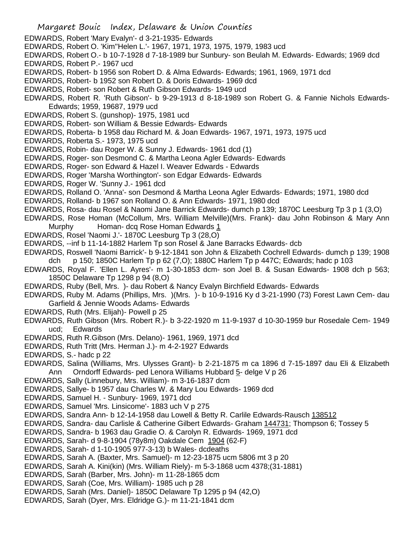- Margaret Bouic Index, Delaware & Union Counties EDWARDS, Robert 'Mary Evalyn'- d 3-21-1935- Edwards EDWARDS, Robert O. 'Kim''Helen L.'- 1967, 1971, 1973, 1975, 1979, 1983 ucd EDWARDS, Robert O.- b 10-7-1928 d 7-18-1989 bur Sunbury- son Beulah M. Edwards- Edwards; 1969 dcd EDWARDS, Robert P.- 1967 ucd EDWARDS, Robert- b 1956 son Robert D. & Alma Edwards- Edwards; 1961, 1969, 1971 dcd EDWARDS, Robert- b 1952 son Robert D. & Doris Edwards- 1969 dcd EDWARDS, Robert- son Robert & Ruth Gibson Edwards- 1949 ucd EDWARDS, Robert R. 'Ruth Gibson'- b 9-29-1913 d 8-18-1989 son Robert G. & Fannie Nichols Edwards-Edwards; 1959, 19687, 1979 ucd EDWARDS, Robert S. (gunshop)- 1975, 1981 ucd EDWARDS, Robert- son William & Bessie Edwards- Edwards EDWARDS, Roberta- b 1958 dau Richard M. & Joan Edwards- 1967, 1971, 1973, 1975 ucd EDWARDS, Roberta S.- 1973, 1975 ucd EDWARDS, Robin- dau Roger W. & Sunny J. Edwards- 1961 dcd (1) EDWARDS, Roger- son Desmond C. & Martha Leona Agler Edwards- Edwards EDWARDS, Roger- son Edward & Hazel I. Weaver Edwards - Edwards EDWARDS, Roger 'Marsha Worthington'- son Edgar Edwards- Edwards EDWARDS, Roger W. 'Sunny J.- 1961 dcd EDWARDS, Rolland O. 'Anna'- son Desmond & Martha Leona Agler Edwards- Edwards; 1971, 1980 dcd EDWARDS, Rolland- b 1967 son Rolland O. & Ann Edwards- 1971, 1980 dcd EDWARDS, Rosa- dau Rosel & Naomi Jane Barrick Edwards- dumch p 139; 1870C Leesburg Tp 3 p 1 (3,O) EDWARDS, Rose Homan (McCollum, Mrs. William Melville)(Mrs. Frank)- dau John Robinson & Mary Ann Murphy Homan- dcq Rose Homan Edwards 1 EDWARDS, Rosel 'Naomi J.'- 1870C Leesburg Tp 3 (28,O) EDWARDS, --inf b 11-14-1882 Harlem Tp son Rosel & Jane Barracks Edwards- dcb EDWARDS, Roswell 'Naomi Barrick'- b 9-12-1841 son John & Elizabeth Cochrell Edwards- dumch p 139; 1908 dch p 150; 1850C Harlem Tp p 62 (7,O); 1880C Harlem Tp p 447C; Edwards; hadc p 103 EDWARDS, Royal F. 'Ellen L. Ayres'- m 1-30-1853 dcm- son Joel B. & Susan Edwards- 1908 dch p 563; 1850C Delaware Tp 1298 p 94 (8,O) EDWARDS, Ruby (Bell, Mrs. )- dau Robert & Nancy Evalyn Birchfield Edwards- Edwards EDWARDS, Ruby M. Adams (Phillips, Mrs. )(Mrs. )- b 10-9-1916 Ky d 3-21-1990 (73) Forest Lawn Cem- dau Garfield & Jennie Woods Adams- Edwards EDWARDS, Ruth (Mrs. Elijah)- Powell p 25 EDWARDS, Ruth Gibson (Mrs. Robert R.)- b 3-22-1920 m 11-9-1937 d 10-30-1959 bur Rosedale Cem- 1949 ucd; Edwards EDWARDS, Ruth R.Gibson (Mrs. Delano)- 1961, 1969, 1971 dcd EDWARDS, Ruth Tritt (Mrs. Herman J.)- m 4-2-1927 Edwards EDWARDS, S.- hadc p 22 EDWARDS, Salina (Williams, Mrs. Ulysses Grant)- b 2-21-1875 m ca 1896 d 7-15-1897 dau Eli & Elizabeth Ann Orndorff Edwards- ped Lenora Williams Hubbard 5- delge V p 26 EDWARDS, Sally (Linnebury, Mrs. William)- m 3-16-1837 dcm EDWARDS, Sallye- b 1957 dau Charles W. & Mary Lou Edwards- 1969 dcd EDWARDS, Samuel H. - Sunbury- 1969, 1971 dcd EDWARDS, Samuel 'Mrs. Linsicome'- 1883 uch V p 275
- EDWARDS, Sandra Ann- b 12-14-1958 dau Lowell & Betty R. Carlile Edwards-Rausch 138512
- EDWARDS, Sandra- dau Carlisle & Catherine Gilbert Edwards- Graham 144731; Thompson 6; Tossey 5
- EDWARDS, Sandra- b 1963 dau Gradie O. & Carolyn R. Edwards- 1969, 1971 dcd
- EDWARDS, Sarah- d 9-8-1904 (78y8m) Oakdale Cem 1904 (62-F)
- EDWARDS, Sarah- d 1-10-1905 977-3-13) b Wales- dcdeaths
- EDWARDS, Sarah A. (Baxter, Mrs. Samuel)- m 12-23-1875 ucm 5806 mt 3 p 20
- EDWARDS, Sarah A. Kini(kin) (Mrs. William Riely)- m 5-3-1868 ucm 4378;(31-1881)
- EDWARDS, Sarah (Barber, Mrs. John)- m 11-28-1865 dcm
- EDWARDS, Sarah (Coe, Mrs. William)- 1985 uch p 28
- EDWARDS, Sarah (Mrs. Daniel)- 1850C Delaware Tp 1295 p 94 (42,O)
- EDWARDS, Sarah (Dyer, Mrs. Eldridge G.)- m 11-21-1841 dcm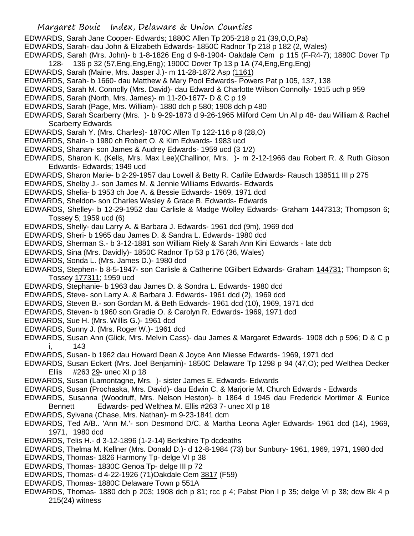- EDWARDS, Sarah Jane Cooper- Edwards; 1880C Allen Tp 205-218 p 21 (39,O,O,Pa)
- EDWARDS, Sarah- dau John & Elizabeth Edwards- 1850C Radnor Tp 218 p 182 (2, Wales)
- EDWARDS, Sarah (Mrs. John)- b 1-8-1826 Eng d 9-8-1904- Oakdale Cem p 115 (F-R4-7); 1880C Dover Tp
- 128- 136 p 32 (57,Eng,Eng,Eng); 1900C Dover Tp 13 p 1A (74,Eng,Eng,Eng)
- EDWARDS, Sarah (Maine, Mrs. Jasper J.)- m 11-28-1872 Asp (1161)
- EDWARDS, Sarah- b 1660- dau Matthew & Mary Pool Edwards- Powers Pat p 105, 137, 138
- EDWARDS, Sarah M. Connolly (Mrs. David)- dau Edward & Charlotte Wilson Connolly- 1915 uch p 959
- EDWARDS, Sarah (North, Mrs. James)- m 11-20-1677- D & C p 19
- EDWARDS, Sarah (Page, Mrs. William)- 1880 dch p 580; 1908 dch p 480
- EDWARDS, Sarah Scarberry (Mrs. )- b 9-29-1873 d 9-26-1965 Milford Cem Un Al p 48- dau William & Rachel Scarberry Edwards
- EDWARDS, Sarah Y. (Mrs. Charles)- 1870C Allen Tp 122-116 p 8 (28,O)
- EDWARDS, Shain- b 1980 ch Robert O. & Kim Edwards- 1983 ucd
- EDWARDS, Shanan- son James & Audrey Edwards- 1959 ucd (3 1/2)
- EDWARDS, Sharon K. (Kells, Mrs. Max Lee)(Challinor, Mrs. )- m 2-12-1966 dau Robert R. & Ruth Gibson Edwards- Edwards; 1949 ucd
- EDWARDS, Sharon Marie- b 2-29-1957 dau Lowell & Betty R. Carlile Edwards- Rausch 138511 III p 275
- EDWARDS, Shelby J.- son James M. & Jennie Williams Edwards- Edwards
- EDWARDS, Shelia- b 1953 ch Joe A. & Bessie Edwards- 1969, 1971 dcd
- EDWARDS, Sheldon- son Charles Wesley & Grace B. Edwards- Edwards
- EDWARDS, Shelley- b 12-29-1952 dau Carlisle & Madge Wolley Edwards- Graham 1447313; Thompson 6; Tossey 5; 1959 ucd (6)
- EDWARDS, Shelly- dau Larry A. & Barbara J. Edwards- 1961 dcd (9m), 1969 dcd
- EDWARDS, Sheri- b 1965 dau James D. & Sandra L. Edwards- 1980 dcd
- EDWARDS, Sherman S.- b 3-12-1881 son William Riely & Sarah Ann Kini Edwards late dcb
- EDWARDS, Sina (Mrs. Davidly)- 1850C Radnor Tp 53 p 176 (36, Wales)
- EDWARDS, Sonda L. (Mrs. James D.)- 1980 dcd
- EDWARDS, Stephen- b 8-5-1947- son Carlisle & Catherine 0Gilbert Edwards- Graham 144731; Thompson 6; Tossey 177311; 1959 ucd
- EDWARDS, Stephanie- b 1963 dau James D. & Sondra L. Edwards- 1980 dcd
- EDWARDS, Steve- son Larry A. & Barbara J. Edwards- 1961 dcd (2), 1969 dcd
- EDWARDS, Steven B.- son Gordan M. & Beth Edwards- 1961 dcd (10), 1969, 1971 dcd
- EDWARDS, Steven- b 1960 son Gradie O. & Carolyn R. Edwards- 1969, 1971 dcd
- EDWARDS, Sue H. (Mrs. Willis G.)- 1961 dcd
- EDWARDS, Sunny J. (Mrs. Roger W.)- 1961 dcd
- EDWARDS, Susan Ann (Glick, Mrs. Melvin Cass)- dau James & Margaret Edwards- 1908 dch p 596; D & C p i, 143
- EDWARDS, Susan- b 1962 dau Howard Dean & Joyce Ann Miesse Edwards- 1969, 1971 dcd
- EDWARDS, Susan Eckert (Mrs. Joel Benjamin)- 1850C Delaware Tp 1298 p 94 (47,O); ped Welthea Decker Ellis #263 29- unec XI p 18
- EDWARDS, Susan (Lamontagne, Mrs. )- sister James E. Edwards- Edwards
- EDWARDS, Susan (Prochaska, Mrs. David)- dau Edwin C. & Marjorie M. Church Edwards Edwards
- EDWARDS, Susanna (Woodruff, Mrs. Nelson Heston)- b 1864 d 1945 dau Frederick Mortimer & Eunice Bennett Edwards- ped Welthea M. Ellis #263 7- unec XI p 18
- EDWARDS, Sylvana (Chase, Mrs. Nathan)- m 9-23-1841 dcm
- EDWARDS, Ted A/B.. 'Ann M.'- son Desmond D/C. & Martha Leona Agler Edwards- 1961 dcd (14), 1969, 1971, 1980 dcd
- EDWARDS, Telis H.- d 3-12-1896 (1-2-14) Berkshire Tp dcdeaths
- EDWARDS, Thelma M. Kellner (Mrs. Donald D.)- d 12-8-1984 (73) bur Sunbury- 1961, 1969, 1971, 1980 dcd
- EDWARDS, Thomas- 1826 Harmony Tp- delge VI p 38
- EDWARDS, Thomas- 1830C Genoa Tp- delge III p 72
- EDWARDS, Thomas- d 4-22-1926 (71)Oakdale Cem 3817 (F59)
- EDWARDS, Thomas- 1880C Delaware Town p 551A
- EDWARDS, Thomas- 1880 dch p 203; 1908 dch p 81; rcc p 4; Pabst Pion I p 35; delge VI p 38; dcw Bk 4 p 215(24) witness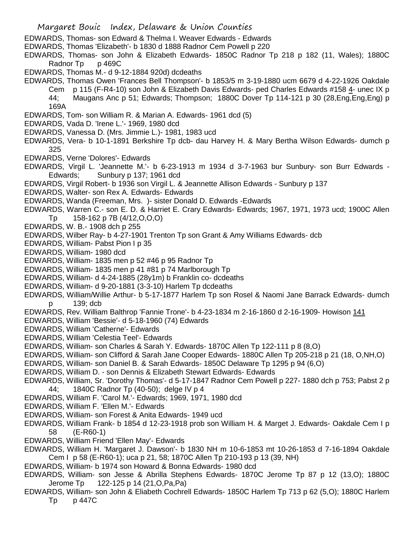- EDWARDS, Thomas- son Edward & Thelma I. Weaver Edwards Edwards
- EDWARDS, Thomas 'Elizabeth'- b 1830 d 1888 Radnor Cem Powell p 220
- EDWARDS, Thomas- son John & Elizabeth Edwards- 1850C Radnor Tp 218 p 182 (11, Wales); 1880C Radnor Tp p 469C
- EDWARDS, Thomas M.- d 9-12-1884 920d) dcdeaths
- EDWARDS, Thomas Owen 'Frances Bell Thompson'- b 1853/5 m 3-19-1880 ucm 6679 d 4-22-1926 Oakdale Cem p 115 (F-R4-10) son John & Elizabeth Davis Edwards- ped Charles Edwards #158 4- unec IX p 44; Maugans Anc p 51; Edwards; Thompson; 1880C Dover Tp 114-121 p 30 (28,Eng,Eng,Eng) p 169A
- EDWARDS, Tom- son William R. & Marian A. Edwards- 1961 dcd (5)
- EDWARDS, Vada D. 'Irene L.'- 1969, 1980 dcd
- EDWARDS, Vanessa D. (Mrs. Jimmie L.)- 1981, 1983 ucd
- EDWARDS, Vera- b 10-1-1891 Berkshire Tp dcb- dau Harvey H. & Mary Bertha Wilson Edwards- dumch p 325
- EDWARDS, Verne 'Dolores'- Edwards
- EDWARDS, Virgil L. 'Jeannette M.'- b 6-23-1913 m 1934 d 3-7-1963 bur Sunbury- son Burr Edwards Edwards; Sunbury p 137; 1961 dcd
- EDWARDS, Virgil Robert- b 1936 son Virgil L. & Jeannette Allison Edwards Sunbury p 137
- EDWARDS, Walter- son Rex A. Edwards- Edwards
- EDWARDS, Wanda (Freeman, Mrs. )- sister Donald D. Edwards -Edwards
- EDWARDS, Warren C.- son E. D. & Harriet E. Crary Edwards- Edwards; 1967, 1971, 1973 ucd; 1900C Allen Tp 158-162 p 7B (4/12,O,O,O)
- EDWARDS, W. B.- 1908 dch p 255
- EDWARDS, Wilber Ray- b 4-27-1901 Trenton Tp son Grant & Amy Williams Edwards- dcb
- EDWARDS, William- Pabst Pion I p 35
- EDWARDS, William- 1980 dcd
- EDWARDS, William- 1835 men p 52 #46 p 95 Radnor Tp
- EDWARDS, William- 1835 men p 41 #81 p 74 Marlborough Tp
- EDWARDS, William- d 4-24-1885 (28y1m) b Franklin co- dcdeaths
- EDWARDS, William- d 9-20-1881 (3-3-10) Harlem Tp dcdeaths
- EDWARDS, William/Willie Arthur- b 5-17-1877 Harlem Tp son Rosel & Naomi Jane Barrack Edwards- dumch p 139; dcb
- EDWARDS, Rev. William Balthrop 'Fannie Trone'- b 4-23-1834 m 2-16-1860 d 2-16-1909- Howison 141
- EDWARDS, William 'Bessie'- d 5-18-1960 (74) Edwards
- EDWARDS, William 'Catherne'- Edwards
- EDWARDS, William 'Celestia Teel'- Edwards
- EDWARDS, William- son Charles & Sarah Y. Edwards- 1870C Allen Tp 122-111 p 8 (8,O)
- EDWARDS, William- son Clifford & Sarah Jane Cooper Edwards- 1880C Allen Tp 205-218 p 21 (18, O,NH,O)
- EDWARDS, William- son Daniel B. & Sarah Edwards- 1850C Delaware Tp 1295 p 94 (6,O)
- EDWARDS, William D. son Dennis & Elizabeth Stewart Edwards- Edwards
- EDWARDS, William, Sr. 'Dorothy Thomas'- d 5-17-1847 Radnor Cem Powell p 227- 1880 dch p 753; Pabst 2 p 44; 1840C Radnor Tp (40-50); delge IV p 4
- EDWARDS, William F. 'Carol M.'- Edwards; 1969, 1971, 1980 dcd
- EDWARDS, William F. 'Ellen M.'- Edwards
- EDWARDS, William- son Forest & Anita Edwards- 1949 ucd
- EDWARDS, William Frank- b 1854 d 12-23-1918 prob son William H. & Marget J. Edwards- Oakdale Cem I p 58 (E-R60-1)
- EDWARDS, William Friend 'Ellen May'- Edwards
- EDWARDS, William H. 'Margaret J. Dawson'- b 1830 NH m 10-6-1853 mt 10-26-1853 d 7-16-1894 Oakdale Cem I p 58 (E-R60-1); uca p 21, 58; 1870C Allen Tp 210-193 p 13 (39, NH)
- EDWARDS, William- b 1974 son Howard & Bonna Edwards- 1980 dcd
- EDWARDS, William- son Jesse & Abrilla Stephens Edwards- 1870C Jerome Tp 87 p 12 (13,O); 1880C Jerome Tp 122-125 p 14 (21,O,Pa,Pa)
- EDWARDS, William- son John & Eliabeth Cochrell Edwards- 1850C Harlem Tp 713 p 62 (5,O); 1880C Harlem Tp p 447C